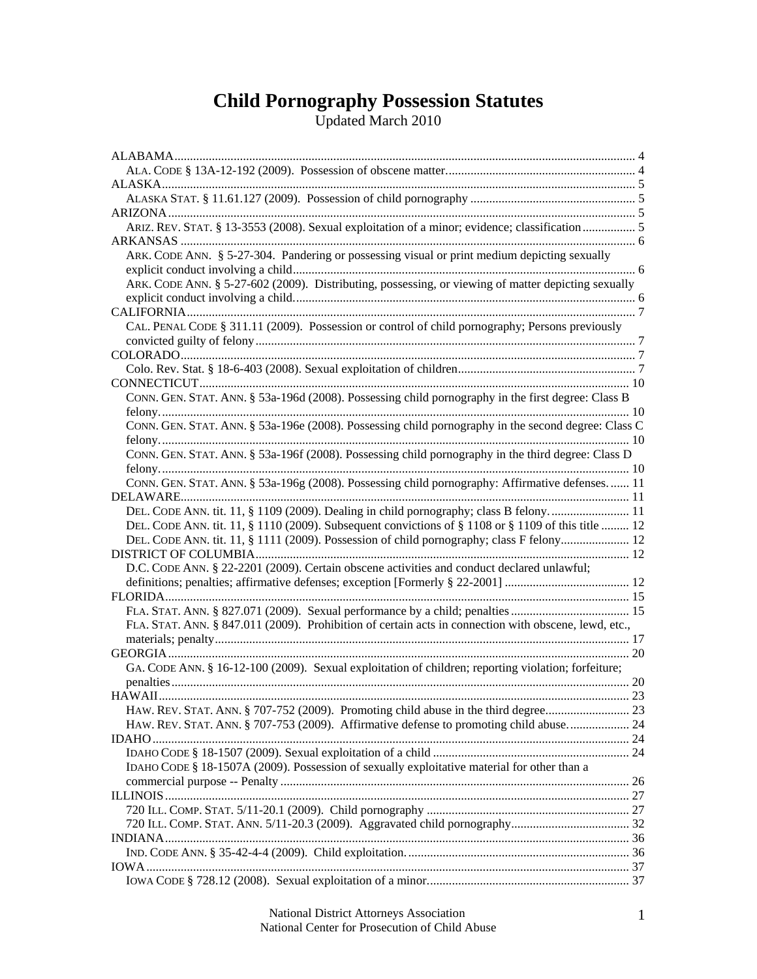## **Child Pornography Possession Statutes**

Updated March 2010

| ARIZ. REV. STAT. § 13-3553 (2008). Sexual exploitation of a minor; evidence; classification  5        |  |
|-------------------------------------------------------------------------------------------------------|--|
|                                                                                                       |  |
| ARK. CODE ANN. § 5-27-304. Pandering or possessing visual or print medium depicting sexually          |  |
|                                                                                                       |  |
| ARK. CODE ANN. § 5-27-602 (2009). Distributing, possessing, or viewing of matter depicting sexually   |  |
|                                                                                                       |  |
|                                                                                                       |  |
| CAL. PENAL CODE § 311.11 (2009). Possession or control of child pornography; Persons previously       |  |
|                                                                                                       |  |
|                                                                                                       |  |
|                                                                                                       |  |
|                                                                                                       |  |
| CONN. GEN. STAT. ANN. § 53a-196d (2008). Possessing child pornography in the first degree: Class B    |  |
|                                                                                                       |  |
| CONN. GEN. STAT. ANN. § 53a-196e (2008). Possessing child pornography in the second degree: Class C   |  |
|                                                                                                       |  |
| CONN. GEN. STAT. ANN. § 53a-196f (2008). Possessing child pornography in the third degree: Class D    |  |
|                                                                                                       |  |
| CONN. GEN. STAT. ANN. § 53a-196g (2008). Possessing child pornography: Affirmative defenses 11        |  |
|                                                                                                       |  |
| DEL. CODE ANN. tit. 11, § 1109 (2009). Dealing in child pornography; class B felony 11                |  |
| DEL. CODE ANN. tit. 11, § 1110 (2009). Subsequent convictions of § 1108 or § 1109 of this title  12   |  |
| DEL. CODE ANN. tit. 11, § 1111 (2009). Possession of child pornography; class F felony 12             |  |
|                                                                                                       |  |
| D.C. CODE ANN. § 22-2201 (2009). Certain obscene activities and conduct declared unlawful;            |  |
|                                                                                                       |  |
|                                                                                                       |  |
|                                                                                                       |  |
| FLA. STAT. ANN. § 847.011 (2009). Prohibition of certain acts in connection with obscene, lewd, etc., |  |
|                                                                                                       |  |
|                                                                                                       |  |
| GA. CODE ANN. § 16-12-100 (2009). Sexual exploitation of children; reporting violation; forfeiture;   |  |
|                                                                                                       |  |
|                                                                                                       |  |
|                                                                                                       |  |
| HAW. REV. STAT. ANN. § 707-753 (2009). Affirmative defense to promoting child abuse 24                |  |
|                                                                                                       |  |
|                                                                                                       |  |
| IDAHO CODE § 18-1507A (2009). Possession of sexually exploitative material for other than a           |  |
|                                                                                                       |  |
|                                                                                                       |  |
|                                                                                                       |  |
|                                                                                                       |  |
|                                                                                                       |  |
|                                                                                                       |  |
|                                                                                                       |  |
|                                                                                                       |  |
|                                                                                                       |  |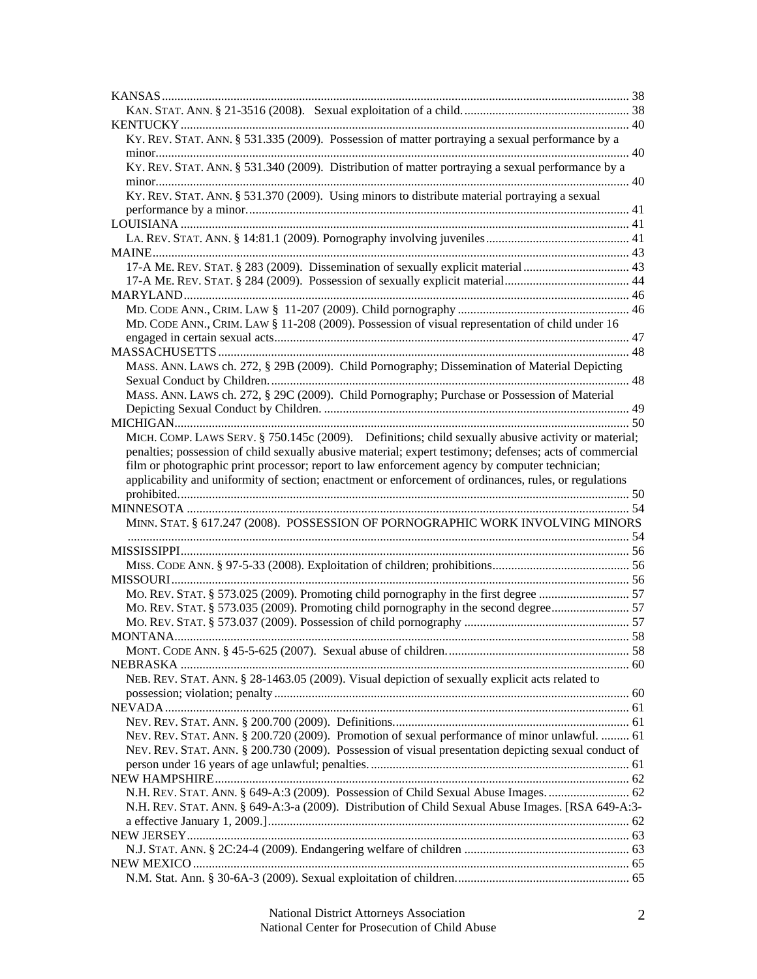| KY. REV. STAT. ANN. § 531.335 (2009). Possession of matter portraying a sexual performance by a          |  |
|----------------------------------------------------------------------------------------------------------|--|
|                                                                                                          |  |
| KY. REV. STAT. ANN. § 531.340 (2009). Distribution of matter portraying a sexual performance by a        |  |
|                                                                                                          |  |
| KY. REV. STAT. ANN. § 531.370 (2009). Using minors to distribute material portraying a sexual            |  |
|                                                                                                          |  |
|                                                                                                          |  |
|                                                                                                          |  |
|                                                                                                          |  |
|                                                                                                          |  |
|                                                                                                          |  |
|                                                                                                          |  |
|                                                                                                          |  |
| MD. CODE ANN., CRIM. LAW § 11-208 (2009). Possession of visual representation of child under 16          |  |
|                                                                                                          |  |
|                                                                                                          |  |
| MASS. ANN. LAWS ch. 272, § 29B (2009). Child Pornography; Dissemination of Material Depicting            |  |
|                                                                                                          |  |
| MASS. ANN. LAWS ch. 272, § 29C (2009). Child Pornography; Purchase or Possession of Material             |  |
|                                                                                                          |  |
|                                                                                                          |  |
| MICH. COMP. LAWS SERV. § 750.145c (2009). Definitions; child sexually abusive activity or material;      |  |
| penalties; possession of child sexually abusive material; expert testimony; defenses; acts of commercial |  |
| film or photographic print processor; report to law enforcement agency by computer technician;           |  |
| applicability and uniformity of section; enactment or enforcement of ordinances, rules, or regulations   |  |
|                                                                                                          |  |
|                                                                                                          |  |
| MINN. STAT. § 617.247 (2008). POSSESSION OF PORNOGRAPHIC WORK INVOLVING MINORS                           |  |
|                                                                                                          |  |
|                                                                                                          |  |
|                                                                                                          |  |
|                                                                                                          |  |
|                                                                                                          |  |
| Mo. REV. STAT. § 573.035 (2009). Promoting child pornography in the second degree 57                     |  |
|                                                                                                          |  |
|                                                                                                          |  |
|                                                                                                          |  |
|                                                                                                          |  |
| NEB. REV. STAT. ANN. § 28-1463.05 (2009). Visual depiction of sexually explicit acts related to          |  |
|                                                                                                          |  |
|                                                                                                          |  |
|                                                                                                          |  |
| NEV. REV. STAT. ANN. § 200.720 (2009). Promotion of sexual performance of minor unlawful.  61            |  |
| NEV. REV. STAT. ANN. § 200.730 (2009). Possession of visual presentation depicting sexual conduct of     |  |
|                                                                                                          |  |
|                                                                                                          |  |
| N.H. REV. STAT. ANN. § 649-A:3 (2009). Possession of Child Sexual Abuse Images                           |  |
| N.H. REV. STAT. ANN. § 649-A:3-a (2009). Distribution of Child Sexual Abuse Images. [RSA 649-A:3-        |  |
|                                                                                                          |  |
|                                                                                                          |  |
|                                                                                                          |  |
|                                                                                                          |  |
|                                                                                                          |  |
|                                                                                                          |  |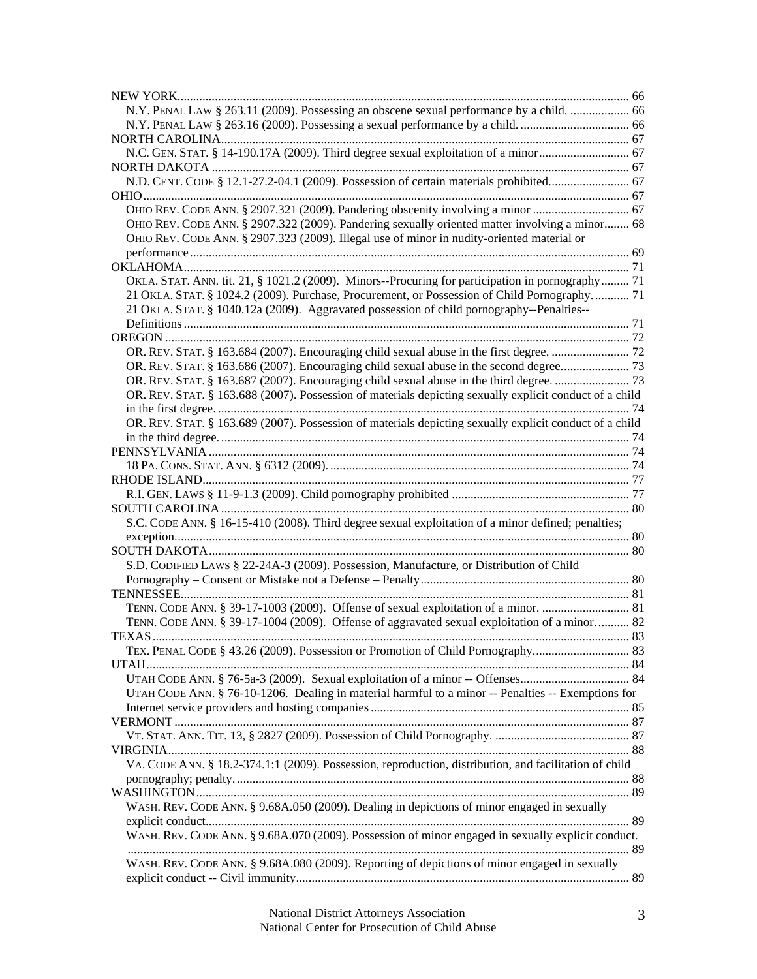| N.Y. PENAL LAW § 263.11 (2009). Possessing an obscene sexual performance by a child.  66                |  |
|---------------------------------------------------------------------------------------------------------|--|
|                                                                                                         |  |
|                                                                                                         |  |
|                                                                                                         |  |
|                                                                                                         |  |
| N.D. CENT. CODE § 12.1-27.2-04.1 (2009). Possession of certain materials prohibited 67                  |  |
|                                                                                                         |  |
| OHIO REV. CODE ANN. § 2907.321 (2009). Pandering obscenity involving a minor  67                        |  |
| OHIO REV. CODE ANN. § 2907.322 (2009). Pandering sexually oriented matter involving a minor 68          |  |
| OHIO REV. CODE ANN. § 2907.323 (2009). Illegal use of minor in nudity-oriented material or              |  |
|                                                                                                         |  |
|                                                                                                         |  |
| OKLA. STAT. ANN. tit. 21, § 1021.2 (2009). Minors--Procuring for participation in pornography  71       |  |
| 21 OKLA. STAT. § 1024.2 (2009). Purchase, Procurement, or Possession of Child Pornography 71            |  |
| 21 OKLA. STAT. § 1040.12a (2009). Aggravated possession of child pornography--Penalties--               |  |
|                                                                                                         |  |
|                                                                                                         |  |
|                                                                                                         |  |
| OR. REV. STAT. § 163.686 (2007). Encouraging child sexual abuse in the second degree 73                 |  |
| OR. REV. STAT. § 163.687 (2007). Encouraging child sexual abuse in the third degree.  73                |  |
| OR. REV. STAT. § 163.688 (2007). Possession of materials depicting sexually explicit conduct of a child |  |
|                                                                                                         |  |
|                                                                                                         |  |
| OR. REV. STAT. § 163.689 (2007). Possession of materials depicting sexually explicit conduct of a child |  |
|                                                                                                         |  |
|                                                                                                         |  |
|                                                                                                         |  |
|                                                                                                         |  |
|                                                                                                         |  |
|                                                                                                         |  |
| S.C. CODE ANN. § 16-15-410 (2008). Third degree sexual exploitation of a minor defined; penalties;      |  |
|                                                                                                         |  |
|                                                                                                         |  |
| S.D. CODIFIED LAWS § 22-24A-3 (2009). Possession, Manufacture, or Distribution of Child                 |  |
|                                                                                                         |  |
|                                                                                                         |  |
|                                                                                                         |  |
| TENN. CODE ANN. § 39-17-1004 (2009). Offense of aggravated sexual exploitation of a minor 82            |  |
|                                                                                                         |  |
|                                                                                                         |  |
|                                                                                                         |  |
|                                                                                                         |  |
| UTAH CODE ANN. § 76-10-1206. Dealing in material harmful to a minor -- Penalties -- Exemptions for      |  |
|                                                                                                         |  |
|                                                                                                         |  |
|                                                                                                         |  |
|                                                                                                         |  |
| VA. CODE ANN. § 18.2-374.1:1 (2009). Possession, reproduction, distribution, and facilitation of child  |  |
|                                                                                                         |  |
|                                                                                                         |  |
| WASH. REV. CODE ANN. § 9.68A.050 (2009). Dealing in depictions of minor engaged in sexually             |  |
|                                                                                                         |  |
| WASH. REV. CODE ANN. § 9.68A.070 (2009). Possession of minor engaged in sexually explicit conduct.      |  |
|                                                                                                         |  |
| WASH. REV. CODE ANN. § 9.68A.080 (2009). Reporting of depictions of minor engaged in sexually           |  |
|                                                                                                         |  |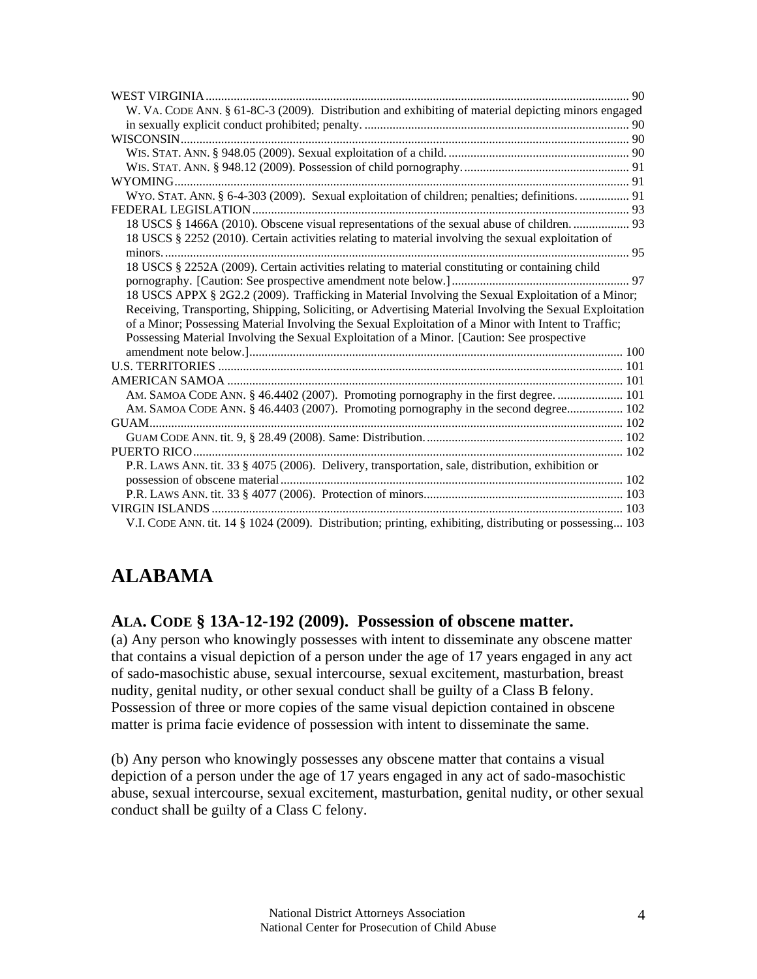| W. VA. CODE ANN. § 61-8C-3 (2009). Distribution and exhibiting of material depicting minors engaged      |  |
|----------------------------------------------------------------------------------------------------------|--|
|                                                                                                          |  |
|                                                                                                          |  |
|                                                                                                          |  |
|                                                                                                          |  |
|                                                                                                          |  |
| WYO. STAT. ANN. § 6-4-303 (2009). Sexual exploitation of children; penalties; definitions.  91           |  |
|                                                                                                          |  |
| 18 USCS § 1466A (2010). Obscene visual representations of the sexual abuse of children.  93              |  |
| 18 USCS § 2252 (2010). Certain activities relating to material involving the sexual exploitation of      |  |
|                                                                                                          |  |
| 18 USCS § 2252A (2009). Certain activities relating to material constituting or containing child         |  |
|                                                                                                          |  |
| 18 USCS APPX § 2G2.2 (2009). Trafficking in Material Involving the Sexual Exploitation of a Minor;       |  |
| Receiving, Transporting, Shipping, Soliciting, or Advertising Material Involving the Sexual Exploitation |  |
| of a Minor; Possessing Material Involving the Sexual Exploitation of a Minor with Intent to Traffic;     |  |
| Possessing Material Involving the Sexual Exploitation of a Minor. [Caution: See prospective              |  |
|                                                                                                          |  |
|                                                                                                          |  |
|                                                                                                          |  |
| AM. SAMOA CODE ANN. § 46.4402 (2007). Promoting pornography in the first degree 101                      |  |
| AM. SAMOA CODE ANN. § 46.4403 (2007). Promoting pornography in the second degree 102                     |  |
|                                                                                                          |  |
|                                                                                                          |  |
|                                                                                                          |  |
| P.R. LAWS ANN. tit. 33 § 4075 (2006). Delivery, transportation, sale, distribution, exhibition or        |  |
|                                                                                                          |  |
|                                                                                                          |  |
|                                                                                                          |  |
| V.I. CODE ANN. tit. 14 § 1024 (2009). Distribution; printing, exhibiting, distributing or possessing 103 |  |

# **ALABAMA**

## **ALA. CODE § 13A-12-192 (2009). Possession of obscene matter.**

(a) Any person who knowingly possesses with intent to disseminate any obscene matter that contains a visual depiction of a person under the age of 17 years engaged in any act of sado-masochistic abuse, sexual intercourse, sexual excitement, masturbation, breast nudity, genital nudity, or other sexual conduct shall be guilty of a Class B felony. Possession of three or more copies of the same visual depiction contained in obscene matter is prima facie evidence of possession with intent to disseminate the same.

(b) Any person who knowingly possesses any obscene matter that contains a visual depiction of a person under the age of 17 years engaged in any act of sado-masochistic abuse, sexual intercourse, sexual excitement, masturbation, genital nudity, or other sexual conduct shall be guilty of a Class C felony.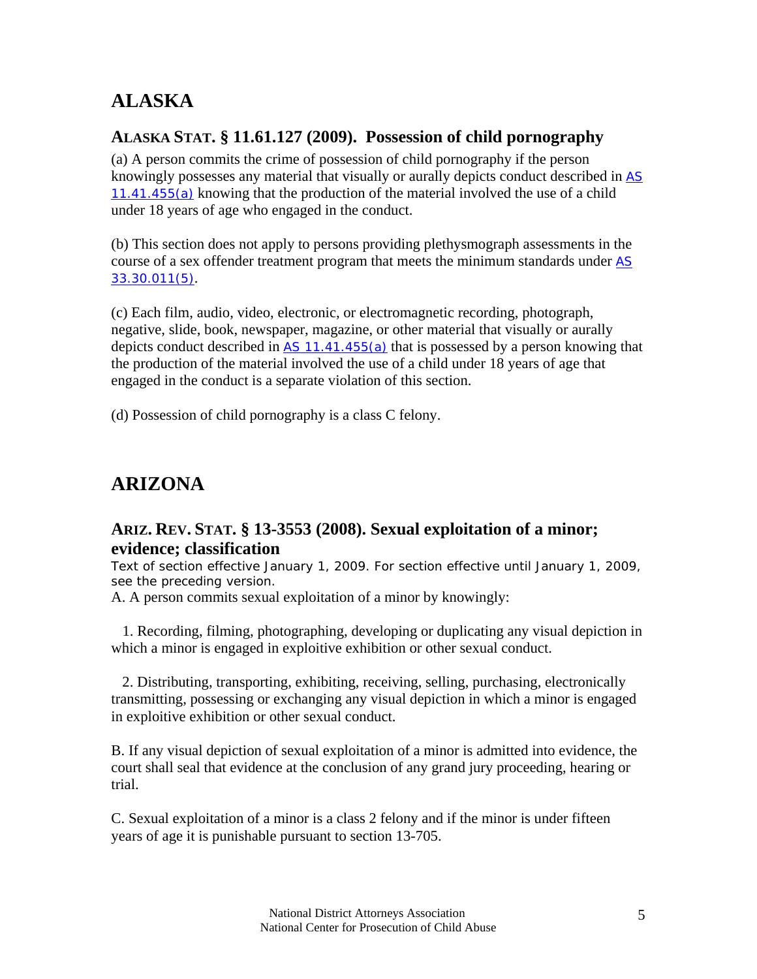# **ALASKA**

## **ALASKA STAT. § 11.61.127 (2009). Possession of child pornography**

(a) A person commits the crime of possession of child pornography if the person knowingly possesses any material that visually or aurally depicts conduct described in AS 11.41.455(a) knowing that the production of the material involved the use of a child under 18 years of age who engaged in the conduct.

(b) This section does not apply to persons providing plethysmograph assessments in the course of a sex offender treatment program that meets the minimum standards under AS 33.30.011(5).

(c) Each film, audio, video, electronic, or electromagnetic recording, photograph, negative, slide, book, newspaper, magazine, or other material that visually or aurally depicts conduct described in  $\overline{AS}$  11.41.455(a) that is possessed by a person knowing that the production of the material involved the use of a child under 18 years of age that engaged in the conduct is a separate violation of this section.

(d) Possession of child pornography is a class C felony.

# **ARIZONA**

#### **ARIZ. REV. STAT. § 13-3553 (2008). Sexual exploitation of a minor; evidence; classification**

Text of section effective January 1, 2009. For section effective until January 1, 2009, see the preceding version.

A. A person commits sexual exploitation of a minor by knowingly:

 1. Recording, filming, photographing, developing or duplicating any visual depiction in which a minor is engaged in exploitive exhibition or other sexual conduct.

 2. Distributing, transporting, exhibiting, receiving, selling, purchasing, electronically transmitting, possessing or exchanging any visual depiction in which a minor is engaged in exploitive exhibition or other sexual conduct.

B. If any visual depiction of sexual exploitation of a minor is admitted into evidence, the court shall seal that evidence at the conclusion of any grand jury proceeding, hearing or trial.

C. Sexual exploitation of a minor is a class 2 felony and if the minor is under fifteen years of age it is punishable pursuant to section 13-705.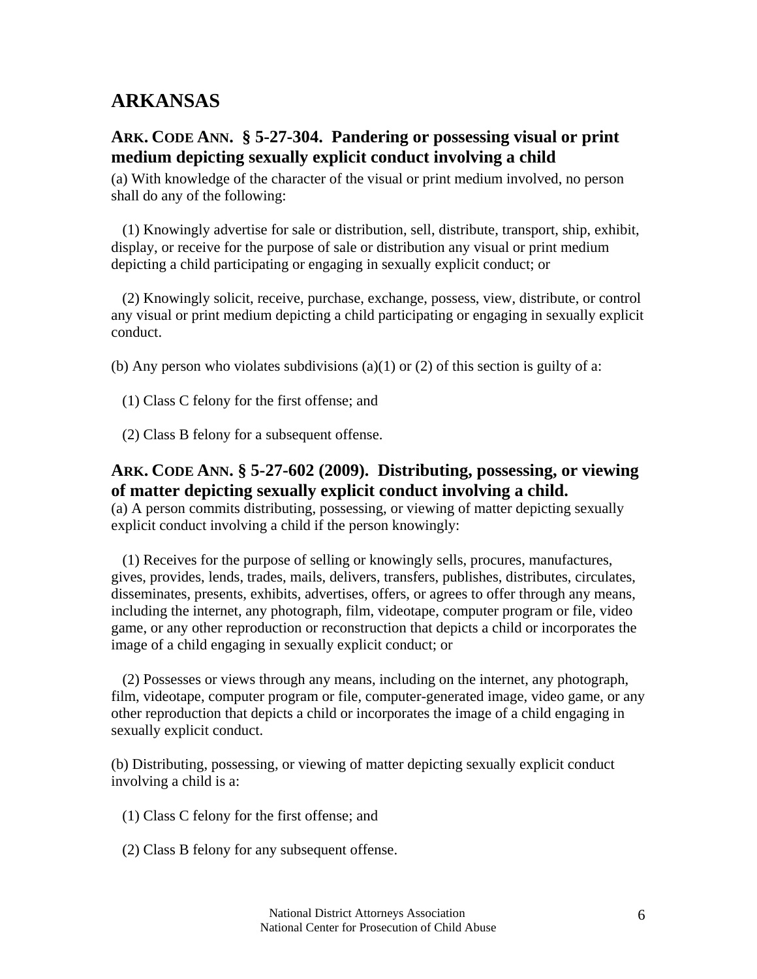# **ARKANSAS**

## **ARK. CODE ANN. § 5-27-304. Pandering or possessing visual or print medium depicting sexually explicit conduct involving a child**

(a) With knowledge of the character of the visual or print medium involved, no person shall do any of the following:

 (1) Knowingly advertise for sale or distribution, sell, distribute, transport, ship, exhibit, display, or receive for the purpose of sale or distribution any visual or print medium depicting a child participating or engaging in sexually explicit conduct; or

 (2) Knowingly solicit, receive, purchase, exchange, possess, view, distribute, or control any visual or print medium depicting a child participating or engaging in sexually explicit conduct.

(b) Any person who violates subdivisions  $(a)(1)$  or  $(2)$  of this section is guilty of a:

(1) Class C felony for the first offense; and

(2) Class B felony for a subsequent offense.

#### **ARK. CODE ANN. § 5-27-602 (2009). Distributing, possessing, or viewing of matter depicting sexually explicit conduct involving a child.**

(a) A person commits distributing, possessing, or viewing of matter depicting sexually explicit conduct involving a child if the person knowingly:

 (1) Receives for the purpose of selling or knowingly sells, procures, manufactures, gives, provides, lends, trades, mails, delivers, transfers, publishes, distributes, circulates, disseminates, presents, exhibits, advertises, offers, or agrees to offer through any means, including the internet, any photograph, film, videotape, computer program or file, video game, or any other reproduction or reconstruction that depicts a child or incorporates the image of a child engaging in sexually explicit conduct; or

 (2) Possesses or views through any means, including on the internet, any photograph, film, videotape, computer program or file, computer-generated image, video game, or any other reproduction that depicts a child or incorporates the image of a child engaging in sexually explicit conduct.

(b) Distributing, possessing, or viewing of matter depicting sexually explicit conduct involving a child is a:

- (1) Class C felony for the first offense; and
- (2) Class B felony for any subsequent offense.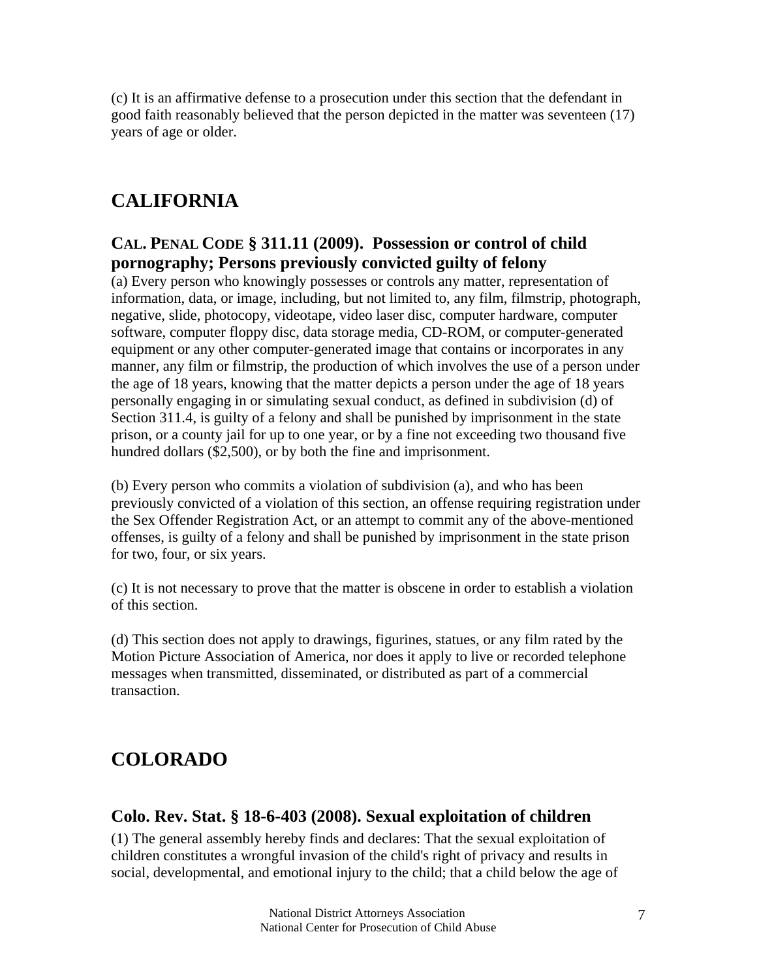(c) It is an affirmative defense to a prosecution under this section that the defendant in good faith reasonably believed that the person depicted in the matter was seventeen (17) years of age or older.

# **CALIFORNIA**

## **CAL. PENAL CODE § 311.11 (2009). Possession or control of child pornography; Persons previously convicted guilty of felony**

(a) Every person who knowingly possesses or controls any matter, representation of information, data, or image, including, but not limited to, any film, filmstrip, photograph, negative, slide, photocopy, videotape, video laser disc, computer hardware, computer software, computer floppy disc, data storage media, CD-ROM, or computer-generated equipment or any other computer-generated image that contains or incorporates in any manner, any film or filmstrip, the production of which involves the use of a person under the age of 18 years, knowing that the matter depicts a person under the age of 18 years personally engaging in or simulating sexual conduct, as defined in subdivision (d) of Section 311.4, is guilty of a felony and shall be punished by imprisonment in the state prison, or a county jail for up to one year, or by a fine not exceeding two thousand five hundred dollars (\$2,500), or by both the fine and imprisonment.

(b) Every person who commits a violation of subdivision (a), and who has been previously convicted of a violation of this section, an offense requiring registration under the Sex Offender Registration Act, or an attempt to commit any of the above-mentioned offenses, is guilty of a felony and shall be punished by imprisonment in the state prison for two, four, or six years.

(c) It is not necessary to prove that the matter is obscene in order to establish a violation of this section.

(d) This section does not apply to drawings, figurines, statues, or any film rated by the Motion Picture Association of America, nor does it apply to live or recorded telephone messages when transmitted, disseminated, or distributed as part of a commercial transaction.

# **COLORADO**

## **Colo. Rev. Stat. § 18-6-403 (2008). Sexual exploitation of children**

(1) The general assembly hereby finds and declares: That the sexual exploitation of children constitutes a wrongful invasion of the child's right of privacy and results in social, developmental, and emotional injury to the child; that a child below the age of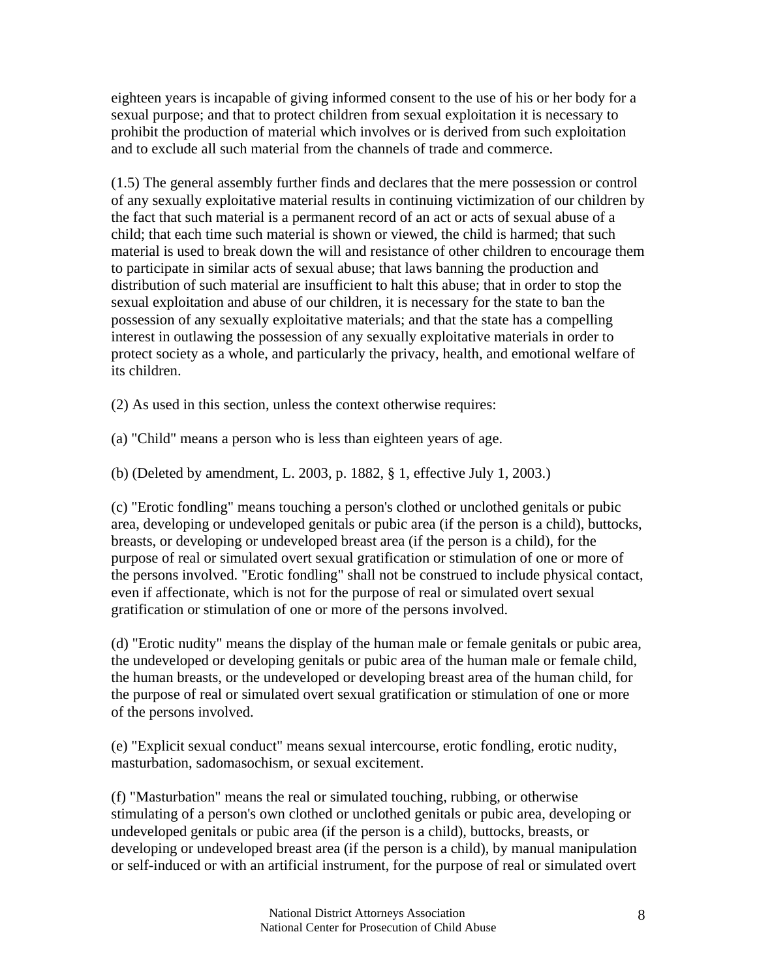eighteen years is incapable of giving informed consent to the use of his or her body for a sexual purpose; and that to protect children from sexual exploitation it is necessary to prohibit the production of material which involves or is derived from such exploitation and to exclude all such material from the channels of trade and commerce.

(1.5) The general assembly further finds and declares that the mere possession or control of any sexually exploitative material results in continuing victimization of our children by the fact that such material is a permanent record of an act or acts of sexual abuse of a child; that each time such material is shown or viewed, the child is harmed; that such material is used to break down the will and resistance of other children to encourage them to participate in similar acts of sexual abuse; that laws banning the production and distribution of such material are insufficient to halt this abuse; that in order to stop the sexual exploitation and abuse of our children, it is necessary for the state to ban the possession of any sexually exploitative materials; and that the state has a compelling interest in outlawing the possession of any sexually exploitative materials in order to protect society as a whole, and particularly the privacy, health, and emotional welfare of its children.

(2) As used in this section, unless the context otherwise requires:

(a) "Child" means a person who is less than eighteen years of age.

(b) (Deleted by amendment, L. 2003, p. 1882, § 1, effective July 1, 2003.)

(c) "Erotic fondling" means touching a person's clothed or unclothed genitals or pubic area, developing or undeveloped genitals or pubic area (if the person is a child), buttocks, breasts, or developing or undeveloped breast area (if the person is a child), for the purpose of real or simulated overt sexual gratification or stimulation of one or more of the persons involved. "Erotic fondling" shall not be construed to include physical contact, even if affectionate, which is not for the purpose of real or simulated overt sexual gratification or stimulation of one or more of the persons involved.

(d) "Erotic nudity" means the display of the human male or female genitals or pubic area, the undeveloped or developing genitals or pubic area of the human male or female child, the human breasts, or the undeveloped or developing breast area of the human child, for the purpose of real or simulated overt sexual gratification or stimulation of one or more of the persons involved.

(e) "Explicit sexual conduct" means sexual intercourse, erotic fondling, erotic nudity, masturbation, sadomasochism, or sexual excitement.

(f) "Masturbation" means the real or simulated touching, rubbing, or otherwise stimulating of a person's own clothed or unclothed genitals or pubic area, developing or undeveloped genitals or pubic area (if the person is a child), buttocks, breasts, or developing or undeveloped breast area (if the person is a child), by manual manipulation or self-induced or with an artificial instrument, for the purpose of real or simulated overt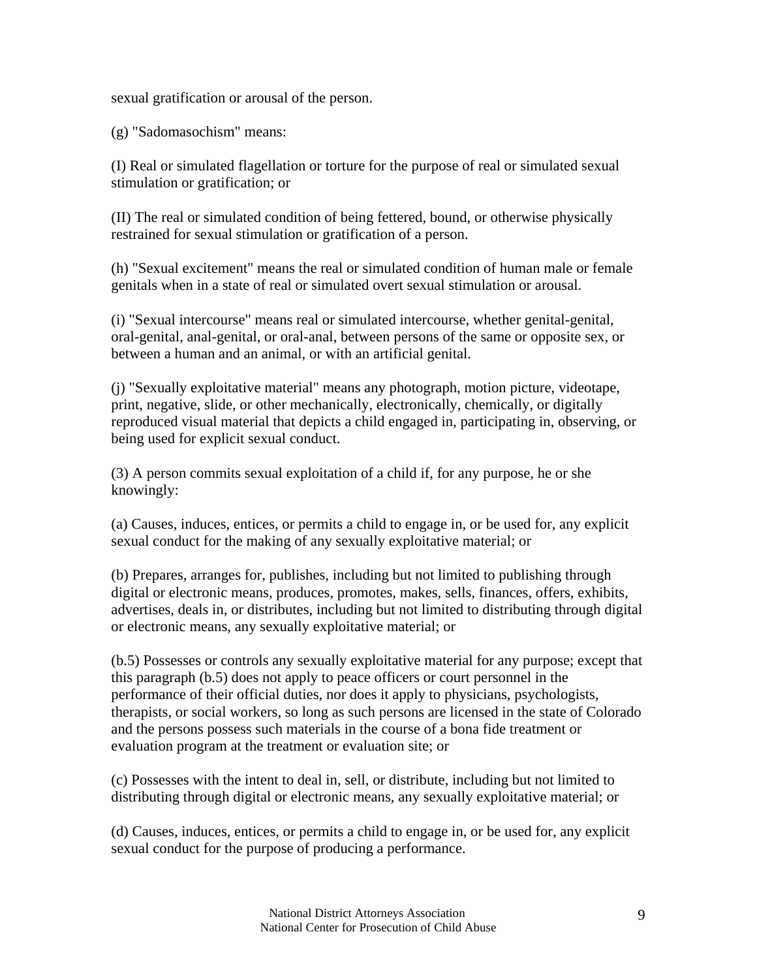sexual gratification or arousal of the person.

(g) "Sadomasochism" means:

(I) Real or simulated flagellation or torture for the purpose of real or simulated sexual stimulation or gratification; or

(II) The real or simulated condition of being fettered, bound, or otherwise physically restrained for sexual stimulation or gratification of a person.

(h) "Sexual excitement" means the real or simulated condition of human male or female genitals when in a state of real or simulated overt sexual stimulation or arousal.

(i) "Sexual intercourse" means real or simulated intercourse, whether genital-genital, oral-genital, anal-genital, or oral-anal, between persons of the same or opposite sex, or between a human and an animal, or with an artificial genital.

(j) "Sexually exploitative material" means any photograph, motion picture, videotape, print, negative, slide, or other mechanically, electronically, chemically, or digitally reproduced visual material that depicts a child engaged in, participating in, observing, or being used for explicit sexual conduct.

(3) A person commits sexual exploitation of a child if, for any purpose, he or she knowingly:

(a) Causes, induces, entices, or permits a child to engage in, or be used for, any explicit sexual conduct for the making of any sexually exploitative material; or

(b) Prepares, arranges for, publishes, including but not limited to publishing through digital or electronic means, produces, promotes, makes, sells, finances, offers, exhibits, advertises, deals in, or distributes, including but not limited to distributing through digital or electronic means, any sexually exploitative material; or

(b.5) Possesses or controls any sexually exploitative material for any purpose; except that this paragraph (b.5) does not apply to peace officers or court personnel in the performance of their official duties, nor does it apply to physicians, psychologists, therapists, or social workers, so long as such persons are licensed in the state of Colorado and the persons possess such materials in the course of a bona fide treatment or evaluation program at the treatment or evaluation site; or

(c) Possesses with the intent to deal in, sell, or distribute, including but not limited to distributing through digital or electronic means, any sexually exploitative material; or

(d) Causes, induces, entices, or permits a child to engage in, or be used for, any explicit sexual conduct for the purpose of producing a performance.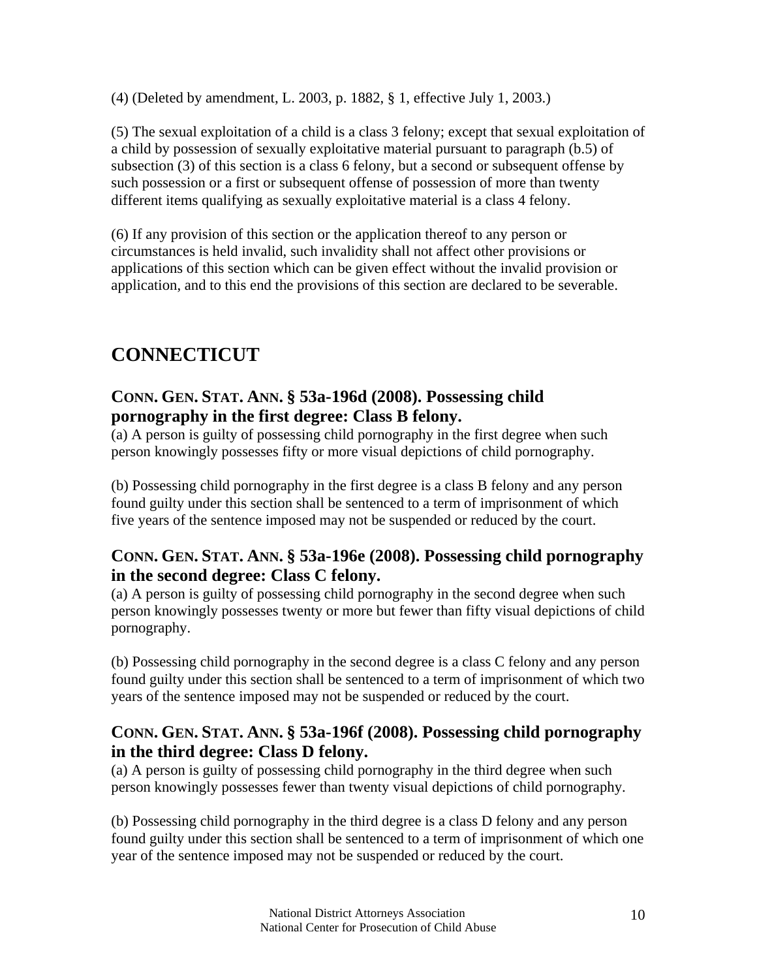(4) (Deleted by amendment, L. 2003, p. 1882, § 1, effective July 1, 2003.)

(5) The sexual exploitation of a child is a class 3 felony; except that sexual exploitation of a child by possession of sexually exploitative material pursuant to paragraph (b.5) of subsection (3) of this section is a class 6 felony, but a second or subsequent offense by such possession or a first or subsequent offense of possession of more than twenty different items qualifying as sexually exploitative material is a class 4 felony.

(6) If any provision of this section or the application thereof to any person or circumstances is held invalid, such invalidity shall not affect other provisions or applications of this section which can be given effect without the invalid provision or application, and to this end the provisions of this section are declared to be severable.

# **CONNECTICUT**

## **CONN. GEN. STAT. ANN. § 53a-196d (2008). Possessing child pornography in the first degree: Class B felony.**

(a) A person is guilty of possessing child pornography in the first degree when such person knowingly possesses fifty or more visual depictions of child pornography.

(b) Possessing child pornography in the first degree is a class B felony and any person found guilty under this section shall be sentenced to a term of imprisonment of which five years of the sentence imposed may not be suspended or reduced by the court.

## **CONN. GEN. STAT. ANN. § 53a-196e (2008). Possessing child pornography in the second degree: Class C felony.**

(a) A person is guilty of possessing child pornography in the second degree when such person knowingly possesses twenty or more but fewer than fifty visual depictions of child pornography.

(b) Possessing child pornography in the second degree is a class C felony and any person found guilty under this section shall be sentenced to a term of imprisonment of which two years of the sentence imposed may not be suspended or reduced by the court.

#### **CONN. GEN. STAT. ANN. § 53a-196f (2008). Possessing child pornography in the third degree: Class D felony.**

(a) A person is guilty of possessing child pornography in the third degree when such person knowingly possesses fewer than twenty visual depictions of child pornography.

(b) Possessing child pornography in the third degree is a class D felony and any person found guilty under this section shall be sentenced to a term of imprisonment of which one year of the sentence imposed may not be suspended or reduced by the court.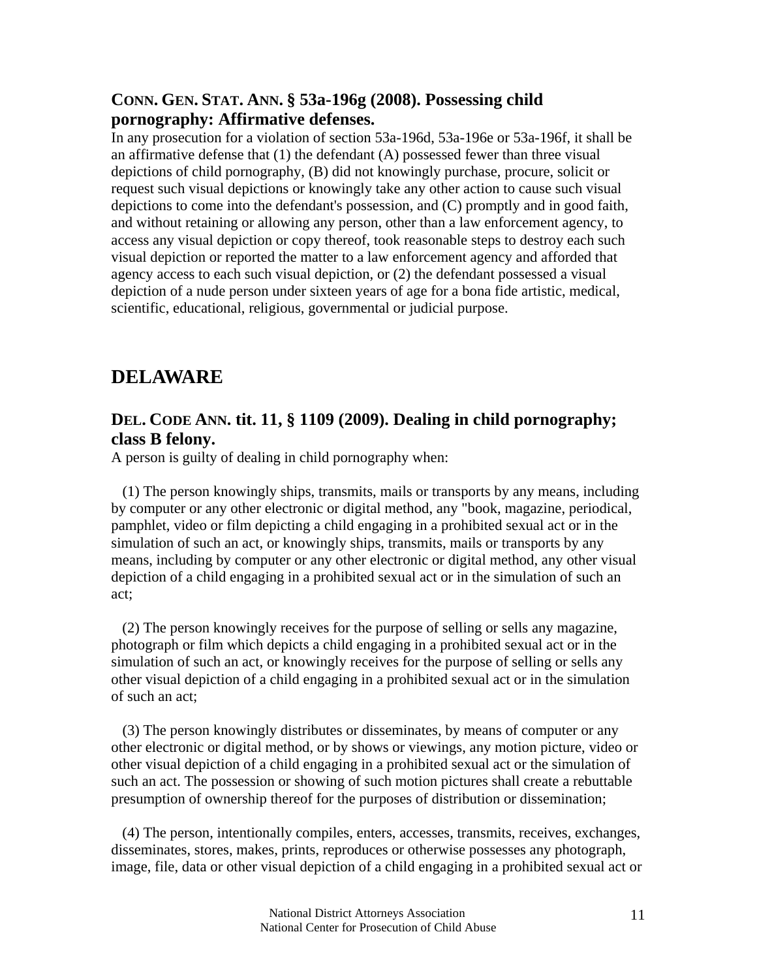## **CONN. GEN. STAT. ANN. § 53a-196g (2008). Possessing child pornography: Affirmative defenses.**

In any prosecution for a violation of section 53a-196d, 53a-196e or 53a-196f, it shall be an affirmative defense that  $(1)$  the defendant  $(A)$  possessed fewer than three visual depictions of child pornography, (B) did not knowingly purchase, procure, solicit or request such visual depictions or knowingly take any other action to cause such visual depictions to come into the defendant's possession, and (C) promptly and in good faith, and without retaining or allowing any person, other than a law enforcement agency, to access any visual depiction or copy thereof, took reasonable steps to destroy each such visual depiction or reported the matter to a law enforcement agency and afforded that agency access to each such visual depiction, or (2) the defendant possessed a visual depiction of a nude person under sixteen years of age for a bona fide artistic, medical, scientific, educational, religious, governmental or judicial purpose.

# **DELAWARE**

## **DEL. CODE ANN. tit. 11, § 1109 (2009). Dealing in child pornography; class B felony.**

A person is guilty of dealing in child pornography when:

 (1) The person knowingly ships, transmits, mails or transports by any means, including by computer or any other electronic or digital method, any "book, magazine, periodical, pamphlet, video or film depicting a child engaging in a prohibited sexual act or in the simulation of such an act, or knowingly ships, transmits, mails or transports by any means, including by computer or any other electronic or digital method, any other visual depiction of a child engaging in a prohibited sexual act or in the simulation of such an act;

 (2) The person knowingly receives for the purpose of selling or sells any magazine, photograph or film which depicts a child engaging in a prohibited sexual act or in the simulation of such an act, or knowingly receives for the purpose of selling or sells any other visual depiction of a child engaging in a prohibited sexual act or in the simulation of such an act;

 (3) The person knowingly distributes or disseminates, by means of computer or any other electronic or digital method, or by shows or viewings, any motion picture, video or other visual depiction of a child engaging in a prohibited sexual act or the simulation of such an act. The possession or showing of such motion pictures shall create a rebuttable presumption of ownership thereof for the purposes of distribution or dissemination;

 (4) The person, intentionally compiles, enters, accesses, transmits, receives, exchanges, disseminates, stores, makes, prints, reproduces or otherwise possesses any photograph, image, file, data or other visual depiction of a child engaging in a prohibited sexual act or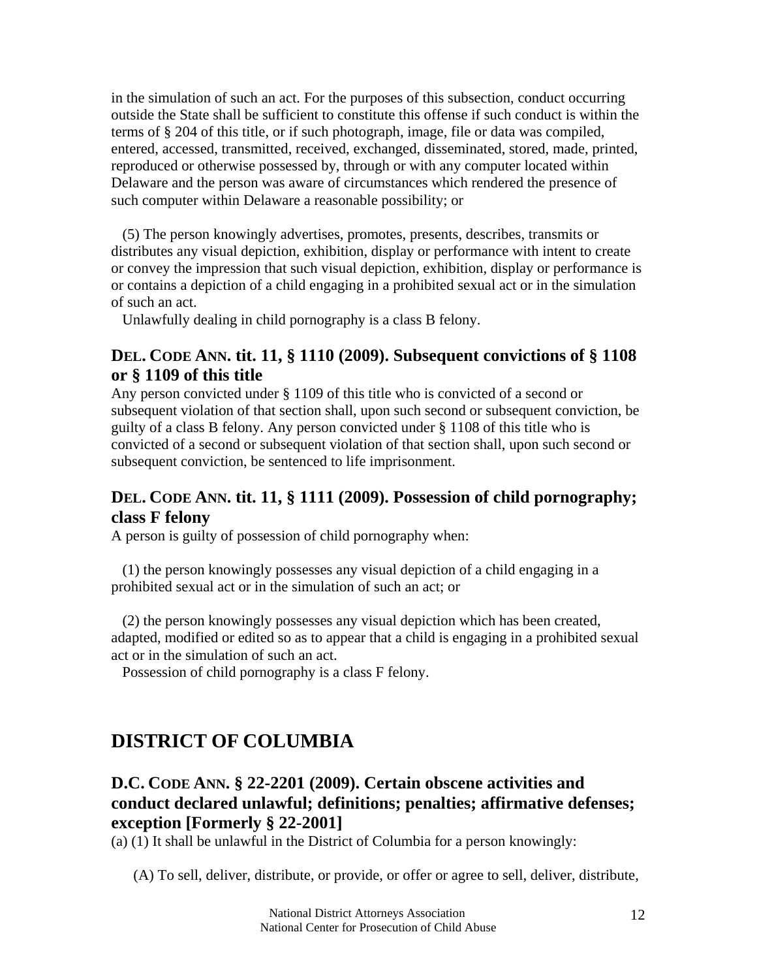in the simulation of such an act. For the purposes of this subsection, conduct occurring outside the State shall be sufficient to constitute this offense if such conduct is within the terms of § 204 of this title, or if such photograph, image, file or data was compiled, entered, accessed, transmitted, received, exchanged, disseminated, stored, made, printed, reproduced or otherwise possessed by, through or with any computer located within Delaware and the person was aware of circumstances which rendered the presence of such computer within Delaware a reasonable possibility; or

 (5) The person knowingly advertises, promotes, presents, describes, transmits or distributes any visual depiction, exhibition, display or performance with intent to create or convey the impression that such visual depiction, exhibition, display or performance is or contains a depiction of a child engaging in a prohibited sexual act or in the simulation of such an act.

Unlawfully dealing in child pornography is a class B felony.

## **DEL. CODE ANN. tit. 11, § 1110 (2009). Subsequent convictions of § 1108 or § 1109 of this title**

Any person convicted under § 1109 of this title who is convicted of a second or subsequent violation of that section shall, upon such second or subsequent conviction, be guilty of a class B felony. Any person convicted under § 1108 of this title who is convicted of a second or subsequent violation of that section shall, upon such second or subsequent conviction, be sentenced to life imprisonment.

#### **DEL. CODE ANN. tit. 11, § 1111 (2009). Possession of child pornography; class F felony**

A person is guilty of possession of child pornography when:

 (1) the person knowingly possesses any visual depiction of a child engaging in a prohibited sexual act or in the simulation of such an act; or

 (2) the person knowingly possesses any visual depiction which has been created, adapted, modified or edited so as to appear that a child is engaging in a prohibited sexual act or in the simulation of such an act.

Possession of child pornography is a class F felony.

## **DISTRICT OF COLUMBIA**

## **D.C. CODE ANN. § 22-2201 (2009). Certain obscene activities and conduct declared unlawful; definitions; penalties; affirmative defenses; exception [Formerly § 22-2001]**

(a) (1) It shall be unlawful in the District of Columbia for a person knowingly:

(A) To sell, deliver, distribute, or provide, or offer or agree to sell, deliver, distribute,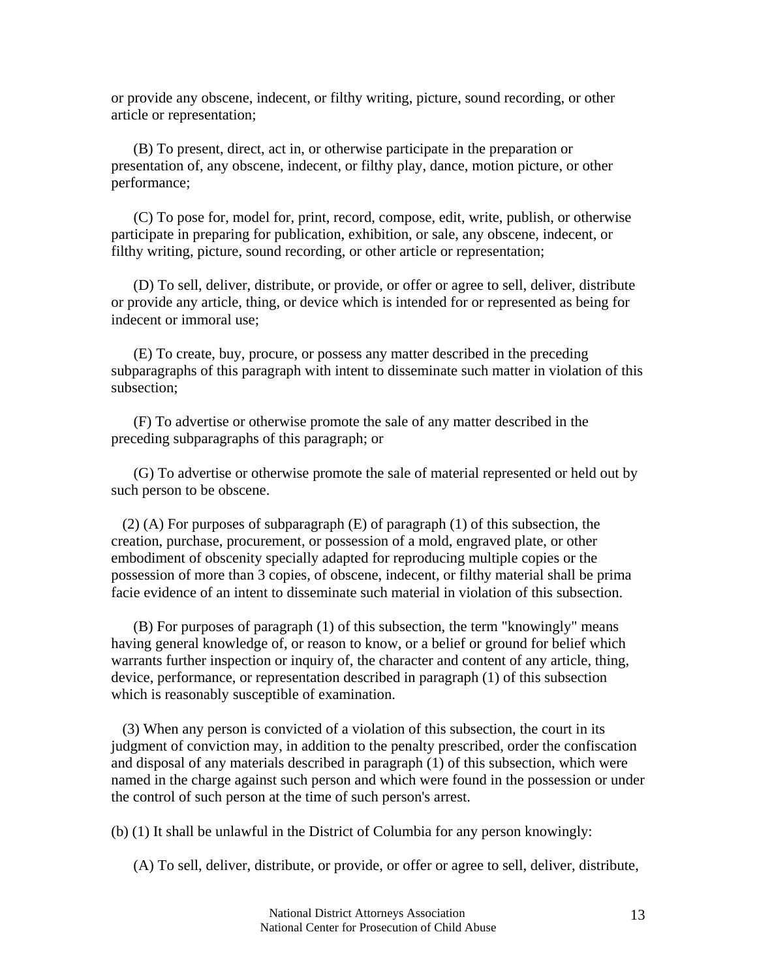or provide any obscene, indecent, or filthy writing, picture, sound recording, or other article or representation;

 (B) To present, direct, act in, or otherwise participate in the preparation or presentation of, any obscene, indecent, or filthy play, dance, motion picture, or other performance;

 (C) To pose for, model for, print, record, compose, edit, write, publish, or otherwise participate in preparing for publication, exhibition, or sale, any obscene, indecent, or filthy writing, picture, sound recording, or other article or representation;

 (D) To sell, deliver, distribute, or provide, or offer or agree to sell, deliver, distribute or provide any article, thing, or device which is intended for or represented as being for indecent or immoral use;

 (E) To create, buy, procure, or possess any matter described in the preceding subparagraphs of this paragraph with intent to disseminate such matter in violation of this subsection;

 (F) To advertise or otherwise promote the sale of any matter described in the preceding subparagraphs of this paragraph; or

 (G) To advertise or otherwise promote the sale of material represented or held out by such person to be obscene.

 (2) (A) For purposes of subparagraph (E) of paragraph (1) of this subsection, the creation, purchase, procurement, or possession of a mold, engraved plate, or other embodiment of obscenity specially adapted for reproducing multiple copies or the possession of more than 3 copies, of obscene, indecent, or filthy material shall be prima facie evidence of an intent to disseminate such material in violation of this subsection.

 (B) For purposes of paragraph (1) of this subsection, the term "knowingly" means having general knowledge of, or reason to know, or a belief or ground for belief which warrants further inspection or inquiry of, the character and content of any article, thing, device, performance, or representation described in paragraph (1) of this subsection which is reasonably susceptible of examination.

 (3) When any person is convicted of a violation of this subsection, the court in its judgment of conviction may, in addition to the penalty prescribed, order the confiscation and disposal of any materials described in paragraph (1) of this subsection, which were named in the charge against such person and which were found in the possession or under the control of such person at the time of such person's arrest.

(b) (1) It shall be unlawful in the District of Columbia for any person knowingly:

(A) To sell, deliver, distribute, or provide, or offer or agree to sell, deliver, distribute,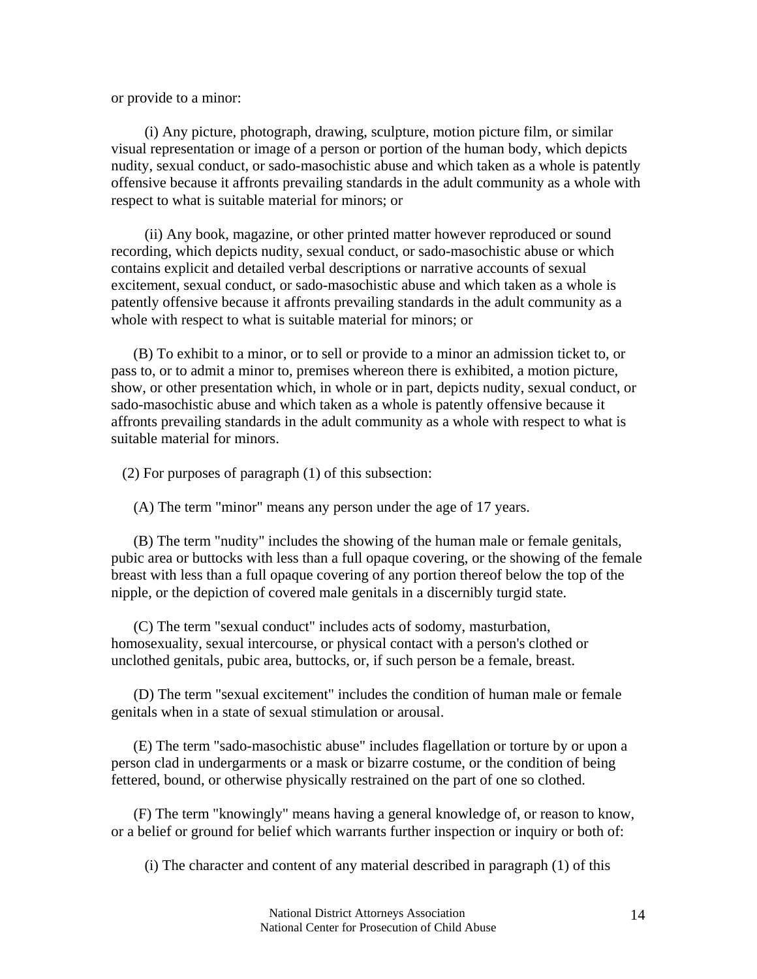or provide to a minor:

 (i) Any picture, photograph, drawing, sculpture, motion picture film, or similar visual representation or image of a person or portion of the human body, which depicts nudity, sexual conduct, or sado-masochistic abuse and which taken as a whole is patently offensive because it affronts prevailing standards in the adult community as a whole with respect to what is suitable material for minors; or

 (ii) Any book, magazine, or other printed matter however reproduced or sound recording, which depicts nudity, sexual conduct, or sado-masochistic abuse or which contains explicit and detailed verbal descriptions or narrative accounts of sexual excitement, sexual conduct, or sado-masochistic abuse and which taken as a whole is patently offensive because it affronts prevailing standards in the adult community as a whole with respect to what is suitable material for minors; or

 (B) To exhibit to a minor, or to sell or provide to a minor an admission ticket to, or pass to, or to admit a minor to, premises whereon there is exhibited, a motion picture, show, or other presentation which, in whole or in part, depicts nudity, sexual conduct, or sado-masochistic abuse and which taken as a whole is patently offensive because it affronts prevailing standards in the adult community as a whole with respect to what is suitable material for minors.

(2) For purposes of paragraph (1) of this subsection:

(A) The term "minor" means any person under the age of 17 years.

 (B) The term "nudity" includes the showing of the human male or female genitals, pubic area or buttocks with less than a full opaque covering, or the showing of the female breast with less than a full opaque covering of any portion thereof below the top of the nipple, or the depiction of covered male genitals in a discernibly turgid state.

 (C) The term "sexual conduct" includes acts of sodomy, masturbation, homosexuality, sexual intercourse, or physical contact with a person's clothed or unclothed genitals, pubic area, buttocks, or, if such person be a female, breast.

 (D) The term "sexual excitement" includes the condition of human male or female genitals when in a state of sexual stimulation or arousal.

 (E) The term "sado-masochistic abuse" includes flagellation or torture by or upon a person clad in undergarments or a mask or bizarre costume, or the condition of being fettered, bound, or otherwise physically restrained on the part of one so clothed.

 (F) The term "knowingly" means having a general knowledge of, or reason to know, or a belief or ground for belief which warrants further inspection or inquiry or both of:

(i) The character and content of any material described in paragraph (1) of this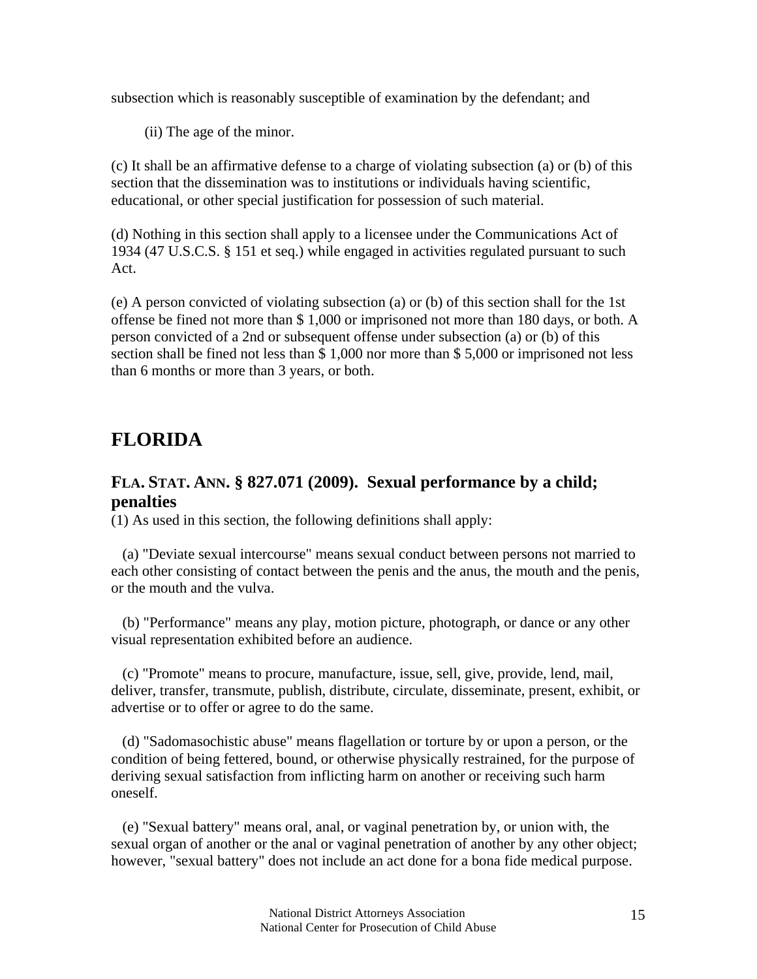subsection which is reasonably susceptible of examination by the defendant; and

(ii) The age of the minor.

(c) It shall be an affirmative defense to a charge of violating subsection (a) or (b) of this section that the dissemination was to institutions or individuals having scientific, educational, or other special justification for possession of such material.

(d) Nothing in this section shall apply to a licensee under the Communications Act of 1934 (47 U.S.C.S. § 151 et seq.) while engaged in activities regulated pursuant to such Act.

(e) A person convicted of violating subsection (a) or (b) of this section shall for the 1st offense be fined not more than \$ 1,000 or imprisoned not more than 180 days, or both. A person convicted of a 2nd or subsequent offense under subsection (a) or (b) of this section shall be fined not less than \$ 1,000 nor more than \$ 5,000 or imprisoned not less than 6 months or more than 3 years, or both.

# **FLORIDA**

## **FLA. STAT. ANN. § 827.071 (2009). Sexual performance by a child; penalties**

(1) As used in this section, the following definitions shall apply:

 (a) "Deviate sexual intercourse" means sexual conduct between persons not married to each other consisting of contact between the penis and the anus, the mouth and the penis, or the mouth and the vulva.

 (b) "Performance" means any play, motion picture, photograph, or dance or any other visual representation exhibited before an audience.

 (c) "Promote" means to procure, manufacture, issue, sell, give, provide, lend, mail, deliver, transfer, transmute, publish, distribute, circulate, disseminate, present, exhibit, or advertise or to offer or agree to do the same.

 (d) "Sadomasochistic abuse" means flagellation or torture by or upon a person, or the condition of being fettered, bound, or otherwise physically restrained, for the purpose of deriving sexual satisfaction from inflicting harm on another or receiving such harm oneself.

 (e) "Sexual battery" means oral, anal, or vaginal penetration by, or union with, the sexual organ of another or the anal or vaginal penetration of another by any other object; however, "sexual battery" does not include an act done for a bona fide medical purpose.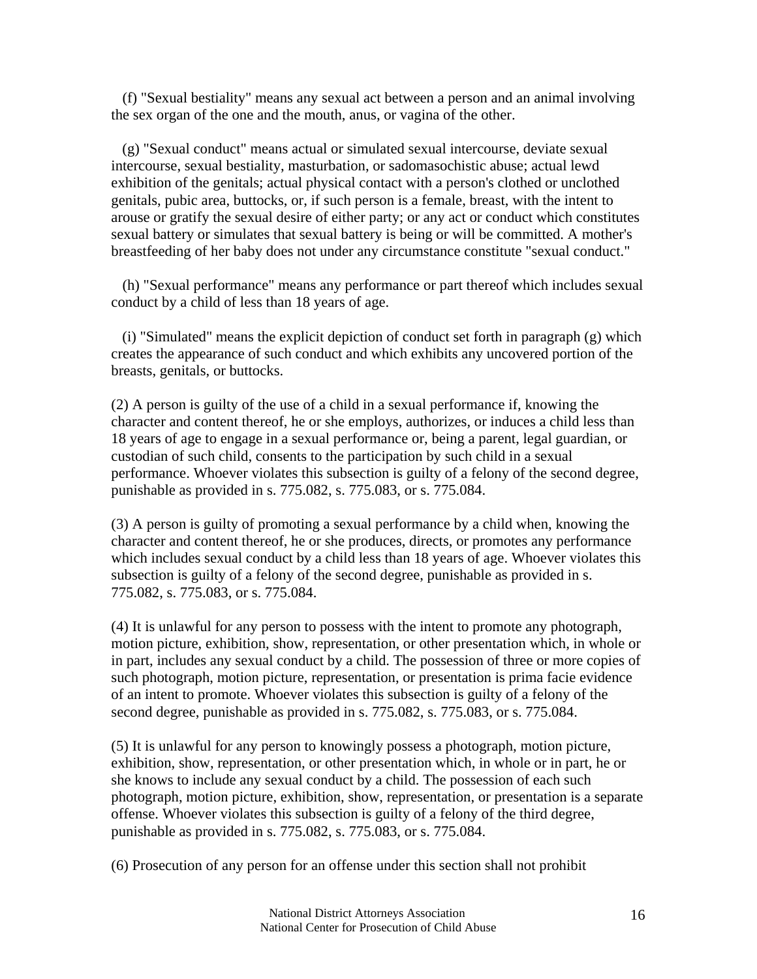(f) "Sexual bestiality" means any sexual act between a person and an animal involving the sex organ of the one and the mouth, anus, or vagina of the other.

 (g) "Sexual conduct" means actual or simulated sexual intercourse, deviate sexual intercourse, sexual bestiality, masturbation, or sadomasochistic abuse; actual lewd exhibition of the genitals; actual physical contact with a person's clothed or unclothed genitals, pubic area, buttocks, or, if such person is a female, breast, with the intent to arouse or gratify the sexual desire of either party; or any act or conduct which constitutes sexual battery or simulates that sexual battery is being or will be committed. A mother's breastfeeding of her baby does not under any circumstance constitute "sexual conduct."

 (h) "Sexual performance" means any performance or part thereof which includes sexual conduct by a child of less than 18 years of age.

 (i) "Simulated" means the explicit depiction of conduct set forth in paragraph (g) which creates the appearance of such conduct and which exhibits any uncovered portion of the breasts, genitals, or buttocks.

(2) A person is guilty of the use of a child in a sexual performance if, knowing the character and content thereof, he or she employs, authorizes, or induces a child less than 18 years of age to engage in a sexual performance or, being a parent, legal guardian, or custodian of such child, consents to the participation by such child in a sexual performance. Whoever violates this subsection is guilty of a felony of the second degree, punishable as provided in s. 775.082, s. 775.083, or s. 775.084.

(3) A person is guilty of promoting a sexual performance by a child when, knowing the character and content thereof, he or she produces, directs, or promotes any performance which includes sexual conduct by a child less than 18 years of age. Whoever violates this subsection is guilty of a felony of the second degree, punishable as provided in s. 775.082, s. 775.083, or s. 775.084.

(4) It is unlawful for any person to possess with the intent to promote any photograph, motion picture, exhibition, show, representation, or other presentation which, in whole or in part, includes any sexual conduct by a child. The possession of three or more copies of such photograph, motion picture, representation, or presentation is prima facie evidence of an intent to promote. Whoever violates this subsection is guilty of a felony of the second degree, punishable as provided in s. 775.082, s. 775.083, or s. 775.084.

(5) It is unlawful for any person to knowingly possess a photograph, motion picture, exhibition, show, representation, or other presentation which, in whole or in part, he or she knows to include any sexual conduct by a child. The possession of each such photograph, motion picture, exhibition, show, representation, or presentation is a separate offense. Whoever violates this subsection is guilty of a felony of the third degree, punishable as provided in s. 775.082, s. 775.083, or s. 775.084.

(6) Prosecution of any person for an offense under this section shall not prohibit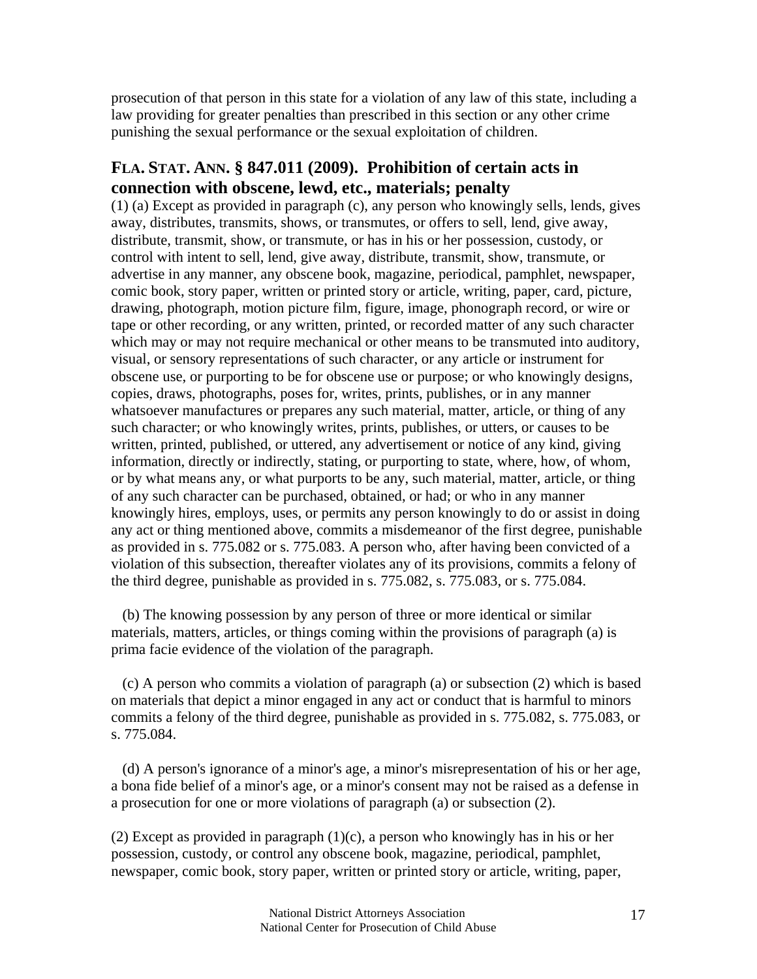prosecution of that person in this state for a violation of any law of this state, including a law providing for greater penalties than prescribed in this section or any other crime punishing the sexual performance or the sexual exploitation of children.

## **FLA. STAT. ANN. § 847.011 (2009). Prohibition of certain acts in connection with obscene, lewd, etc., materials; penalty**

(1) (a) Except as provided in paragraph (c), any person who knowingly sells, lends, gives away, distributes, transmits, shows, or transmutes, or offers to sell, lend, give away, distribute, transmit, show, or transmute, or has in his or her possession, custody, or control with intent to sell, lend, give away, distribute, transmit, show, transmute, or advertise in any manner, any obscene book, magazine, periodical, pamphlet, newspaper, comic book, story paper, written or printed story or article, writing, paper, card, picture, drawing, photograph, motion picture film, figure, image, phonograph record, or wire or tape or other recording, or any written, printed, or recorded matter of any such character which may or may not require mechanical or other means to be transmuted into auditory, visual, or sensory representations of such character, or any article or instrument for obscene use, or purporting to be for obscene use or purpose; or who knowingly designs, copies, draws, photographs, poses for, writes, prints, publishes, or in any manner whatsoever manufactures or prepares any such material, matter, article, or thing of any such character; or who knowingly writes, prints, publishes, or utters, or causes to be written, printed, published, or uttered, any advertisement or notice of any kind, giving information, directly or indirectly, stating, or purporting to state, where, how, of whom, or by what means any, or what purports to be any, such material, matter, article, or thing of any such character can be purchased, obtained, or had; or who in any manner knowingly hires, employs, uses, or permits any person knowingly to do or assist in doing any act or thing mentioned above, commits a misdemeanor of the first degree, punishable as provided in s. 775.082 or s. 775.083. A person who, after having been convicted of a violation of this subsection, thereafter violates any of its provisions, commits a felony of the third degree, punishable as provided in s. 775.082, s. 775.083, or s. 775.084.

 (b) The knowing possession by any person of three or more identical or similar materials, matters, articles, or things coming within the provisions of paragraph (a) is prima facie evidence of the violation of the paragraph.

 (c) A person who commits a violation of paragraph (a) or subsection (2) which is based on materials that depict a minor engaged in any act or conduct that is harmful to minors commits a felony of the third degree, punishable as provided in s. 775.082, s. 775.083, or s. 775.084.

 (d) A person's ignorance of a minor's age, a minor's misrepresentation of his or her age, a bona fide belief of a minor's age, or a minor's consent may not be raised as a defense in a prosecution for one or more violations of paragraph (a) or subsection (2).

(2) Except as provided in paragraph  $(1)(c)$ , a person who knowingly has in his or her possession, custody, or control any obscene book, magazine, periodical, pamphlet, newspaper, comic book, story paper, written or printed story or article, writing, paper,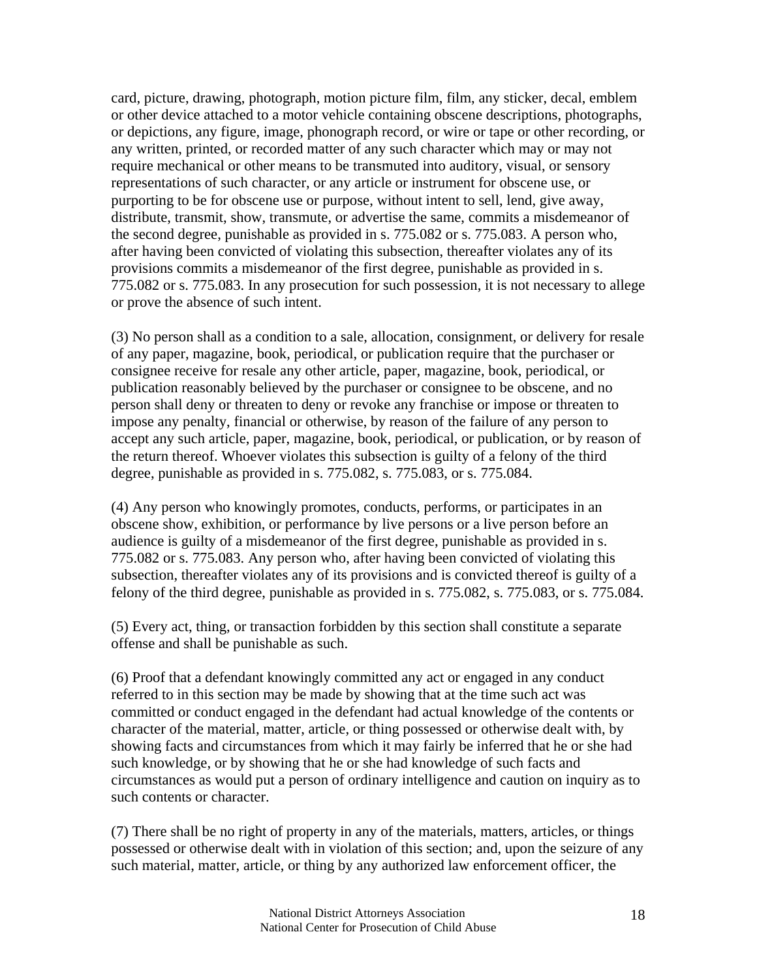card, picture, drawing, photograph, motion picture film, film, any sticker, decal, emblem or other device attached to a motor vehicle containing obscene descriptions, photographs, or depictions, any figure, image, phonograph record, or wire or tape or other recording, or any written, printed, or recorded matter of any such character which may or may not require mechanical or other means to be transmuted into auditory, visual, or sensory representations of such character, or any article or instrument for obscene use, or purporting to be for obscene use or purpose, without intent to sell, lend, give away, distribute, transmit, show, transmute, or advertise the same, commits a misdemeanor of the second degree, punishable as provided in s. 775.082 or s. 775.083. A person who, after having been convicted of violating this subsection, thereafter violates any of its provisions commits a misdemeanor of the first degree, punishable as provided in s. 775.082 or s. 775.083. In any prosecution for such possession, it is not necessary to allege or prove the absence of such intent.

(3) No person shall as a condition to a sale, allocation, consignment, or delivery for resale of any paper, magazine, book, periodical, or publication require that the purchaser or consignee receive for resale any other article, paper, magazine, book, periodical, or publication reasonably believed by the purchaser or consignee to be obscene, and no person shall deny or threaten to deny or revoke any franchise or impose or threaten to impose any penalty, financial or otherwise, by reason of the failure of any person to accept any such article, paper, magazine, book, periodical, or publication, or by reason of the return thereof. Whoever violates this subsection is guilty of a felony of the third degree, punishable as provided in s. 775.082, s. 775.083, or s. 775.084.

(4) Any person who knowingly promotes, conducts, performs, or participates in an obscene show, exhibition, or performance by live persons or a live person before an audience is guilty of a misdemeanor of the first degree, punishable as provided in s. 775.082 or s. 775.083. Any person who, after having been convicted of violating this subsection, thereafter violates any of its provisions and is convicted thereof is guilty of a felony of the third degree, punishable as provided in s. 775.082, s. 775.083, or s. 775.084.

(5) Every act, thing, or transaction forbidden by this section shall constitute a separate offense and shall be punishable as such.

(6) Proof that a defendant knowingly committed any act or engaged in any conduct referred to in this section may be made by showing that at the time such act was committed or conduct engaged in the defendant had actual knowledge of the contents or character of the material, matter, article, or thing possessed or otherwise dealt with, by showing facts and circumstances from which it may fairly be inferred that he or she had such knowledge, or by showing that he or she had knowledge of such facts and circumstances as would put a person of ordinary intelligence and caution on inquiry as to such contents or character.

(7) There shall be no right of property in any of the materials, matters, articles, or things possessed or otherwise dealt with in violation of this section; and, upon the seizure of any such material, matter, article, or thing by any authorized law enforcement officer, the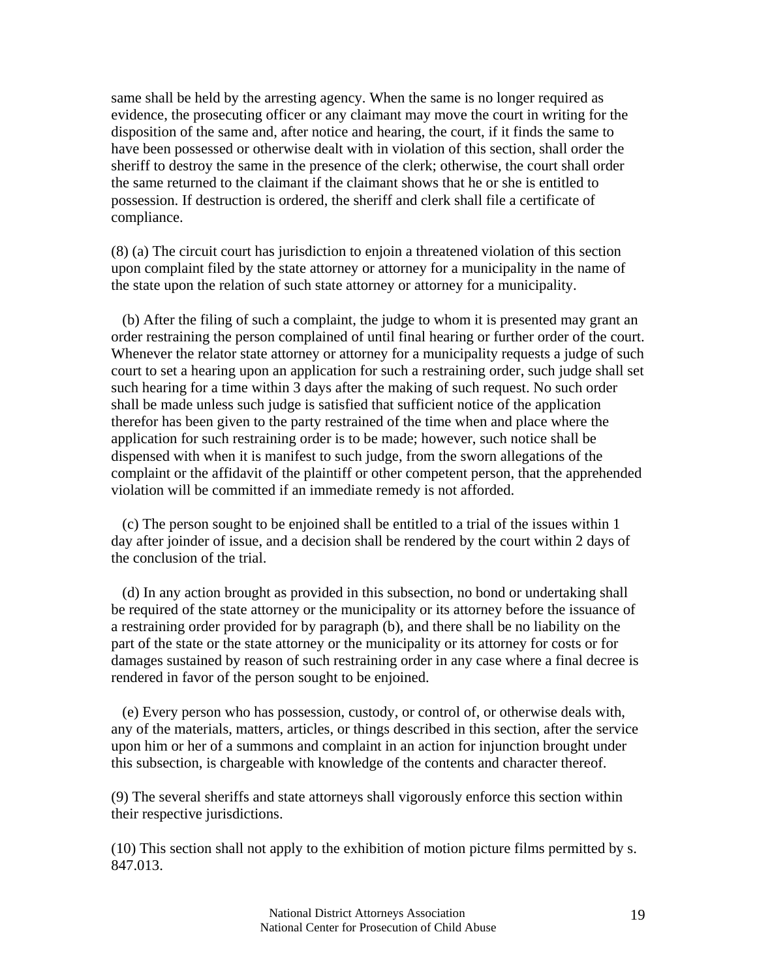same shall be held by the arresting agency. When the same is no longer required as evidence, the prosecuting officer or any claimant may move the court in writing for the disposition of the same and, after notice and hearing, the court, if it finds the same to have been possessed or otherwise dealt with in violation of this section, shall order the sheriff to destroy the same in the presence of the clerk; otherwise, the court shall order the same returned to the claimant if the claimant shows that he or she is entitled to possession. If destruction is ordered, the sheriff and clerk shall file a certificate of compliance.

(8) (a) The circuit court has jurisdiction to enjoin a threatened violation of this section upon complaint filed by the state attorney or attorney for a municipality in the name of the state upon the relation of such state attorney or attorney for a municipality.

 (b) After the filing of such a complaint, the judge to whom it is presented may grant an order restraining the person complained of until final hearing or further order of the court. Whenever the relator state attorney or attorney for a municipality requests a judge of such court to set a hearing upon an application for such a restraining order, such judge shall set such hearing for a time within 3 days after the making of such request. No such order shall be made unless such judge is satisfied that sufficient notice of the application therefor has been given to the party restrained of the time when and place where the application for such restraining order is to be made; however, such notice shall be dispensed with when it is manifest to such judge, from the sworn allegations of the complaint or the affidavit of the plaintiff or other competent person, that the apprehended violation will be committed if an immediate remedy is not afforded.

 (c) The person sought to be enjoined shall be entitled to a trial of the issues within 1 day after joinder of issue, and a decision shall be rendered by the court within 2 days of the conclusion of the trial.

 (d) In any action brought as provided in this subsection, no bond or undertaking shall be required of the state attorney or the municipality or its attorney before the issuance of a restraining order provided for by paragraph (b), and there shall be no liability on the part of the state or the state attorney or the municipality or its attorney for costs or for damages sustained by reason of such restraining order in any case where a final decree is rendered in favor of the person sought to be enjoined.

 (e) Every person who has possession, custody, or control of, or otherwise deals with, any of the materials, matters, articles, or things described in this section, after the service upon him or her of a summons and complaint in an action for injunction brought under this subsection, is chargeable with knowledge of the contents and character thereof.

(9) The several sheriffs and state attorneys shall vigorously enforce this section within their respective jurisdictions.

(10) This section shall not apply to the exhibition of motion picture films permitted by s. 847.013.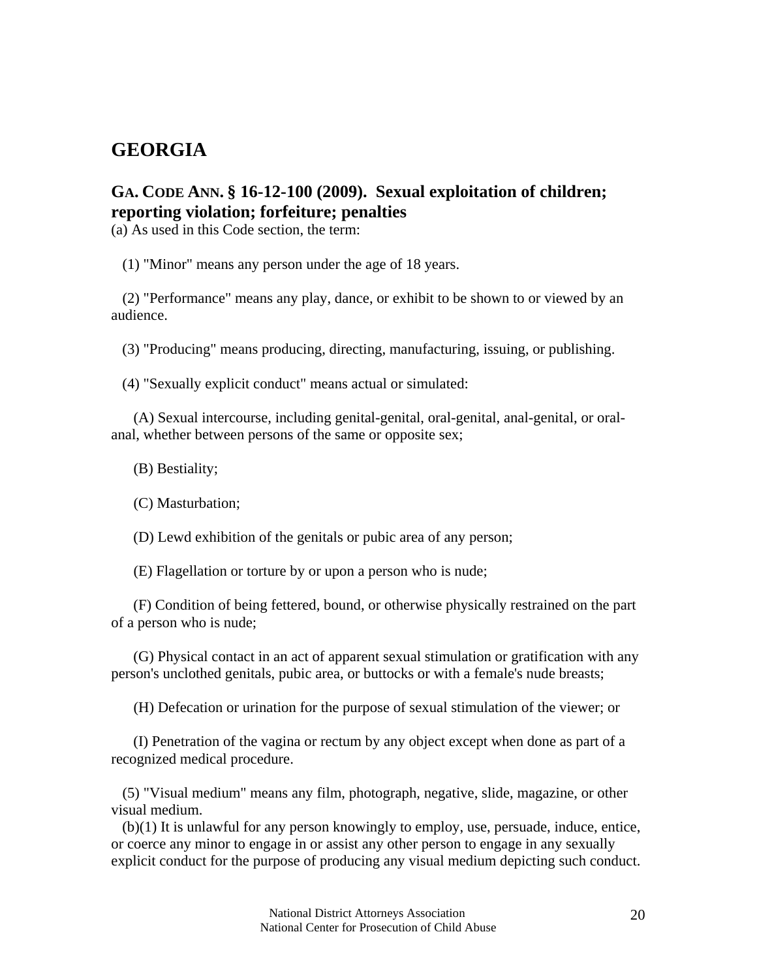## **GEORGIA**

## **GA. CODE ANN. § 16-12-100 (2009). Sexual exploitation of children; reporting violation; forfeiture; penalties**

(a) As used in this Code section, the term:

(1) "Minor" means any person under the age of 18 years.

 (2) "Performance" means any play, dance, or exhibit to be shown to or viewed by an audience.

(3) "Producing" means producing, directing, manufacturing, issuing, or publishing.

(4) "Sexually explicit conduct" means actual or simulated:

 (A) Sexual intercourse, including genital-genital, oral-genital, anal-genital, or oralanal, whether between persons of the same or opposite sex;

(B) Bestiality;

(C) Masturbation;

(D) Lewd exhibition of the genitals or pubic area of any person;

(E) Flagellation or torture by or upon a person who is nude;

 (F) Condition of being fettered, bound, or otherwise physically restrained on the part of a person who is nude;

 (G) Physical contact in an act of apparent sexual stimulation or gratification with any person's unclothed genitals, pubic area, or buttocks or with a female's nude breasts;

(H) Defecation or urination for the purpose of sexual stimulation of the viewer; or

 (I) Penetration of the vagina or rectum by any object except when done as part of a recognized medical procedure.

 (5) "Visual medium" means any film, photograph, negative, slide, magazine, or other visual medium.

 (b)(1) It is unlawful for any person knowingly to employ, use, persuade, induce, entice, or coerce any minor to engage in or assist any other person to engage in any sexually explicit conduct for the purpose of producing any visual medium depicting such conduct.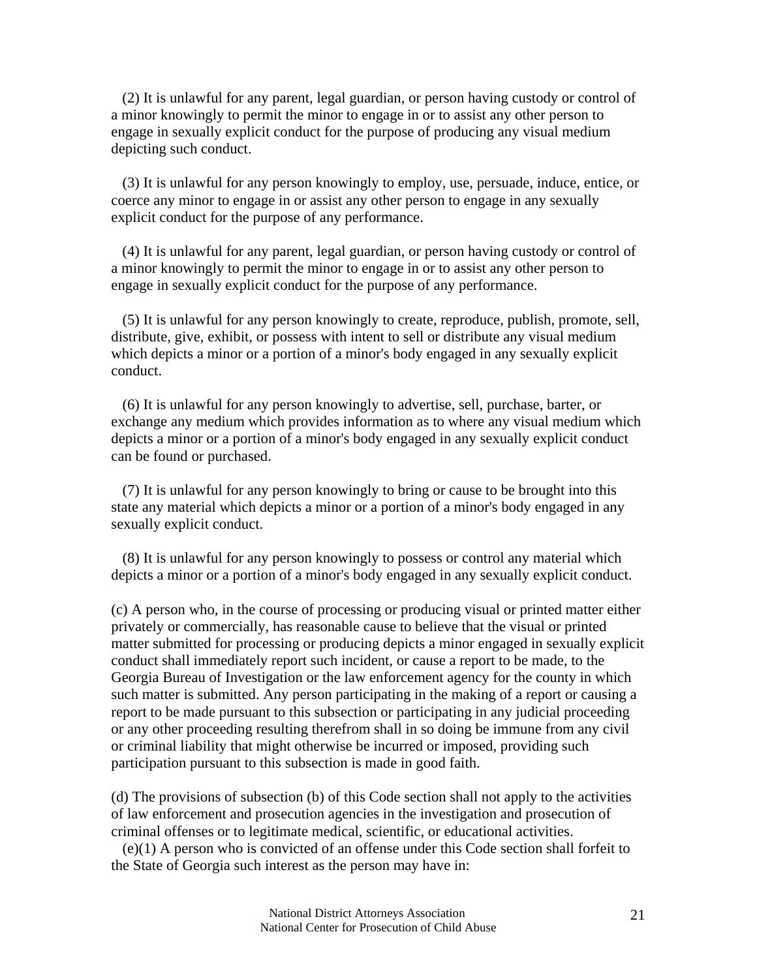(2) It is unlawful for any parent, legal guardian, or person having custody or control of a minor knowingly to permit the minor to engage in or to assist any other person to engage in sexually explicit conduct for the purpose of producing any visual medium depicting such conduct.

 (3) It is unlawful for any person knowingly to employ, use, persuade, induce, entice, or coerce any minor to engage in or assist any other person to engage in any sexually explicit conduct for the purpose of any performance.

 (4) It is unlawful for any parent, legal guardian, or person having custody or control of a minor knowingly to permit the minor to engage in or to assist any other person to engage in sexually explicit conduct for the purpose of any performance.

 (5) It is unlawful for any person knowingly to create, reproduce, publish, promote, sell, distribute, give, exhibit, or possess with intent to sell or distribute any visual medium which depicts a minor or a portion of a minor's body engaged in any sexually explicit conduct.

 (6) It is unlawful for any person knowingly to advertise, sell, purchase, barter, or exchange any medium which provides information as to where any visual medium which depicts a minor or a portion of a minor's body engaged in any sexually explicit conduct can be found or purchased.

 (7) It is unlawful for any person knowingly to bring or cause to be brought into this state any material which depicts a minor or a portion of a minor's body engaged in any sexually explicit conduct.

 (8) It is unlawful for any person knowingly to possess or control any material which depicts a minor or a portion of a minor's body engaged in any sexually explicit conduct.

(c) A person who, in the course of processing or producing visual or printed matter either privately or commercially, has reasonable cause to believe that the visual or printed matter submitted for processing or producing depicts a minor engaged in sexually explicit conduct shall immediately report such incident, or cause a report to be made, to the Georgia Bureau of Investigation or the law enforcement agency for the county in which such matter is submitted. Any person participating in the making of a report or causing a report to be made pursuant to this subsection or participating in any judicial proceeding or any other proceeding resulting therefrom shall in so doing be immune from any civil or criminal liability that might otherwise be incurred or imposed, providing such participation pursuant to this subsection is made in good faith.

(d) The provisions of subsection (b) of this Code section shall not apply to the activities of law enforcement and prosecution agencies in the investigation and prosecution of criminal offenses or to legitimate medical, scientific, or educational activities.

 (e)(1) A person who is convicted of an offense under this Code section shall forfeit to the State of Georgia such interest as the person may have in: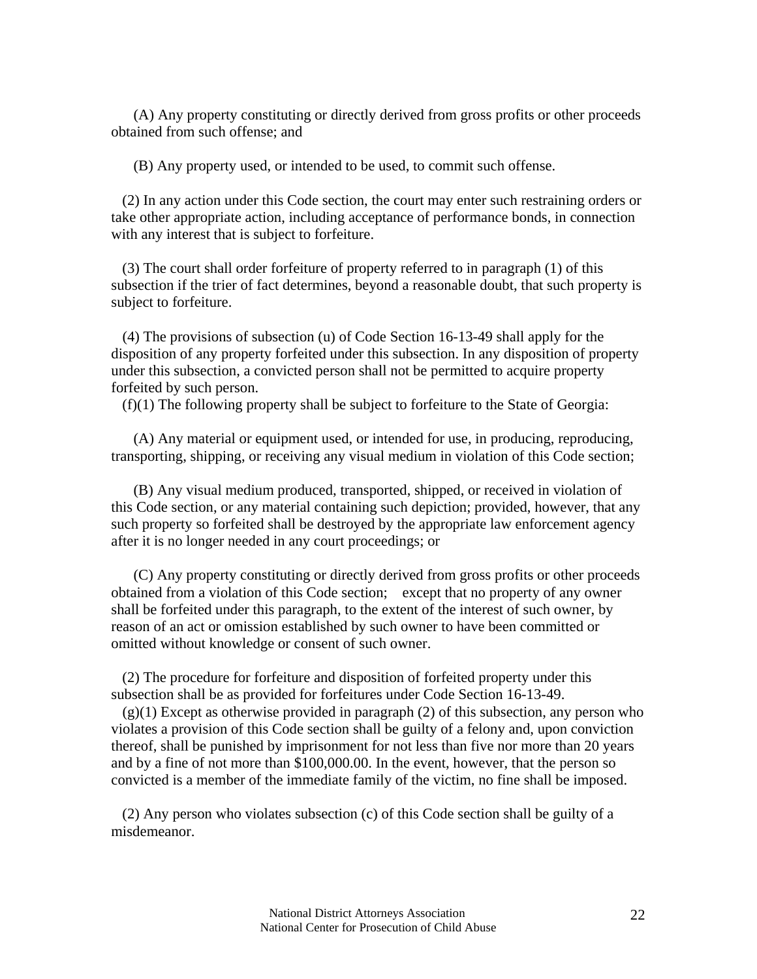(A) Any property constituting or directly derived from gross profits or other proceeds obtained from such offense; and

(B) Any property used, or intended to be used, to commit such offense.

 (2) In any action under this Code section, the court may enter such restraining orders or take other appropriate action, including acceptance of performance bonds, in connection with any interest that is subject to forfeiture.

 (3) The court shall order forfeiture of property referred to in paragraph (1) of this subsection if the trier of fact determines, beyond a reasonable doubt, that such property is subject to forfeiture.

 (4) The provisions of subsection (u) of Code Section 16-13-49 shall apply for the disposition of any property forfeited under this subsection. In any disposition of property under this subsection, a convicted person shall not be permitted to acquire property forfeited by such person.

(f)(1) The following property shall be subject to forfeiture to the State of Georgia:

 (A) Any material or equipment used, or intended for use, in producing, reproducing, transporting, shipping, or receiving any visual medium in violation of this Code section;

 (B) Any visual medium produced, transported, shipped, or received in violation of this Code section, or any material containing such depiction; provided, however, that any such property so forfeited shall be destroyed by the appropriate law enforcement agency after it is no longer needed in any court proceedings; or

 (C) Any property constituting or directly derived from gross profits or other proceeds obtained from a violation of this Code section; except that no property of any owner shall be forfeited under this paragraph, to the extent of the interest of such owner, by reason of an act or omission established by such owner to have been committed or omitted without knowledge or consent of such owner.

 (2) The procedure for forfeiture and disposition of forfeited property under this subsection shall be as provided for forfeitures under Code Section 16-13-49.

 $(g)(1)$  Except as otherwise provided in paragraph  $(2)$  of this subsection, any person who violates a provision of this Code section shall be guilty of a felony and, upon conviction thereof, shall be punished by imprisonment for not less than five nor more than 20 years and by a fine of not more than \$100,000.00. In the event, however, that the person so convicted is a member of the immediate family of the victim, no fine shall be imposed.

 (2) Any person who violates subsection (c) of this Code section shall be guilty of a misdemeanor.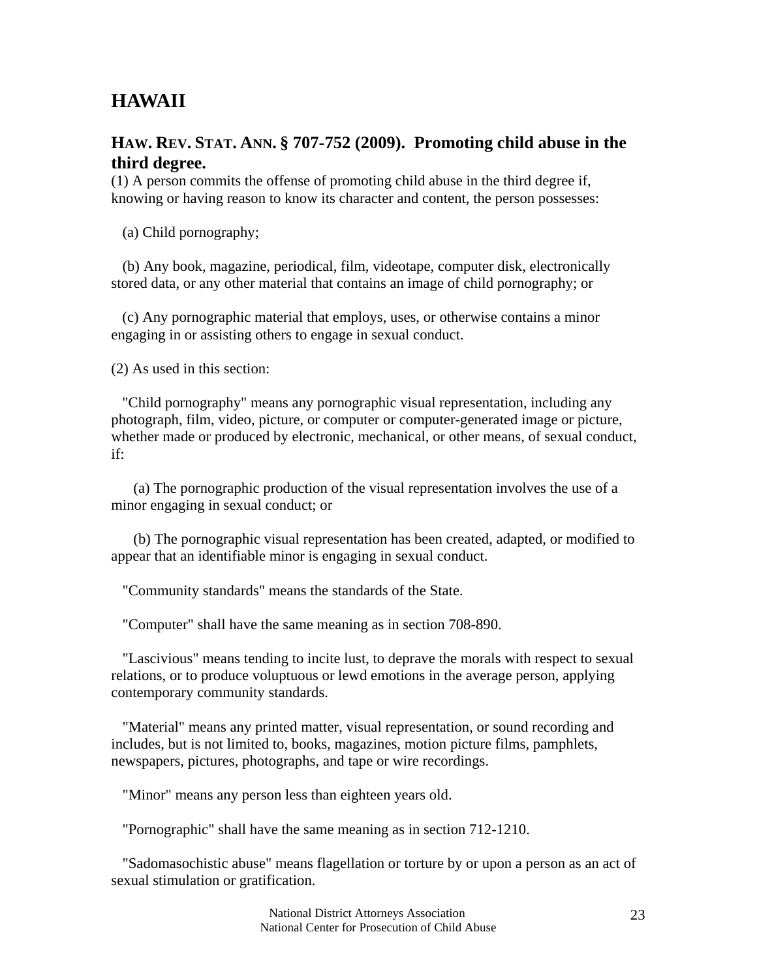# **HAWAII**

#### **HAW. REV. STAT. ANN. § 707-752 (2009). Promoting child abuse in the third degree.**

(1) A person commits the offense of promoting child abuse in the third degree if, knowing or having reason to know its character and content, the person possesses:

(a) Child pornography;

 (b) Any book, magazine, periodical, film, videotape, computer disk, electronically stored data, or any other material that contains an image of child pornography; or

 (c) Any pornographic material that employs, uses, or otherwise contains a minor engaging in or assisting others to engage in sexual conduct.

(2) As used in this section:

 "Child pornography" means any pornographic visual representation, including any photograph, film, video, picture, or computer or computer-generated image or picture, whether made or produced by electronic, mechanical, or other means, of sexual conduct, if:

 (a) The pornographic production of the visual representation involves the use of a minor engaging in sexual conduct; or

 (b) The pornographic visual representation has been created, adapted, or modified to appear that an identifiable minor is engaging in sexual conduct.

"Community standards" means the standards of the State.

"Computer" shall have the same meaning as in section 708-890.

 "Lascivious" means tending to incite lust, to deprave the morals with respect to sexual relations, or to produce voluptuous or lewd emotions in the average person, applying contemporary community standards.

 "Material" means any printed matter, visual representation, or sound recording and includes, but is not limited to, books, magazines, motion picture films, pamphlets, newspapers, pictures, photographs, and tape or wire recordings.

"Minor" means any person less than eighteen years old.

"Pornographic" shall have the same meaning as in section 712-1210.

 "Sadomasochistic abuse" means flagellation or torture by or upon a person as an act of sexual stimulation or gratification.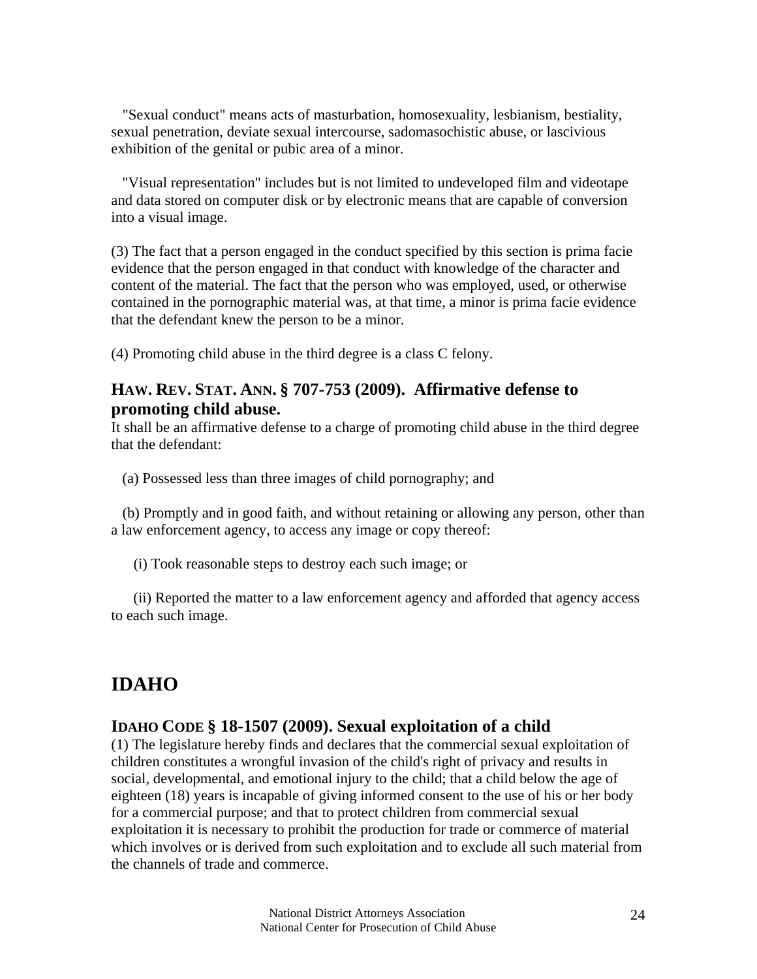"Sexual conduct" means acts of masturbation, homosexuality, lesbianism, bestiality, sexual penetration, deviate sexual intercourse, sadomasochistic abuse, or lascivious exhibition of the genital or pubic area of a minor.

 "Visual representation" includes but is not limited to undeveloped film and videotape and data stored on computer disk or by electronic means that are capable of conversion into a visual image.

(3) The fact that a person engaged in the conduct specified by this section is prima facie evidence that the person engaged in that conduct with knowledge of the character and content of the material. The fact that the person who was employed, used, or otherwise contained in the pornographic material was, at that time, a minor is prima facie evidence that the defendant knew the person to be a minor.

(4) Promoting child abuse in the third degree is a class C felony.

#### **HAW. REV. STAT. ANN. § 707-753 (2009). Affirmative defense to promoting child abuse.**

It shall be an affirmative defense to a charge of promoting child abuse in the third degree that the defendant:

(a) Possessed less than three images of child pornography; and

 (b) Promptly and in good faith, and without retaining or allowing any person, other than a law enforcement agency, to access any image or copy thereof:

(i) Took reasonable steps to destroy each such image; or

 (ii) Reported the matter to a law enforcement agency and afforded that agency access to each such image.

## **IDAHO**

#### **IDAHO CODE § 18-1507 (2009). Sexual exploitation of a child**

(1) The legislature hereby finds and declares that the commercial sexual exploitation of children constitutes a wrongful invasion of the child's right of privacy and results in social, developmental, and emotional injury to the child; that a child below the age of eighteen (18) years is incapable of giving informed consent to the use of his or her body for a commercial purpose; and that to protect children from commercial sexual exploitation it is necessary to prohibit the production for trade or commerce of material which involves or is derived from such exploitation and to exclude all such material from the channels of trade and commerce.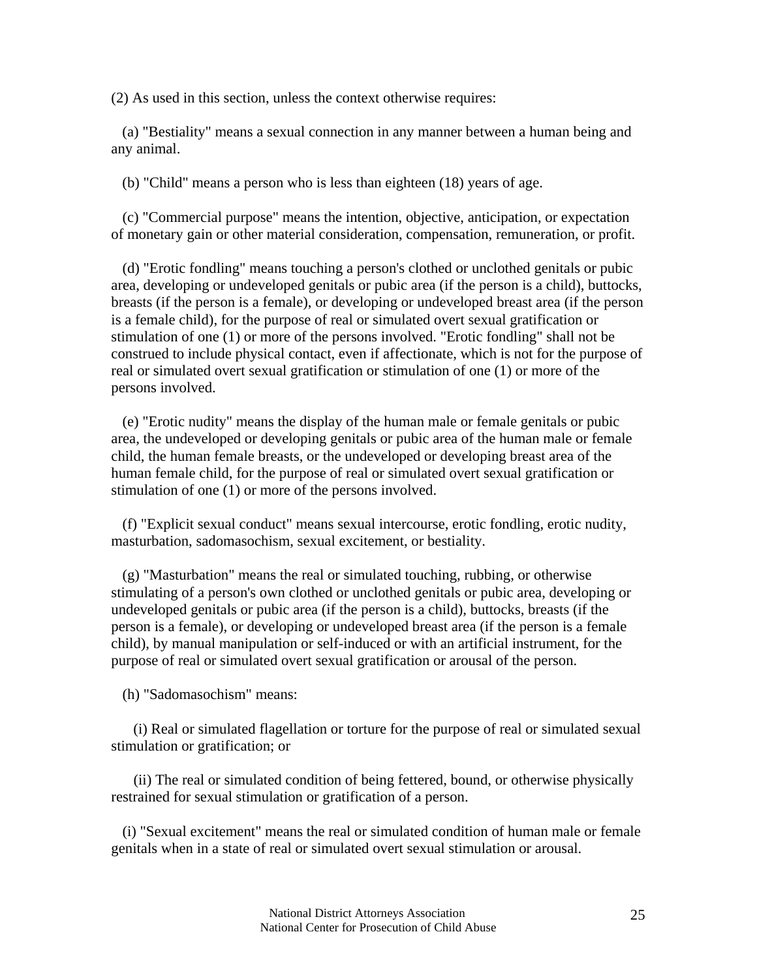(2) As used in this section, unless the context otherwise requires:

 (a) "Bestiality" means a sexual connection in any manner between a human being and any animal.

(b) "Child" means a person who is less than eighteen (18) years of age.

 (c) "Commercial purpose" means the intention, objective, anticipation, or expectation of monetary gain or other material consideration, compensation, remuneration, or profit.

 (d) "Erotic fondling" means touching a person's clothed or unclothed genitals or pubic area, developing or undeveloped genitals or pubic area (if the person is a child), buttocks, breasts (if the person is a female), or developing or undeveloped breast area (if the person is a female child), for the purpose of real or simulated overt sexual gratification or stimulation of one (1) or more of the persons involved. "Erotic fondling" shall not be construed to include physical contact, even if affectionate, which is not for the purpose of real or simulated overt sexual gratification or stimulation of one (1) or more of the persons involved.

 (e) "Erotic nudity" means the display of the human male or female genitals or pubic area, the undeveloped or developing genitals or pubic area of the human male or female child, the human female breasts, or the undeveloped or developing breast area of the human female child, for the purpose of real or simulated overt sexual gratification or stimulation of one (1) or more of the persons involved.

 (f) "Explicit sexual conduct" means sexual intercourse, erotic fondling, erotic nudity, masturbation, sadomasochism, sexual excitement, or bestiality.

 (g) "Masturbation" means the real or simulated touching, rubbing, or otherwise stimulating of a person's own clothed or unclothed genitals or pubic area, developing or undeveloped genitals or pubic area (if the person is a child), buttocks, breasts (if the person is a female), or developing or undeveloped breast area (if the person is a female child), by manual manipulation or self-induced or with an artificial instrument, for the purpose of real or simulated overt sexual gratification or arousal of the person.

(h) "Sadomasochism" means:

 (i) Real or simulated flagellation or torture for the purpose of real or simulated sexual stimulation or gratification; or

 (ii) The real or simulated condition of being fettered, bound, or otherwise physically restrained for sexual stimulation or gratification of a person.

 (i) "Sexual excitement" means the real or simulated condition of human male or female genitals when in a state of real or simulated overt sexual stimulation or arousal.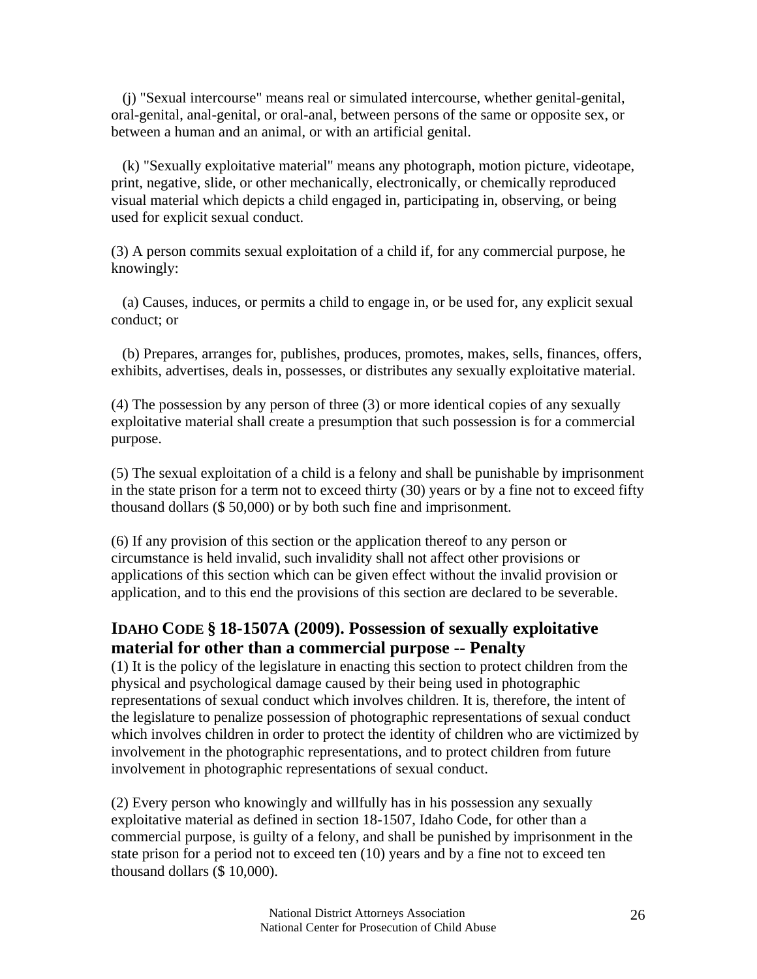(j) "Sexual intercourse" means real or simulated intercourse, whether genital-genital, oral-genital, anal-genital, or oral-anal, between persons of the same or opposite sex, or between a human and an animal, or with an artificial genital.

 (k) "Sexually exploitative material" means any photograph, motion picture, videotape, print, negative, slide, or other mechanically, electronically, or chemically reproduced visual material which depicts a child engaged in, participating in, observing, or being used for explicit sexual conduct.

(3) A person commits sexual exploitation of a child if, for any commercial purpose, he knowingly:

 (a) Causes, induces, or permits a child to engage in, or be used for, any explicit sexual conduct; or

 (b) Prepares, arranges for, publishes, produces, promotes, makes, sells, finances, offers, exhibits, advertises, deals in, possesses, or distributes any sexually exploitative material.

(4) The possession by any person of three (3) or more identical copies of any sexually exploitative material shall create a presumption that such possession is for a commercial purpose.

(5) The sexual exploitation of a child is a felony and shall be punishable by imprisonment in the state prison for a term not to exceed thirty (30) years or by a fine not to exceed fifty thousand dollars (\$ 50,000) or by both such fine and imprisonment.

(6) If any provision of this section or the application thereof to any person or circumstance is held invalid, such invalidity shall not affect other provisions or applications of this section which can be given effect without the invalid provision or application, and to this end the provisions of this section are declared to be severable.

## **IDAHO CODE § 18-1507A (2009). Possession of sexually exploitative material for other than a commercial purpose -- Penalty**

(1) It is the policy of the legislature in enacting this section to protect children from the physical and psychological damage caused by their being used in photographic representations of sexual conduct which involves children. It is, therefore, the intent of the legislature to penalize possession of photographic representations of sexual conduct which involves children in order to protect the identity of children who are victimized by involvement in the photographic representations, and to protect children from future involvement in photographic representations of sexual conduct.

(2) Every person who knowingly and willfully has in his possession any sexually exploitative material as defined in section 18-1507, Idaho Code, for other than a commercial purpose, is guilty of a felony, and shall be punished by imprisonment in the state prison for a period not to exceed ten (10) years and by a fine not to exceed ten thousand dollars (\$ 10,000).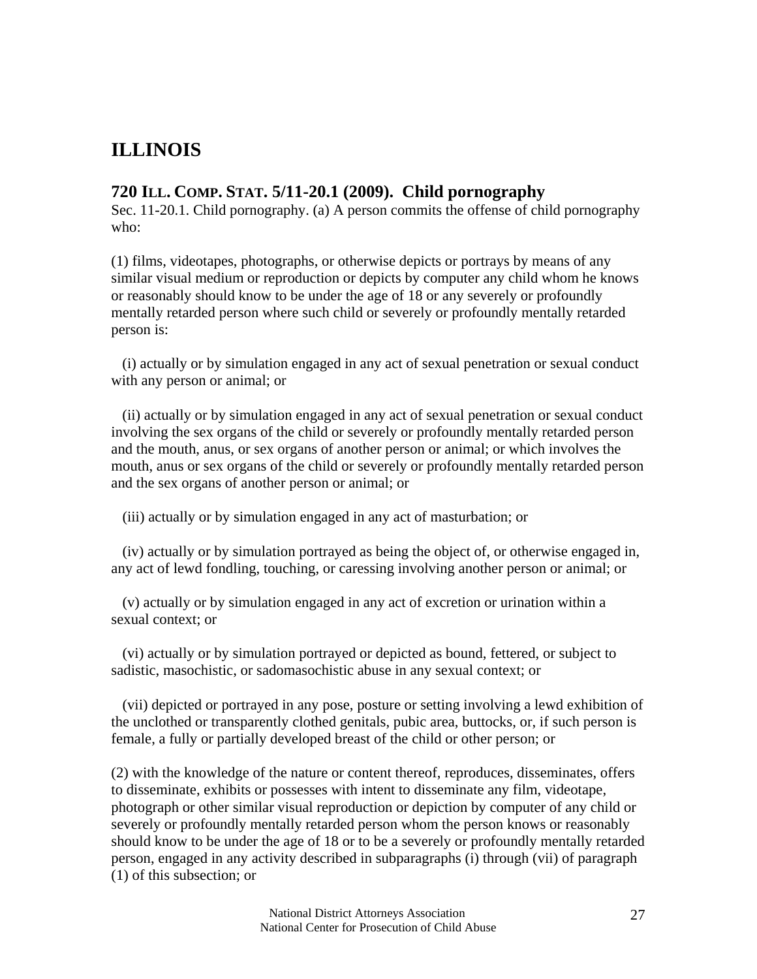## **ILLINOIS**

#### **720 ILL. COMP. STAT. 5/11-20.1 (2009). Child pornography**

Sec. 11-20.1. Child pornography. (a) A person commits the offense of child pornography who:

(1) films, videotapes, photographs, or otherwise depicts or portrays by means of any similar visual medium or reproduction or depicts by computer any child whom he knows or reasonably should know to be under the age of 18 or any severely or profoundly mentally retarded person where such child or severely or profoundly mentally retarded person is:

 (i) actually or by simulation engaged in any act of sexual penetration or sexual conduct with any person or animal; or

 (ii) actually or by simulation engaged in any act of sexual penetration or sexual conduct involving the sex organs of the child or severely or profoundly mentally retarded person and the mouth, anus, or sex organs of another person or animal; or which involves the mouth, anus or sex organs of the child or severely or profoundly mentally retarded person and the sex organs of another person or animal; or

(iii) actually or by simulation engaged in any act of masturbation; or

 (iv) actually or by simulation portrayed as being the object of, or otherwise engaged in, any act of lewd fondling, touching, or caressing involving another person or animal; or

 (v) actually or by simulation engaged in any act of excretion or urination within a sexual context; or

 (vi) actually or by simulation portrayed or depicted as bound, fettered, or subject to sadistic, masochistic, or sadomasochistic abuse in any sexual context; or

 (vii) depicted or portrayed in any pose, posture or setting involving a lewd exhibition of the unclothed or transparently clothed genitals, pubic area, buttocks, or, if such person is female, a fully or partially developed breast of the child or other person; or

(2) with the knowledge of the nature or content thereof, reproduces, disseminates, offers to disseminate, exhibits or possesses with intent to disseminate any film, videotape, photograph or other similar visual reproduction or depiction by computer of any child or severely or profoundly mentally retarded person whom the person knows or reasonably should know to be under the age of 18 or to be a severely or profoundly mentally retarded person, engaged in any activity described in subparagraphs (i) through (vii) of paragraph (1) of this subsection; or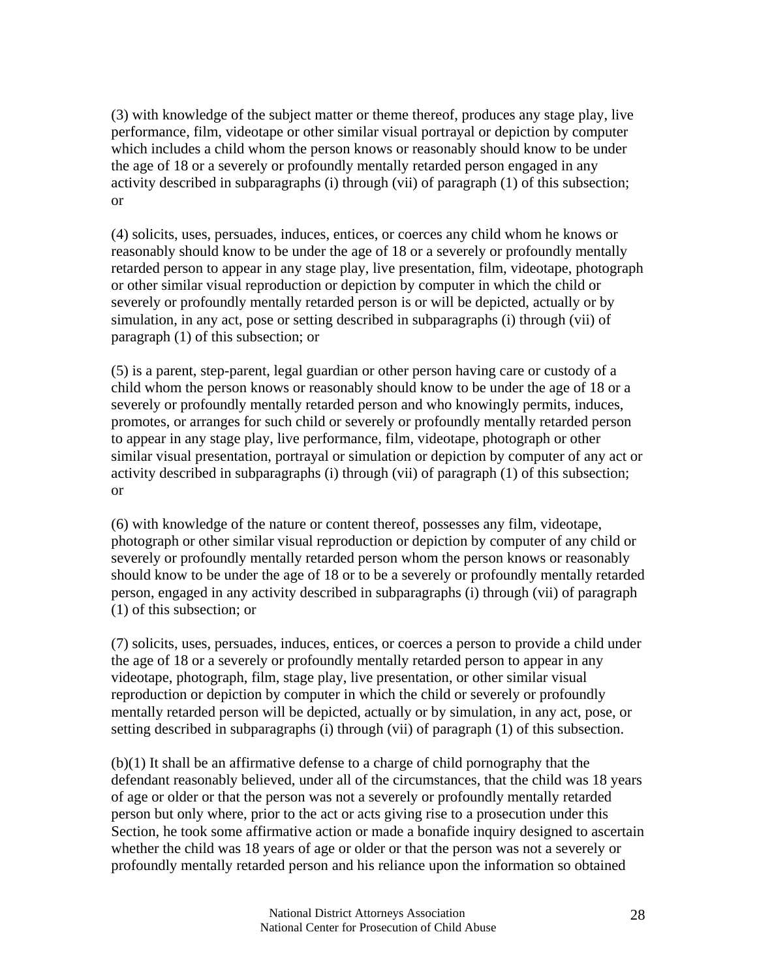(3) with knowledge of the subject matter or theme thereof, produces any stage play, live performance, film, videotape or other similar visual portrayal or depiction by computer which includes a child whom the person knows or reasonably should know to be under the age of 18 or a severely or profoundly mentally retarded person engaged in any activity described in subparagraphs (i) through (vii) of paragraph (1) of this subsection; or

(4) solicits, uses, persuades, induces, entices, or coerces any child whom he knows or reasonably should know to be under the age of 18 or a severely or profoundly mentally retarded person to appear in any stage play, live presentation, film, videotape, photograph or other similar visual reproduction or depiction by computer in which the child or severely or profoundly mentally retarded person is or will be depicted, actually or by simulation, in any act, pose or setting described in subparagraphs (i) through (vii) of paragraph (1) of this subsection; or

(5) is a parent, step-parent, legal guardian or other person having care or custody of a child whom the person knows or reasonably should know to be under the age of 18 or a severely or profoundly mentally retarded person and who knowingly permits, induces, promotes, or arranges for such child or severely or profoundly mentally retarded person to appear in any stage play, live performance, film, videotape, photograph or other similar visual presentation, portrayal or simulation or depiction by computer of any act or activity described in subparagraphs (i) through (vii) of paragraph (1) of this subsection; or

(6) with knowledge of the nature or content thereof, possesses any film, videotape, photograph or other similar visual reproduction or depiction by computer of any child or severely or profoundly mentally retarded person whom the person knows or reasonably should know to be under the age of 18 or to be a severely or profoundly mentally retarded person, engaged in any activity described in subparagraphs (i) through (vii) of paragraph (1) of this subsection; or

(7) solicits, uses, persuades, induces, entices, or coerces a person to provide a child under the age of 18 or a severely or profoundly mentally retarded person to appear in any videotape, photograph, film, stage play, live presentation, or other similar visual reproduction or depiction by computer in which the child or severely or profoundly mentally retarded person will be depicted, actually or by simulation, in any act, pose, or setting described in subparagraphs (i) through (vii) of paragraph (1) of this subsection.

(b)(1) It shall be an affirmative defense to a charge of child pornography that the defendant reasonably believed, under all of the circumstances, that the child was 18 years of age or older or that the person was not a severely or profoundly mentally retarded person but only where, prior to the act or acts giving rise to a prosecution under this Section, he took some affirmative action or made a bonafide inquiry designed to ascertain whether the child was 18 years of age or older or that the person was not a severely or profoundly mentally retarded person and his reliance upon the information so obtained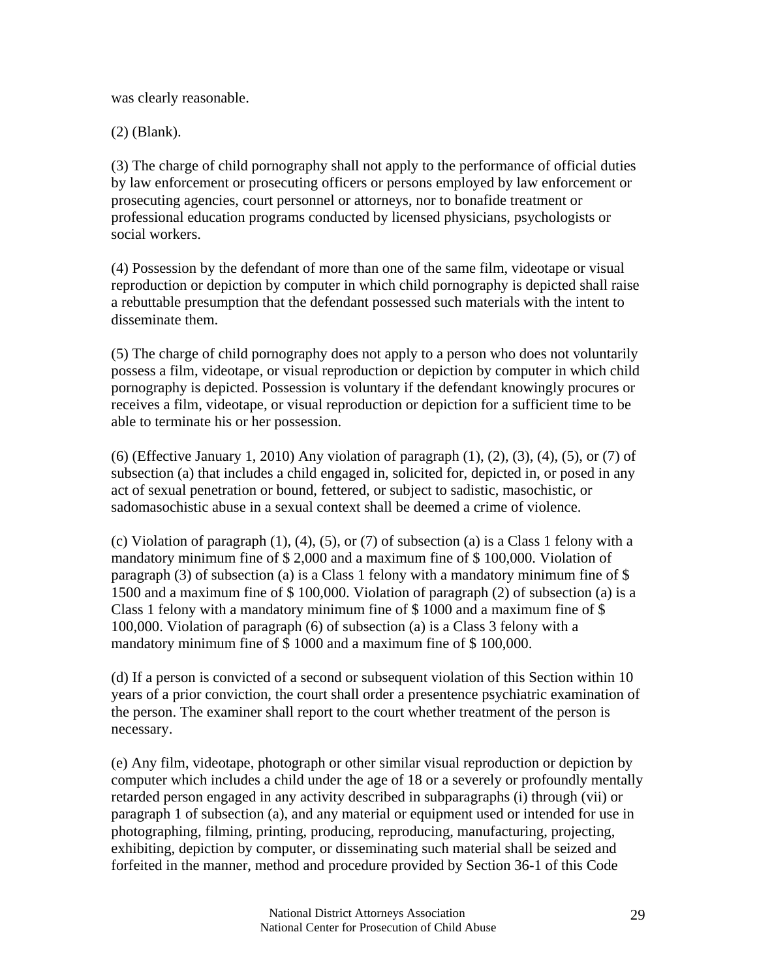was clearly reasonable.

(2) (Blank).

(3) The charge of child pornography shall not apply to the performance of official duties by law enforcement or prosecuting officers or persons employed by law enforcement or prosecuting agencies, court personnel or attorneys, nor to bonafide treatment or professional education programs conducted by licensed physicians, psychologists or social workers.

(4) Possession by the defendant of more than one of the same film, videotape or visual reproduction or depiction by computer in which child pornography is depicted shall raise a rebuttable presumption that the defendant possessed such materials with the intent to disseminate them.

(5) The charge of child pornography does not apply to a person who does not voluntarily possess a film, videotape, or visual reproduction or depiction by computer in which child pornography is depicted. Possession is voluntary if the defendant knowingly procures or receives a film, videotape, or visual reproduction or depiction for a sufficient time to be able to terminate his or her possession.

(6) (Effective January 1, 2010) Any violation of paragraph (1), (2), (3), (4), (5), or (7) of subsection (a) that includes a child engaged in, solicited for, depicted in, or posed in any act of sexual penetration or bound, fettered, or subject to sadistic, masochistic, or sadomasochistic abuse in a sexual context shall be deemed a crime of violence.

(c) Violation of paragraph  $(1)$ ,  $(4)$ ,  $(5)$ , or  $(7)$  of subsection (a) is a Class 1 felony with a mandatory minimum fine of \$ 2,000 and a maximum fine of \$ 100,000. Violation of paragraph (3) of subsection (a) is a Class 1 felony with a mandatory minimum fine of  $\$ 1500 and a maximum fine of \$ 100,000. Violation of paragraph (2) of subsection (a) is a Class 1 felony with a mandatory minimum fine of \$ 1000 and a maximum fine of \$ 100,000. Violation of paragraph (6) of subsection (a) is a Class 3 felony with a mandatory minimum fine of \$ 1000 and a maximum fine of \$ 100,000.

(d) If a person is convicted of a second or subsequent violation of this Section within 10 years of a prior conviction, the court shall order a presentence psychiatric examination of the person. The examiner shall report to the court whether treatment of the person is necessary.

(e) Any film, videotape, photograph or other similar visual reproduction or depiction by computer which includes a child under the age of 18 or a severely or profoundly mentally retarded person engaged in any activity described in subparagraphs (i) through (vii) or paragraph 1 of subsection (a), and any material or equipment used or intended for use in photographing, filming, printing, producing, reproducing, manufacturing, projecting, exhibiting, depiction by computer, or disseminating such material shall be seized and forfeited in the manner, method and procedure provided by Section 36-1 of this Code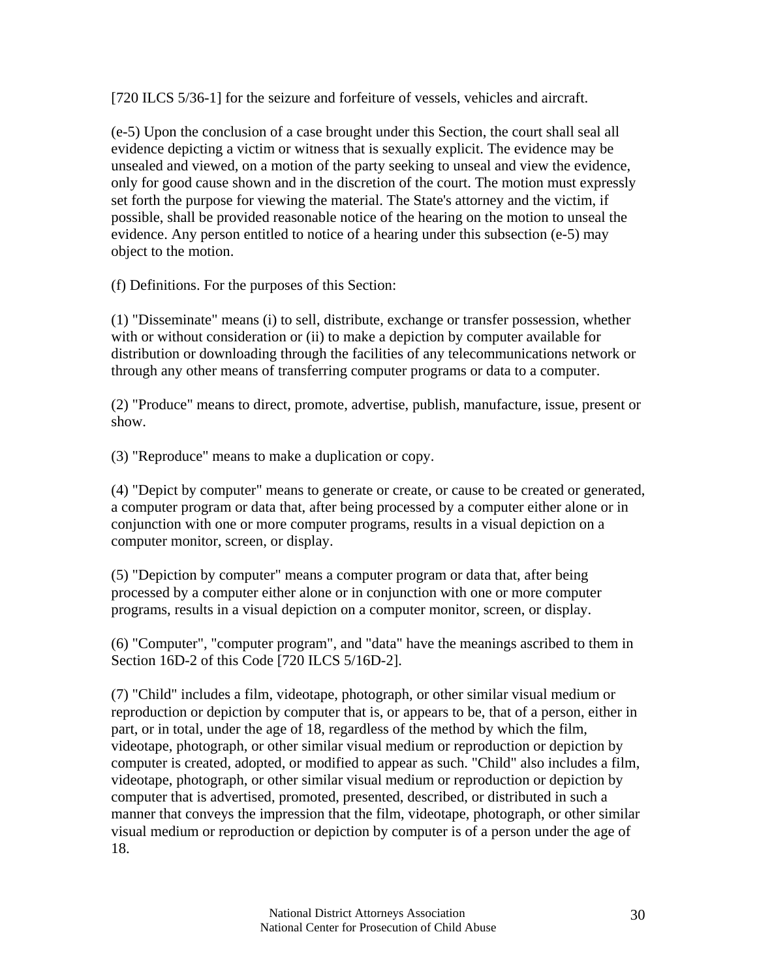[720 ILCS 5/36-1] for the seizure and forfeiture of vessels, vehicles and aircraft.

(e-5) Upon the conclusion of a case brought under this Section, the court shall seal all evidence depicting a victim or witness that is sexually explicit. The evidence may be unsealed and viewed, on a motion of the party seeking to unseal and view the evidence, only for good cause shown and in the discretion of the court. The motion must expressly set forth the purpose for viewing the material. The State's attorney and the victim, if possible, shall be provided reasonable notice of the hearing on the motion to unseal the evidence. Any person entitled to notice of a hearing under this subsection (e-5) may object to the motion.

(f) Definitions. For the purposes of this Section:

(1) "Disseminate" means (i) to sell, distribute, exchange or transfer possession, whether with or without consideration or (ii) to make a depiction by computer available for distribution or downloading through the facilities of any telecommunications network or through any other means of transferring computer programs or data to a computer.

(2) "Produce" means to direct, promote, advertise, publish, manufacture, issue, present or show.

(3) "Reproduce" means to make a duplication or copy.

(4) "Depict by computer" means to generate or create, or cause to be created or generated, a computer program or data that, after being processed by a computer either alone or in conjunction with one or more computer programs, results in a visual depiction on a computer monitor, screen, or display.

(5) "Depiction by computer" means a computer program or data that, after being processed by a computer either alone or in conjunction with one or more computer programs, results in a visual depiction on a computer monitor, screen, or display.

(6) "Computer", "computer program", and "data" have the meanings ascribed to them in Section 16D-2 of this Code [720 ILCS 5/16D-2].

(7) "Child" includes a film, videotape, photograph, or other similar visual medium or reproduction or depiction by computer that is, or appears to be, that of a person, either in part, or in total, under the age of 18, regardless of the method by which the film, videotape, photograph, or other similar visual medium or reproduction or depiction by computer is created, adopted, or modified to appear as such. "Child" also includes a film, videotape, photograph, or other similar visual medium or reproduction or depiction by computer that is advertised, promoted, presented, described, or distributed in such a manner that conveys the impression that the film, videotape, photograph, or other similar visual medium or reproduction or depiction by computer is of a person under the age of 18.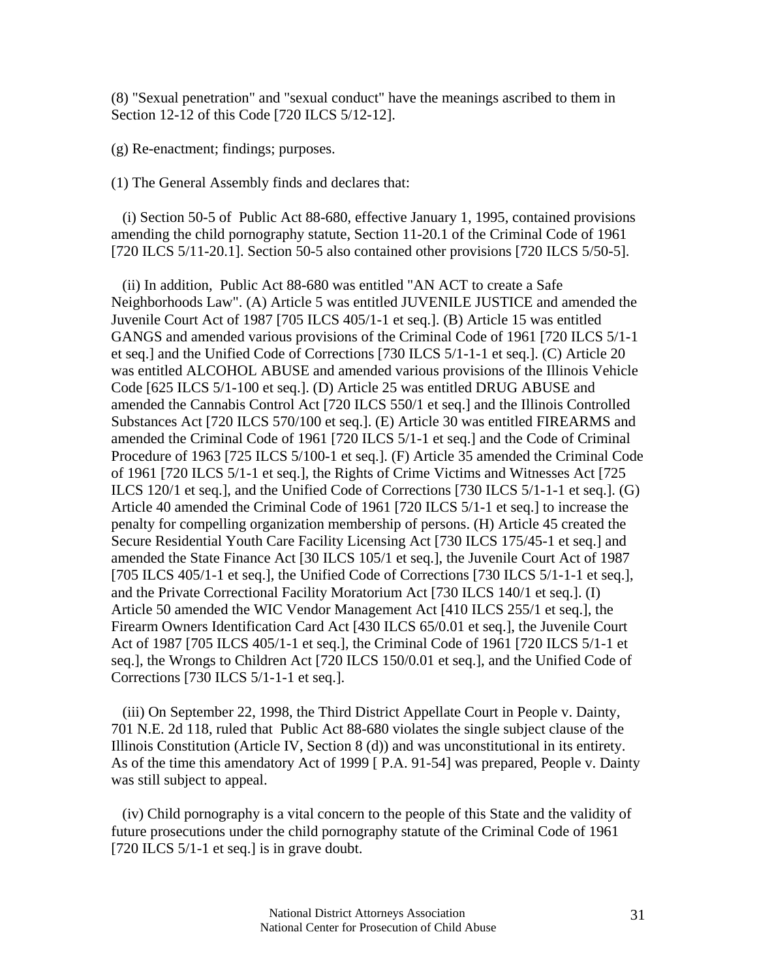(8) "Sexual penetration" and "sexual conduct" have the meanings ascribed to them in Section 12-12 of this Code [720 ILCS 5/12-12].

(g) Re-enactment; findings; purposes.

(1) The General Assembly finds and declares that:

 (i) Section 50-5 of Public Act 88-680, effective January 1, 1995, contained provisions amending the child pornography statute, Section 11-20.1 of the Criminal Code of 1961 [720 ILCS 5/11-20.1]. Section 50-5 also contained other provisions [720 ILCS 5/50-5].

 (ii) In addition, Public Act 88-680 was entitled "AN ACT to create a Safe Neighborhoods Law". (A) Article 5 was entitled JUVENILE JUSTICE and amended the Juvenile Court Act of 1987 [705 ILCS 405/1-1 et seq.]. (B) Article 15 was entitled GANGS and amended various provisions of the Criminal Code of 1961 [720 ILCS 5/1-1 et seq.] and the Unified Code of Corrections [730 ILCS 5/1-1-1 et seq.]. (C) Article 20 was entitled ALCOHOL ABUSE and amended various provisions of the Illinois Vehicle Code [625 ILCS 5/1-100 et seq.]. (D) Article 25 was entitled DRUG ABUSE and amended the Cannabis Control Act [720 ILCS 550/1 et seq.] and the Illinois Controlled Substances Act [720 ILCS 570/100 et seq.]. (E) Article 30 was entitled FIREARMS and amended the Criminal Code of 1961 [720 ILCS 5/1-1 et seq.] and the Code of Criminal Procedure of 1963 [725 ILCS 5/100-1 et seq.]. (F) Article 35 amended the Criminal Code of 1961 [720 ILCS 5/1-1 et seq.], the Rights of Crime Victims and Witnesses Act [725 ILCS 120/1 et seq.], and the Unified Code of Corrections [730 ILCS 5/1-1-1 et seq.]. (G) Article 40 amended the Criminal Code of 1961 [720 ILCS 5/1-1 et seq.] to increase the penalty for compelling organization membership of persons. (H) Article 45 created the Secure Residential Youth Care Facility Licensing Act [730 ILCS 175/45-1 et seq.] and amended the State Finance Act [30 ILCS 105/1 et seq.], the Juvenile Court Act of 1987 [705 ILCS  $405/1-1$  et seq.], the Unified Code of Corrections [730 ILCS  $5/1-1-1$  et seq.], and the Private Correctional Facility Moratorium Act [730 ILCS 140/1 et seq.]. (I) Article 50 amended the WIC Vendor Management Act [410 ILCS 255/1 et seq.], the Firearm Owners Identification Card Act [430 ILCS 65/0.01 et seq.], the Juvenile Court Act of 1987 [705 ILCS 405/1-1 et seq.], the Criminal Code of 1961 [720 ILCS 5/1-1 et seq.], the Wrongs to Children Act [720 ILCS 150/0.01 et seq.], and the Unified Code of Corrections [730 ILCS 5/1-1-1 et seq.].

 (iii) On September 22, 1998, the Third District Appellate Court in People v. Dainty, 701 N.E. 2d 118, ruled that Public Act 88-680 violates the single subject clause of the Illinois Constitution (Article IV, Section 8 (d)) and was unconstitutional in its entirety. As of the time this amendatory Act of 1999 [ P.A. 91-54] was prepared, People v. Dainty was still subject to appeal.

 (iv) Child pornography is a vital concern to the people of this State and the validity of future prosecutions under the child pornography statute of the Criminal Code of 1961 [720 ILCS 5/1-1 et seq.] is in grave doubt.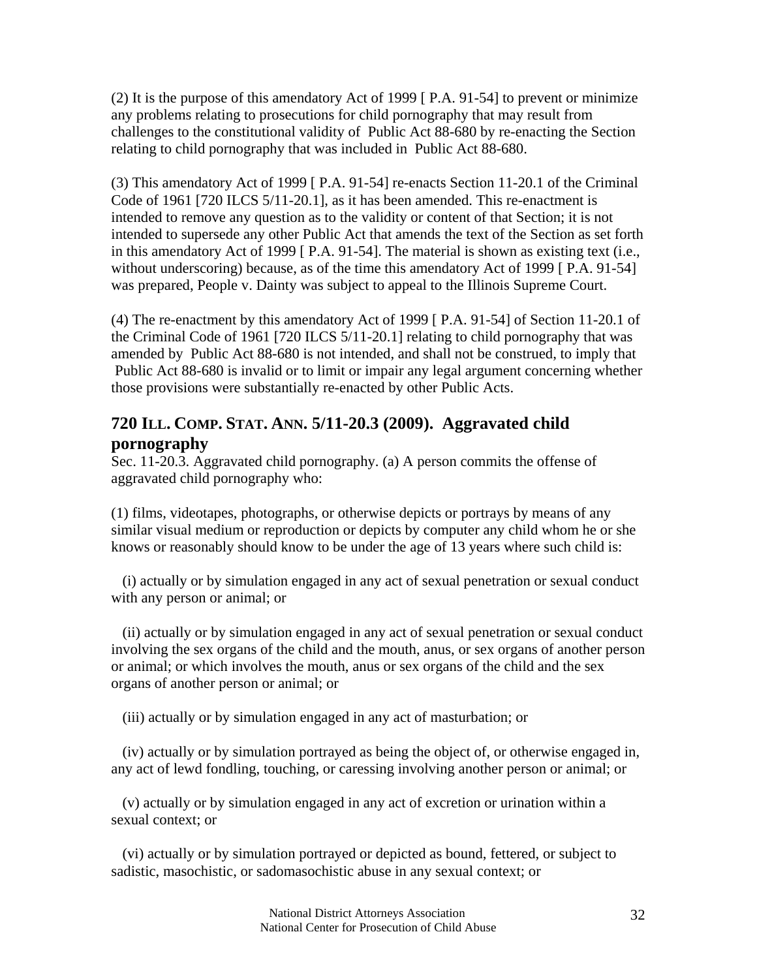(2) It is the purpose of this amendatory Act of 1999 [ P.A. 91-54] to prevent or minimize any problems relating to prosecutions for child pornography that may result from challenges to the constitutional validity of Public Act 88-680 by re-enacting the Section relating to child pornography that was included in Public Act 88-680.

(3) This amendatory Act of 1999 [ P.A. 91-54] re-enacts Section 11-20.1 of the Criminal Code of 1961 [720 ILCS 5/11-20.1], as it has been amended. This re-enactment is intended to remove any question as to the validity or content of that Section; it is not intended to supersede any other Public Act that amends the text of the Section as set forth in this amendatory Act of 1999 [ P.A. 91-54]. The material is shown as existing text (i.e., without underscoring) because, as of the time this amendatory Act of 1999 [P.A. 91-54] was prepared, People v. Dainty was subject to appeal to the Illinois Supreme Court.

(4) The re-enactment by this amendatory Act of 1999 [ P.A. 91-54] of Section 11-20.1 of the Criminal Code of 1961 [720 ILCS 5/11-20.1] relating to child pornography that was amended by Public Act 88-680 is not intended, and shall not be construed, to imply that Public Act 88-680 is invalid or to limit or impair any legal argument concerning whether those provisions were substantially re-enacted by other Public Acts.

## **720 ILL. COMP. STAT. ANN. 5/11-20.3 (2009). Aggravated child pornography**

Sec. 11-20.3. Aggravated child pornography. (a) A person commits the offense of aggravated child pornography who:

(1) films, videotapes, photographs, or otherwise depicts or portrays by means of any similar visual medium or reproduction or depicts by computer any child whom he or she knows or reasonably should know to be under the age of 13 years where such child is:

 (i) actually or by simulation engaged in any act of sexual penetration or sexual conduct with any person or animal; or

 (ii) actually or by simulation engaged in any act of sexual penetration or sexual conduct involving the sex organs of the child and the mouth, anus, or sex organs of another person or animal; or which involves the mouth, anus or sex organs of the child and the sex organs of another person or animal; or

(iii) actually or by simulation engaged in any act of masturbation; or

 (iv) actually or by simulation portrayed as being the object of, or otherwise engaged in, any act of lewd fondling, touching, or caressing involving another person or animal; or

 (v) actually or by simulation engaged in any act of excretion or urination within a sexual context; or

 (vi) actually or by simulation portrayed or depicted as bound, fettered, or subject to sadistic, masochistic, or sadomasochistic abuse in any sexual context; or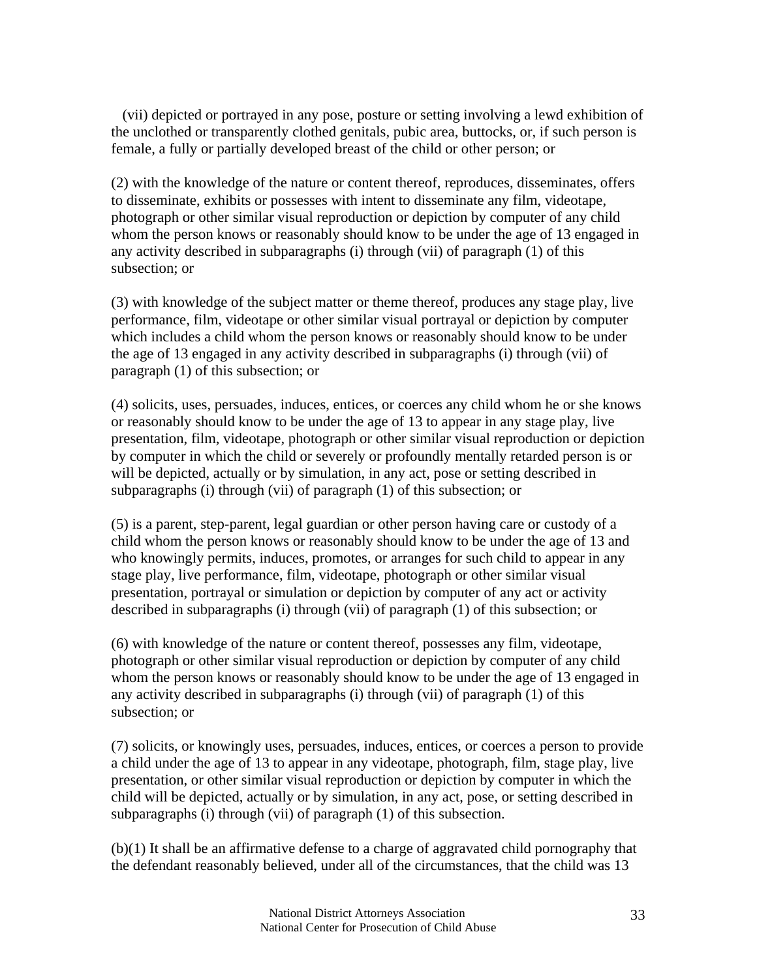(vii) depicted or portrayed in any pose, posture or setting involving a lewd exhibition of the unclothed or transparently clothed genitals, pubic area, buttocks, or, if such person is female, a fully or partially developed breast of the child or other person; or

(2) with the knowledge of the nature or content thereof, reproduces, disseminates, offers to disseminate, exhibits or possesses with intent to disseminate any film, videotape, photograph or other similar visual reproduction or depiction by computer of any child whom the person knows or reasonably should know to be under the age of 13 engaged in any activity described in subparagraphs (i) through (vii) of paragraph (1) of this subsection; or

(3) with knowledge of the subject matter or theme thereof, produces any stage play, live performance, film, videotape or other similar visual portrayal or depiction by computer which includes a child whom the person knows or reasonably should know to be under the age of 13 engaged in any activity described in subparagraphs (i) through (vii) of paragraph (1) of this subsection; or

(4) solicits, uses, persuades, induces, entices, or coerces any child whom he or she knows or reasonably should know to be under the age of 13 to appear in any stage play, live presentation, film, videotape, photograph or other similar visual reproduction or depiction by computer in which the child or severely or profoundly mentally retarded person is or will be depicted, actually or by simulation, in any act, pose or setting described in subparagraphs (i) through (vii) of paragraph (1) of this subsection; or

(5) is a parent, step-parent, legal guardian or other person having care or custody of a child whom the person knows or reasonably should know to be under the age of 13 and who knowingly permits, induces, promotes, or arranges for such child to appear in any stage play, live performance, film, videotape, photograph or other similar visual presentation, portrayal or simulation or depiction by computer of any act or activity described in subparagraphs (i) through (vii) of paragraph (1) of this subsection; or

(6) with knowledge of the nature or content thereof, possesses any film, videotape, photograph or other similar visual reproduction or depiction by computer of any child whom the person knows or reasonably should know to be under the age of 13 engaged in any activity described in subparagraphs (i) through (vii) of paragraph (1) of this subsection; or

(7) solicits, or knowingly uses, persuades, induces, entices, or coerces a person to provide a child under the age of 13 to appear in any videotape, photograph, film, stage play, live presentation, or other similar visual reproduction or depiction by computer in which the child will be depicted, actually or by simulation, in any act, pose, or setting described in subparagraphs (i) through (vii) of paragraph (1) of this subsection.

(b)(1) It shall be an affirmative defense to a charge of aggravated child pornography that the defendant reasonably believed, under all of the circumstances, that the child was 13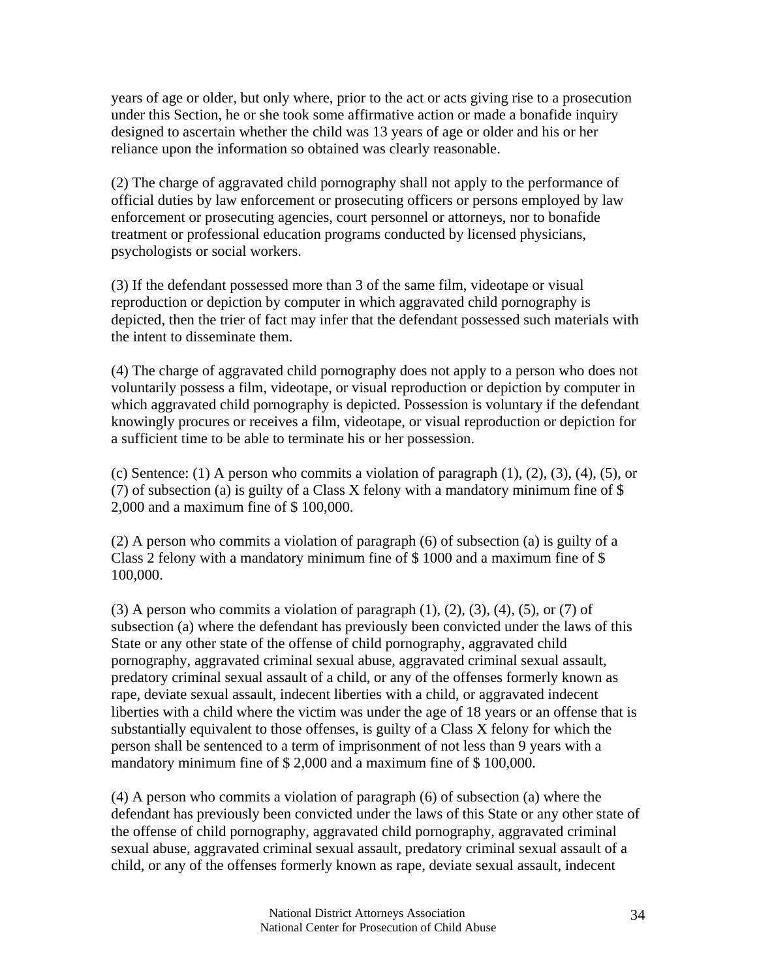years of age or older, but only where, prior to the act or acts giving rise to a prosecution under this Section, he or she took some affirmative action or made a bonafide inquiry designed to ascertain whether the child was 13 years of age or older and his or her reliance upon the information so obtained was clearly reasonable.

(2) The charge of aggravated child pornography shall not apply to the performance of official duties by law enforcement or prosecuting officers or persons employed by law enforcement or prosecuting agencies, court personnel or attorneys, nor to bonafide treatment or professional education programs conducted by licensed physicians, psychologists or social workers.

(3) If the defendant possessed more than 3 of the same film, videotape or visual reproduction or depiction by computer in which aggravated child pornography is depicted, then the trier of fact may infer that the defendant possessed such materials with the intent to disseminate them.

(4) The charge of aggravated child pornography does not apply to a person who does not voluntarily possess a film, videotape, or visual reproduction or depiction by computer in which aggravated child pornography is depicted. Possession is voluntary if the defendant knowingly procures or receives a film, videotape, or visual reproduction or depiction for a sufficient time to be able to terminate his or her possession.

(c) Sentence: (1) A person who commits a violation of paragraph  $(1)$ ,  $(2)$ ,  $(3)$ ,  $(4)$ ,  $(5)$ , or (7) of subsection (a) is guilty of a Class X felony with a mandatory minimum fine of \$ 2,000 and a maximum fine of \$ 100,000.

(2) A person who commits a violation of paragraph (6) of subsection (a) is guilty of a Class 2 felony with a mandatory minimum fine of \$ 1000 and a maximum fine of \$ 100,000.

 $(3)$  A person who commits a violation of paragraph  $(1)$ ,  $(2)$ ,  $(3)$ ,  $(4)$ ,  $(5)$ , or  $(7)$  of subsection (a) where the defendant has previously been convicted under the laws of this State or any other state of the offense of child pornography, aggravated child pornography, aggravated criminal sexual abuse, aggravated criminal sexual assault, predatory criminal sexual assault of a child, or any of the offenses formerly known as rape, deviate sexual assault, indecent liberties with a child, or aggravated indecent liberties with a child where the victim was under the age of 18 years or an offense that is substantially equivalent to those offenses, is guilty of a Class X felony for which the person shall be sentenced to a term of imprisonment of not less than 9 years with a mandatory minimum fine of \$ 2,000 and a maximum fine of \$ 100,000.

(4) A person who commits a violation of paragraph (6) of subsection (a) where the defendant has previously been convicted under the laws of this State or any other state of the offense of child pornography, aggravated child pornography, aggravated criminal sexual abuse, aggravated criminal sexual assault, predatory criminal sexual assault of a child, or any of the offenses formerly known as rape, deviate sexual assault, indecent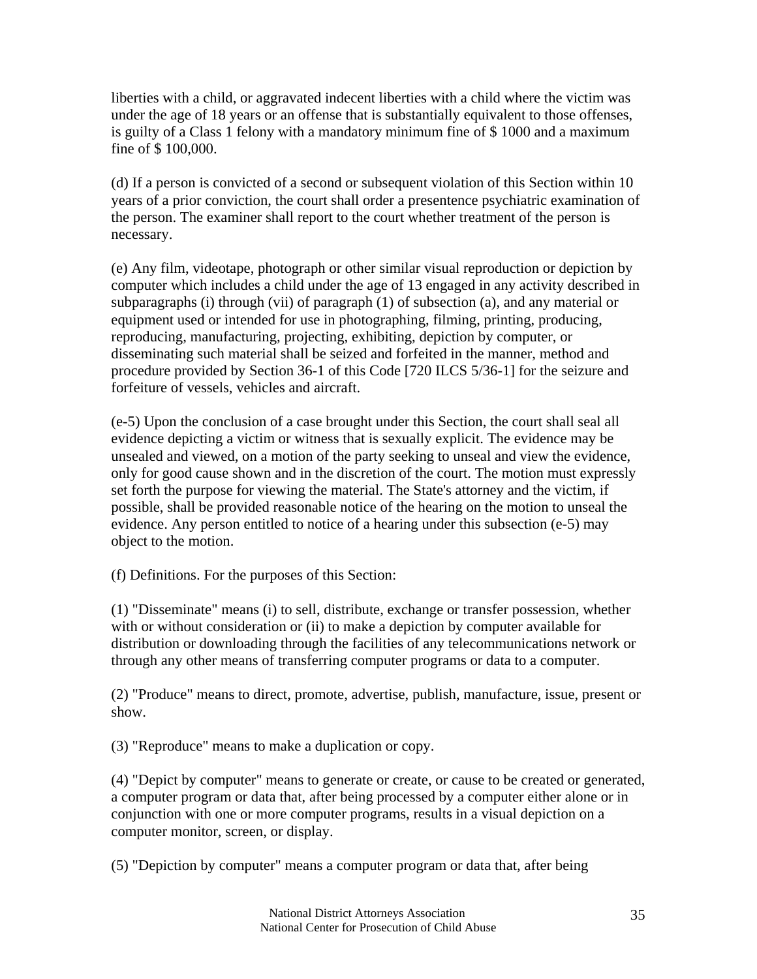liberties with a child, or aggravated indecent liberties with a child where the victim was under the age of 18 years or an offense that is substantially equivalent to those offenses, is guilty of a Class 1 felony with a mandatory minimum fine of \$ 1000 and a maximum fine of \$ 100,000.

(d) If a person is convicted of a second or subsequent violation of this Section within 10 years of a prior conviction, the court shall order a presentence psychiatric examination of the person. The examiner shall report to the court whether treatment of the person is necessary.

(e) Any film, videotape, photograph or other similar visual reproduction or depiction by computer which includes a child under the age of 13 engaged in any activity described in subparagraphs (i) through (vii) of paragraph (1) of subsection (a), and any material or equipment used or intended for use in photographing, filming, printing, producing, reproducing, manufacturing, projecting, exhibiting, depiction by computer, or disseminating such material shall be seized and forfeited in the manner, method and procedure provided by Section 36-1 of this Code [720 ILCS 5/36-1] for the seizure and forfeiture of vessels, vehicles and aircraft.

(e-5) Upon the conclusion of a case brought under this Section, the court shall seal all evidence depicting a victim or witness that is sexually explicit. The evidence may be unsealed and viewed, on a motion of the party seeking to unseal and view the evidence, only for good cause shown and in the discretion of the court. The motion must expressly set forth the purpose for viewing the material. The State's attorney and the victim, if possible, shall be provided reasonable notice of the hearing on the motion to unseal the evidence. Any person entitled to notice of a hearing under this subsection (e-5) may object to the motion.

(f) Definitions. For the purposes of this Section:

(1) "Disseminate" means (i) to sell, distribute, exchange or transfer possession, whether with or without consideration or (ii) to make a depiction by computer available for distribution or downloading through the facilities of any telecommunications network or through any other means of transferring computer programs or data to a computer.

(2) "Produce" means to direct, promote, advertise, publish, manufacture, issue, present or show.

(3) "Reproduce" means to make a duplication or copy.

(4) "Depict by computer" means to generate or create, or cause to be created or generated, a computer program or data that, after being processed by a computer either alone or in conjunction with one or more computer programs, results in a visual depiction on a computer monitor, screen, or display.

(5) "Depiction by computer" means a computer program or data that, after being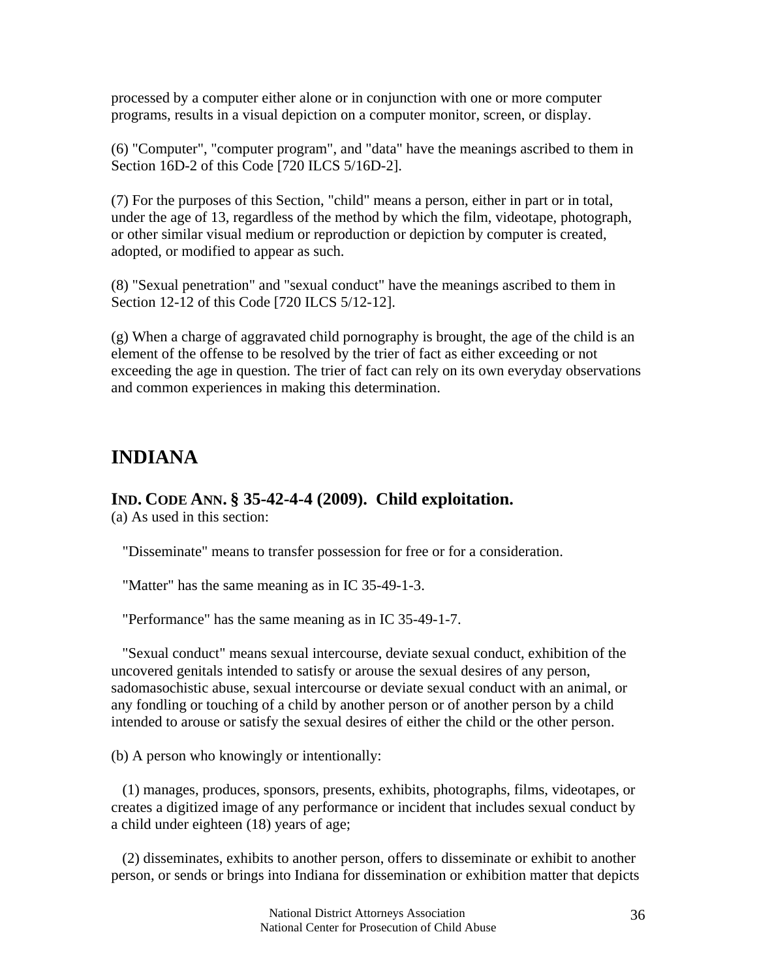processed by a computer either alone or in conjunction with one or more computer programs, results in a visual depiction on a computer monitor, screen, or display.

(6) "Computer", "computer program", and "data" have the meanings ascribed to them in Section 16D-2 of this Code [720 ILCS 5/16D-2].

(7) For the purposes of this Section, "child" means a person, either in part or in total, under the age of 13, regardless of the method by which the film, videotape, photograph, or other similar visual medium or reproduction or depiction by computer is created, adopted, or modified to appear as such.

(8) "Sexual penetration" and "sexual conduct" have the meanings ascribed to them in Section 12-12 of this Code [720 ILCS 5/12-12].

(g) When a charge of aggravated child pornography is brought, the age of the child is an element of the offense to be resolved by the trier of fact as either exceeding or not exceeding the age in question. The trier of fact can rely on its own everyday observations and common experiences in making this determination.

# **INDIANA**

## **IND. CODE ANN. § 35-42-4-4 (2009). Child exploitation.**

(a) As used in this section:

"Disseminate" means to transfer possession for free or for a consideration.

"Matter" has the same meaning as in IC 35-49-1-3.

"Performance" has the same meaning as in IC 35-49-1-7.

 "Sexual conduct" means sexual intercourse, deviate sexual conduct, exhibition of the uncovered genitals intended to satisfy or arouse the sexual desires of any person, sadomasochistic abuse, sexual intercourse or deviate sexual conduct with an animal, or any fondling or touching of a child by another person or of another person by a child intended to arouse or satisfy the sexual desires of either the child or the other person.

(b) A person who knowingly or intentionally:

 (1) manages, produces, sponsors, presents, exhibits, photographs, films, videotapes, or creates a digitized image of any performance or incident that includes sexual conduct by a child under eighteen (18) years of age;

 (2) disseminates, exhibits to another person, offers to disseminate or exhibit to another person, or sends or brings into Indiana for dissemination or exhibition matter that depicts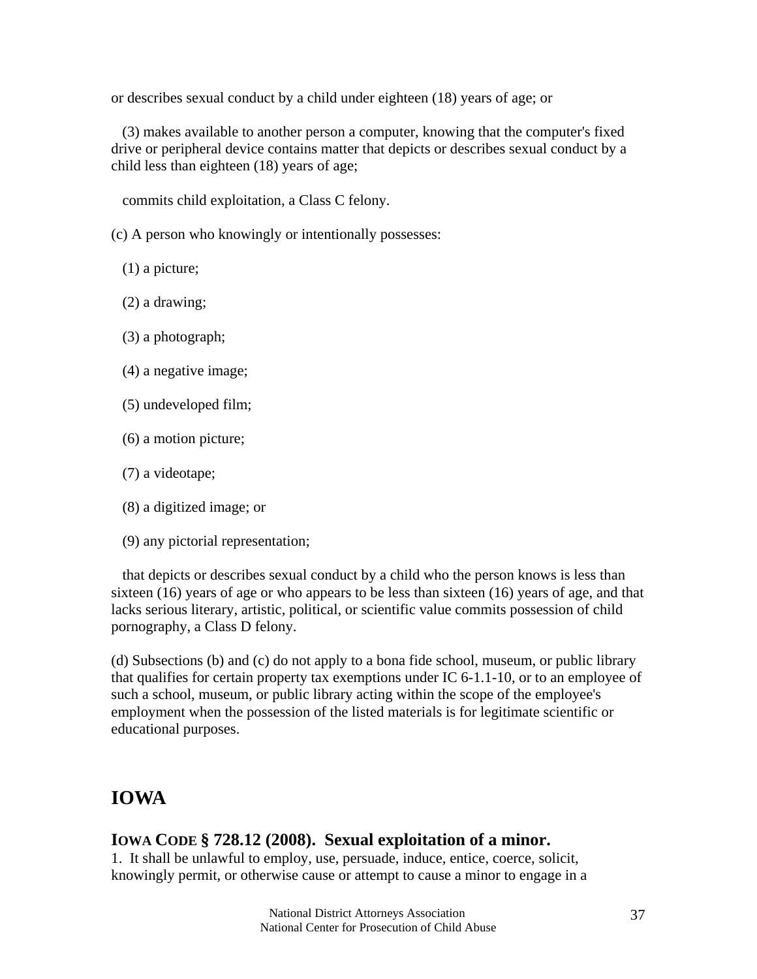or describes sexual conduct by a child under eighteen (18) years of age; or

 (3) makes available to another person a computer, knowing that the computer's fixed drive or peripheral device contains matter that depicts or describes sexual conduct by a child less than eighteen (18) years of age;

commits child exploitation, a Class C felony.

(c) A person who knowingly or intentionally possesses:

(1) a picture;

(2) a drawing;

(3) a photograph;

- (4) a negative image;
- (5) undeveloped film;
- (6) a motion picture;
- (7) a videotape;
- (8) a digitized image; or
- (9) any pictorial representation;

 that depicts or describes sexual conduct by a child who the person knows is less than sixteen (16) years of age or who appears to be less than sixteen (16) years of age, and that lacks serious literary, artistic, political, or scientific value commits possession of child pornography, a Class D felony.

(d) Subsections (b) and (c) do not apply to a bona fide school, museum, or public library that qualifies for certain property tax exemptions under IC 6-1.1-10, or to an employee of such a school, museum, or public library acting within the scope of the employee's employment when the possession of the listed materials is for legitimate scientific or educational purposes.

# **IOWA**

#### **IOWA CODE § 728.12 (2008). Sexual exploitation of a minor.**

1. It shall be unlawful to employ, use, persuade, induce, entice, coerce, solicit, knowingly permit, or otherwise cause or attempt to cause a minor to engage in a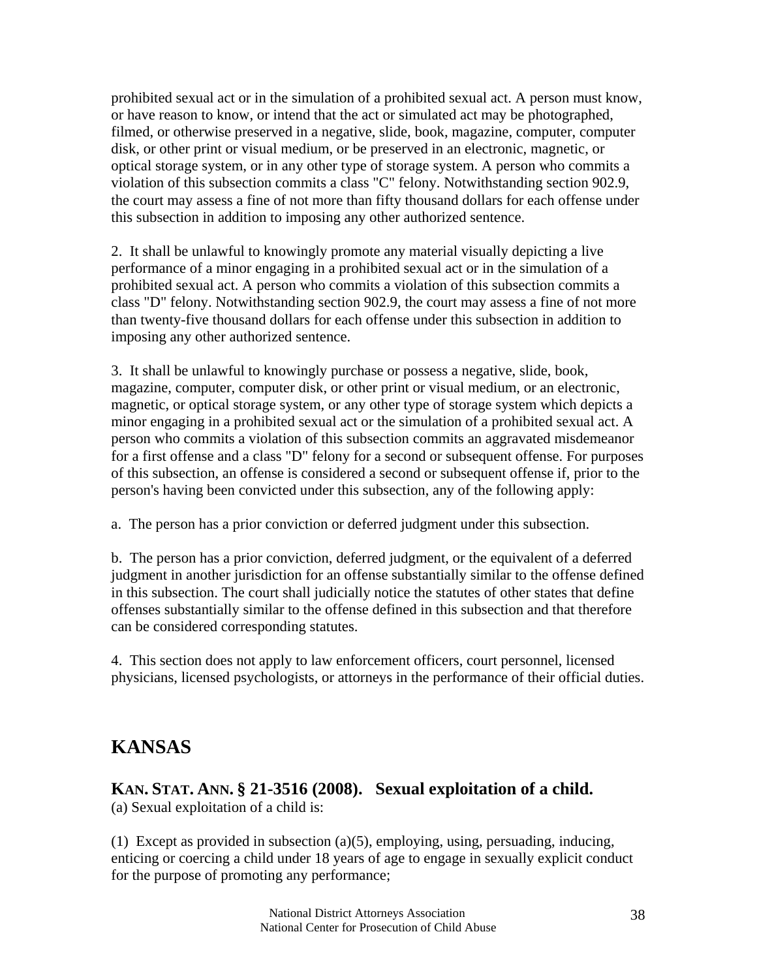prohibited sexual act or in the simulation of a prohibited sexual act. A person must know, or have reason to know, or intend that the act or simulated act may be photographed, filmed, or otherwise preserved in a negative, slide, book, magazine, computer, computer disk, or other print or visual medium, or be preserved in an electronic, magnetic, or optical storage system, or in any other type of storage system. A person who commits a violation of this subsection commits a class "C" felony. Notwithstanding section 902.9, the court may assess a fine of not more than fifty thousand dollars for each offense under this subsection in addition to imposing any other authorized sentence.

2. It shall be unlawful to knowingly promote any material visually depicting a live performance of a minor engaging in a prohibited sexual act or in the simulation of a prohibited sexual act. A person who commits a violation of this subsection commits a class "D" felony. Notwithstanding section 902.9, the court may assess a fine of not more than twenty-five thousand dollars for each offense under this subsection in addition to imposing any other authorized sentence.

3. It shall be unlawful to knowingly purchase or possess a negative, slide, book, magazine, computer, computer disk, or other print or visual medium, or an electronic, magnetic, or optical storage system, or any other type of storage system which depicts a minor engaging in a prohibited sexual act or the simulation of a prohibited sexual act. A person who commits a violation of this subsection commits an aggravated misdemeanor for a first offense and a class "D" felony for a second or subsequent offense. For purposes of this subsection, an offense is considered a second or subsequent offense if, prior to the person's having been convicted under this subsection, any of the following apply:

a. The person has a prior conviction or deferred judgment under this subsection.

b. The person has a prior conviction, deferred judgment, or the equivalent of a deferred judgment in another jurisdiction for an offense substantially similar to the offense defined in this subsection. The court shall judicially notice the statutes of other states that define offenses substantially similar to the offense defined in this subsection and that therefore can be considered corresponding statutes.

4. This section does not apply to law enforcement officers, court personnel, licensed physicians, licensed psychologists, or attorneys in the performance of their official duties.

# **KANSAS**

#### **KAN. STAT. ANN. § 21-3516 (2008). Sexual exploitation of a child.** (a) Sexual exploitation of a child is:

(1) Except as provided in subsection (a)(5), employing, using, persuading, inducing, enticing or coercing a child under 18 years of age to engage in sexually explicit conduct for the purpose of promoting any performance;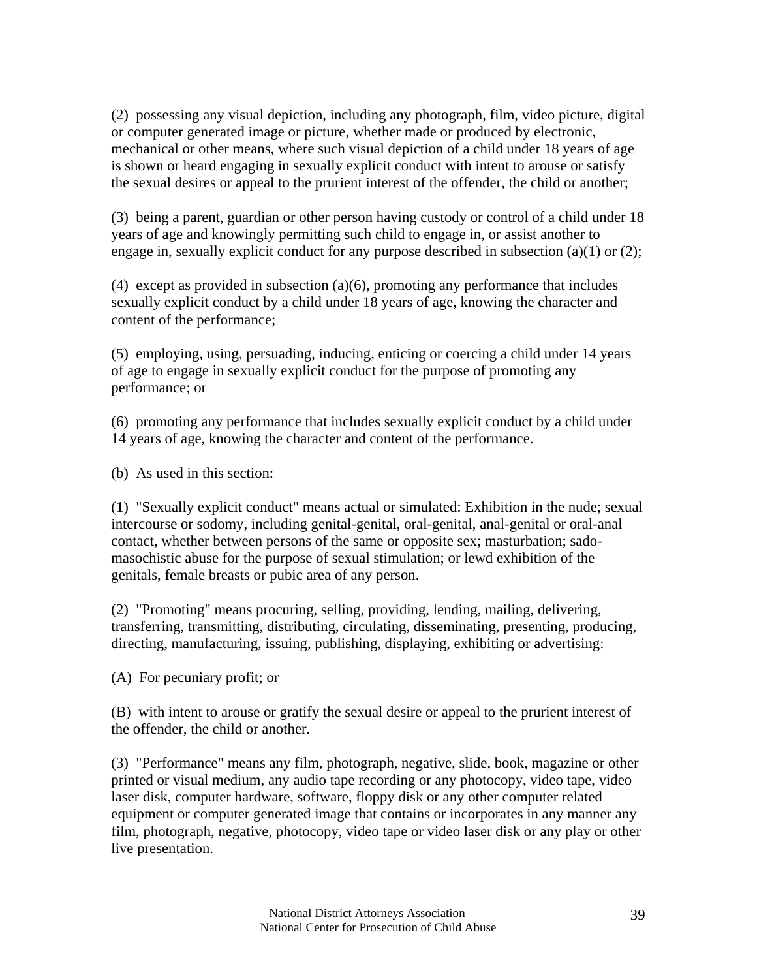(2) possessing any visual depiction, including any photograph, film, video picture, digital or computer generated image or picture, whether made or produced by electronic, mechanical or other means, where such visual depiction of a child under 18 years of age is shown or heard engaging in sexually explicit conduct with intent to arouse or satisfy the sexual desires or appeal to the prurient interest of the offender, the child or another;

(3) being a parent, guardian or other person having custody or control of a child under 18 years of age and knowingly permitting such child to engage in, or assist another to engage in, sexually explicit conduct for any purpose described in subsection (a)(1) or (2);

(4) except as provided in subsection (a)(6), promoting any performance that includes sexually explicit conduct by a child under 18 years of age, knowing the character and content of the performance;

(5) employing, using, persuading, inducing, enticing or coercing a child under 14 years of age to engage in sexually explicit conduct for the purpose of promoting any performance; or

(6) promoting any performance that includes sexually explicit conduct by a child under 14 years of age, knowing the character and content of the performance.

(b) As used in this section:

(1) "Sexually explicit conduct" means actual or simulated: Exhibition in the nude; sexual intercourse or sodomy, including genital-genital, oral-genital, anal-genital or oral-anal contact, whether between persons of the same or opposite sex; masturbation; sadomasochistic abuse for the purpose of sexual stimulation; or lewd exhibition of the genitals, female breasts or pubic area of any person.

(2) "Promoting" means procuring, selling, providing, lending, mailing, delivering, transferring, transmitting, distributing, circulating, disseminating, presenting, producing, directing, manufacturing, issuing, publishing, displaying, exhibiting or advertising:

(A) For pecuniary profit; or

(B) with intent to arouse or gratify the sexual desire or appeal to the prurient interest of the offender, the child or another.

(3) "Performance" means any film, photograph, negative, slide, book, magazine or other printed or visual medium, any audio tape recording or any photocopy, video tape, video laser disk, computer hardware, software, floppy disk or any other computer related equipment or computer generated image that contains or incorporates in any manner any film, photograph, negative, photocopy, video tape or video laser disk or any play or other live presentation.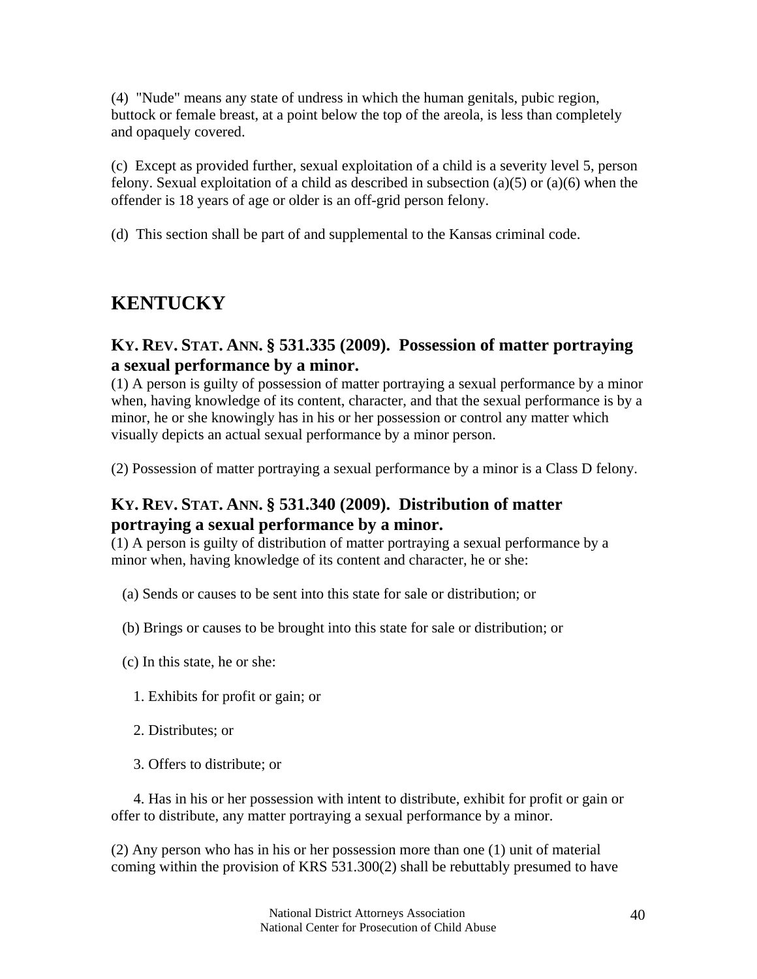(4) "Nude" means any state of undress in which the human genitals, pubic region, buttock or female breast, at a point below the top of the areola, is less than completely and opaquely covered.

(c) Except as provided further, sexual exploitation of a child is a severity level 5, person felony. Sexual exploitation of a child as described in subsection (a)(5) or (a)(6) when the offender is 18 years of age or older is an off-grid person felony.

(d) This section shall be part of and supplemental to the Kansas criminal code.

# **KENTUCKY**

## **KY. REV. STAT. ANN. § 531.335 (2009). Possession of matter portraying a sexual performance by a minor.**

(1) A person is guilty of possession of matter portraying a sexual performance by a minor when, having knowledge of its content, character, and that the sexual performance is by a minor, he or she knowingly has in his or her possession or control any matter which visually depicts an actual sexual performance by a minor person.

(2) Possession of matter portraying a sexual performance by a minor is a Class D felony.

# **KY. REV. STAT. ANN. § 531.340 (2009). Distribution of matter portraying a sexual performance by a minor.**

(1) A person is guilty of distribution of matter portraying a sexual performance by a minor when, having knowledge of its content and character, he or she:

- (a) Sends or causes to be sent into this state for sale or distribution; or
- (b) Brings or causes to be brought into this state for sale or distribution; or
- (c) In this state, he or she:
	- 1. Exhibits for profit or gain; or
	- 2. Distributes; or
	- 3. Offers to distribute; or

 4. Has in his or her possession with intent to distribute, exhibit for profit or gain or offer to distribute, any matter portraying a sexual performance by a minor.

(2) Any person who has in his or her possession more than one (1) unit of material coming within the provision of KRS 531.300(2) shall be rebuttably presumed to have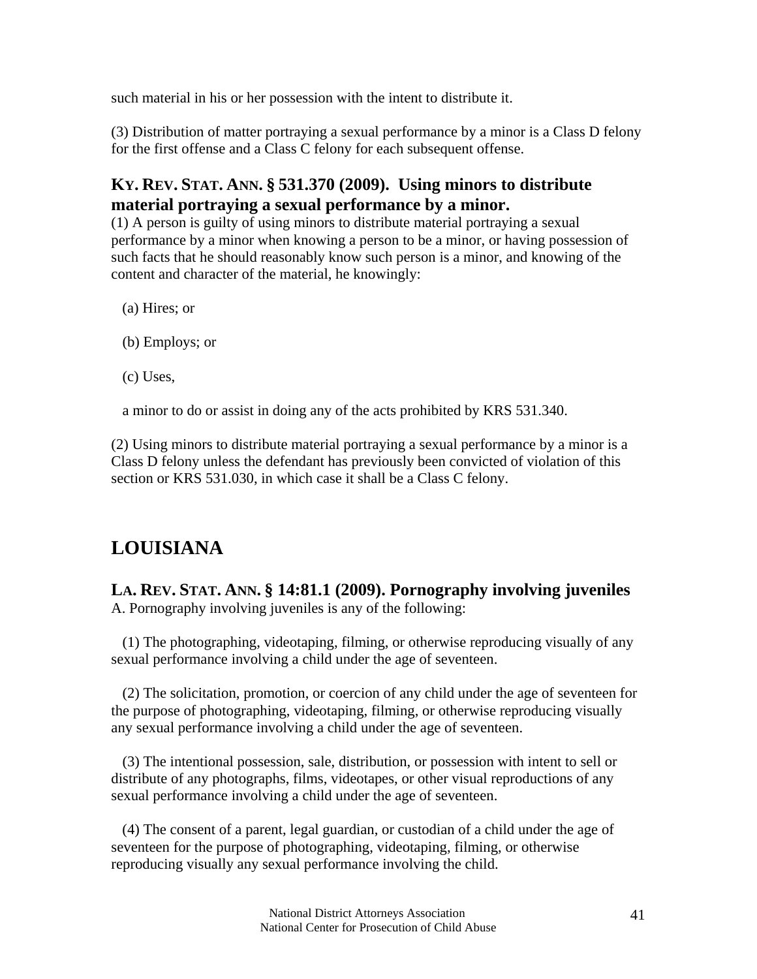such material in his or her possession with the intent to distribute it.

(3) Distribution of matter portraying a sexual performance by a minor is a Class D felony for the first offense and a Class C felony for each subsequent offense.

## **KY. REV. STAT. ANN. § 531.370 (2009). Using minors to distribute material portraying a sexual performance by a minor.**

(1) A person is guilty of using minors to distribute material portraying a sexual performance by a minor when knowing a person to be a minor, or having possession of such facts that he should reasonably know such person is a minor, and knowing of the content and character of the material, he knowingly:

- (a) Hires; or
- (b) Employs; or
- (c) Uses,

a minor to do or assist in doing any of the acts prohibited by KRS 531.340.

(2) Using minors to distribute material portraying a sexual performance by a minor is a Class D felony unless the defendant has previously been convicted of violation of this section or KRS 531.030, in which case it shall be a Class C felony.

# **LOUISIANA**

**LA. REV. STAT. ANN. § 14:81.1 (2009). Pornography involving juveniles**  A. Pornography involving juveniles is any of the following:

 (1) The photographing, videotaping, filming, or otherwise reproducing visually of any sexual performance involving a child under the age of seventeen.

 (2) The solicitation, promotion, or coercion of any child under the age of seventeen for the purpose of photographing, videotaping, filming, or otherwise reproducing visually any sexual performance involving a child under the age of seventeen.

 (3) The intentional possession, sale, distribution, or possession with intent to sell or distribute of any photographs, films, videotapes, or other visual reproductions of any sexual performance involving a child under the age of seventeen.

 (4) The consent of a parent, legal guardian, or custodian of a child under the age of seventeen for the purpose of photographing, videotaping, filming, or otherwise reproducing visually any sexual performance involving the child.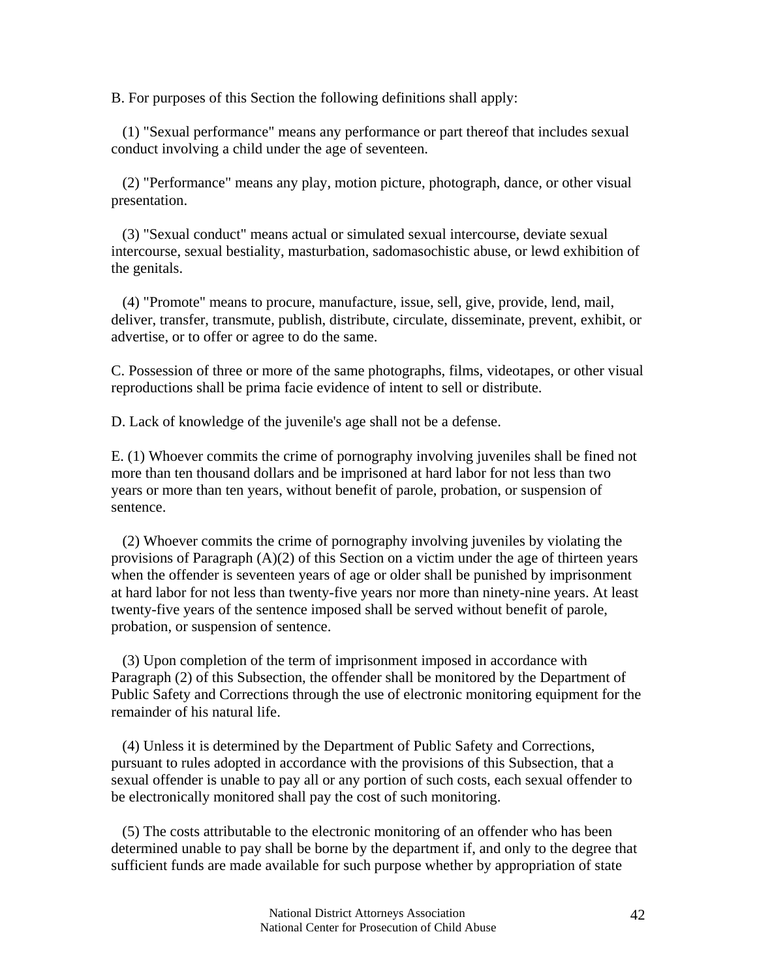B. For purposes of this Section the following definitions shall apply:

 (1) "Sexual performance" means any performance or part thereof that includes sexual conduct involving a child under the age of seventeen.

 (2) "Performance" means any play, motion picture, photograph, dance, or other visual presentation.

 (3) "Sexual conduct" means actual or simulated sexual intercourse, deviate sexual intercourse, sexual bestiality, masturbation, sadomasochistic abuse, or lewd exhibition of the genitals.

 (4) "Promote" means to procure, manufacture, issue, sell, give, provide, lend, mail, deliver, transfer, transmute, publish, distribute, circulate, disseminate, prevent, exhibit, or advertise, or to offer or agree to do the same.

C. Possession of three or more of the same photographs, films, videotapes, or other visual reproductions shall be prima facie evidence of intent to sell or distribute.

D. Lack of knowledge of the juvenile's age shall not be a defense.

E. (1) Whoever commits the crime of pornography involving juveniles shall be fined not more than ten thousand dollars and be imprisoned at hard labor for not less than two years or more than ten years, without benefit of parole, probation, or suspension of sentence.

 (2) Whoever commits the crime of pornography involving juveniles by violating the provisions of Paragraph (A)(2) of this Section on a victim under the age of thirteen years when the offender is seventeen years of age or older shall be punished by imprisonment at hard labor for not less than twenty-five years nor more than ninety-nine years. At least twenty-five years of the sentence imposed shall be served without benefit of parole, probation, or suspension of sentence.

 (3) Upon completion of the term of imprisonment imposed in accordance with Paragraph (2) of this Subsection, the offender shall be monitored by the Department of Public Safety and Corrections through the use of electronic monitoring equipment for the remainder of his natural life.

 (4) Unless it is determined by the Department of Public Safety and Corrections, pursuant to rules adopted in accordance with the provisions of this Subsection, that a sexual offender is unable to pay all or any portion of such costs, each sexual offender to be electronically monitored shall pay the cost of such monitoring.

 (5) The costs attributable to the electronic monitoring of an offender who has been determined unable to pay shall be borne by the department if, and only to the degree that sufficient funds are made available for such purpose whether by appropriation of state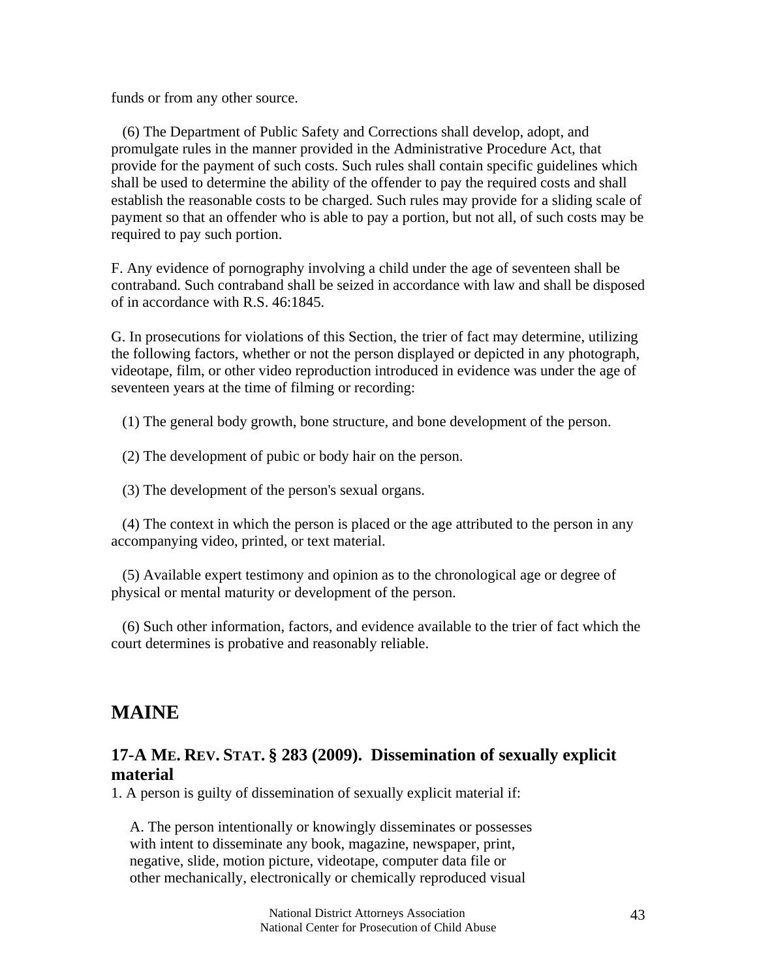funds or from any other source.

 (6) The Department of Public Safety and Corrections shall develop, adopt, and promulgate rules in the manner provided in the Administrative Procedure Act, that provide for the payment of such costs. Such rules shall contain specific guidelines which shall be used to determine the ability of the offender to pay the required costs and shall establish the reasonable costs to be charged. Such rules may provide for a sliding scale of payment so that an offender who is able to pay a portion, but not all, of such costs may be required to pay such portion.

F. Any evidence of pornography involving a child under the age of seventeen shall be contraband. Such contraband shall be seized in accordance with law and shall be disposed of in accordance with R.S. 46:1845.

G. In prosecutions for violations of this Section, the trier of fact may determine, utilizing the following factors, whether or not the person displayed or depicted in any photograph, videotape, film, or other video reproduction introduced in evidence was under the age of seventeen years at the time of filming or recording:

(1) The general body growth, bone structure, and bone development of the person.

(2) The development of pubic or body hair on the person.

(3) The development of the person's sexual organs.

 (4) The context in which the person is placed or the age attributed to the person in any accompanying video, printed, or text material.

 (5) Available expert testimony and opinion as to the chronological age or degree of physical or mental maturity or development of the person.

 (6) Such other information, factors, and evidence available to the trier of fact which the court determines is probative and reasonably reliable.

# **MAINE**

### **17-A ME. REV. STAT. § 283 (2009). Dissemination of sexually explicit material**

1. A person is guilty of dissemination of sexually explicit material if:

 A. The person intentionally or knowingly disseminates or possesses with intent to disseminate any book, magazine, newspaper, print, negative, slide, motion picture, videotape, computer data file or other mechanically, electronically or chemically reproduced visual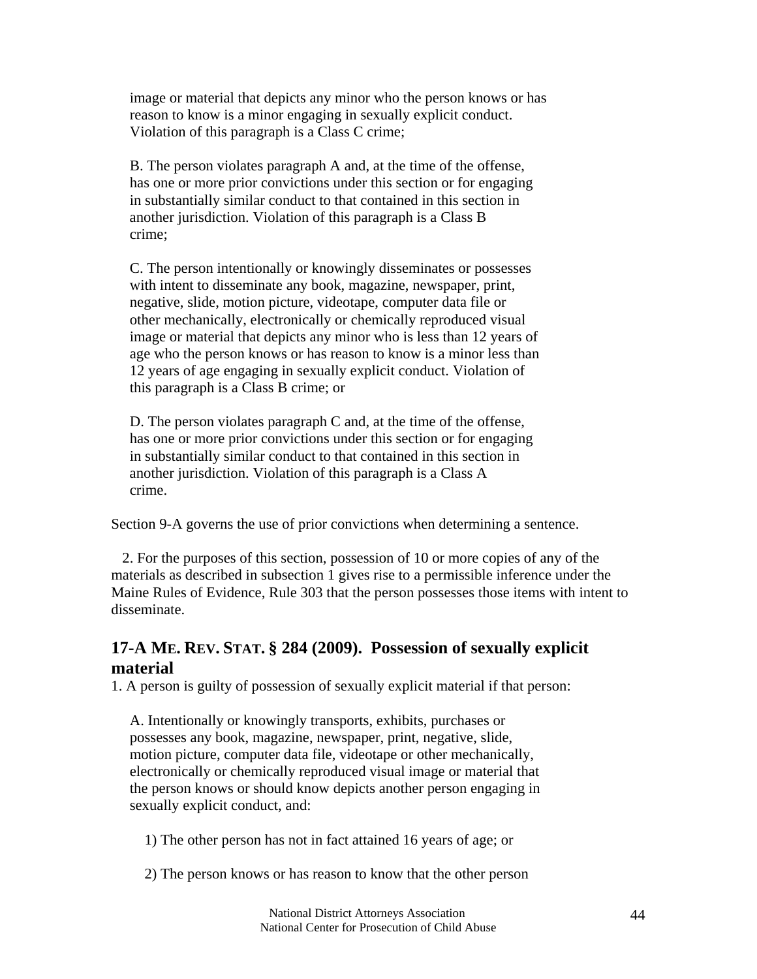image or material that depicts any minor who the person knows or has reason to know is a minor engaging in sexually explicit conduct. Violation of this paragraph is a Class C crime;

 B. The person violates paragraph A and, at the time of the offense, has one or more prior convictions under this section or for engaging in substantially similar conduct to that contained in this section in another jurisdiction. Violation of this paragraph is a Class B crime;

 C. The person intentionally or knowingly disseminates or possesses with intent to disseminate any book, magazine, newspaper, print, negative, slide, motion picture, videotape, computer data file or other mechanically, electronically or chemically reproduced visual image or material that depicts any minor who is less than 12 years of age who the person knows or has reason to know is a minor less than 12 years of age engaging in sexually explicit conduct. Violation of this paragraph is a Class B crime; or

 D. The person violates paragraph C and, at the time of the offense, has one or more prior convictions under this section or for engaging in substantially similar conduct to that contained in this section in another jurisdiction. Violation of this paragraph is a Class A crime.

Section 9-A governs the use of prior convictions when determining a sentence.

 2. For the purposes of this section, possession of 10 or more copies of any of the materials as described in subsection 1 gives rise to a permissible inference under the Maine Rules of Evidence, Rule 303 that the person possesses those items with intent to disseminate.

# **17-A ME. REV. STAT. § 284 (2009). Possession of sexually explicit material**

1. A person is guilty of possession of sexually explicit material if that person:

 A. Intentionally or knowingly transports, exhibits, purchases or possesses any book, magazine, newspaper, print, negative, slide, motion picture, computer data file, videotape or other mechanically, electronically or chemically reproduced visual image or material that the person knows or should know depicts another person engaging in sexually explicit conduct, and:

1) The other person has not in fact attained 16 years of age; or

2) The person knows or has reason to know that the other person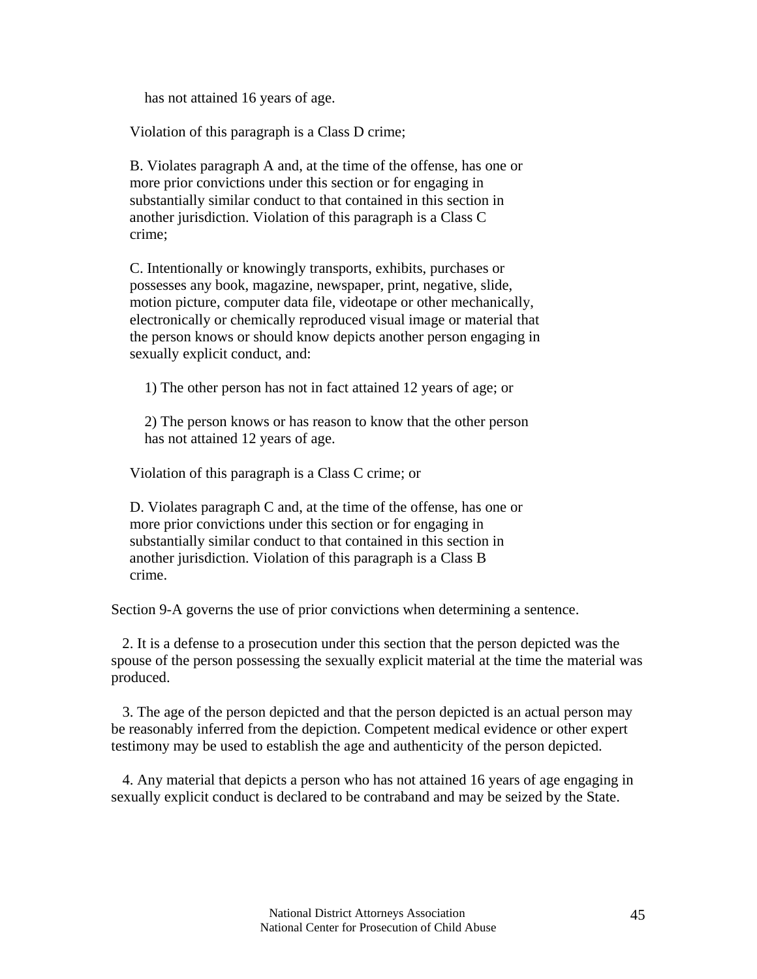has not attained 16 years of age.

Violation of this paragraph is a Class D crime;

 B. Violates paragraph A and, at the time of the offense, has one or more prior convictions under this section or for engaging in substantially similar conduct to that contained in this section in another jurisdiction. Violation of this paragraph is a Class C crime;

 C. Intentionally or knowingly transports, exhibits, purchases or possesses any book, magazine, newspaper, print, negative, slide, motion picture, computer data file, videotape or other mechanically, electronically or chemically reproduced visual image or material that the person knows or should know depicts another person engaging in sexually explicit conduct, and:

1) The other person has not in fact attained 12 years of age; or

 2) The person knows or has reason to know that the other person has not attained 12 years of age.

Violation of this paragraph is a Class C crime; or

 D. Violates paragraph C and, at the time of the offense, has one or more prior convictions under this section or for engaging in substantially similar conduct to that contained in this section in another jurisdiction. Violation of this paragraph is a Class B crime.

Section 9-A governs the use of prior convictions when determining a sentence.

 2. It is a defense to a prosecution under this section that the person depicted was the spouse of the person possessing the sexually explicit material at the time the material was produced.

 3. The age of the person depicted and that the person depicted is an actual person may be reasonably inferred from the depiction. Competent medical evidence or other expert testimony may be used to establish the age and authenticity of the person depicted.

 4. Any material that depicts a person who has not attained 16 years of age engaging in sexually explicit conduct is declared to be contraband and may be seized by the State.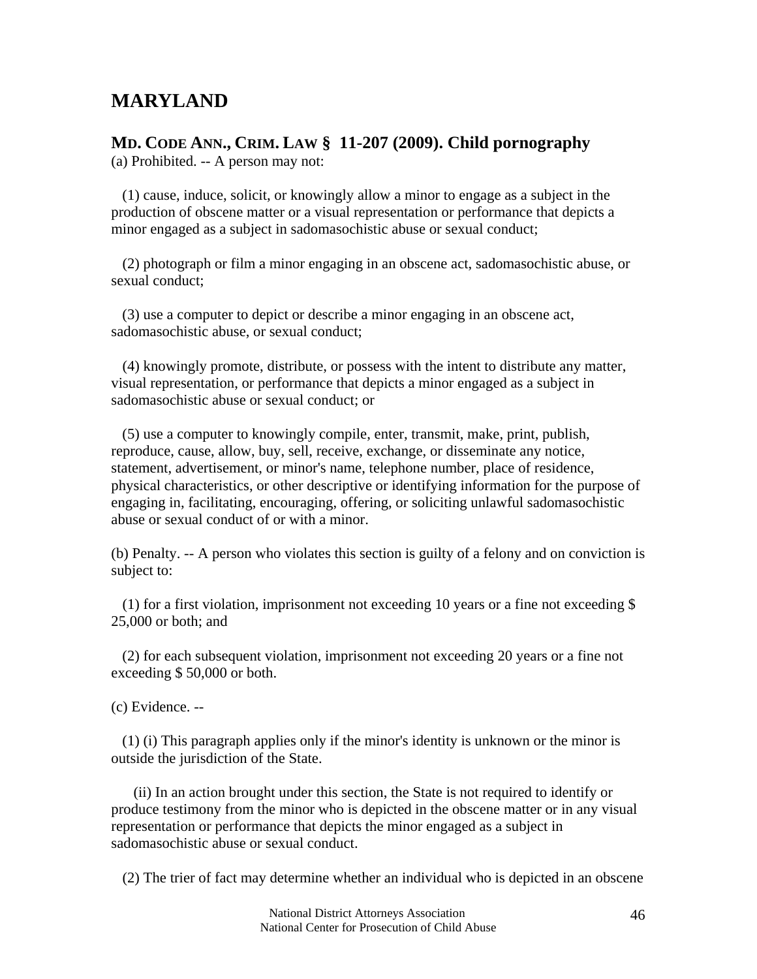# **MARYLAND**

#### **MD. CODE ANN., CRIM. LAW § 11-207 (2009). Child pornography**  (a) Prohibited. -- A person may not:

 (1) cause, induce, solicit, or knowingly allow a minor to engage as a subject in the production of obscene matter or a visual representation or performance that depicts a minor engaged as a subject in sadomasochistic abuse or sexual conduct;

 (2) photograph or film a minor engaging in an obscene act, sadomasochistic abuse, or sexual conduct;

 (3) use a computer to depict or describe a minor engaging in an obscene act, sadomasochistic abuse, or sexual conduct;

 (4) knowingly promote, distribute, or possess with the intent to distribute any matter, visual representation, or performance that depicts a minor engaged as a subject in sadomasochistic abuse or sexual conduct; or

 (5) use a computer to knowingly compile, enter, transmit, make, print, publish, reproduce, cause, allow, buy, sell, receive, exchange, or disseminate any notice, statement, advertisement, or minor's name, telephone number, place of residence, physical characteristics, or other descriptive or identifying information for the purpose of engaging in, facilitating, encouraging, offering, or soliciting unlawful sadomasochistic abuse or sexual conduct of or with a minor.

(b) Penalty. -- A person who violates this section is guilty of a felony and on conviction is subject to:

 (1) for a first violation, imprisonment not exceeding 10 years or a fine not exceeding \$ 25,000 or both; and

 (2) for each subsequent violation, imprisonment not exceeding 20 years or a fine not exceeding \$ 50,000 or both.

(c) Evidence. --

 (1) (i) This paragraph applies only if the minor's identity is unknown or the minor is outside the jurisdiction of the State.

 (ii) In an action brought under this section, the State is not required to identify or produce testimony from the minor who is depicted in the obscene matter or in any visual representation or performance that depicts the minor engaged as a subject in sadomasochistic abuse or sexual conduct.

(2) The trier of fact may determine whether an individual who is depicted in an obscene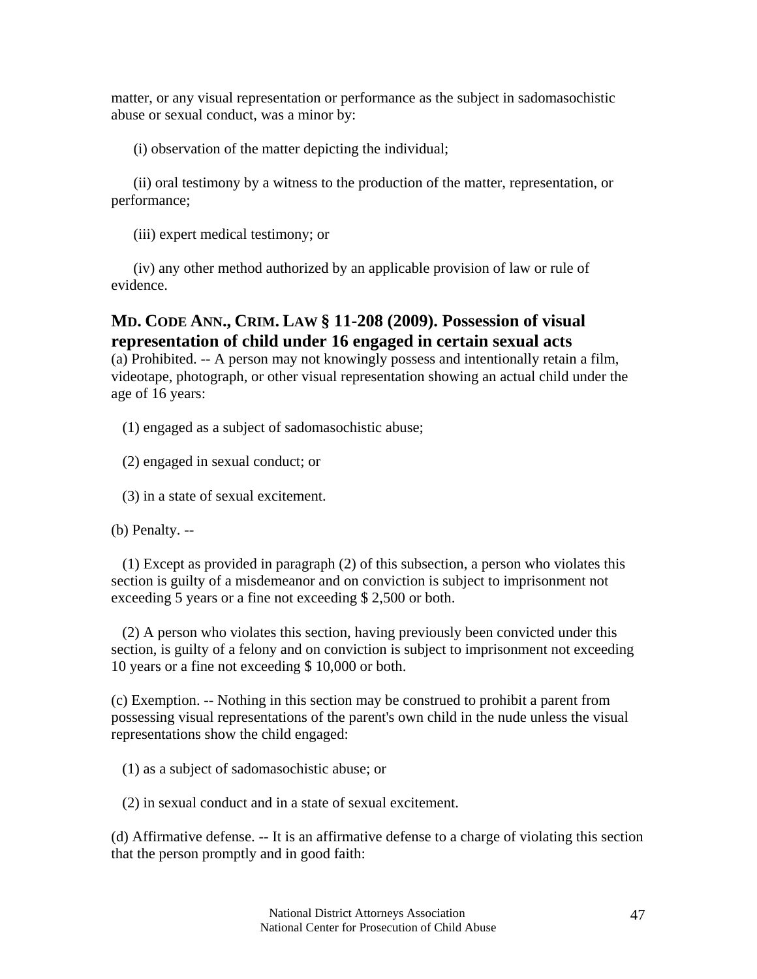matter, or any visual representation or performance as the subject in sadomasochistic abuse or sexual conduct, was a minor by:

(i) observation of the matter depicting the individual;

 (ii) oral testimony by a witness to the production of the matter, representation, or performance;

(iii) expert medical testimony; or

 (iv) any other method authorized by an applicable provision of law or rule of evidence.

## **MD. CODE ANN., CRIM. LAW § 11-208 (2009). Possession of visual representation of child under 16 engaged in certain sexual acts**

(a) Prohibited. -- A person may not knowingly possess and intentionally retain a film, videotape, photograph, or other visual representation showing an actual child under the age of 16 years:

(1) engaged as a subject of sadomasochistic abuse;

(2) engaged in sexual conduct; or

(3) in a state of sexual excitement.

(b) Penalty. --

 (1) Except as provided in paragraph (2) of this subsection, a person who violates this section is guilty of a misdemeanor and on conviction is subject to imprisonment not exceeding 5 years or a fine not exceeding \$ 2,500 or both.

 (2) A person who violates this section, having previously been convicted under this section, is guilty of a felony and on conviction is subject to imprisonment not exceeding 10 years or a fine not exceeding \$ 10,000 or both.

(c) Exemption. -- Nothing in this section may be construed to prohibit a parent from possessing visual representations of the parent's own child in the nude unless the visual representations show the child engaged:

(1) as a subject of sadomasochistic abuse; or

(2) in sexual conduct and in a state of sexual excitement.

(d) Affirmative defense. -- It is an affirmative defense to a charge of violating this section that the person promptly and in good faith: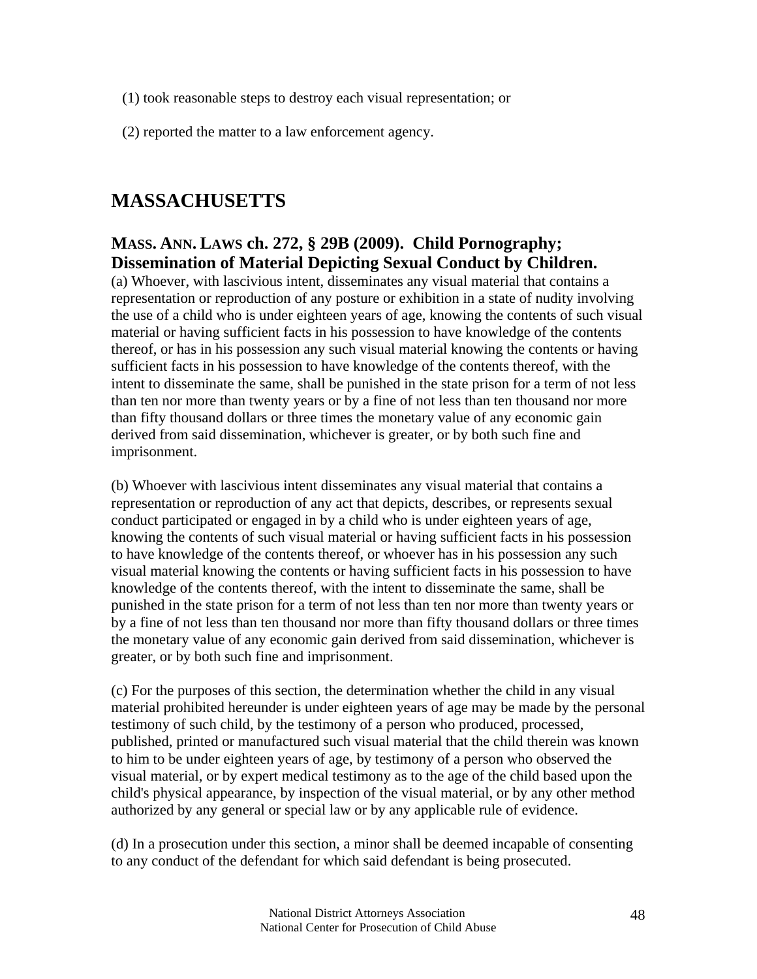- (1) took reasonable steps to destroy each visual representation; or
- (2) reported the matter to a law enforcement agency.

# **MASSACHUSETTS**

# **MASS. ANN. LAWS ch. 272, § 29B (2009). Child Pornography; Dissemination of Material Depicting Sexual Conduct by Children.**

(a) Whoever, with lascivious intent, disseminates any visual material that contains a representation or reproduction of any posture or exhibition in a state of nudity involving the use of a child who is under eighteen years of age, knowing the contents of such visual material or having sufficient facts in his possession to have knowledge of the contents thereof, or has in his possession any such visual material knowing the contents or having sufficient facts in his possession to have knowledge of the contents thereof, with the intent to disseminate the same, shall be punished in the state prison for a term of not less than ten nor more than twenty years or by a fine of not less than ten thousand nor more than fifty thousand dollars or three times the monetary value of any economic gain derived from said dissemination, whichever is greater, or by both such fine and imprisonment.

(b) Whoever with lascivious intent disseminates any visual material that contains a representation or reproduction of any act that depicts, describes, or represents sexual conduct participated or engaged in by a child who is under eighteen years of age, knowing the contents of such visual material or having sufficient facts in his possession to have knowledge of the contents thereof, or whoever has in his possession any such visual material knowing the contents or having sufficient facts in his possession to have knowledge of the contents thereof, with the intent to disseminate the same, shall be punished in the state prison for a term of not less than ten nor more than twenty years or by a fine of not less than ten thousand nor more than fifty thousand dollars or three times the monetary value of any economic gain derived from said dissemination, whichever is greater, or by both such fine and imprisonment.

(c) For the purposes of this section, the determination whether the child in any visual material prohibited hereunder is under eighteen years of age may be made by the personal testimony of such child, by the testimony of a person who produced, processed, published, printed or manufactured such visual material that the child therein was known to him to be under eighteen years of age, by testimony of a person who observed the visual material, or by expert medical testimony as to the age of the child based upon the child's physical appearance, by inspection of the visual material, or by any other method authorized by any general or special law or by any applicable rule of evidence.

(d) In a prosecution under this section, a minor shall be deemed incapable of consenting to any conduct of the defendant for which said defendant is being prosecuted.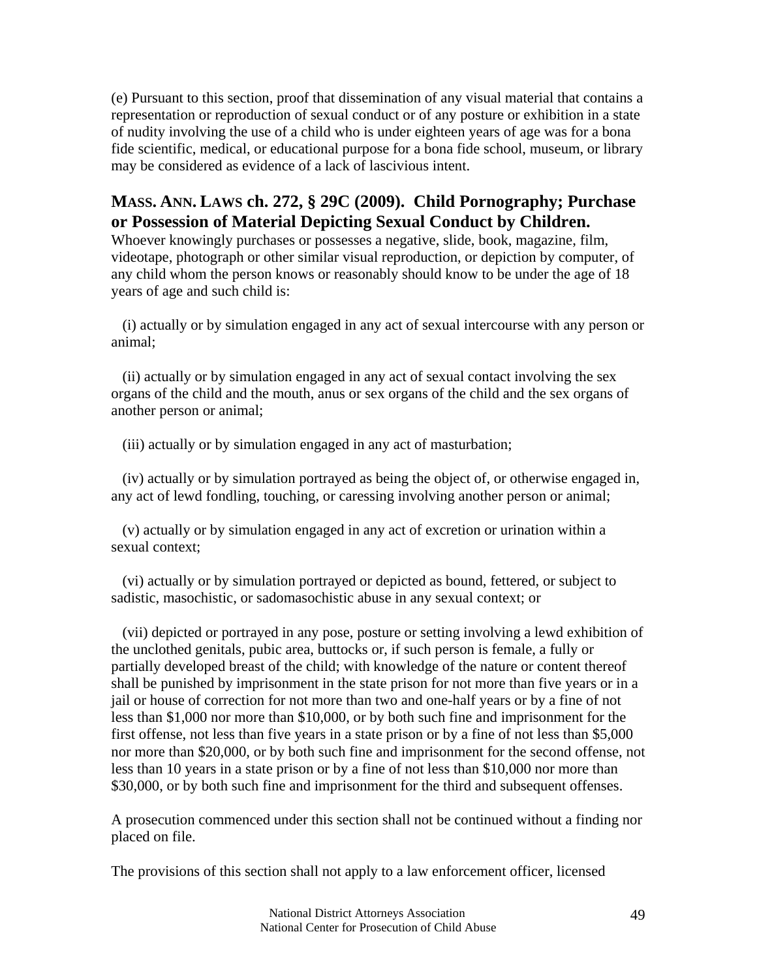(e) Pursuant to this section, proof that dissemination of any visual material that contains a representation or reproduction of sexual conduct or of any posture or exhibition in a state of nudity involving the use of a child who is under eighteen years of age was for a bona fide scientific, medical, or educational purpose for a bona fide school, museum, or library may be considered as evidence of a lack of lascivious intent.

### **MASS. ANN. LAWS ch. 272, § 29C (2009). Child Pornography; Purchase or Possession of Material Depicting Sexual Conduct by Children.**

Whoever knowingly purchases or possesses a negative, slide, book, magazine, film, videotape, photograph or other similar visual reproduction, or depiction by computer, of any child whom the person knows or reasonably should know to be under the age of 18 years of age and such child is:

 (i) actually or by simulation engaged in any act of sexual intercourse with any person or animal;

 (ii) actually or by simulation engaged in any act of sexual contact involving the sex organs of the child and the mouth, anus or sex organs of the child and the sex organs of another person or animal;

(iii) actually or by simulation engaged in any act of masturbation;

 (iv) actually or by simulation portrayed as being the object of, or otherwise engaged in, any act of lewd fondling, touching, or caressing involving another person or animal;

 (v) actually or by simulation engaged in any act of excretion or urination within a sexual context;

 (vi) actually or by simulation portrayed or depicted as bound, fettered, or subject to sadistic, masochistic, or sadomasochistic abuse in any sexual context; or

 (vii) depicted or portrayed in any pose, posture or setting involving a lewd exhibition of the unclothed genitals, pubic area, buttocks or, if such person is female, a fully or partially developed breast of the child; with knowledge of the nature or content thereof shall be punished by imprisonment in the state prison for not more than five years or in a jail or house of correction for not more than two and one-half years or by a fine of not less than \$1,000 nor more than \$10,000, or by both such fine and imprisonment for the first offense, not less than five years in a state prison or by a fine of not less than \$5,000 nor more than \$20,000, or by both such fine and imprisonment for the second offense, not less than 10 years in a state prison or by a fine of not less than \$10,000 nor more than \$30,000, or by both such fine and imprisonment for the third and subsequent offenses.

A prosecution commenced under this section shall not be continued without a finding nor placed on file.

The provisions of this section shall not apply to a law enforcement officer, licensed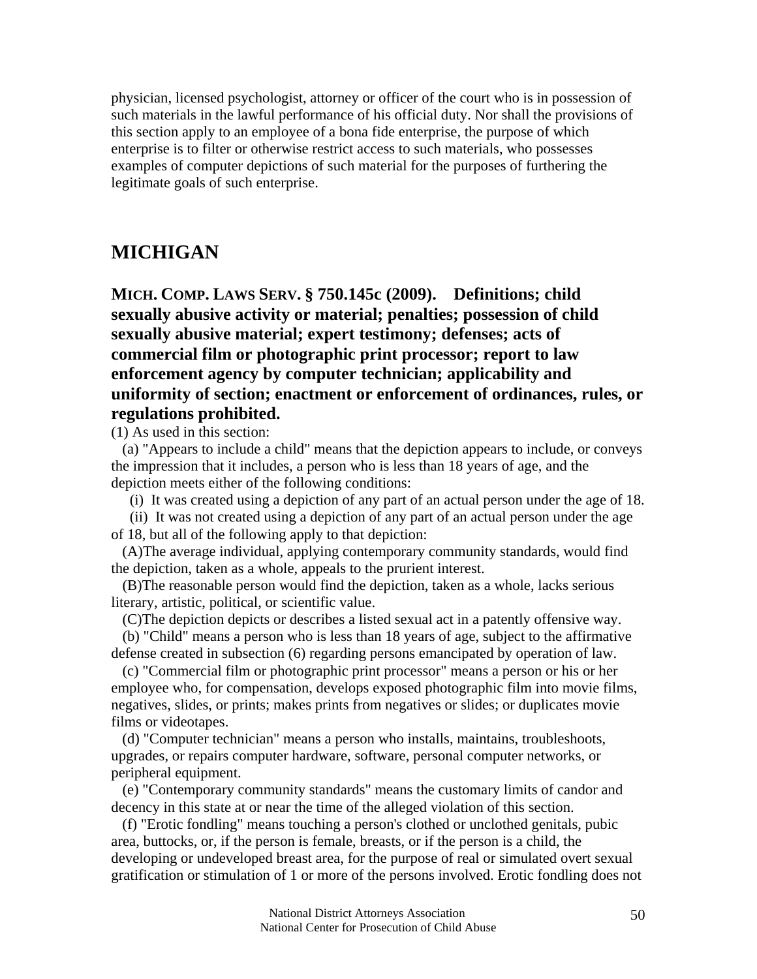physician, licensed psychologist, attorney or officer of the court who is in possession of such materials in the lawful performance of his official duty. Nor shall the provisions of this section apply to an employee of a bona fide enterprise, the purpose of which enterprise is to filter or otherwise restrict access to such materials, who possesses examples of computer depictions of such material for the purposes of furthering the legitimate goals of such enterprise.

# **MICHIGAN**

**MICH. COMP. LAWS SERV. § 750.145c (2009). Definitions; child sexually abusive activity or material; penalties; possession of child sexually abusive material; expert testimony; defenses; acts of commercial film or photographic print processor; report to law enforcement agency by computer technician; applicability and uniformity of section; enactment or enforcement of ordinances, rules, or regulations prohibited.**

(1) As used in this section:

 (a) "Appears to include a child" means that the depiction appears to include, or conveys the impression that it includes, a person who is less than 18 years of age, and the depiction meets either of the following conditions:

(i) It was created using a depiction of any part of an actual person under the age of 18.

 (ii) It was not created using a depiction of any part of an actual person under the age of 18, but all of the following apply to that depiction:

 (A)The average individual, applying contemporary community standards, would find the depiction, taken as a whole, appeals to the prurient interest.

 (B)The reasonable person would find the depiction, taken as a whole, lacks serious literary, artistic, political, or scientific value.

(C)The depiction depicts or describes a listed sexual act in a patently offensive way.

 (b) "Child" means a person who is less than 18 years of age, subject to the affirmative defense created in subsection (6) regarding persons emancipated by operation of law.

 (c) "Commercial film or photographic print processor" means a person or his or her employee who, for compensation, develops exposed photographic film into movie films, negatives, slides, or prints; makes prints from negatives or slides; or duplicates movie films or videotapes.

 (d) "Computer technician" means a person who installs, maintains, troubleshoots, upgrades, or repairs computer hardware, software, personal computer networks, or peripheral equipment.

 (e) "Contemporary community standards" means the customary limits of candor and decency in this state at or near the time of the alleged violation of this section.

 (f) "Erotic fondling" means touching a person's clothed or unclothed genitals, pubic area, buttocks, or, if the person is female, breasts, or if the person is a child, the developing or undeveloped breast area, for the purpose of real or simulated overt sexual gratification or stimulation of 1 or more of the persons involved. Erotic fondling does not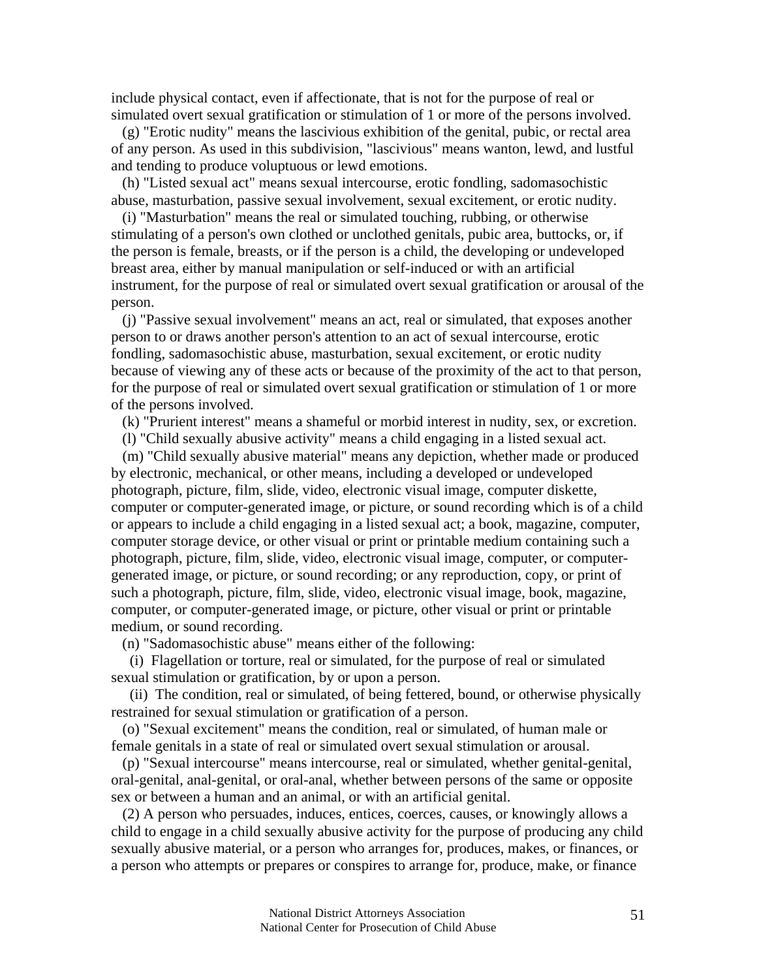include physical contact, even if affectionate, that is not for the purpose of real or simulated overt sexual gratification or stimulation of 1 or more of the persons involved.

 (g) "Erotic nudity" means the lascivious exhibition of the genital, pubic, or rectal area of any person. As used in this subdivision, "lascivious" means wanton, lewd, and lustful and tending to produce voluptuous or lewd emotions.

 (h) "Listed sexual act" means sexual intercourse, erotic fondling, sadomasochistic abuse, masturbation, passive sexual involvement, sexual excitement, or erotic nudity.

 (i) "Masturbation" means the real or simulated touching, rubbing, or otherwise stimulating of a person's own clothed or unclothed genitals, pubic area, buttocks, or, if the person is female, breasts, or if the person is a child, the developing or undeveloped breast area, either by manual manipulation or self-induced or with an artificial instrument, for the purpose of real or simulated overt sexual gratification or arousal of the person.

 (j) "Passive sexual involvement" means an act, real or simulated, that exposes another person to or draws another person's attention to an act of sexual intercourse, erotic fondling, sadomasochistic abuse, masturbation, sexual excitement, or erotic nudity because of viewing any of these acts or because of the proximity of the act to that person, for the purpose of real or simulated overt sexual gratification or stimulation of 1 or more of the persons involved.

(k) "Prurient interest" means a shameful or morbid interest in nudity, sex, or excretion.

(l) "Child sexually abusive activity" means a child engaging in a listed sexual act.

 (m) "Child sexually abusive material" means any depiction, whether made or produced by electronic, mechanical, or other means, including a developed or undeveloped photograph, picture, film, slide, video, electronic visual image, computer diskette, computer or computer-generated image, or picture, or sound recording which is of a child or appears to include a child engaging in a listed sexual act; a book, magazine, computer, computer storage device, or other visual or print or printable medium containing such a photograph, picture, film, slide, video, electronic visual image, computer, or computergenerated image, or picture, or sound recording; or any reproduction, copy, or print of such a photograph, picture, film, slide, video, electronic visual image, book, magazine, computer, or computer-generated image, or picture, other visual or print or printable medium, or sound recording.

(n) "Sadomasochistic abuse" means either of the following:

 (i) Flagellation or torture, real or simulated, for the purpose of real or simulated sexual stimulation or gratification, by or upon a person.

 (ii) The condition, real or simulated, of being fettered, bound, or otherwise physically restrained for sexual stimulation or gratification of a person.

 (o) "Sexual excitement" means the condition, real or simulated, of human male or female genitals in a state of real or simulated overt sexual stimulation or arousal.

 (p) "Sexual intercourse" means intercourse, real or simulated, whether genital-genital, oral-genital, anal-genital, or oral-anal, whether between persons of the same or opposite sex or between a human and an animal, or with an artificial genital.

 (2) A person who persuades, induces, entices, coerces, causes, or knowingly allows a child to engage in a child sexually abusive activity for the purpose of producing any child sexually abusive material, or a person who arranges for, produces, makes, or finances, or a person who attempts or prepares or conspires to arrange for, produce, make, or finance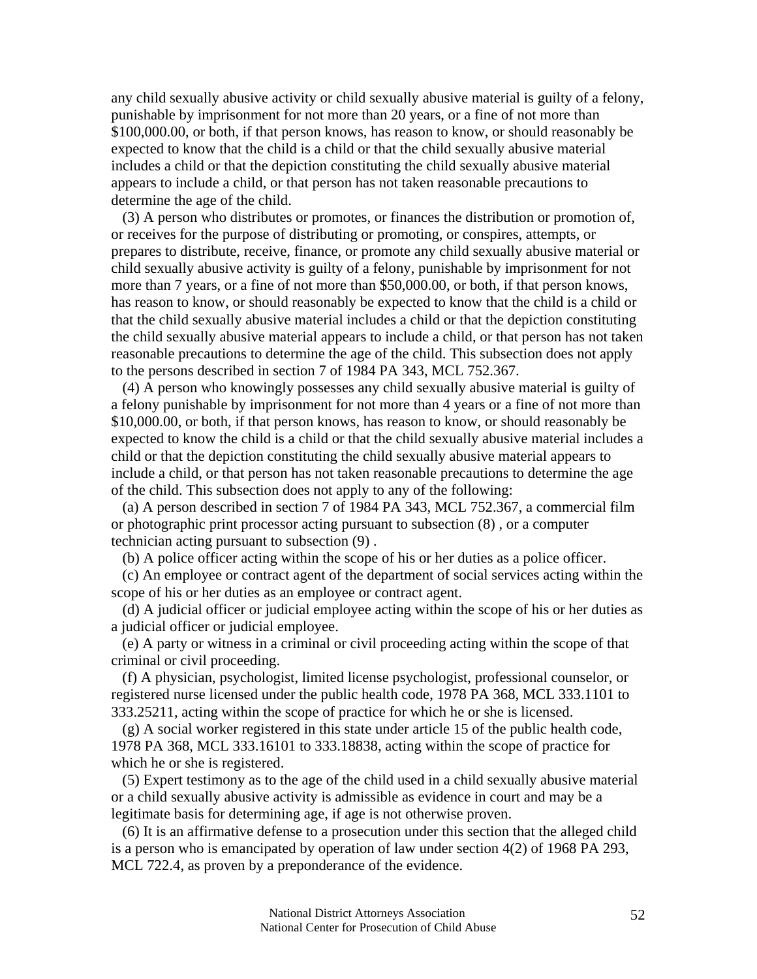any child sexually abusive activity or child sexually abusive material is guilty of a felony, punishable by imprisonment for not more than 20 years, or a fine of not more than \$100,000.00, or both, if that person knows, has reason to know, or should reasonably be expected to know that the child is a child or that the child sexually abusive material includes a child or that the depiction constituting the child sexually abusive material appears to include a child, or that person has not taken reasonable precautions to determine the age of the child.

 (3) A person who distributes or promotes, or finances the distribution or promotion of, or receives for the purpose of distributing or promoting, or conspires, attempts, or prepares to distribute, receive, finance, or promote any child sexually abusive material or child sexually abusive activity is guilty of a felony, punishable by imprisonment for not more than 7 years, or a fine of not more than \$50,000.00, or both, if that person knows, has reason to know, or should reasonably be expected to know that the child is a child or that the child sexually abusive material includes a child or that the depiction constituting the child sexually abusive material appears to include a child, or that person has not taken reasonable precautions to determine the age of the child. This subsection does not apply to the persons described in section 7 of 1984 PA 343, MCL 752.367.

 (4) A person who knowingly possesses any child sexually abusive material is guilty of a felony punishable by imprisonment for not more than 4 years or a fine of not more than \$10,000.00, or both, if that person knows, has reason to know, or should reasonably be expected to know the child is a child or that the child sexually abusive material includes a child or that the depiction constituting the child sexually abusive material appears to include a child, or that person has not taken reasonable precautions to determine the age of the child. This subsection does not apply to any of the following:

 (a) A person described in section 7 of 1984 PA 343, MCL 752.367, a commercial film or photographic print processor acting pursuant to subsection (8) , or a computer technician acting pursuant to subsection (9) .

(b) A police officer acting within the scope of his or her duties as a police officer.

 (c) An employee or contract agent of the department of social services acting within the scope of his or her duties as an employee or contract agent.

 (d) A judicial officer or judicial employee acting within the scope of his or her duties as a judicial officer or judicial employee.

 (e) A party or witness in a criminal or civil proceeding acting within the scope of that criminal or civil proceeding.

 (f) A physician, psychologist, limited license psychologist, professional counselor, or registered nurse licensed under the public health code, 1978 PA 368, MCL 333.1101 to 333.25211, acting within the scope of practice for which he or she is licensed.

 (g) A social worker registered in this state under article 15 of the public health code, 1978 PA 368, MCL 333.16101 to 333.18838, acting within the scope of practice for which he or she is registered.

 (5) Expert testimony as to the age of the child used in a child sexually abusive material or a child sexually abusive activity is admissible as evidence in court and may be a legitimate basis for determining age, if age is not otherwise proven.

 (6) It is an affirmative defense to a prosecution under this section that the alleged child is a person who is emancipated by operation of law under section 4(2) of 1968 PA 293, MCL 722.4, as proven by a preponderance of the evidence.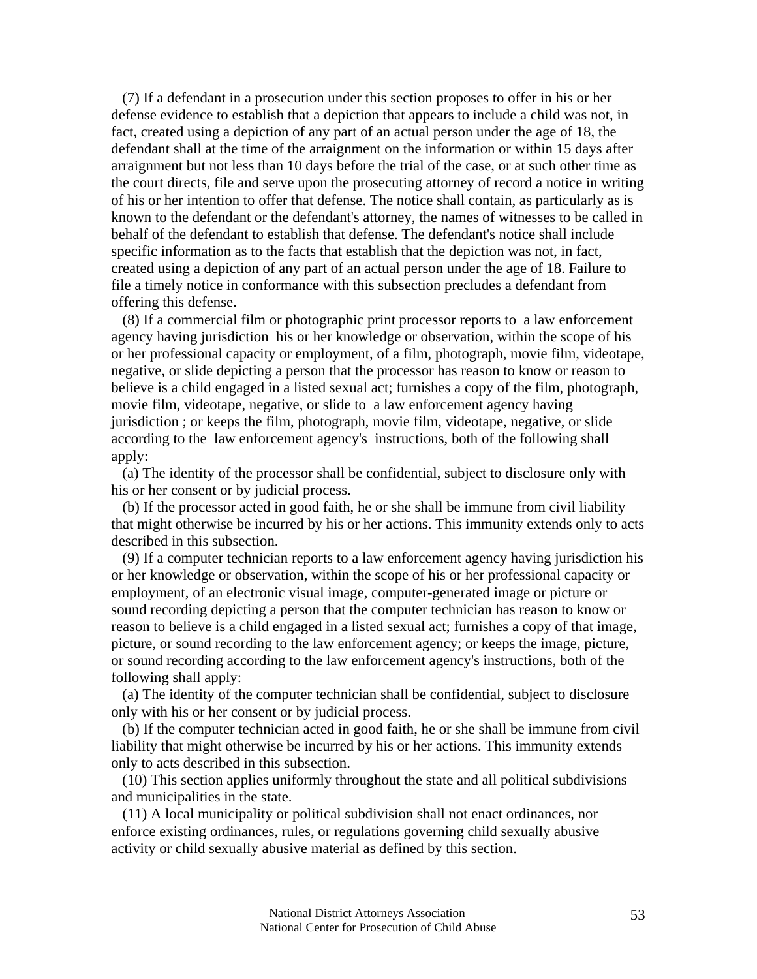(7) If a defendant in a prosecution under this section proposes to offer in his or her defense evidence to establish that a depiction that appears to include a child was not, in fact, created using a depiction of any part of an actual person under the age of 18, the defendant shall at the time of the arraignment on the information or within 15 days after arraignment but not less than 10 days before the trial of the case, or at such other time as the court directs, file and serve upon the prosecuting attorney of record a notice in writing of his or her intention to offer that defense. The notice shall contain, as particularly as is known to the defendant or the defendant's attorney, the names of witnesses to be called in behalf of the defendant to establish that defense. The defendant's notice shall include specific information as to the facts that establish that the depiction was not, in fact, created using a depiction of any part of an actual person under the age of 18. Failure to file a timely notice in conformance with this subsection precludes a defendant from offering this defense.

 (8) If a commercial film or photographic print processor reports to a law enforcement agency having jurisdiction his or her knowledge or observation, within the scope of his or her professional capacity or employment, of a film, photograph, movie film, videotape, negative, or slide depicting a person that the processor has reason to know or reason to believe is a child engaged in a listed sexual act; furnishes a copy of the film, photograph, movie film, videotape, negative, or slide to a law enforcement agency having jurisdiction ; or keeps the film, photograph, movie film, videotape, negative, or slide according to the law enforcement agency's instructions, both of the following shall apply:

 (a) The identity of the processor shall be confidential, subject to disclosure only with his or her consent or by judicial process.

 (b) If the processor acted in good faith, he or she shall be immune from civil liability that might otherwise be incurred by his or her actions. This immunity extends only to acts described in this subsection.

 (9) If a computer technician reports to a law enforcement agency having jurisdiction his or her knowledge or observation, within the scope of his or her professional capacity or employment, of an electronic visual image, computer-generated image or picture or sound recording depicting a person that the computer technician has reason to know or reason to believe is a child engaged in a listed sexual act; furnishes a copy of that image, picture, or sound recording to the law enforcement agency; or keeps the image, picture, or sound recording according to the law enforcement agency's instructions, both of the following shall apply:

 (a) The identity of the computer technician shall be confidential, subject to disclosure only with his or her consent or by judicial process.

 (b) If the computer technician acted in good faith, he or she shall be immune from civil liability that might otherwise be incurred by his or her actions. This immunity extends only to acts described in this subsection.

 (10) This section applies uniformly throughout the state and all political subdivisions and municipalities in the state.

 (11) A local municipality or political subdivision shall not enact ordinances, nor enforce existing ordinances, rules, or regulations governing child sexually abusive activity or child sexually abusive material as defined by this section.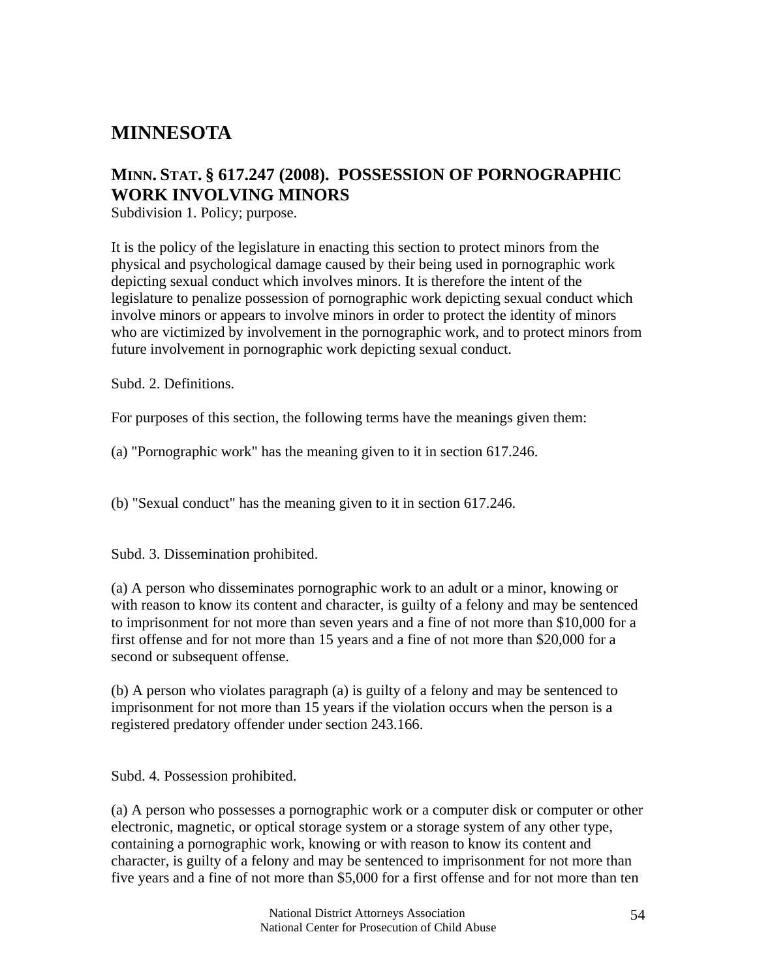# **MINNESOTA**

## **MINN. STAT. § 617.247 (2008). POSSESSION OF PORNOGRAPHIC WORK INVOLVING MINORS**

Subdivision 1. Policy; purpose.

It is the policy of the legislature in enacting this section to protect minors from the physical and psychological damage caused by their being used in pornographic work depicting sexual conduct which involves minors. It is therefore the intent of the legislature to penalize possession of pornographic work depicting sexual conduct which involve minors or appears to involve minors in order to protect the identity of minors who are victimized by involvement in the pornographic work, and to protect minors from future involvement in pornographic work depicting sexual conduct.

Subd. 2. Definitions.

For purposes of this section, the following terms have the meanings given them:

(a) "Pornographic work" has the meaning given to it in section 617.246.

(b) "Sexual conduct" has the meaning given to it in section 617.246.

Subd. 3. Dissemination prohibited.

(a) A person who disseminates pornographic work to an adult or a minor, knowing or with reason to know its content and character, is guilty of a felony and may be sentenced to imprisonment for not more than seven years and a fine of not more than \$10,000 for a first offense and for not more than 15 years and a fine of not more than \$20,000 for a second or subsequent offense.

(b) A person who violates paragraph (a) is guilty of a felony and may be sentenced to imprisonment for not more than 15 years if the violation occurs when the person is a registered predatory offender under section 243.166.

Subd. 4. Possession prohibited.

(a) A person who possesses a pornographic work or a computer disk or computer or other electronic, magnetic, or optical storage system or a storage system of any other type, containing a pornographic work, knowing or with reason to know its content and character, is guilty of a felony and may be sentenced to imprisonment for not more than five years and a fine of not more than \$5,000 for a first offense and for not more than ten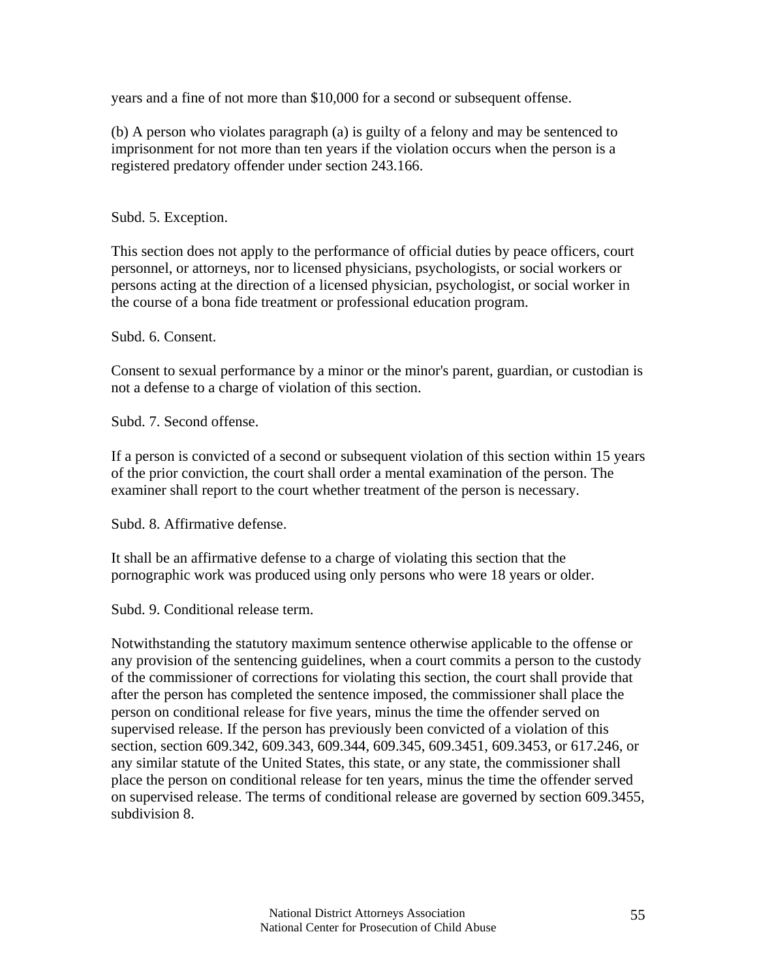years and a fine of not more than \$10,000 for a second or subsequent offense.

(b) A person who violates paragraph (a) is guilty of a felony and may be sentenced to imprisonment for not more than ten years if the violation occurs when the person is a registered predatory offender under section 243.166.

Subd. 5. Exception.

This section does not apply to the performance of official duties by peace officers, court personnel, or attorneys, nor to licensed physicians, psychologists, or social workers or persons acting at the direction of a licensed physician, psychologist, or social worker in the course of a bona fide treatment or professional education program.

Subd. 6. Consent.

Consent to sexual performance by a minor or the minor's parent, guardian, or custodian is not a defense to a charge of violation of this section.

Subd. 7. Second offense.

If a person is convicted of a second or subsequent violation of this section within 15 years of the prior conviction, the court shall order a mental examination of the person. The examiner shall report to the court whether treatment of the person is necessary.

Subd. 8. Affirmative defense.

It shall be an affirmative defense to a charge of violating this section that the pornographic work was produced using only persons who were 18 years or older.

Subd. 9. Conditional release term.

Notwithstanding the statutory maximum sentence otherwise applicable to the offense or any provision of the sentencing guidelines, when a court commits a person to the custody of the commissioner of corrections for violating this section, the court shall provide that after the person has completed the sentence imposed, the commissioner shall place the person on conditional release for five years, minus the time the offender served on supervised release. If the person has previously been convicted of a violation of this section, section 609.342, 609.343, 609.344, 609.345, 609.3451, 609.3453, or 617.246, or any similar statute of the United States, this state, or any state, the commissioner shall place the person on conditional release for ten years, minus the time the offender served on supervised release. The terms of conditional release are governed by section 609.3455, subdivision 8.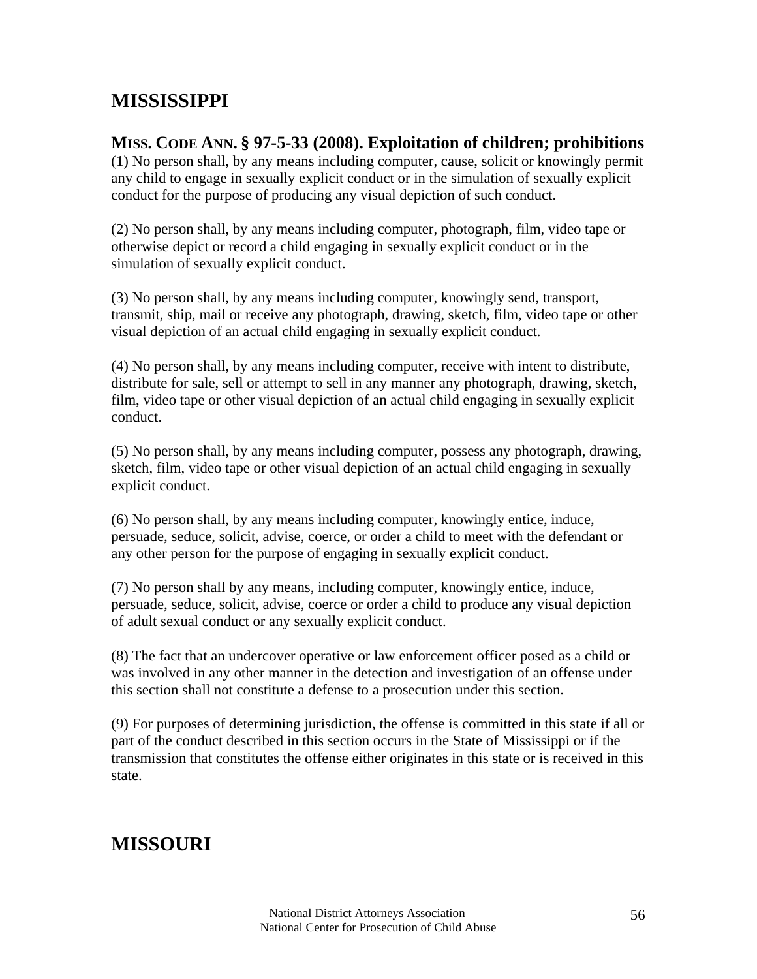# **MISSISSIPPI**

# **MISS. CODE ANN. § 97-5-33 (2008). Exploitation of children; prohibitions**

(1) No person shall, by any means including computer, cause, solicit or knowingly permit any child to engage in sexually explicit conduct or in the simulation of sexually explicit conduct for the purpose of producing any visual depiction of such conduct.

(2) No person shall, by any means including computer, photograph, film, video tape or otherwise depict or record a child engaging in sexually explicit conduct or in the simulation of sexually explicit conduct.

(3) No person shall, by any means including computer, knowingly send, transport, transmit, ship, mail or receive any photograph, drawing, sketch, film, video tape or other visual depiction of an actual child engaging in sexually explicit conduct.

(4) No person shall, by any means including computer, receive with intent to distribute, distribute for sale, sell or attempt to sell in any manner any photograph, drawing, sketch, film, video tape or other visual depiction of an actual child engaging in sexually explicit conduct.

(5) No person shall, by any means including computer, possess any photograph, drawing, sketch, film, video tape or other visual depiction of an actual child engaging in sexually explicit conduct.

(6) No person shall, by any means including computer, knowingly entice, induce, persuade, seduce, solicit, advise, coerce, or order a child to meet with the defendant or any other person for the purpose of engaging in sexually explicit conduct.

(7) No person shall by any means, including computer, knowingly entice, induce, persuade, seduce, solicit, advise, coerce or order a child to produce any visual depiction of adult sexual conduct or any sexually explicit conduct.

(8) The fact that an undercover operative or law enforcement officer posed as a child or was involved in any other manner in the detection and investigation of an offense under this section shall not constitute a defense to a prosecution under this section.

(9) For purposes of determining jurisdiction, the offense is committed in this state if all or part of the conduct described in this section occurs in the State of Mississippi or if the transmission that constitutes the offense either originates in this state or is received in this state.

# **MISSOURI**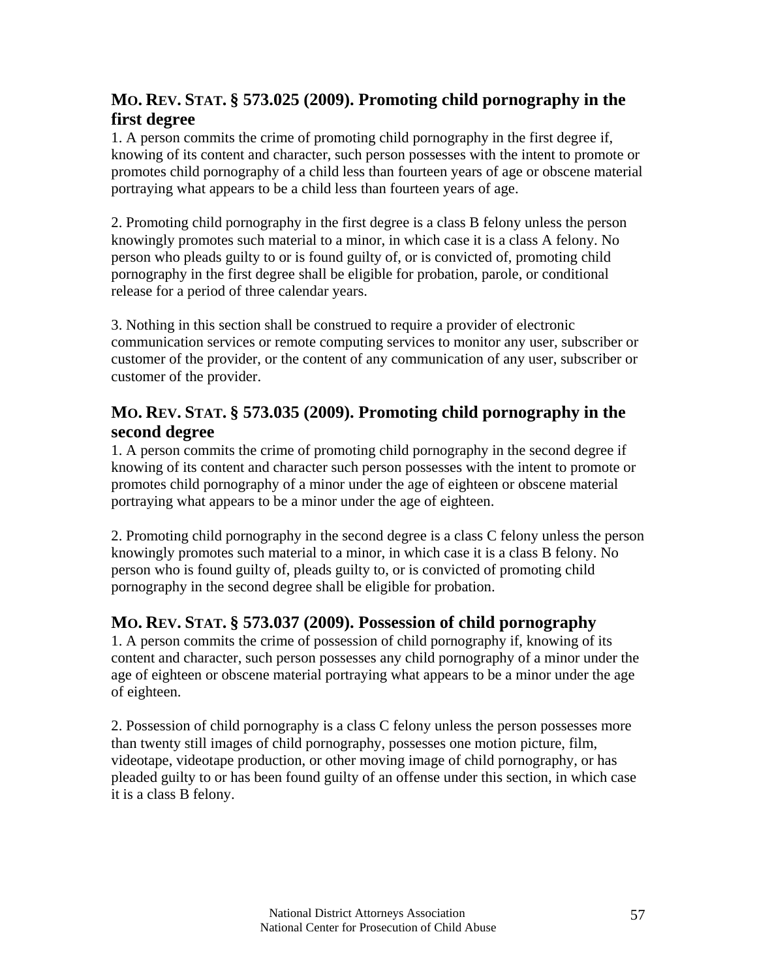# **MO. REV. STAT. § 573.025 (2009). Promoting child pornography in the first degree**

1. A person commits the crime of promoting child pornography in the first degree if, knowing of its content and character, such person possesses with the intent to promote or promotes child pornography of a child less than fourteen years of age or obscene material portraying what appears to be a child less than fourteen years of age.

2. Promoting child pornography in the first degree is a class B felony unless the person knowingly promotes such material to a minor, in which case it is a class A felony. No person who pleads guilty to or is found guilty of, or is convicted of, promoting child pornography in the first degree shall be eligible for probation, parole, or conditional release for a period of three calendar years.

3. Nothing in this section shall be construed to require a provider of electronic communication services or remote computing services to monitor any user, subscriber or customer of the provider, or the content of any communication of any user, subscriber or customer of the provider.

## **MO. REV. STAT. § 573.035 (2009). Promoting child pornography in the second degree**

1. A person commits the crime of promoting child pornography in the second degree if knowing of its content and character such person possesses with the intent to promote or promotes child pornography of a minor under the age of eighteen or obscene material portraying what appears to be a minor under the age of eighteen.

2. Promoting child pornography in the second degree is a class C felony unless the person knowingly promotes such material to a minor, in which case it is a class B felony. No person who is found guilty of, pleads guilty to, or is convicted of promoting child pornography in the second degree shall be eligible for probation.

### **MO. REV. STAT. § 573.037 (2009). Possession of child pornography**

1. A person commits the crime of possession of child pornography if, knowing of its content and character, such person possesses any child pornography of a minor under the age of eighteen or obscene material portraying what appears to be a minor under the age of eighteen.

2. Possession of child pornography is a class C felony unless the person possesses more than twenty still images of child pornography, possesses one motion picture, film, videotape, videotape production, or other moving image of child pornography, or has pleaded guilty to or has been found guilty of an offense under this section, in which case it is a class B felony.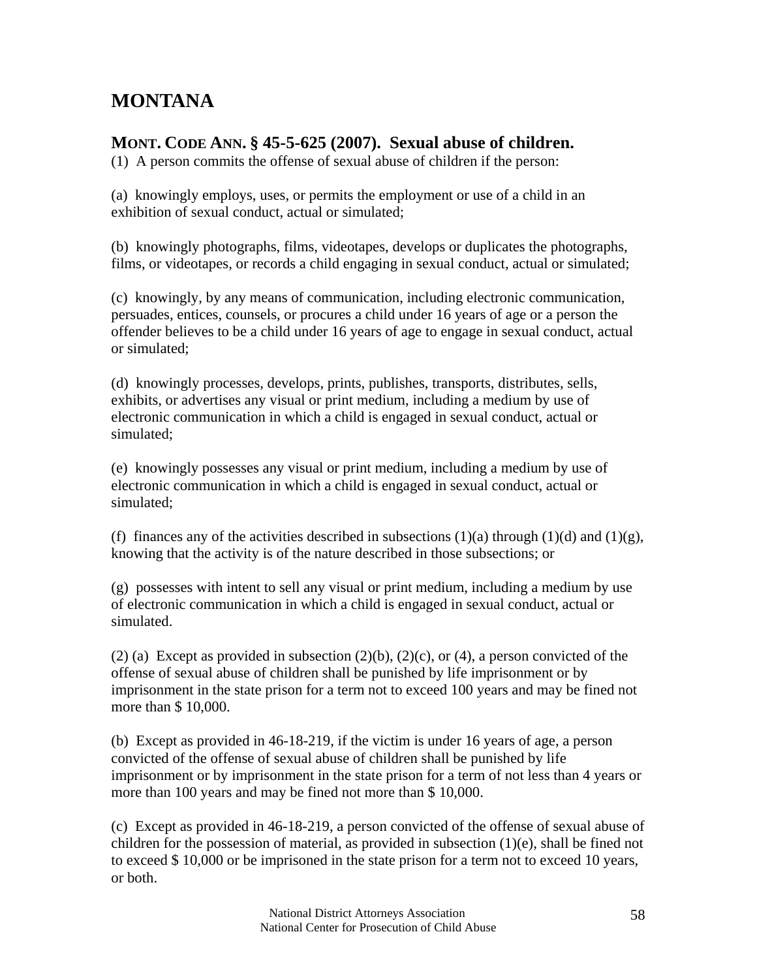# **MONTANA**

## **MONT. CODE ANN. § 45-5-625 (2007). Sexual abuse of children.**

(1) A person commits the offense of sexual abuse of children if the person:

(a) knowingly employs, uses, or permits the employment or use of a child in an exhibition of sexual conduct, actual or simulated;

(b) knowingly photographs, films, videotapes, develops or duplicates the photographs, films, or videotapes, or records a child engaging in sexual conduct, actual or simulated;

(c) knowingly, by any means of communication, including electronic communication, persuades, entices, counsels, or procures a child under 16 years of age or a person the offender believes to be a child under 16 years of age to engage in sexual conduct, actual or simulated;

(d) knowingly processes, develops, prints, publishes, transports, distributes, sells, exhibits, or advertises any visual or print medium, including a medium by use of electronic communication in which a child is engaged in sexual conduct, actual or simulated;

(e) knowingly possesses any visual or print medium, including a medium by use of electronic communication in which a child is engaged in sexual conduct, actual or simulated;

(f) finances any of the activities described in subsections  $(1)(a)$  through  $(1)(d)$  and  $(1)(g)$ , knowing that the activity is of the nature described in those subsections; or

(g) possesses with intent to sell any visual or print medium, including a medium by use of electronic communication in which a child is engaged in sexual conduct, actual or simulated.

(2) (a) Except as provided in subsection  $(2)(b)$ ,  $(2)(c)$ , or  $(4)$ , a person convicted of the offense of sexual abuse of children shall be punished by life imprisonment or by imprisonment in the state prison for a term not to exceed 100 years and may be fined not more than \$ 10,000.

(b) Except as provided in 46-18-219, if the victim is under 16 years of age, a person convicted of the offense of sexual abuse of children shall be punished by life imprisonment or by imprisonment in the state prison for a term of not less than 4 years or more than 100 years and may be fined not more than \$ 10,000.

(c) Except as provided in 46-18-219, a person convicted of the offense of sexual abuse of children for the possession of material, as provided in subsection (1)(e), shall be fined not to exceed \$ 10,000 or be imprisoned in the state prison for a term not to exceed 10 years, or both.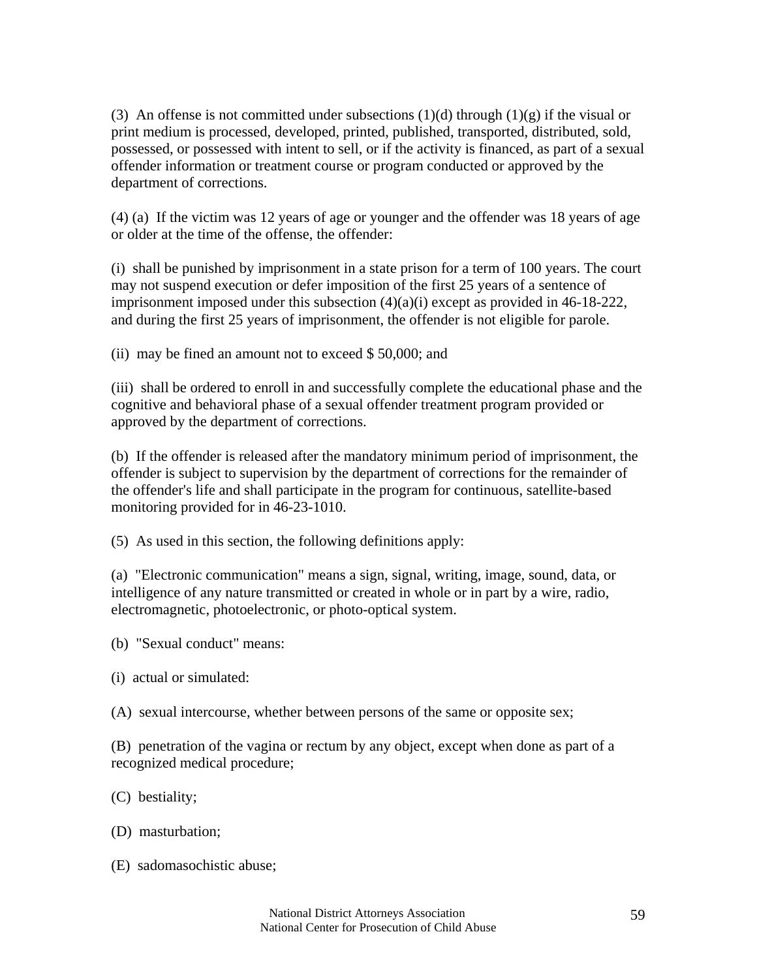(3) An offense is not committed under subsections  $(1)(d)$  through  $(1)(g)$  if the visual or print medium is processed, developed, printed, published, transported, distributed, sold, possessed, or possessed with intent to sell, or if the activity is financed, as part of a sexual offender information or treatment course or program conducted or approved by the department of corrections.

(4) (a) If the victim was 12 years of age or younger and the offender was 18 years of age or older at the time of the offense, the offender:

(i) shall be punished by imprisonment in a state prison for a term of 100 years. The court may not suspend execution or defer imposition of the first 25 years of a sentence of imprisonment imposed under this subsection (4)(a)(i) except as provided in 46-18-222, and during the first 25 years of imprisonment, the offender is not eligible for parole.

(ii) may be fined an amount not to exceed \$ 50,000; and

(iii) shall be ordered to enroll in and successfully complete the educational phase and the cognitive and behavioral phase of a sexual offender treatment program provided or approved by the department of corrections.

(b) If the offender is released after the mandatory minimum period of imprisonment, the offender is subject to supervision by the department of corrections for the remainder of the offender's life and shall participate in the program for continuous, satellite-based monitoring provided for in 46-23-1010.

(5) As used in this section, the following definitions apply:

(a) "Electronic communication" means a sign, signal, writing, image, sound, data, or intelligence of any nature transmitted or created in whole or in part by a wire, radio, electromagnetic, photoelectronic, or photo-optical system.

- (b) "Sexual conduct" means:
- (i) actual or simulated:

(A) sexual intercourse, whether between persons of the same or opposite sex;

(B) penetration of the vagina or rectum by any object, except when done as part of a recognized medical procedure;

(C) bestiality;

- (D) masturbation;
- (E) sadomasochistic abuse;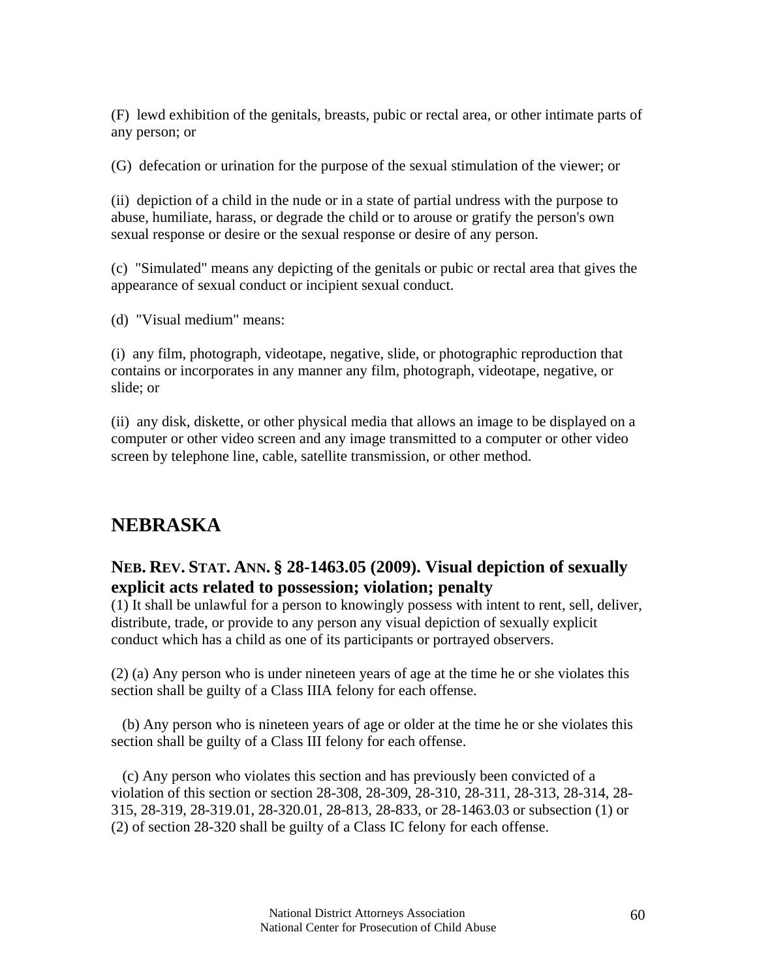(F) lewd exhibition of the genitals, breasts, pubic or rectal area, or other intimate parts of any person; or

(G) defecation or urination for the purpose of the sexual stimulation of the viewer; or

(ii) depiction of a child in the nude or in a state of partial undress with the purpose to abuse, humiliate, harass, or degrade the child or to arouse or gratify the person's own sexual response or desire or the sexual response or desire of any person.

(c) "Simulated" means any depicting of the genitals or pubic or rectal area that gives the appearance of sexual conduct or incipient sexual conduct.

(d) "Visual medium" means:

(i) any film, photograph, videotape, negative, slide, or photographic reproduction that contains or incorporates in any manner any film, photograph, videotape, negative, or slide; or

(ii) any disk, diskette, or other physical media that allows an image to be displayed on a computer or other video screen and any image transmitted to a computer or other video screen by telephone line, cable, satellite transmission, or other method.

# **NEBRASKA**

### **NEB. REV. STAT. ANN. § 28-1463.05 (2009). Visual depiction of sexually explicit acts related to possession; violation; penalty**

(1) It shall be unlawful for a person to knowingly possess with intent to rent, sell, deliver, distribute, trade, or provide to any person any visual depiction of sexually explicit conduct which has a child as one of its participants or portrayed observers.

(2) (a) Any person who is under nineteen years of age at the time he or she violates this section shall be guilty of a Class IIIA felony for each offense.

 (b) Any person who is nineteen years of age or older at the time he or she violates this section shall be guilty of a Class III felony for each offense.

 (c) Any person who violates this section and has previously been convicted of a violation of this section or section 28-308, 28-309, 28-310, 28-311, 28-313, 28-314, 28- 315, 28-319, 28-319.01, 28-320.01, 28-813, 28-833, or 28-1463.03 or subsection (1) or (2) of section 28-320 shall be guilty of a Class IC felony for each offense.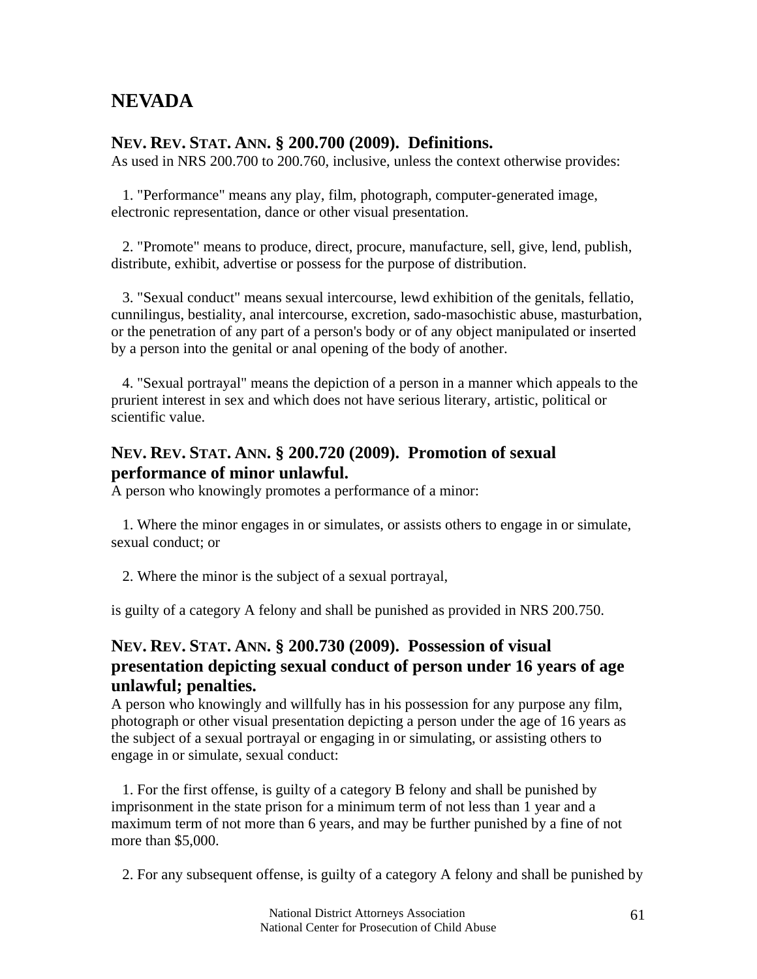# **NEVADA**

#### **NEV. REV. STAT. ANN. § 200.700 (2009). Definitions.**

As used in NRS 200.700 to 200.760, inclusive, unless the context otherwise provides:

 1. "Performance" means any play, film, photograph, computer-generated image, electronic representation, dance or other visual presentation.

 2. "Promote" means to produce, direct, procure, manufacture, sell, give, lend, publish, distribute, exhibit, advertise or possess for the purpose of distribution.

 3. "Sexual conduct" means sexual intercourse, lewd exhibition of the genitals, fellatio, cunnilingus, bestiality, anal intercourse, excretion, sado-masochistic abuse, masturbation, or the penetration of any part of a person's body or of any object manipulated or inserted by a person into the genital or anal opening of the body of another.

 4. "Sexual portrayal" means the depiction of a person in a manner which appeals to the prurient interest in sex and which does not have serious literary, artistic, political or scientific value.

### **NEV. REV. STAT. ANN. § 200.720 (2009). Promotion of sexual performance of minor unlawful.**

A person who knowingly promotes a performance of a minor:

 1. Where the minor engages in or simulates, or assists others to engage in or simulate, sexual conduct; or

2. Where the minor is the subject of a sexual portrayal,

is guilty of a category A felony and shall be punished as provided in NRS 200.750.

## **NEV. REV. STAT. ANN. § 200.730 (2009). Possession of visual presentation depicting sexual conduct of person under 16 years of age unlawful; penalties.**

A person who knowingly and willfully has in his possession for any purpose any film, photograph or other visual presentation depicting a person under the age of 16 years as the subject of a sexual portrayal or engaging in or simulating, or assisting others to engage in or simulate, sexual conduct:

 1. For the first offense, is guilty of a category B felony and shall be punished by imprisonment in the state prison for a minimum term of not less than 1 year and a maximum term of not more than 6 years, and may be further punished by a fine of not more than \$5,000.

2. For any subsequent offense, is guilty of a category A felony and shall be punished by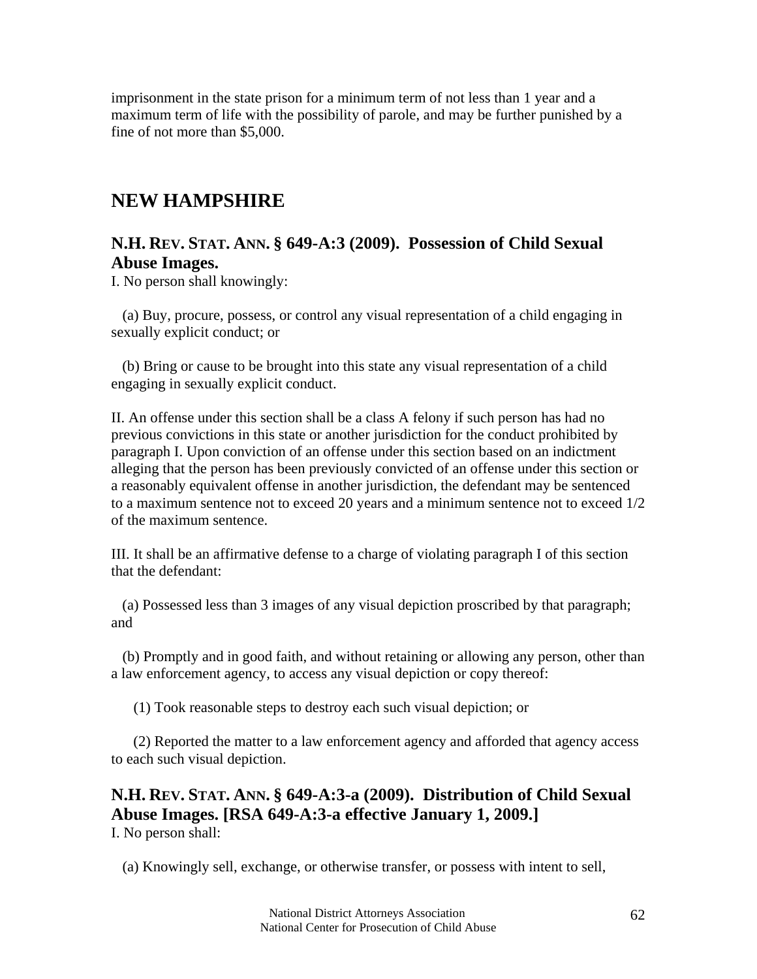imprisonment in the state prison for a minimum term of not less than 1 year and a maximum term of life with the possibility of parole, and may be further punished by a fine of not more than \$5,000.

# **NEW HAMPSHIRE**

### **N.H. REV. STAT. ANN. § 649-A:3 (2009). Possession of Child Sexual Abuse Images.**

I. No person shall knowingly:

 (a) Buy, procure, possess, or control any visual representation of a child engaging in sexually explicit conduct; or

 (b) Bring or cause to be brought into this state any visual representation of a child engaging in sexually explicit conduct.

II. An offense under this section shall be a class A felony if such person has had no previous convictions in this state or another jurisdiction for the conduct prohibited by paragraph I. Upon conviction of an offense under this section based on an indictment alleging that the person has been previously convicted of an offense under this section or a reasonably equivalent offense in another jurisdiction, the defendant may be sentenced to a maximum sentence not to exceed 20 years and a minimum sentence not to exceed 1/2 of the maximum sentence.

III. It shall be an affirmative defense to a charge of violating paragraph I of this section that the defendant:

 (a) Possessed less than 3 images of any visual depiction proscribed by that paragraph; and

 (b) Promptly and in good faith, and without retaining or allowing any person, other than a law enforcement agency, to access any visual depiction or copy thereof:

(1) Took reasonable steps to destroy each such visual depiction; or

 (2) Reported the matter to a law enforcement agency and afforded that agency access to each such visual depiction.

#### **N.H. REV. STAT. ANN. § 649-A:3-a (2009). Distribution of Child Sexual Abuse Images. [RSA 649-A:3-a effective January 1, 2009.]**  I. No person shall:

(a) Knowingly sell, exchange, or otherwise transfer, or possess with intent to sell,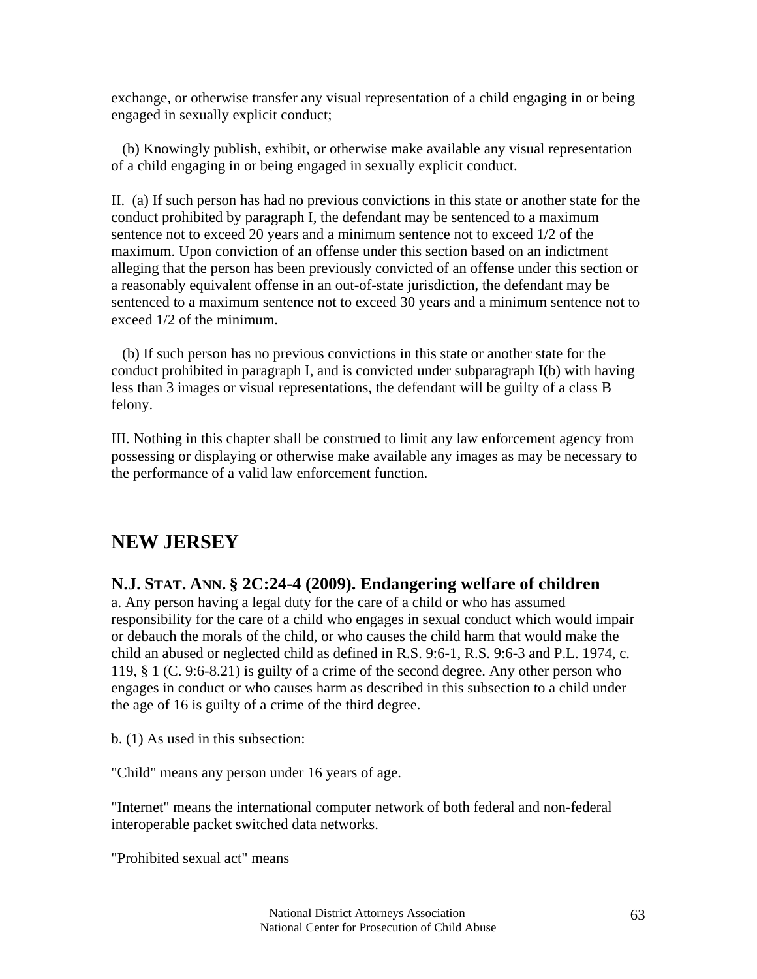exchange, or otherwise transfer any visual representation of a child engaging in or being engaged in sexually explicit conduct;

 (b) Knowingly publish, exhibit, or otherwise make available any visual representation of a child engaging in or being engaged in sexually explicit conduct.

II. (a) If such person has had no previous convictions in this state or another state for the conduct prohibited by paragraph I, the defendant may be sentenced to a maximum sentence not to exceed 20 years and a minimum sentence not to exceed 1/2 of the maximum. Upon conviction of an offense under this section based on an indictment alleging that the person has been previously convicted of an offense under this section or a reasonably equivalent offense in an out-of-state jurisdiction, the defendant may be sentenced to a maximum sentence not to exceed 30 years and a minimum sentence not to exceed 1/2 of the minimum.

 (b) If such person has no previous convictions in this state or another state for the conduct prohibited in paragraph I, and is convicted under subparagraph I(b) with having less than 3 images or visual representations, the defendant will be guilty of a class B felony.

III. Nothing in this chapter shall be construed to limit any law enforcement agency from possessing or displaying or otherwise make available any images as may be necessary to the performance of a valid law enforcement function.

# **NEW JERSEY**

### **N.J. STAT. ANN. § 2C:24-4 (2009). Endangering welfare of children**

a. Any person having a legal duty for the care of a child or who has assumed responsibility for the care of a child who engages in sexual conduct which would impair or debauch the morals of the child, or who causes the child harm that would make the child an abused or neglected child as defined in R.S. 9:6-1, R.S. 9:6-3 and P.L. 1974, c. 119, § 1 (C. 9:6-8.21) is guilty of a crime of the second degree. Any other person who engages in conduct or who causes harm as described in this subsection to a child under the age of 16 is guilty of a crime of the third degree.

b. (1) As used in this subsection:

"Child" means any person under 16 years of age.

"Internet" means the international computer network of both federal and non-federal interoperable packet switched data networks.

"Prohibited sexual act" means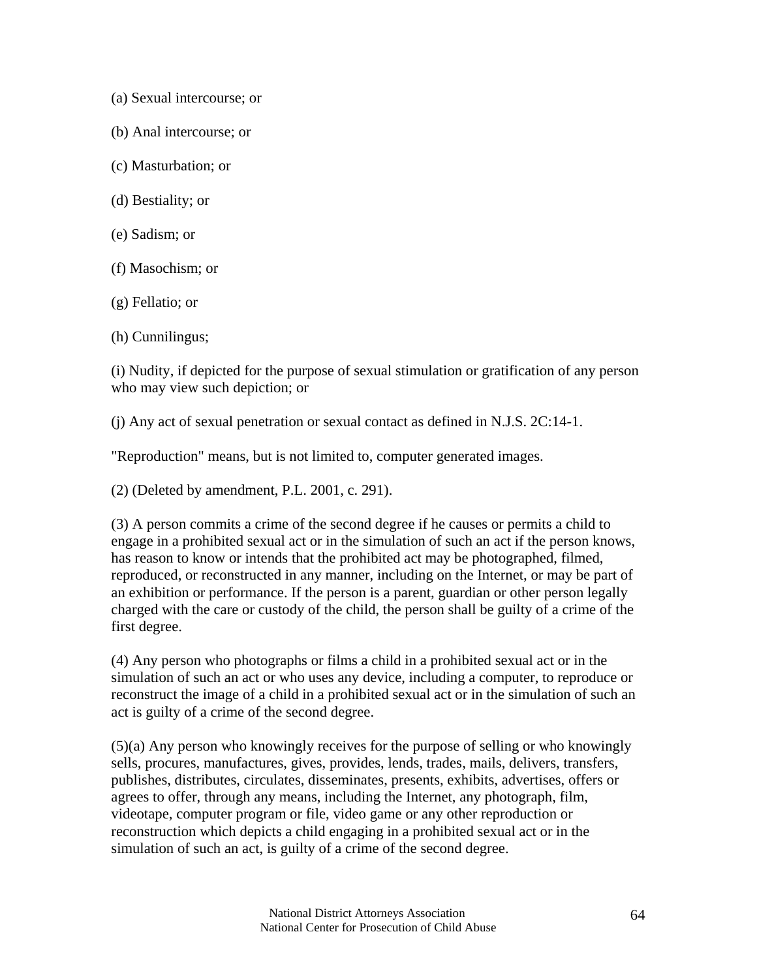- (a) Sexual intercourse; or
- (b) Anal intercourse; or
- (c) Masturbation; or
- (d) Bestiality; or
- (e) Sadism; or
- (f) Masochism; or
- (g) Fellatio; or
- (h) Cunnilingus;

(i) Nudity, if depicted for the purpose of sexual stimulation or gratification of any person who may view such depiction; or

(j) Any act of sexual penetration or sexual contact as defined in N.J.S. 2C:14-1.

"Reproduction" means, but is not limited to, computer generated images.

(2) (Deleted by amendment, P.L. 2001, c. 291).

(3) A person commits a crime of the second degree if he causes or permits a child to engage in a prohibited sexual act or in the simulation of such an act if the person knows, has reason to know or intends that the prohibited act may be photographed, filmed, reproduced, or reconstructed in any manner, including on the Internet, or may be part of an exhibition or performance. If the person is a parent, guardian or other person legally charged with the care or custody of the child, the person shall be guilty of a crime of the first degree.

(4) Any person who photographs or films a child in a prohibited sexual act or in the simulation of such an act or who uses any device, including a computer, to reproduce or reconstruct the image of a child in a prohibited sexual act or in the simulation of such an act is guilty of a crime of the second degree.

(5)(a) Any person who knowingly receives for the purpose of selling or who knowingly sells, procures, manufactures, gives, provides, lends, trades, mails, delivers, transfers, publishes, distributes, circulates, disseminates, presents, exhibits, advertises, offers or agrees to offer, through any means, including the Internet, any photograph, film, videotape, computer program or file, video game or any other reproduction or reconstruction which depicts a child engaging in a prohibited sexual act or in the simulation of such an act, is guilty of a crime of the second degree.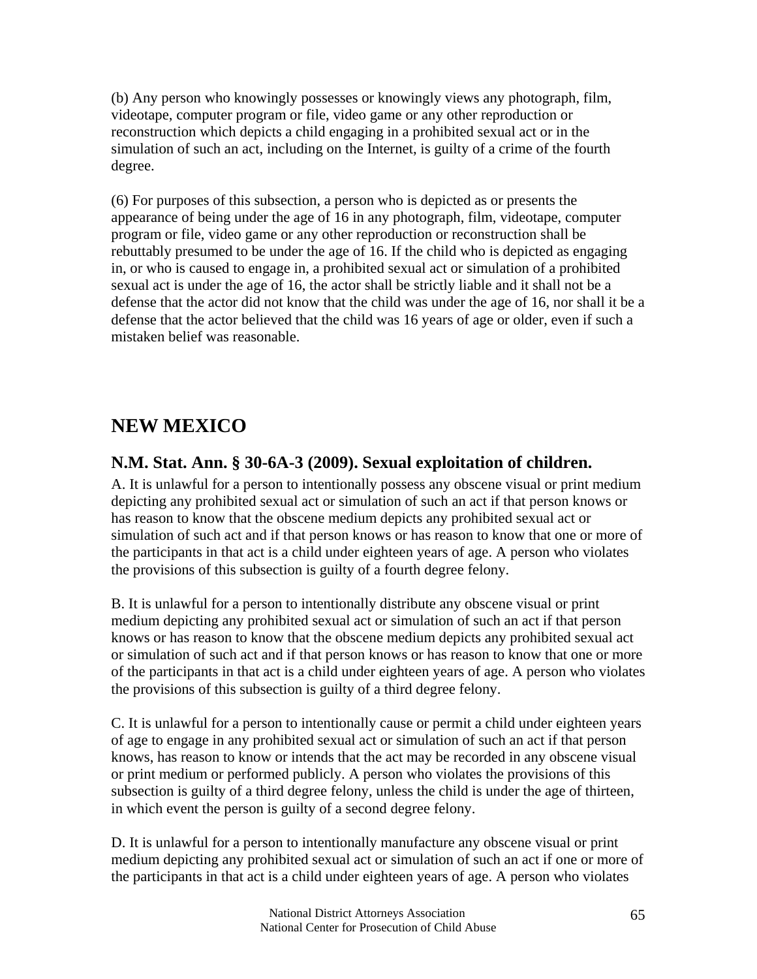(b) Any person who knowingly possesses or knowingly views any photograph, film, videotape, computer program or file, video game or any other reproduction or reconstruction which depicts a child engaging in a prohibited sexual act or in the simulation of such an act, including on the Internet, is guilty of a crime of the fourth degree.

(6) For purposes of this subsection, a person who is depicted as or presents the appearance of being under the age of 16 in any photograph, film, videotape, computer program or file, video game or any other reproduction or reconstruction shall be rebuttably presumed to be under the age of 16. If the child who is depicted as engaging in, or who is caused to engage in, a prohibited sexual act or simulation of a prohibited sexual act is under the age of 16, the actor shall be strictly liable and it shall not be a defense that the actor did not know that the child was under the age of 16, nor shall it be a defense that the actor believed that the child was 16 years of age or older, even if such a mistaken belief was reasonable.

# **NEW MEXICO**

### **N.M. Stat. Ann. § 30-6A-3 (2009). Sexual exploitation of children.**

A. It is unlawful for a person to intentionally possess any obscene visual or print medium depicting any prohibited sexual act or simulation of such an act if that person knows or has reason to know that the obscene medium depicts any prohibited sexual act or simulation of such act and if that person knows or has reason to know that one or more of the participants in that act is a child under eighteen years of age. A person who violates the provisions of this subsection is guilty of a fourth degree felony.

B. It is unlawful for a person to intentionally distribute any obscene visual or print medium depicting any prohibited sexual act or simulation of such an act if that person knows or has reason to know that the obscene medium depicts any prohibited sexual act or simulation of such act and if that person knows or has reason to know that one or more of the participants in that act is a child under eighteen years of age. A person who violates the provisions of this subsection is guilty of a third degree felony.

C. It is unlawful for a person to intentionally cause or permit a child under eighteen years of age to engage in any prohibited sexual act or simulation of such an act if that person knows, has reason to know or intends that the act may be recorded in any obscene visual or print medium or performed publicly. A person who violates the provisions of this subsection is guilty of a third degree felony, unless the child is under the age of thirteen, in which event the person is guilty of a second degree felony.

D. It is unlawful for a person to intentionally manufacture any obscene visual or print medium depicting any prohibited sexual act or simulation of such an act if one or more of the participants in that act is a child under eighteen years of age. A person who violates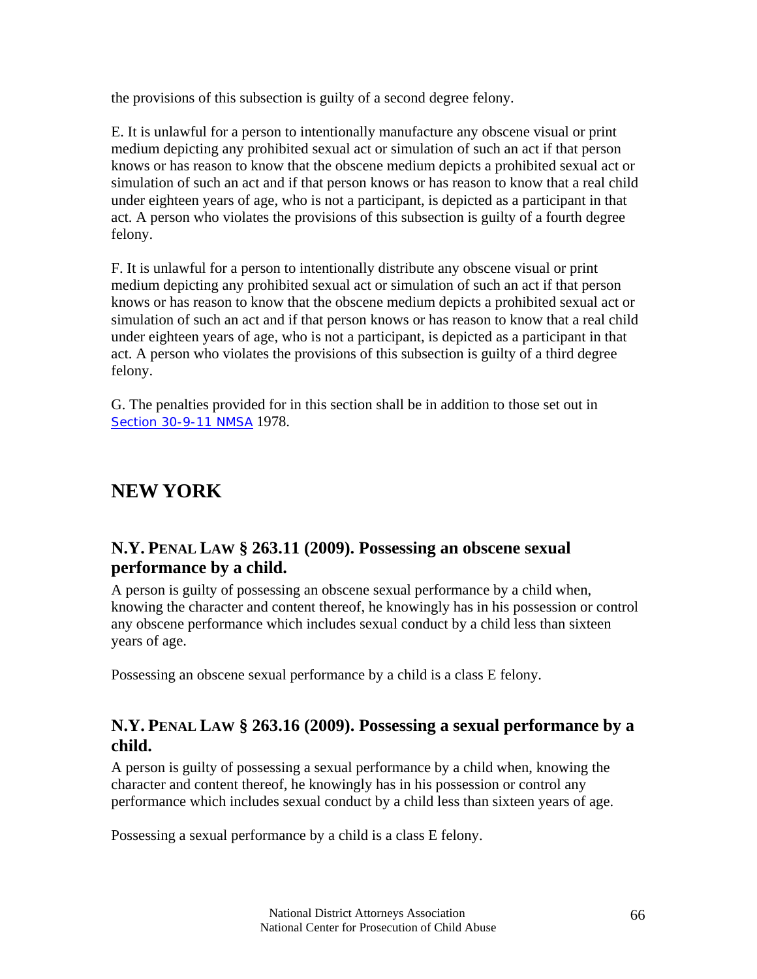the provisions of this subsection is guilty of a second degree felony.

E. It is unlawful for a person to intentionally manufacture any obscene visual or print medium depicting any prohibited sexual act or simulation of such an act if that person knows or has reason to know that the obscene medium depicts a prohibited sexual act or simulation of such an act and if that person knows or has reason to know that a real child under eighteen years of age, who is not a participant, is depicted as a participant in that act. A person who violates the provisions of this subsection is guilty of a fourth degree felony.

F. It is unlawful for a person to intentionally distribute any obscene visual or print medium depicting any prohibited sexual act or simulation of such an act if that person knows or has reason to know that the obscene medium depicts a prohibited sexual act or simulation of such an act and if that person knows or has reason to know that a real child under eighteen years of age, who is not a participant, is depicted as a participant in that act. A person who violates the provisions of this subsection is guilty of a third degree felony.

G. The penalties provided for in this section shall be in addition to those set out in Section 30-9-11 NMSA 1978.

# **NEW YORK**

### **N.Y. PENAL LAW § 263.11 (2009). Possessing an obscene sexual performance by a child.**

A person is guilty of possessing an obscene sexual performance by a child when, knowing the character and content thereof, he knowingly has in his possession or control any obscene performance which includes sexual conduct by a child less than sixteen years of age.

Possessing an obscene sexual performance by a child is a class E felony.

### **N.Y. PENAL LAW § 263.16 (2009). Possessing a sexual performance by a child.**

A person is guilty of possessing a sexual performance by a child when, knowing the character and content thereof, he knowingly has in his possession or control any performance which includes sexual conduct by a child less than sixteen years of age.

Possessing a sexual performance by a child is a class E felony.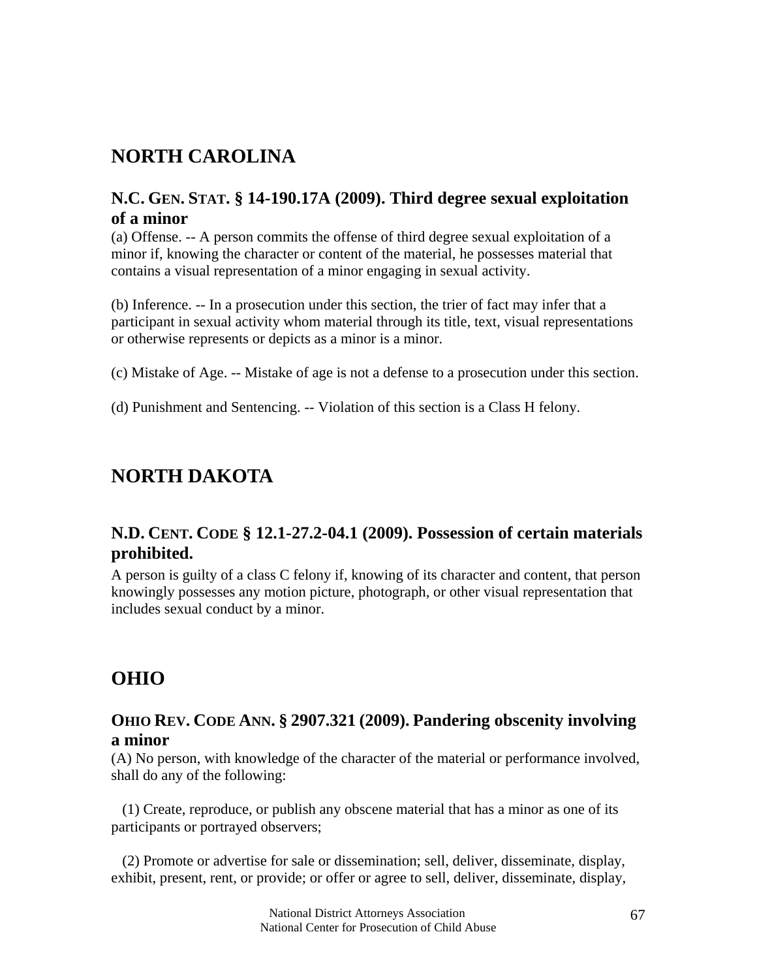# **NORTH CAROLINA**

## **N.C. GEN. STAT. § 14-190.17A (2009). Third degree sexual exploitation of a minor**

(a) Offense. -- A person commits the offense of third degree sexual exploitation of a minor if, knowing the character or content of the material, he possesses material that contains a visual representation of a minor engaging in sexual activity.

(b) Inference. -- In a prosecution under this section, the trier of fact may infer that a participant in sexual activity whom material through its title, text, visual representations or otherwise represents or depicts as a minor is a minor.

(c) Mistake of Age. -- Mistake of age is not a defense to a prosecution under this section.

(d) Punishment and Sentencing. -- Violation of this section is a Class H felony.

# **NORTH DAKOTA**

# **N.D. CENT. CODE § 12.1-27.2-04.1 (2009). Possession of certain materials prohibited.**

A person is guilty of a class C felony if, knowing of its character and content, that person knowingly possesses any motion picture, photograph, or other visual representation that includes sexual conduct by a minor.

# **OHIO**

#### **OHIO REV. CODE ANN. § 2907.321 (2009). Pandering obscenity involving a minor**

(A) No person, with knowledge of the character of the material or performance involved, shall do any of the following:

 (1) Create, reproduce, or publish any obscene material that has a minor as one of its participants or portrayed observers;

 (2) Promote or advertise for sale or dissemination; sell, deliver, disseminate, display, exhibit, present, rent, or provide; or offer or agree to sell, deliver, disseminate, display,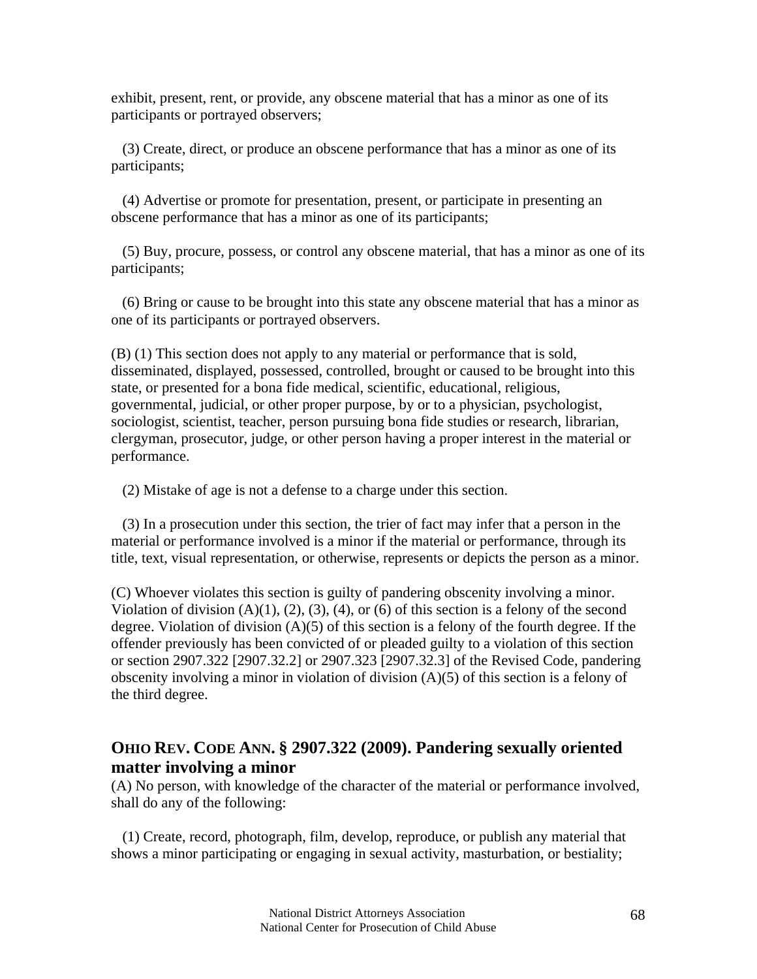exhibit, present, rent, or provide, any obscene material that has a minor as one of its participants or portrayed observers;

 (3) Create, direct, or produce an obscene performance that has a minor as one of its participants;

 (4) Advertise or promote for presentation, present, or participate in presenting an obscene performance that has a minor as one of its participants;

 (5) Buy, procure, possess, or control any obscene material, that has a minor as one of its participants;

 (6) Bring or cause to be brought into this state any obscene material that has a minor as one of its participants or portrayed observers.

(B) (1) This section does not apply to any material or performance that is sold, disseminated, displayed, possessed, controlled, brought or caused to be brought into this state, or presented for a bona fide medical, scientific, educational, religious, governmental, judicial, or other proper purpose, by or to a physician, psychologist, sociologist, scientist, teacher, person pursuing bona fide studies or research, librarian, clergyman, prosecutor, judge, or other person having a proper interest in the material or performance.

(2) Mistake of age is not a defense to a charge under this section.

 (3) In a prosecution under this section, the trier of fact may infer that a person in the material or performance involved is a minor if the material or performance, through its title, text, visual representation, or otherwise, represents or depicts the person as a minor.

(C) Whoever violates this section is guilty of pandering obscenity involving a minor. Violation of division  $(A)(1)$ ,  $(2)$ ,  $(3)$ ,  $(4)$ , or  $(6)$  of this section is a felony of the second degree. Violation of division  $(A)(5)$  of this section is a felony of the fourth degree. If the offender previously has been convicted of or pleaded guilty to a violation of this section or section 2907.322 [2907.32.2] or 2907.323 [2907.32.3] of the Revised Code, pandering obscenity involving a minor in violation of division (A)(5) of this section is a felony of the third degree.

## **OHIO REV. CODE ANN. § 2907.322 (2009). Pandering sexually oriented matter involving a minor**

(A) No person, with knowledge of the character of the material or performance involved, shall do any of the following:

 (1) Create, record, photograph, film, develop, reproduce, or publish any material that shows a minor participating or engaging in sexual activity, masturbation, or bestiality;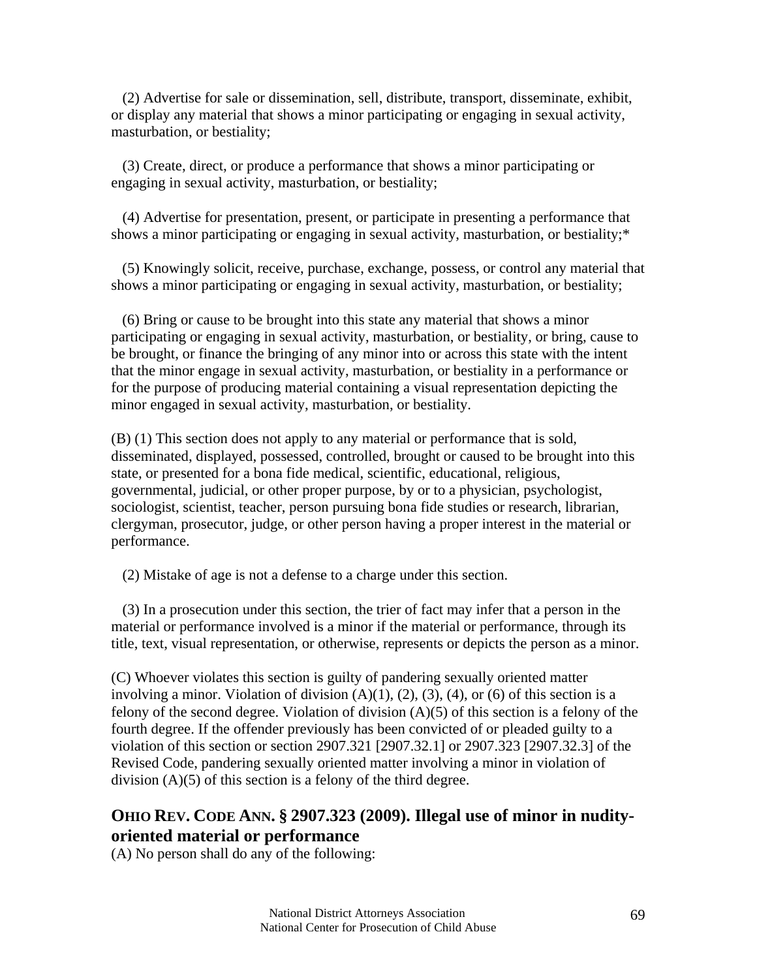(2) Advertise for sale or dissemination, sell, distribute, transport, disseminate, exhibit, or display any material that shows a minor participating or engaging in sexual activity, masturbation, or bestiality;

 (3) Create, direct, or produce a performance that shows a minor participating or engaging in sexual activity, masturbation, or bestiality;

 (4) Advertise for presentation, present, or participate in presenting a performance that shows a minor participating or engaging in sexual activity, masturbation, or bestiality;\*

 (5) Knowingly solicit, receive, purchase, exchange, possess, or control any material that shows a minor participating or engaging in sexual activity, masturbation, or bestiality;

 (6) Bring or cause to be brought into this state any material that shows a minor participating or engaging in sexual activity, masturbation, or bestiality, or bring, cause to be brought, or finance the bringing of any minor into or across this state with the intent that the minor engage in sexual activity, masturbation, or bestiality in a performance or for the purpose of producing material containing a visual representation depicting the minor engaged in sexual activity, masturbation, or bestiality.

(B) (1) This section does not apply to any material or performance that is sold, disseminated, displayed, possessed, controlled, brought or caused to be brought into this state, or presented for a bona fide medical, scientific, educational, religious, governmental, judicial, or other proper purpose, by or to a physician, psychologist, sociologist, scientist, teacher, person pursuing bona fide studies or research, librarian, clergyman, prosecutor, judge, or other person having a proper interest in the material or performance.

(2) Mistake of age is not a defense to a charge under this section.

 (3) In a prosecution under this section, the trier of fact may infer that a person in the material or performance involved is a minor if the material or performance, through its title, text, visual representation, or otherwise, represents or depicts the person as a minor.

(C) Whoever violates this section is guilty of pandering sexually oriented matter involving a minor. Violation of division  $(A)(1)$ ,  $(2)$ ,  $(3)$ ,  $(4)$ , or  $(6)$  of this section is a felony of the second degree. Violation of division (A)(5) of this section is a felony of the fourth degree. If the offender previously has been convicted of or pleaded guilty to a violation of this section or section 2907.321 [2907.32.1] or 2907.323 [2907.32.3] of the Revised Code, pandering sexually oriented matter involving a minor in violation of division (A)(5) of this section is a felony of the third degree.

## **OHIO REV. CODE ANN. § 2907.323 (2009). Illegal use of minor in nudityoriented material or performance**

(A) No person shall do any of the following: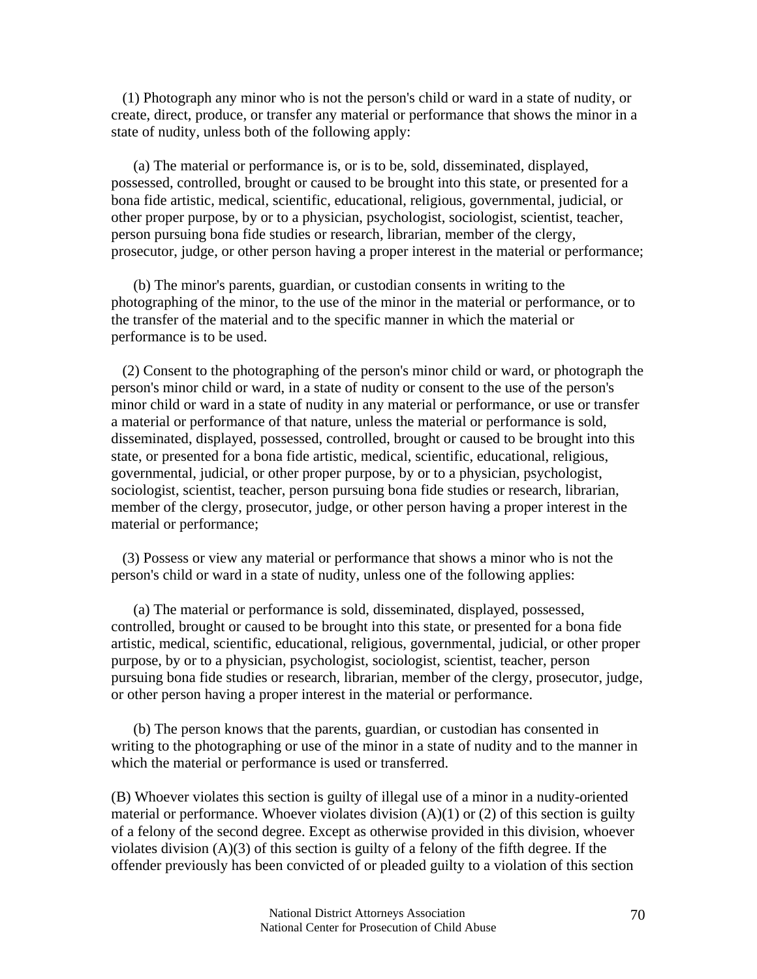(1) Photograph any minor who is not the person's child or ward in a state of nudity, or create, direct, produce, or transfer any material or performance that shows the minor in a state of nudity, unless both of the following apply:

 (a) The material or performance is, or is to be, sold, disseminated, displayed, possessed, controlled, brought or caused to be brought into this state, or presented for a bona fide artistic, medical, scientific, educational, religious, governmental, judicial, or other proper purpose, by or to a physician, psychologist, sociologist, scientist, teacher, person pursuing bona fide studies or research, librarian, member of the clergy, prosecutor, judge, or other person having a proper interest in the material or performance;

 (b) The minor's parents, guardian, or custodian consents in writing to the photographing of the minor, to the use of the minor in the material or performance, or to the transfer of the material and to the specific manner in which the material or performance is to be used.

 (2) Consent to the photographing of the person's minor child or ward, or photograph the person's minor child or ward, in a state of nudity or consent to the use of the person's minor child or ward in a state of nudity in any material or performance, or use or transfer a material or performance of that nature, unless the material or performance is sold, disseminated, displayed, possessed, controlled, brought or caused to be brought into this state, or presented for a bona fide artistic, medical, scientific, educational, religious, governmental, judicial, or other proper purpose, by or to a physician, psychologist, sociologist, scientist, teacher, person pursuing bona fide studies or research, librarian, member of the clergy, prosecutor, judge, or other person having a proper interest in the material or performance;

 (3) Possess or view any material or performance that shows a minor who is not the person's child or ward in a state of nudity, unless one of the following applies:

 (a) The material or performance is sold, disseminated, displayed, possessed, controlled, brought or caused to be brought into this state, or presented for a bona fide artistic, medical, scientific, educational, religious, governmental, judicial, or other proper purpose, by or to a physician, psychologist, sociologist, scientist, teacher, person pursuing bona fide studies or research, librarian, member of the clergy, prosecutor, judge, or other person having a proper interest in the material or performance.

 (b) The person knows that the parents, guardian, or custodian has consented in writing to the photographing or use of the minor in a state of nudity and to the manner in which the material or performance is used or transferred.

(B) Whoever violates this section is guilty of illegal use of a minor in a nudity-oriented material or performance. Whoever violates division  $(A)(1)$  or  $(2)$  of this section is guilty of a felony of the second degree. Except as otherwise provided in this division, whoever violates division (A)(3) of this section is guilty of a felony of the fifth degree. If the offender previously has been convicted of or pleaded guilty to a violation of this section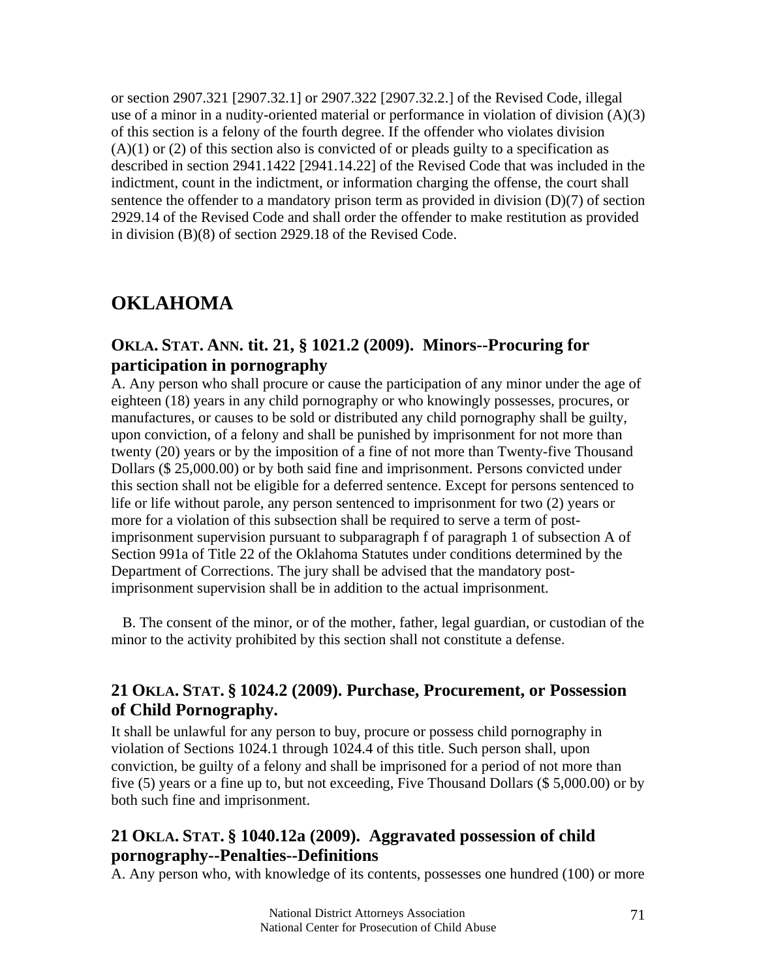or section 2907.321 [2907.32.1] or 2907.322 [2907.32.2.] of the Revised Code, illegal use of a minor in a nudity-oriented material or performance in violation of division (A)(3) of this section is a felony of the fourth degree. If the offender who violates division  $(A)(1)$  or  $(2)$  of this section also is convicted of or pleads guilty to a specification as described in section 2941.1422 [2941.14.22] of the Revised Code that was included in the indictment, count in the indictment, or information charging the offense, the court shall sentence the offender to a mandatory prison term as provided in division (D)(7) of section 2929.14 of the Revised Code and shall order the offender to make restitution as provided in division (B)(8) of section 2929.18 of the Revised Code.

# **OKLAHOMA**

### **OKLA. STAT. ANN. tit. 21, § 1021.2 (2009). Minors--Procuring for participation in pornography**

A. Any person who shall procure or cause the participation of any minor under the age of eighteen (18) years in any child pornography or who knowingly possesses, procures, or manufactures, or causes to be sold or distributed any child pornography shall be guilty, upon conviction, of a felony and shall be punished by imprisonment for not more than twenty (20) years or by the imposition of a fine of not more than Twenty-five Thousand Dollars (\$ 25,000.00) or by both said fine and imprisonment. Persons convicted under this section shall not be eligible for a deferred sentence. Except for persons sentenced to life or life without parole, any person sentenced to imprisonment for two (2) years or more for a violation of this subsection shall be required to serve a term of postimprisonment supervision pursuant to subparagraph f of paragraph 1 of subsection A of Section 991a of Title 22 of the Oklahoma Statutes under conditions determined by the Department of Corrections. The jury shall be advised that the mandatory postimprisonment supervision shall be in addition to the actual imprisonment.

 B. The consent of the minor, or of the mother, father, legal guardian, or custodian of the minor to the activity prohibited by this section shall not constitute a defense.

## **21 OKLA. STAT. § 1024.2 (2009). Purchase, Procurement, or Possession of Child Pornography.**

It shall be unlawful for any person to buy, procure or possess child pornography in violation of Sections 1024.1 through 1024.4 of this title. Such person shall, upon conviction, be guilty of a felony and shall be imprisoned for a period of not more than five (5) years or a fine up to, but not exceeding, Five Thousand Dollars (\$ 5,000.00) or by both such fine and imprisonment.

### **21 OKLA. STAT. § 1040.12a (2009). Aggravated possession of child pornography--Penalties--Definitions**

A. Any person who, with knowledge of its contents, possesses one hundred (100) or more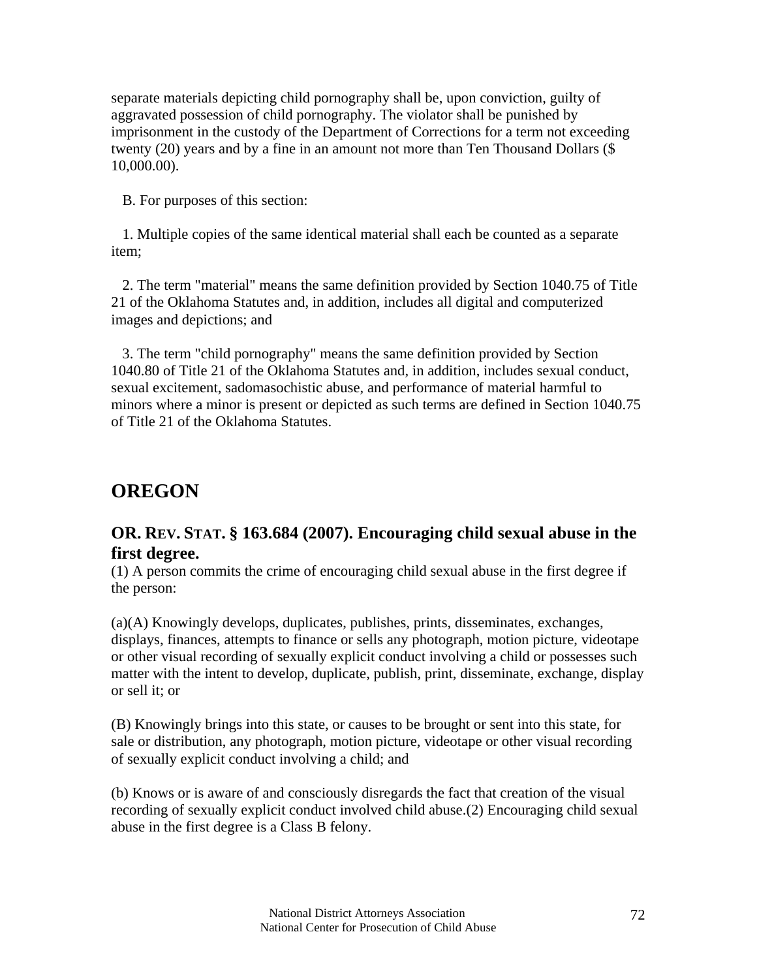separate materials depicting child pornography shall be, upon conviction, guilty of aggravated possession of child pornography. The violator shall be punished by imprisonment in the custody of the Department of Corrections for a term not exceeding twenty (20) years and by a fine in an amount not more than Ten Thousand Dollars (\$ 10,000.00).

B. For purposes of this section:

 1. Multiple copies of the same identical material shall each be counted as a separate item;

 2. The term "material" means the same definition provided by Section 1040.75 of Title 21 of the Oklahoma Statutes and, in addition, includes all digital and computerized images and depictions; and

 3. The term "child pornography" means the same definition provided by Section 1040.80 of Title 21 of the Oklahoma Statutes and, in addition, includes sexual conduct, sexual excitement, sadomasochistic abuse, and performance of material harmful to minors where a minor is present or depicted as such terms are defined in Section 1040.75 of Title 21 of the Oklahoma Statutes.

# **OREGON**

#### **OR. REV. STAT. § 163.684 (2007). Encouraging child sexual abuse in the first degree.**

(1) A person commits the crime of encouraging child sexual abuse in the first degree if the person:

(a)(A) Knowingly develops, duplicates, publishes, prints, disseminates, exchanges, displays, finances, attempts to finance or sells any photograph, motion picture, videotape or other visual recording of sexually explicit conduct involving a child or possesses such matter with the intent to develop, duplicate, publish, print, disseminate, exchange, display or sell it; or

(B) Knowingly brings into this state, or causes to be brought or sent into this state, for sale or distribution, any photograph, motion picture, videotape or other visual recording of sexually explicit conduct involving a child; and

(b) Knows or is aware of and consciously disregards the fact that creation of the visual recording of sexually explicit conduct involved child abuse.(2) Encouraging child sexual abuse in the first degree is a Class B felony.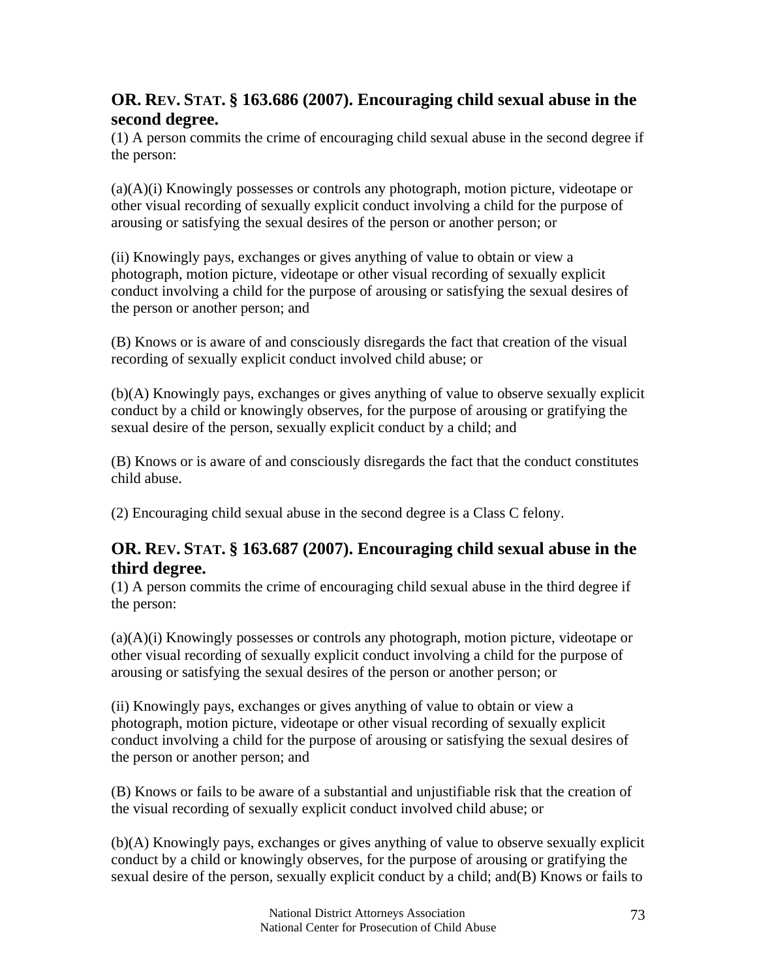### **OR. REV. STAT. § 163.686 (2007). Encouraging child sexual abuse in the second degree.**

(1) A person commits the crime of encouraging child sexual abuse in the second degree if the person:

(a)(A)(i) Knowingly possesses or controls any photograph, motion picture, videotape or other visual recording of sexually explicit conduct involving a child for the purpose of arousing or satisfying the sexual desires of the person or another person; or

(ii) Knowingly pays, exchanges or gives anything of value to obtain or view a photograph, motion picture, videotape or other visual recording of sexually explicit conduct involving a child for the purpose of arousing or satisfying the sexual desires of the person or another person; and

(B) Knows or is aware of and consciously disregards the fact that creation of the visual recording of sexually explicit conduct involved child abuse; or

(b)(A) Knowingly pays, exchanges or gives anything of value to observe sexually explicit conduct by a child or knowingly observes, for the purpose of arousing or gratifying the sexual desire of the person, sexually explicit conduct by a child; and

(B) Knows or is aware of and consciously disregards the fact that the conduct constitutes child abuse.

(2) Encouraging child sexual abuse in the second degree is a Class C felony.

### **OR. REV. STAT. § 163.687 (2007). Encouraging child sexual abuse in the third degree.**

(1) A person commits the crime of encouraging child sexual abuse in the third degree if the person:

(a)(A)(i) Knowingly possesses or controls any photograph, motion picture, videotape or other visual recording of sexually explicit conduct involving a child for the purpose of arousing or satisfying the sexual desires of the person or another person; or

(ii) Knowingly pays, exchanges or gives anything of value to obtain or view a photograph, motion picture, videotape or other visual recording of sexually explicit conduct involving a child for the purpose of arousing or satisfying the sexual desires of the person or another person; and

(B) Knows or fails to be aware of a substantial and unjustifiable risk that the creation of the visual recording of sexually explicit conduct involved child abuse; or

(b)(A) Knowingly pays, exchanges or gives anything of value to observe sexually explicit conduct by a child or knowingly observes, for the purpose of arousing or gratifying the sexual desire of the person, sexually explicit conduct by a child; and(B) Knows or fails to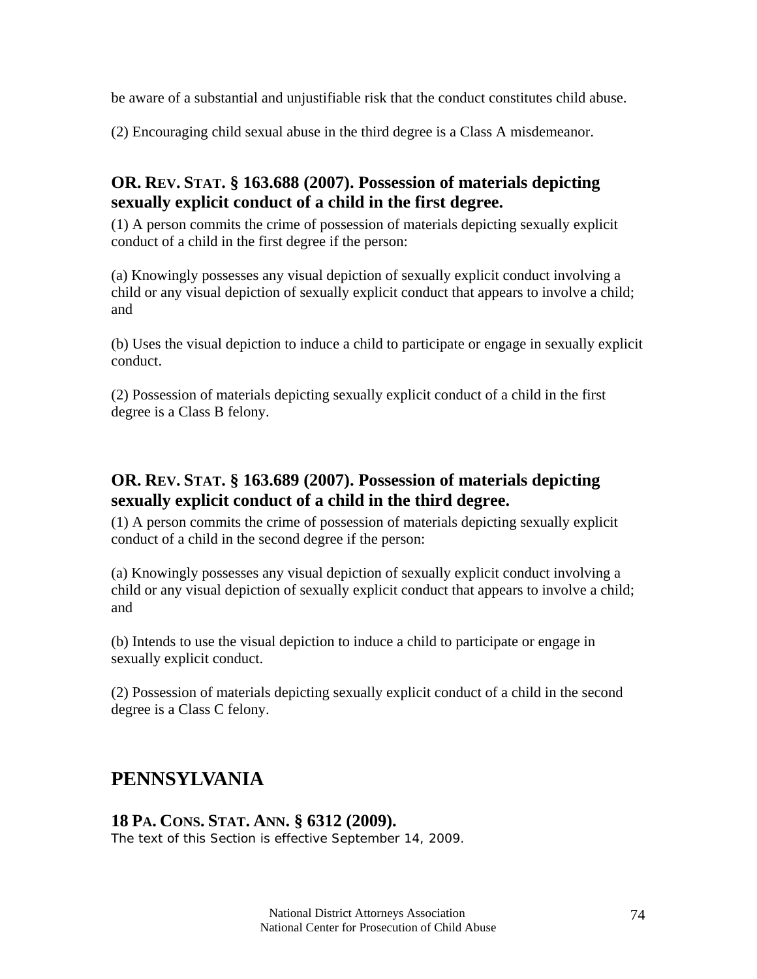be aware of a substantial and unjustifiable risk that the conduct constitutes child abuse.

(2) Encouraging child sexual abuse in the third degree is a Class A misdemeanor.

### **OR. REV. STAT. § 163.688 (2007). Possession of materials depicting sexually explicit conduct of a child in the first degree.**

(1) A person commits the crime of possession of materials depicting sexually explicit conduct of a child in the first degree if the person:

(a) Knowingly possesses any visual depiction of sexually explicit conduct involving a child or any visual depiction of sexually explicit conduct that appears to involve a child; and

(b) Uses the visual depiction to induce a child to participate or engage in sexually explicit conduct.

(2) Possession of materials depicting sexually explicit conduct of a child in the first degree is a Class B felony.

### **OR. REV. STAT. § 163.689 (2007). Possession of materials depicting sexually explicit conduct of a child in the third degree.**

(1) A person commits the crime of possession of materials depicting sexually explicit conduct of a child in the second degree if the person:

(a) Knowingly possesses any visual depiction of sexually explicit conduct involving a child or any visual depiction of sexually explicit conduct that appears to involve a child; and

(b) Intends to use the visual depiction to induce a child to participate or engage in sexually explicit conduct.

(2) Possession of materials depicting sexually explicit conduct of a child in the second degree is a Class C felony.

## **PENNSYLVANIA**

#### **18 PA. CONS. STAT. ANN. § 6312 (2009).**

The text of this Section is effective September 14, 2009.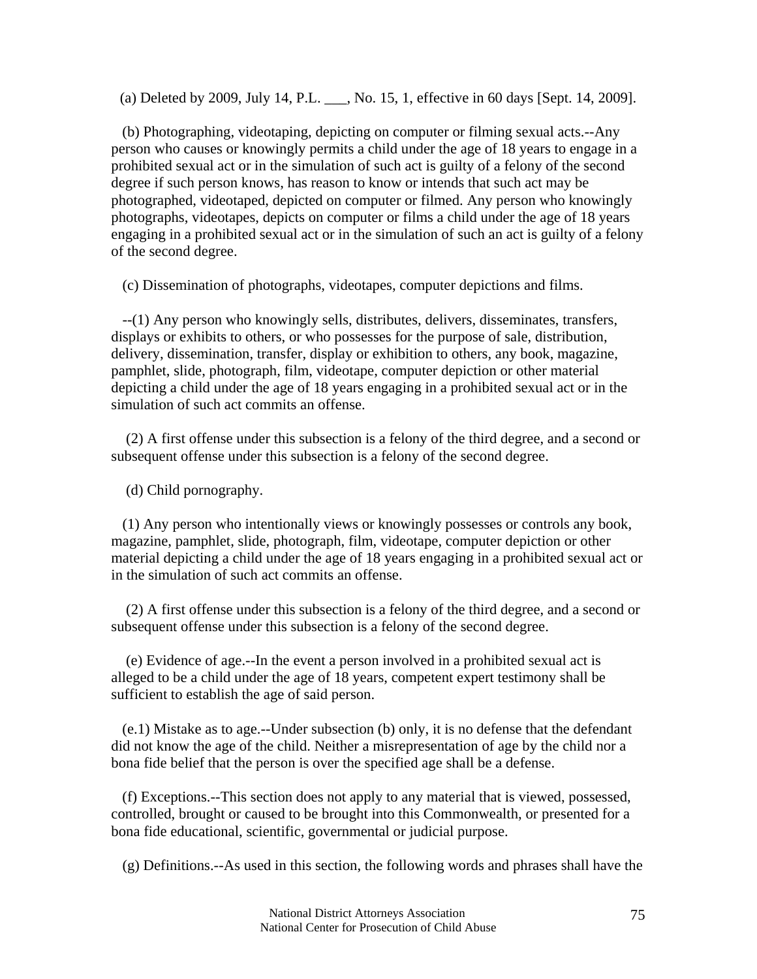(a) Deleted by 2009, July 14, P.L. \_\_\_, No. 15, 1, effective in 60 days [Sept. 14, 2009].

 (b) Photographing, videotaping, depicting on computer or filming sexual acts.--Any person who causes or knowingly permits a child under the age of 18 years to engage in a prohibited sexual act or in the simulation of such act is guilty of a felony of the second degree if such person knows, has reason to know or intends that such act may be photographed, videotaped, depicted on computer or filmed. Any person who knowingly photographs, videotapes, depicts on computer or films a child under the age of 18 years engaging in a prohibited sexual act or in the simulation of such an act is guilty of a felony of the second degree.

(c) Dissemination of photographs, videotapes, computer depictions and films.

 --(1) Any person who knowingly sells, distributes, delivers, disseminates, transfers, displays or exhibits to others, or who possesses for the purpose of sale, distribution, delivery, dissemination, transfer, display or exhibition to others, any book, magazine, pamphlet, slide, photograph, film, videotape, computer depiction or other material depicting a child under the age of 18 years engaging in a prohibited sexual act or in the simulation of such act commits an offense.

 (2) A first offense under this subsection is a felony of the third degree, and a second or subsequent offense under this subsection is a felony of the second degree.

(d) Child pornography.

 (1) Any person who intentionally views or knowingly possesses or controls any book, magazine, pamphlet, slide, photograph, film, videotape, computer depiction or other material depicting a child under the age of 18 years engaging in a prohibited sexual act or in the simulation of such act commits an offense.

 (2) A first offense under this subsection is a felony of the third degree, and a second or subsequent offense under this subsection is a felony of the second degree.

 (e) Evidence of age.--In the event a person involved in a prohibited sexual act is alleged to be a child under the age of 18 years, competent expert testimony shall be sufficient to establish the age of said person.

 (e.1) Mistake as to age.--Under subsection (b) only, it is no defense that the defendant did not know the age of the child. Neither a misrepresentation of age by the child nor a bona fide belief that the person is over the specified age shall be a defense.

 (f) Exceptions.--This section does not apply to any material that is viewed, possessed, controlled, brought or caused to be brought into this Commonwealth, or presented for a bona fide educational, scientific, governmental or judicial purpose.

(g) Definitions.--As used in this section, the following words and phrases shall have the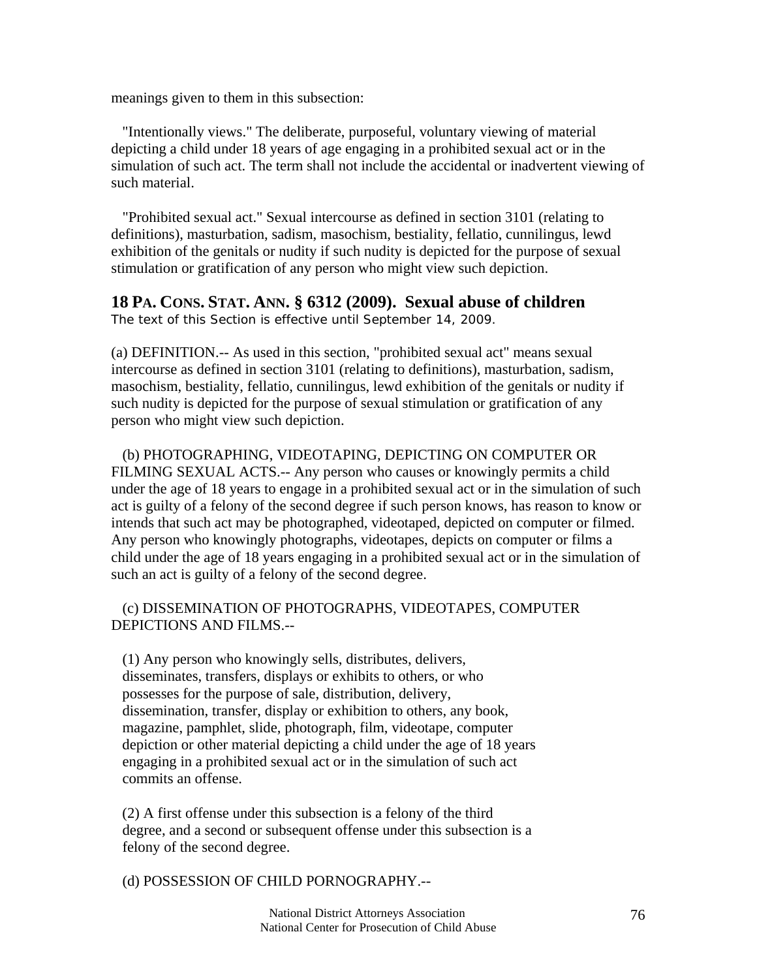meanings given to them in this subsection:

 "Intentionally views." The deliberate, purposeful, voluntary viewing of material depicting a child under 18 years of age engaging in a prohibited sexual act or in the simulation of such act. The term shall not include the accidental or inadvertent viewing of such material.

 "Prohibited sexual act." Sexual intercourse as defined in section 3101 (relating to definitions), masturbation, sadism, masochism, bestiality, fellatio, cunnilingus, lewd exhibition of the genitals or nudity if such nudity is depicted for the purpose of sexual stimulation or gratification of any person who might view such depiction.

#### **18 PA. CONS. STAT. ANN. § 6312 (2009). Sexual abuse of children**

The text of this Section is effective until September 14, 2009.

(a) DEFINITION.-- As used in this section, "prohibited sexual act" means sexual intercourse as defined in section 3101 (relating to definitions), masturbation, sadism, masochism, bestiality, fellatio, cunnilingus, lewd exhibition of the genitals or nudity if such nudity is depicted for the purpose of sexual stimulation or gratification of any person who might view such depiction.

 (b) PHOTOGRAPHING, VIDEOTAPING, DEPICTING ON COMPUTER OR FILMING SEXUAL ACTS.-- Any person who causes or knowingly permits a child under the age of 18 years to engage in a prohibited sexual act or in the simulation of such act is guilty of a felony of the second degree if such person knows, has reason to know or intends that such act may be photographed, videotaped, depicted on computer or filmed. Any person who knowingly photographs, videotapes, depicts on computer or films a child under the age of 18 years engaging in a prohibited sexual act or in the simulation of such an act is guilty of a felony of the second degree.

#### (c) DISSEMINATION OF PHOTOGRAPHS, VIDEOTAPES, COMPUTER DEPICTIONS AND FILMS.--

 (1) Any person who knowingly sells, distributes, delivers, disseminates, transfers, displays or exhibits to others, or who possesses for the purpose of sale, distribution, delivery, dissemination, transfer, display or exhibition to others, any book, magazine, pamphlet, slide, photograph, film, videotape, computer depiction or other material depicting a child under the age of 18 years engaging in a prohibited sexual act or in the simulation of such act commits an offense.

 (2) A first offense under this subsection is a felony of the third degree, and a second or subsequent offense under this subsection is a felony of the second degree.

(d) POSSESSION OF CHILD PORNOGRAPHY.--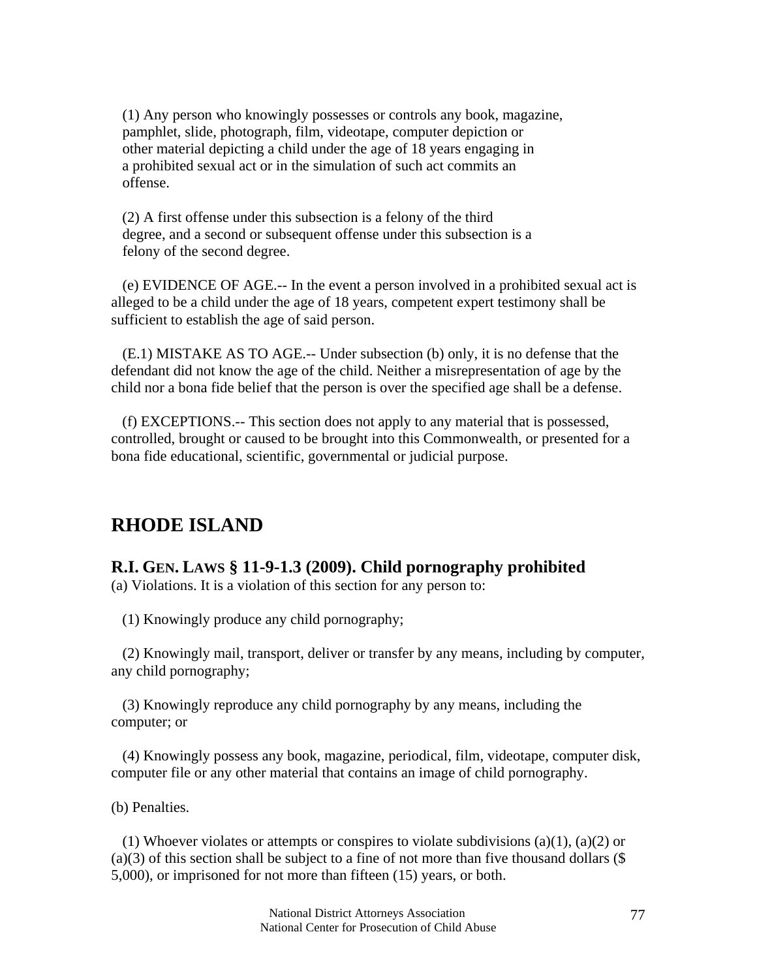(1) Any person who knowingly possesses or controls any book, magazine, pamphlet, slide, photograph, film, videotape, computer depiction or other material depicting a child under the age of 18 years engaging in a prohibited sexual act or in the simulation of such act commits an offense.

 (2) A first offense under this subsection is a felony of the third degree, and a second or subsequent offense under this subsection is a felony of the second degree.

 (e) EVIDENCE OF AGE.-- In the event a person involved in a prohibited sexual act is alleged to be a child under the age of 18 years, competent expert testimony shall be sufficient to establish the age of said person.

 (E.1) MISTAKE AS TO AGE.-- Under subsection (b) only, it is no defense that the defendant did not know the age of the child. Neither a misrepresentation of age by the child nor a bona fide belief that the person is over the specified age shall be a defense.

 (f) EXCEPTIONS.-- This section does not apply to any material that is possessed, controlled, brought or caused to be brought into this Commonwealth, or presented for a bona fide educational, scientific, governmental or judicial purpose.

## **RHODE ISLAND**

#### **R.I. GEN. LAWS § 11-9-1.3 (2009). Child pornography prohibited**

(a) Violations. It is a violation of this section for any person to:

(1) Knowingly produce any child pornography;

 (2) Knowingly mail, transport, deliver or transfer by any means, including by computer, any child pornography;

 (3) Knowingly reproduce any child pornography by any means, including the computer; or

 (4) Knowingly possess any book, magazine, periodical, film, videotape, computer disk, computer file or any other material that contains an image of child pornography.

(b) Penalties.

(1) Whoever violates or attempts or conspires to violate subdivisions (a)(1), (a)(2) or  $(a)(3)$  of this section shall be subject to a fine of not more than five thousand dollars (\$) 5,000), or imprisoned for not more than fifteen (15) years, or both.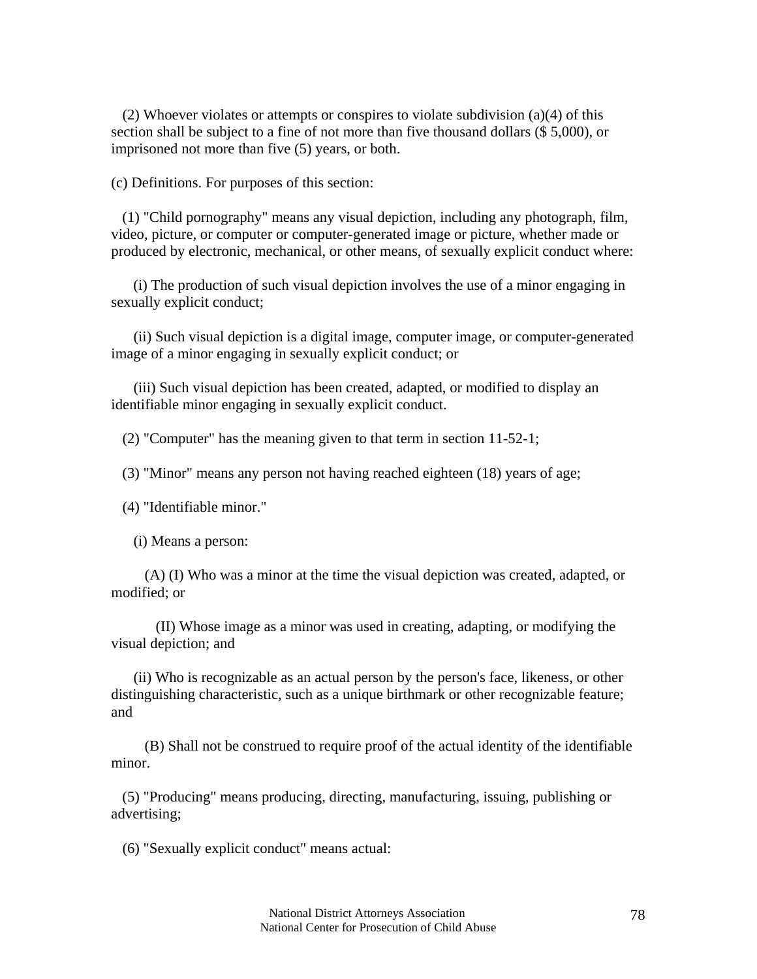(2) Whoever violates or attempts or conspires to violate subdivision (a)(4) of this section shall be subject to a fine of not more than five thousand dollars (\$ 5,000), or imprisoned not more than five (5) years, or both.

(c) Definitions. For purposes of this section:

 (1) "Child pornography" means any visual depiction, including any photograph, film, video, picture, or computer or computer-generated image or picture, whether made or produced by electronic, mechanical, or other means, of sexually explicit conduct where:

 (i) The production of such visual depiction involves the use of a minor engaging in sexually explicit conduct;

 (ii) Such visual depiction is a digital image, computer image, or computer-generated image of a minor engaging in sexually explicit conduct; or

 (iii) Such visual depiction has been created, adapted, or modified to display an identifiable minor engaging in sexually explicit conduct.

(2) "Computer" has the meaning given to that term in section 11-52-1;

(3) "Minor" means any person not having reached eighteen (18) years of age;

(4) "Identifiable minor."

(i) Means a person:

 (A) (I) Who was a minor at the time the visual depiction was created, adapted, or modified; or

 (II) Whose image as a minor was used in creating, adapting, or modifying the visual depiction; and

 (ii) Who is recognizable as an actual person by the person's face, likeness, or other distinguishing characteristic, such as a unique birthmark or other recognizable feature; and

 (B) Shall not be construed to require proof of the actual identity of the identifiable minor.

 (5) "Producing" means producing, directing, manufacturing, issuing, publishing or advertising;

(6) "Sexually explicit conduct" means actual: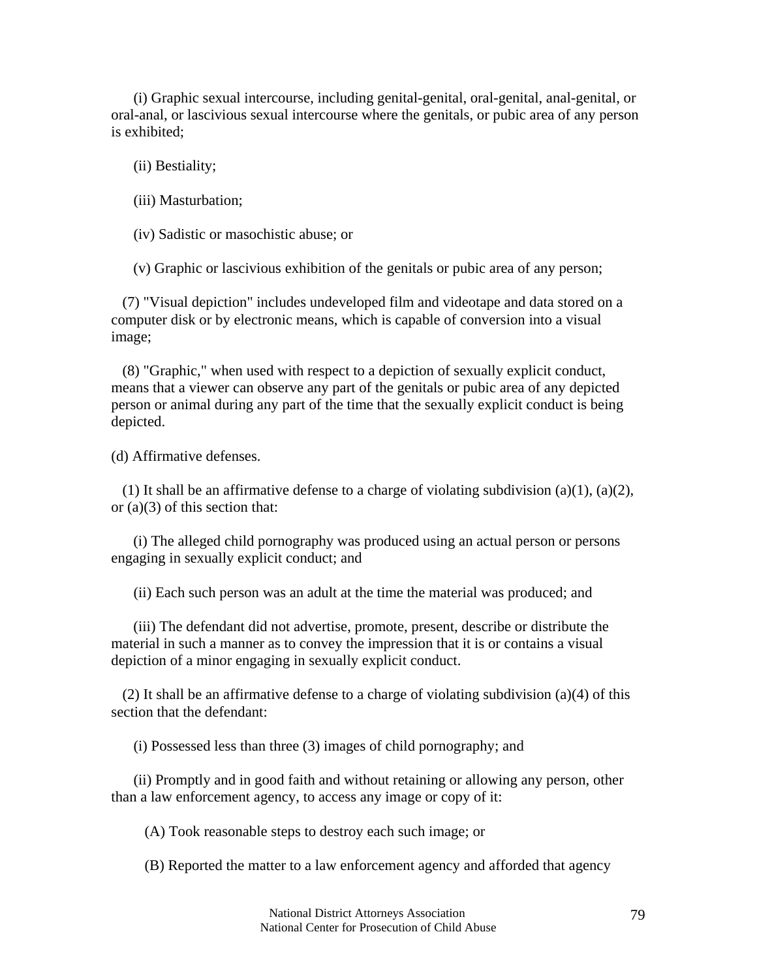(i) Graphic sexual intercourse, including genital-genital, oral-genital, anal-genital, or oral-anal, or lascivious sexual intercourse where the genitals, or pubic area of any person is exhibited;

(ii) Bestiality;

(iii) Masturbation;

(iv) Sadistic or masochistic abuse; or

(v) Graphic or lascivious exhibition of the genitals or pubic area of any person;

 (7) "Visual depiction" includes undeveloped film and videotape and data stored on a computer disk or by electronic means, which is capable of conversion into a visual image;

 (8) "Graphic," when used with respect to a depiction of sexually explicit conduct, means that a viewer can observe any part of the genitals or pubic area of any depicted person or animal during any part of the time that the sexually explicit conduct is being depicted.

(d) Affirmative defenses.

(1) It shall be an affirmative defense to a charge of violating subdivision (a)(1), (a)(2), or (a)(3) of this section that:

 (i) The alleged child pornography was produced using an actual person or persons engaging in sexually explicit conduct; and

(ii) Each such person was an adult at the time the material was produced; and

 (iii) The defendant did not advertise, promote, present, describe or distribute the material in such a manner as to convey the impression that it is or contains a visual depiction of a minor engaging in sexually explicit conduct.

 (2) It shall be an affirmative defense to a charge of violating subdivision (a)(4) of this section that the defendant:

(i) Possessed less than three (3) images of child pornography; and

 (ii) Promptly and in good faith and without retaining or allowing any person, other than a law enforcement agency, to access any image or copy of it:

(A) Took reasonable steps to destroy each such image; or

(B) Reported the matter to a law enforcement agency and afforded that agency

National District Attorneys Association National Center for Prosecution of Child Abuse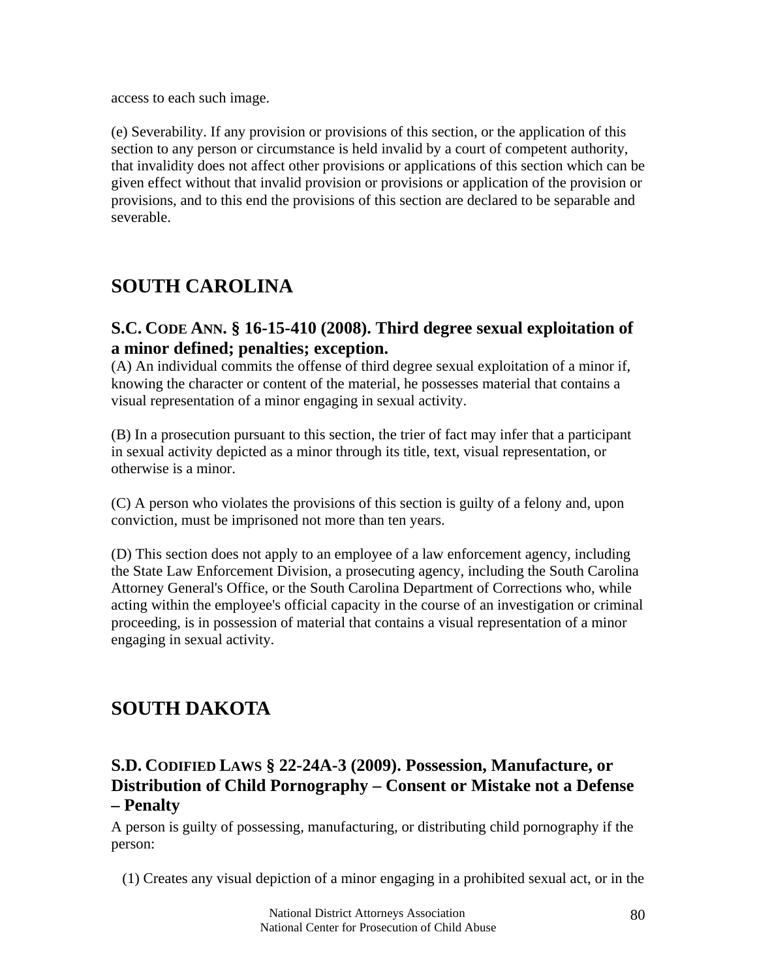access to each such image.

(e) Severability. If any provision or provisions of this section, or the application of this section to any person or circumstance is held invalid by a court of competent authority, that invalidity does not affect other provisions or applications of this section which can be given effect without that invalid provision or provisions or application of the provision or provisions, and to this end the provisions of this section are declared to be separable and severable.

# **SOUTH CAROLINA**

### **S.C. CODE ANN. § 16-15-410 (2008). Third degree sexual exploitation of a minor defined; penalties; exception.**

(A) An individual commits the offense of third degree sexual exploitation of a minor if, knowing the character or content of the material, he possesses material that contains a visual representation of a minor engaging in sexual activity.

(B) In a prosecution pursuant to this section, the trier of fact may infer that a participant in sexual activity depicted as a minor through its title, text, visual representation, or otherwise is a minor.

(C) A person who violates the provisions of this section is guilty of a felony and, upon conviction, must be imprisoned not more than ten years.

(D) This section does not apply to an employee of a law enforcement agency, including the State Law Enforcement Division, a prosecuting agency, including the South Carolina Attorney General's Office, or the South Carolina Department of Corrections who, while acting within the employee's official capacity in the course of an investigation or criminal proceeding, is in possession of material that contains a visual representation of a minor engaging in sexual activity.

# **SOUTH DAKOTA**

### **S.D. CODIFIED LAWS § 22-24A-3 (2009). Possession, Manufacture, or Distribution of Child Pornography – Consent or Mistake not a Defense – Penalty**

A person is guilty of possessing, manufacturing, or distributing child pornography if the person:

(1) Creates any visual depiction of a minor engaging in a prohibited sexual act, or in the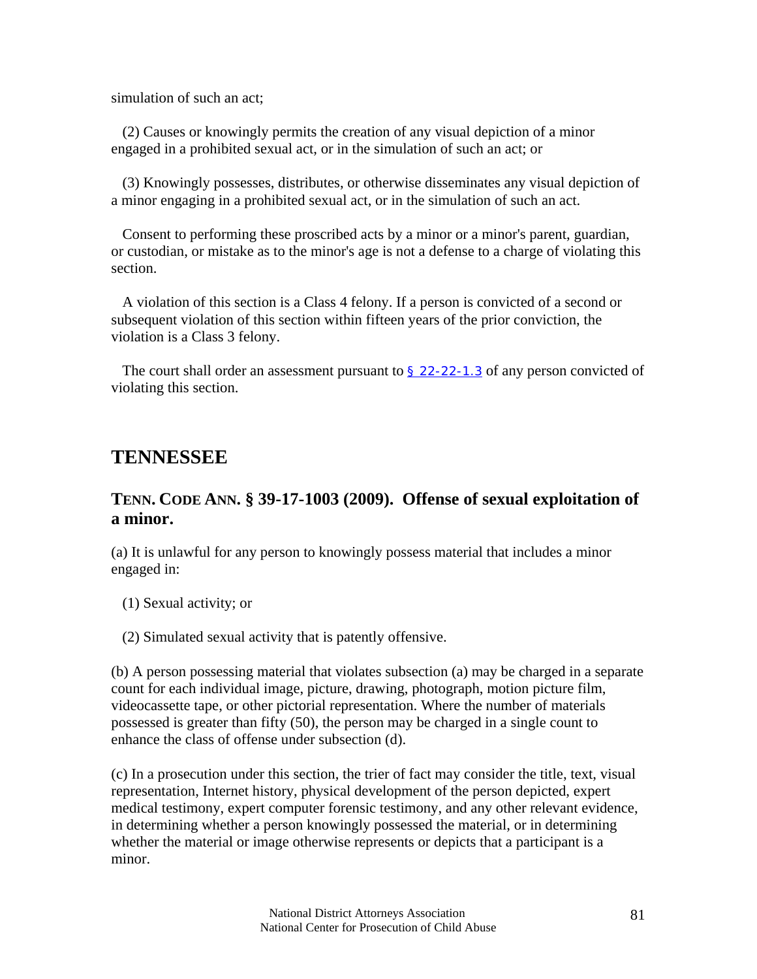simulation of such an act;

 (2) Causes or knowingly permits the creation of any visual depiction of a minor engaged in a prohibited sexual act, or in the simulation of such an act; or

 (3) Knowingly possesses, distributes, or otherwise disseminates any visual depiction of a minor engaging in a prohibited sexual act, or in the simulation of such an act.

 Consent to performing these proscribed acts by a minor or a minor's parent, guardian, or custodian, or mistake as to the minor's age is not a defense to a charge of violating this section.

 A violation of this section is a Class 4 felony. If a person is convicted of a second or subsequent violation of this section within fifteen years of the prior conviction, the violation is a Class 3 felony.

The court shall order an assessment pursuant to  $\S$  22-22-1.3 of any person convicted of violating this section.

### **TENNESSEE**

### **TENN. CODE ANN. § 39-17-1003 (2009). Offense of sexual exploitation of a minor.**

(a) It is unlawful for any person to knowingly possess material that includes a minor engaged in:

(1) Sexual activity; or

(2) Simulated sexual activity that is patently offensive.

(b) A person possessing material that violates subsection (a) may be charged in a separate count for each individual image, picture, drawing, photograph, motion picture film, videocassette tape, or other pictorial representation. Where the number of materials possessed is greater than fifty (50), the person may be charged in a single count to enhance the class of offense under subsection (d).

(c) In a prosecution under this section, the trier of fact may consider the title, text, visual representation, Internet history, physical development of the person depicted, expert medical testimony, expert computer forensic testimony, and any other relevant evidence, in determining whether a person knowingly possessed the material, or in determining whether the material or image otherwise represents or depicts that a participant is a minor.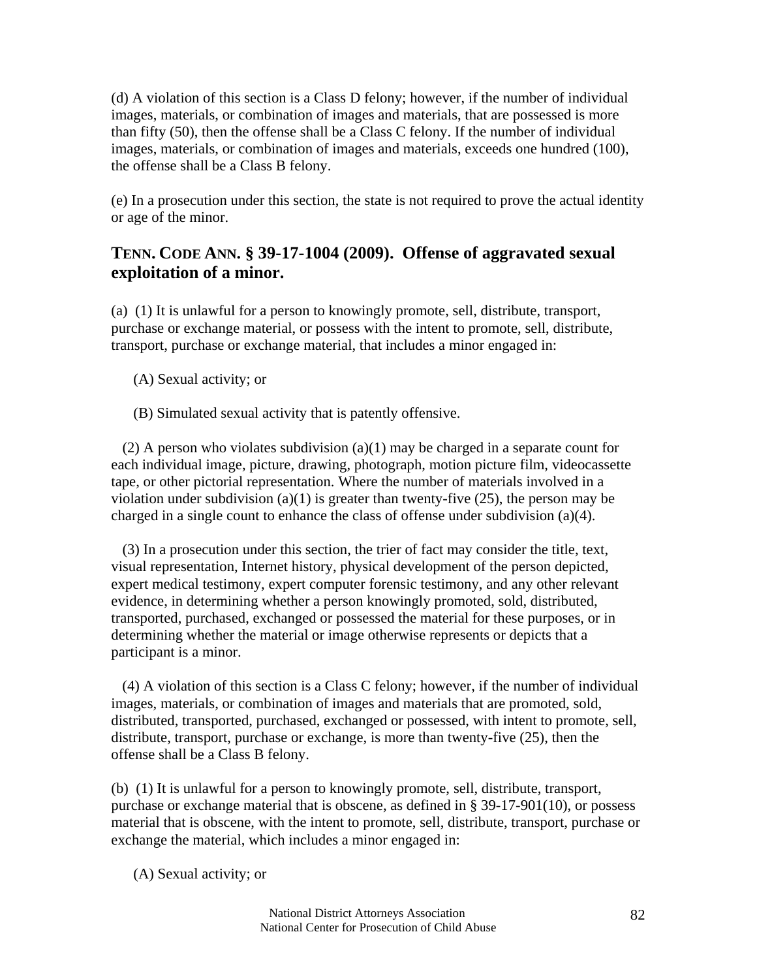(d) A violation of this section is a Class D felony; however, if the number of individual images, materials, or combination of images and materials, that are possessed is more than fifty (50), then the offense shall be a Class C felony. If the number of individual images, materials, or combination of images and materials, exceeds one hundred (100), the offense shall be a Class B felony.

(e) In a prosecution under this section, the state is not required to prove the actual identity or age of the minor.

### **TENN. CODE ANN. § 39-17-1004 (2009). Offense of aggravated sexual exploitation of a minor.**

(a) (1) It is unlawful for a person to knowingly promote, sell, distribute, transport, purchase or exchange material, or possess with the intent to promote, sell, distribute, transport, purchase or exchange material, that includes a minor engaged in:

- (A) Sexual activity; or
- (B) Simulated sexual activity that is patently offensive.

 (2) A person who violates subdivision (a)(1) may be charged in a separate count for each individual image, picture, drawing, photograph, motion picture film, videocassette tape, or other pictorial representation. Where the number of materials involved in a violation under subdivision  $(a)(1)$  is greater than twenty-five  $(25)$ , the person may be charged in a single count to enhance the class of offense under subdivision (a)(4).

 (3) In a prosecution under this section, the trier of fact may consider the title, text, visual representation, Internet history, physical development of the person depicted, expert medical testimony, expert computer forensic testimony, and any other relevant evidence, in determining whether a person knowingly promoted, sold, distributed, transported, purchased, exchanged or possessed the material for these purposes, or in determining whether the material or image otherwise represents or depicts that a participant is a minor.

 (4) A violation of this section is a Class C felony; however, if the number of individual images, materials, or combination of images and materials that are promoted, sold, distributed, transported, purchased, exchanged or possessed, with intent to promote, sell, distribute, transport, purchase or exchange, is more than twenty-five (25), then the offense shall be a Class B felony.

(b) (1) It is unlawful for a person to knowingly promote, sell, distribute, transport, purchase or exchange material that is obscene, as defined in § 39-17-901(10), or possess material that is obscene, with the intent to promote, sell, distribute, transport, purchase or exchange the material, which includes a minor engaged in:

(A) Sexual activity; or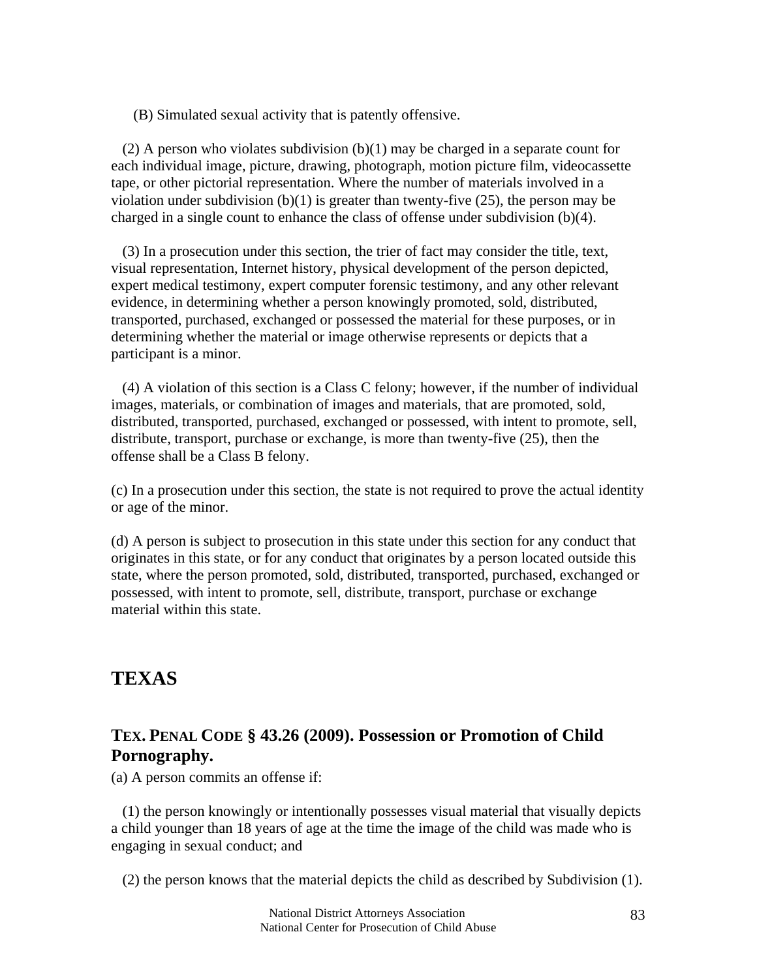(B) Simulated sexual activity that is patently offensive.

 (2) A person who violates subdivision (b)(1) may be charged in a separate count for each individual image, picture, drawing, photograph, motion picture film, videocassette tape, or other pictorial representation. Where the number of materials involved in a violation under subdivision  $(b)(1)$  is greater than twenty-five  $(25)$ , the person may be charged in a single count to enhance the class of offense under subdivision (b)(4).

 (3) In a prosecution under this section, the trier of fact may consider the title, text, visual representation, Internet history, physical development of the person depicted, expert medical testimony, expert computer forensic testimony, and any other relevant evidence, in determining whether a person knowingly promoted, sold, distributed, transported, purchased, exchanged or possessed the material for these purposes, or in determining whether the material or image otherwise represents or depicts that a participant is a minor.

 (4) A violation of this section is a Class C felony; however, if the number of individual images, materials, or combination of images and materials, that are promoted, sold, distributed, transported, purchased, exchanged or possessed, with intent to promote, sell, distribute, transport, purchase or exchange, is more than twenty-five (25), then the offense shall be a Class B felony.

(c) In a prosecution under this section, the state is not required to prove the actual identity or age of the minor.

(d) A person is subject to prosecution in this state under this section for any conduct that originates in this state, or for any conduct that originates by a person located outside this state, where the person promoted, sold, distributed, transported, purchased, exchanged or possessed, with intent to promote, sell, distribute, transport, purchase or exchange material within this state.

### **TEXAS**

### **TEX. PENAL CODE § 43.26 (2009). Possession or Promotion of Child Pornography.**

(a) A person commits an offense if:

 (1) the person knowingly or intentionally possesses visual material that visually depicts a child younger than 18 years of age at the time the image of the child was made who is engaging in sexual conduct; and

(2) the person knows that the material depicts the child as described by Subdivision (1).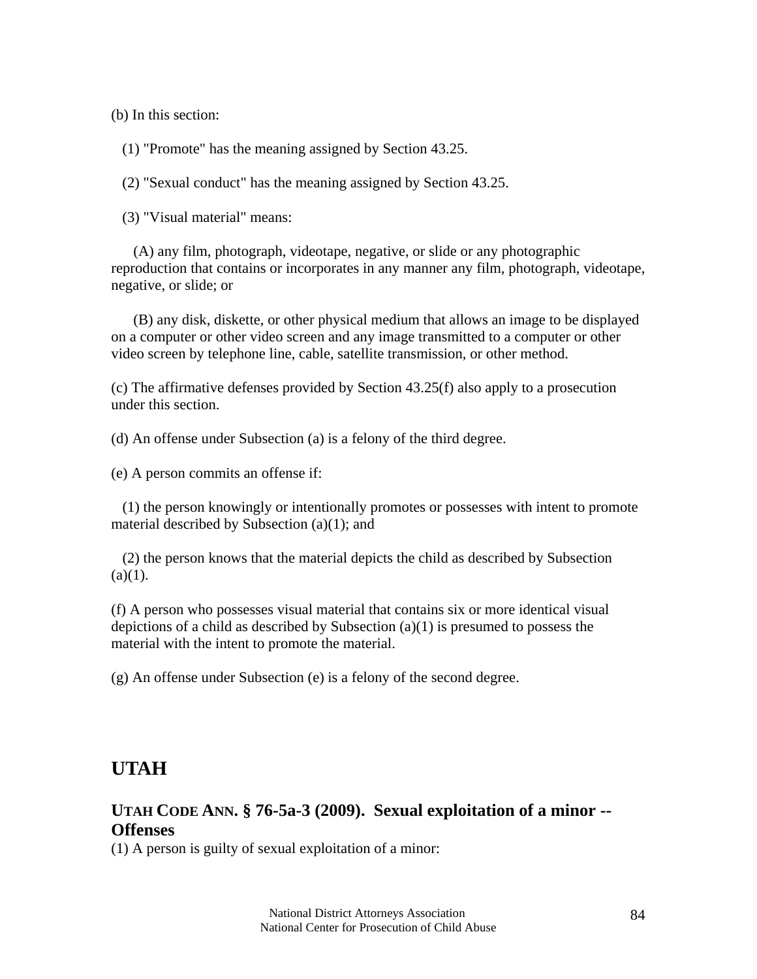(b) In this section:

(1) "Promote" has the meaning assigned by Section 43.25.

(2) "Sexual conduct" has the meaning assigned by Section 43.25.

(3) "Visual material" means:

 (A) any film, photograph, videotape, negative, or slide or any photographic reproduction that contains or incorporates in any manner any film, photograph, videotape, negative, or slide; or

 (B) any disk, diskette, or other physical medium that allows an image to be displayed on a computer or other video screen and any image transmitted to a computer or other video screen by telephone line, cable, satellite transmission, or other method.

(c) The affirmative defenses provided by Section 43.25(f) also apply to a prosecution under this section.

(d) An offense under Subsection (a) is a felony of the third degree.

(e) A person commits an offense if:

 (1) the person knowingly or intentionally promotes or possesses with intent to promote material described by Subsection (a)(1); and

 (2) the person knows that the material depicts the child as described by Subsection  $(a)(1)$ .

(f) A person who possesses visual material that contains six or more identical visual depictions of a child as described by Subsection  $(a)(1)$  is presumed to possess the material with the intent to promote the material.

(g) An offense under Subsection (e) is a felony of the second degree.

### **UTAH**

### **UTAH CODE ANN. § 76-5a-3 (2009). Sexual exploitation of a minor -- Offenses**

(1) A person is guilty of sexual exploitation of a minor: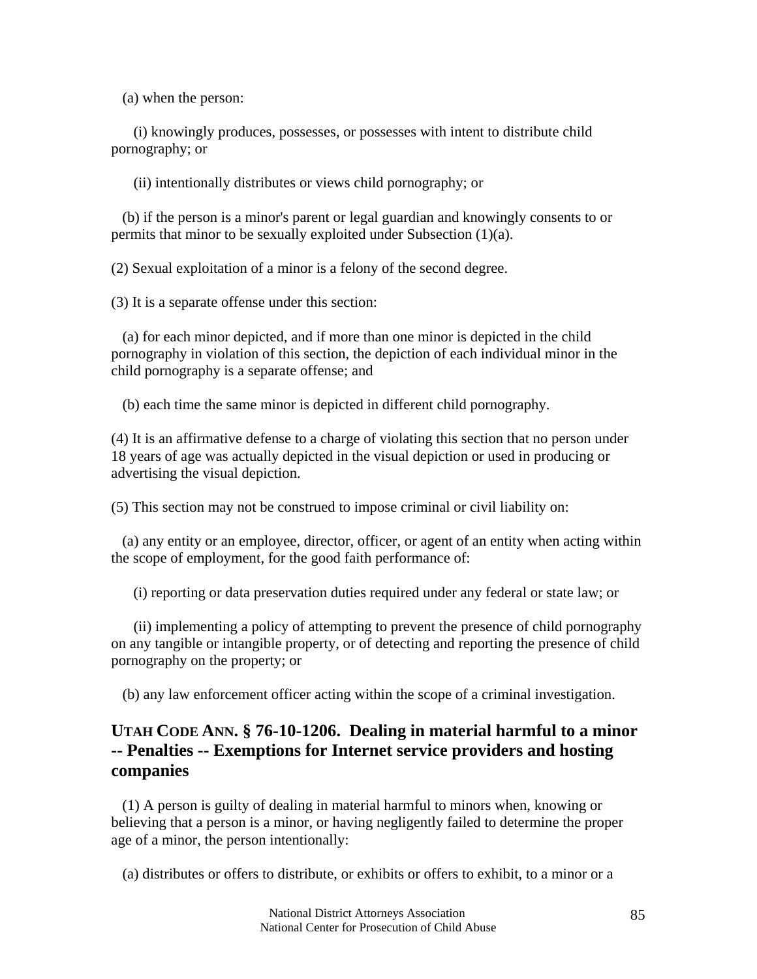(a) when the person:

 (i) knowingly produces, possesses, or possesses with intent to distribute child pornography; or

(ii) intentionally distributes or views child pornography; or

 (b) if the person is a minor's parent or legal guardian and knowingly consents to or permits that minor to be sexually exploited under Subsection (1)(a).

(2) Sexual exploitation of a minor is a felony of the second degree.

(3) It is a separate offense under this section:

 (a) for each minor depicted, and if more than one minor is depicted in the child pornography in violation of this section, the depiction of each individual minor in the child pornography is a separate offense; and

(b) each time the same minor is depicted in different child pornography.

(4) It is an affirmative defense to a charge of violating this section that no person under 18 years of age was actually depicted in the visual depiction or used in producing or advertising the visual depiction.

(5) This section may not be construed to impose criminal or civil liability on:

 (a) any entity or an employee, director, officer, or agent of an entity when acting within the scope of employment, for the good faith performance of:

(i) reporting or data preservation duties required under any federal or state law; or

 (ii) implementing a policy of attempting to prevent the presence of child pornography on any tangible or intangible property, or of detecting and reporting the presence of child pornography on the property; or

(b) any law enforcement officer acting within the scope of a criminal investigation.

### **UTAH CODE ANN. § 76-10-1206. Dealing in material harmful to a minor -- Penalties -- Exemptions for Internet service providers and hosting companies**

 (1) A person is guilty of dealing in material harmful to minors when, knowing or believing that a person is a minor, or having negligently failed to determine the proper age of a minor, the person intentionally:

(a) distributes or offers to distribute, or exhibits or offers to exhibit, to a minor or a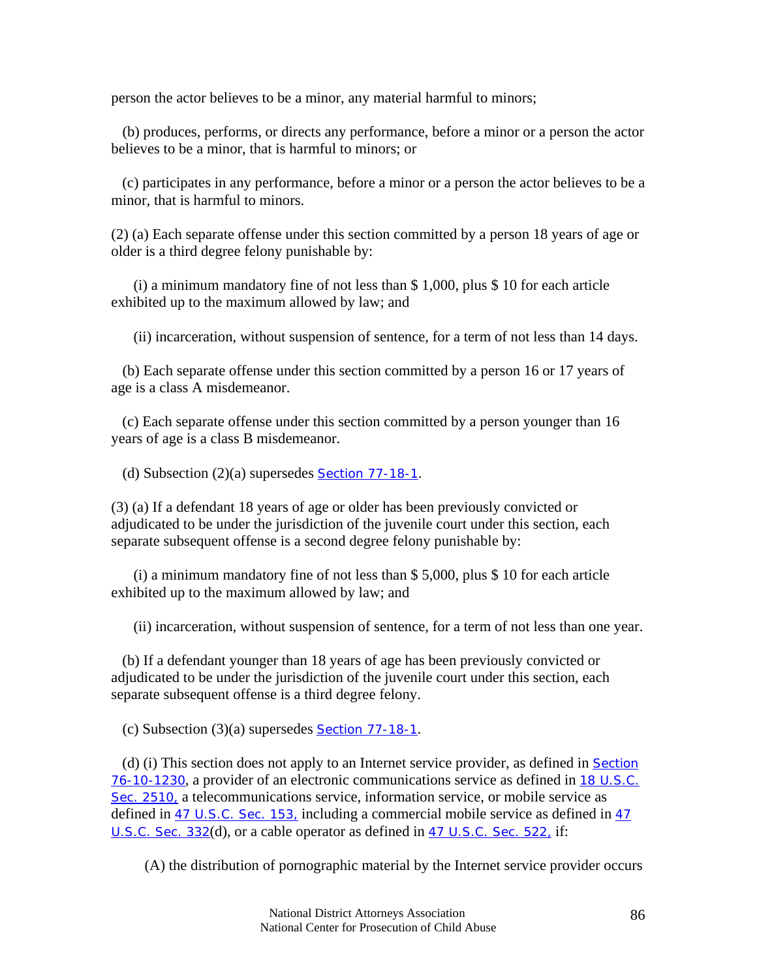person the actor believes to be a minor, any material harmful to minors;

 (b) produces, performs, or directs any performance, before a minor or a person the actor believes to be a minor, that is harmful to minors; or

 (c) participates in any performance, before a minor or a person the actor believes to be a minor, that is harmful to minors.

(2) (a) Each separate offense under this section committed by a person 18 years of age or older is a third degree felony punishable by:

 (i) a minimum mandatory fine of not less than \$ 1,000, plus \$ 10 for each article exhibited up to the maximum allowed by law; and

(ii) incarceration, without suspension of sentence, for a term of not less than 14 days.

 (b) Each separate offense under this section committed by a person 16 or 17 years of age is a class A misdemeanor.

 (c) Each separate offense under this section committed by a person younger than 16 years of age is a class B misdemeanor.

(d) Subsection  $(2)(a)$  supersedes Section 77-18-1.

(3) (a) If a defendant 18 years of age or older has been previously convicted or adjudicated to be under the jurisdiction of the juvenile court under this section, each separate subsequent offense is a second degree felony punishable by:

 (i) a minimum mandatory fine of not less than \$ 5,000, plus \$ 10 for each article exhibited up to the maximum allowed by law; and

(ii) incarceration, without suspension of sentence, for a term of not less than one year.

 (b) If a defendant younger than 18 years of age has been previously convicted or adjudicated to be under the jurisdiction of the juvenile court under this section, each separate subsequent offense is a third degree felony.

(c) Subsection (3)(a) supersedes Section 77-18-1.

 (d) (i) This section does not apply to an Internet service provider, as defined in Section 76-10-1230, a provider of an electronic communications service as defined in 18 U.S.C. Sec. 2510, a telecommunications service, information service, or mobile service as defined in  $47 \cup S.C.$  Sec. 153, including a commercial mobile service as defined in  $47$ U.S.C. Sec. 332(d), or a cable operator as defined in 47 U.S.C. Sec. 522, if:

(A) the distribution of pornographic material by the Internet service provider occurs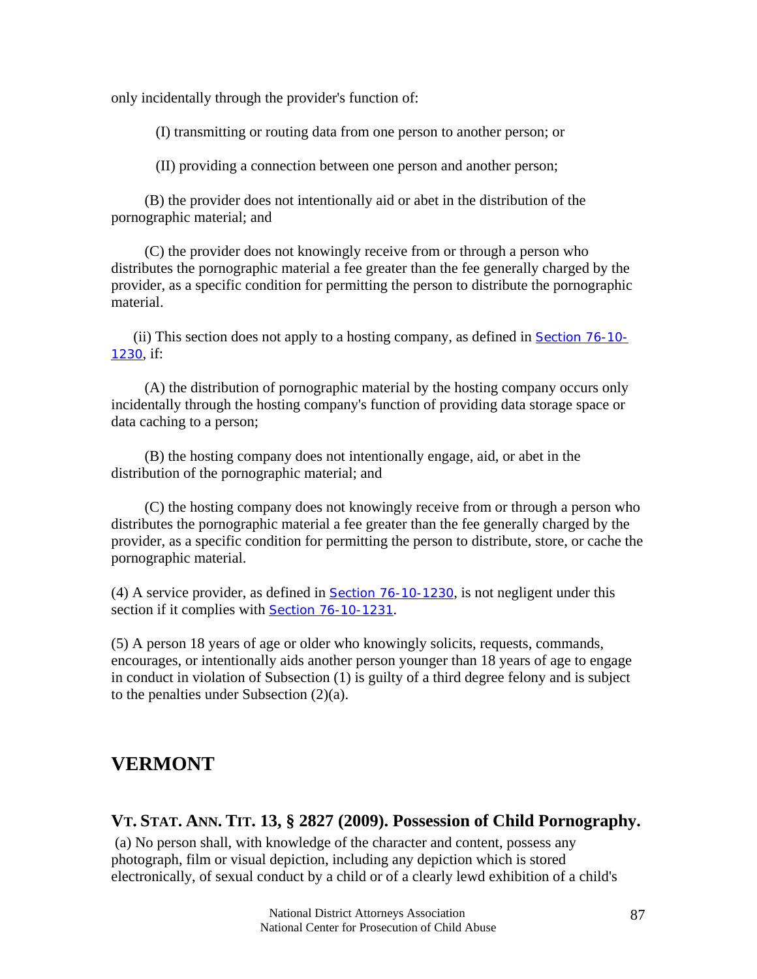only incidentally through the provider's function of:

(I) transmitting or routing data from one person to another person; or

(II) providing a connection between one person and another person;

 (B) the provider does not intentionally aid or abet in the distribution of the pornographic material; and

 (C) the provider does not knowingly receive from or through a person who distributes the pornographic material a fee greater than the fee generally charged by the provider, as a specific condition for permitting the person to distribute the pornographic material.

 (ii) This section does not apply to a hosting company, as defined in Section 76-10- 1230, if:

 (A) the distribution of pornographic material by the hosting company occurs only incidentally through the hosting company's function of providing data storage space or data caching to a person;

 (B) the hosting company does not intentionally engage, aid, or abet in the distribution of the pornographic material; and

 (C) the hosting company does not knowingly receive from or through a person who distributes the pornographic material a fee greater than the fee generally charged by the provider, as a specific condition for permitting the person to distribute, store, or cache the pornographic material.

(4) A service provider, as defined in Section 76-10-1230, is not negligent under this section if it complies with Section 76-10-1231.

(5) A person 18 years of age or older who knowingly solicits, requests, commands, encourages, or intentionally aids another person younger than 18 years of age to engage in conduct in violation of Subsection (1) is guilty of a third degree felony and is subject to the penalties under Subsection (2)(a).

### **VERMONT**

#### **VT. STAT. ANN. TIT. 13, § 2827 (2009). Possession of Child Pornography.**

 (a) No person shall, with knowledge of the character and content, possess any photograph, film or visual depiction, including any depiction which is stored electronically, of sexual conduct by a child or of a clearly lewd exhibition of a child's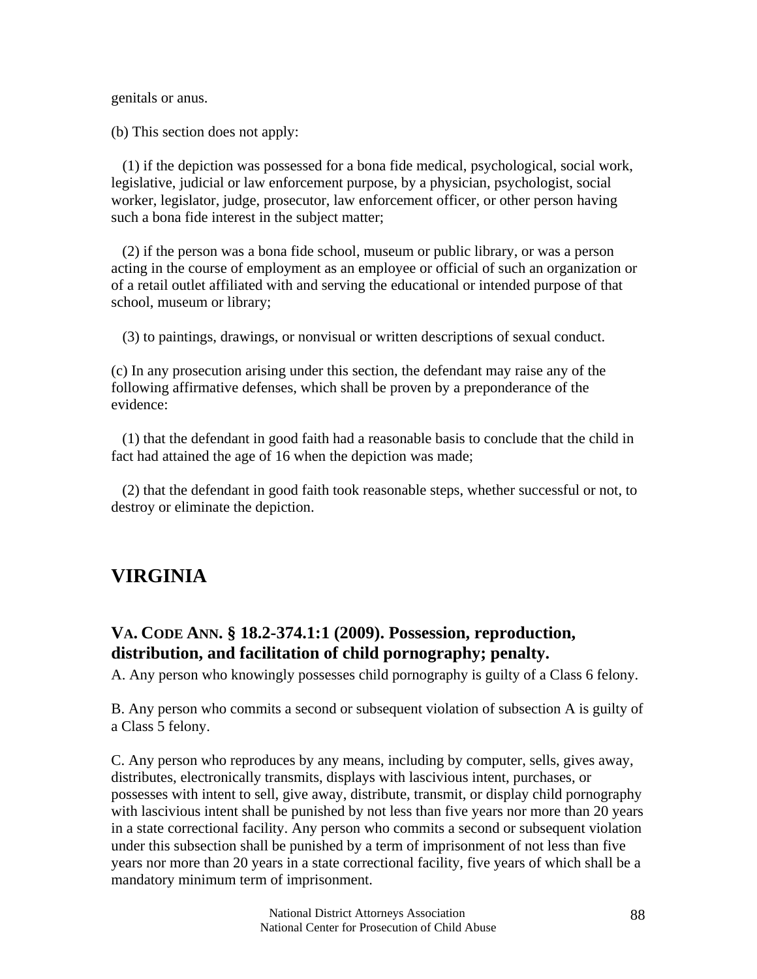genitals or anus.

(b) This section does not apply:

 (1) if the depiction was possessed for a bona fide medical, psychological, social work, legislative, judicial or law enforcement purpose, by a physician, psychologist, social worker, legislator, judge, prosecutor, law enforcement officer, or other person having such a bona fide interest in the subject matter;

 (2) if the person was a bona fide school, museum or public library, or was a person acting in the course of employment as an employee or official of such an organization or of a retail outlet affiliated with and serving the educational or intended purpose of that school, museum or library;

(3) to paintings, drawings, or nonvisual or written descriptions of sexual conduct.

(c) In any prosecution arising under this section, the defendant may raise any of the following affirmative defenses, which shall be proven by a preponderance of the evidence:

 (1) that the defendant in good faith had a reasonable basis to conclude that the child in fact had attained the age of 16 when the depiction was made;

 (2) that the defendant in good faith took reasonable steps, whether successful or not, to destroy or eliminate the depiction.

## **VIRGINIA**

### **VA. CODE ANN. § 18.2-374.1:1 (2009). Possession, reproduction, distribution, and facilitation of child pornography; penalty.**

A. Any person who knowingly possesses child pornography is guilty of a Class 6 felony.

B. Any person who commits a second or subsequent violation of subsection A is guilty of a Class 5 felony.

C. Any person who reproduces by any means, including by computer, sells, gives away, distributes, electronically transmits, displays with lascivious intent, purchases, or possesses with intent to sell, give away, distribute, transmit, or display child pornography with lascivious intent shall be punished by not less than five years nor more than 20 years in a state correctional facility. Any person who commits a second or subsequent violation under this subsection shall be punished by a term of imprisonment of not less than five years nor more than 20 years in a state correctional facility, five years of which shall be a mandatory minimum term of imprisonment.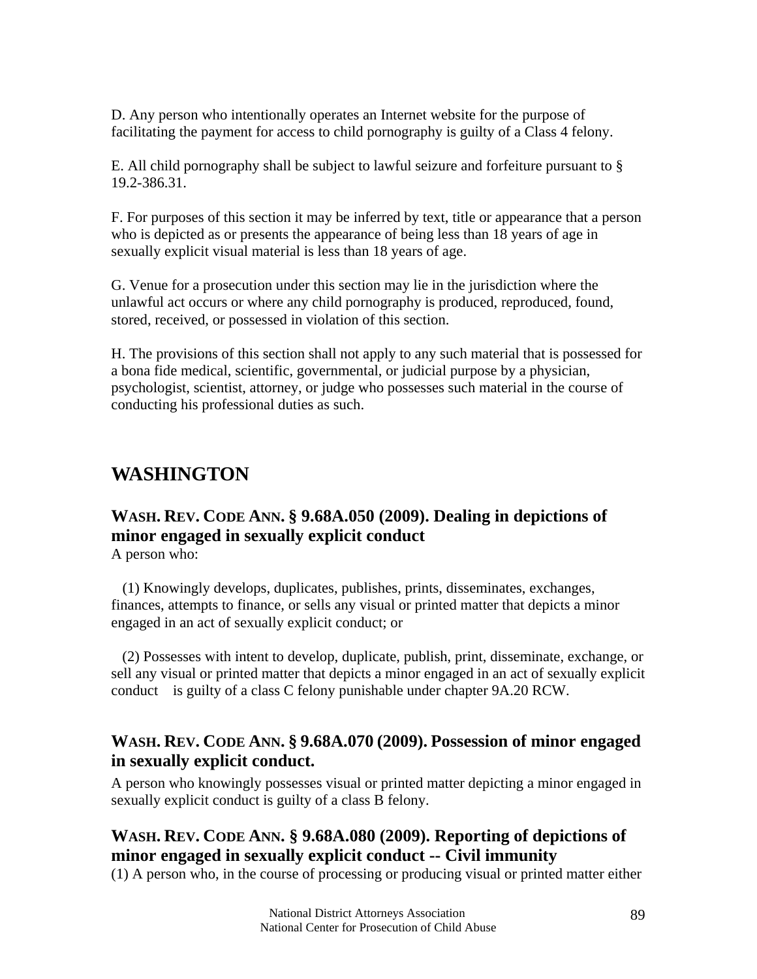D. Any person who intentionally operates an Internet website for the purpose of facilitating the payment for access to child pornography is guilty of a Class 4 felony.

E. All child pornography shall be subject to lawful seizure and forfeiture pursuant to § 19.2-386.31.

F. For purposes of this section it may be inferred by text, title or appearance that a person who is depicted as or presents the appearance of being less than 18 years of age in sexually explicit visual material is less than 18 years of age.

G. Venue for a prosecution under this section may lie in the jurisdiction where the unlawful act occurs or where any child pornography is produced, reproduced, found, stored, received, or possessed in violation of this section.

H. The provisions of this section shall not apply to any such material that is possessed for a bona fide medical, scientific, governmental, or judicial purpose by a physician, psychologist, scientist, attorney, or judge who possesses such material in the course of conducting his professional duties as such.

### **WASHINGTON**

### **WASH. REV. CODE ANN. § 9.68A.050 (2009). Dealing in depictions of minor engaged in sexually explicit conduct**

A person who:

 (1) Knowingly develops, duplicates, publishes, prints, disseminates, exchanges, finances, attempts to finance, or sells any visual or printed matter that depicts a minor engaged in an act of sexually explicit conduct; or

 (2) Possesses with intent to develop, duplicate, publish, print, disseminate, exchange, or sell any visual or printed matter that depicts a minor engaged in an act of sexually explicit conduct is guilty of a class C felony punishable under chapter 9A.20 RCW.

### **WASH. REV. CODE ANN. § 9.68A.070 (2009). Possession of minor engaged in sexually explicit conduct.**

A person who knowingly possesses visual or printed matter depicting a minor engaged in sexually explicit conduct is guilty of a class B felony.

### **WASH. REV. CODE ANN. § 9.68A.080 (2009). Reporting of depictions of minor engaged in sexually explicit conduct -- Civil immunity**

(1) A person who, in the course of processing or producing visual or printed matter either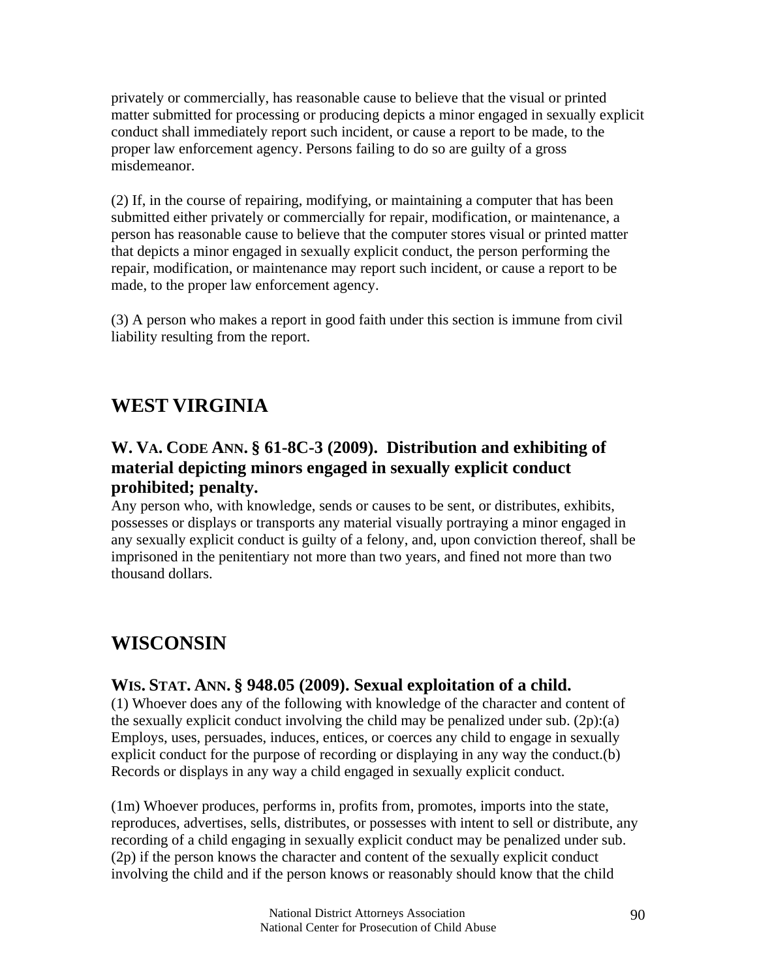privately or commercially, has reasonable cause to believe that the visual or printed matter submitted for processing or producing depicts a minor engaged in sexually explicit conduct shall immediately report such incident, or cause a report to be made, to the proper law enforcement agency. Persons failing to do so are guilty of a gross misdemeanor.

(2) If, in the course of repairing, modifying, or maintaining a computer that has been submitted either privately or commercially for repair, modification, or maintenance, a person has reasonable cause to believe that the computer stores visual or printed matter that depicts a minor engaged in sexually explicit conduct, the person performing the repair, modification, or maintenance may report such incident, or cause a report to be made, to the proper law enforcement agency.

(3) A person who makes a report in good faith under this section is immune from civil liability resulting from the report.

# **WEST VIRGINIA**

### **W. VA. CODE ANN. § 61-8C-3 (2009). Distribution and exhibiting of material depicting minors engaged in sexually explicit conduct prohibited; penalty.**

Any person who, with knowledge, sends or causes to be sent, or distributes, exhibits, possesses or displays or transports any material visually portraying a minor engaged in any sexually explicit conduct is guilty of a felony, and, upon conviction thereof, shall be imprisoned in the penitentiary not more than two years, and fined not more than two thousand dollars.

# **WISCONSIN**

### **WIS. STAT. ANN. § 948.05 (2009). Sexual exploitation of a child.**

(1) Whoever does any of the following with knowledge of the character and content of the sexually explicit conduct involving the child may be penalized under sub. (2p):(a) Employs, uses, persuades, induces, entices, or coerces any child to engage in sexually explicit conduct for the purpose of recording or displaying in any way the conduct.(b) Records or displays in any way a child engaged in sexually explicit conduct.

(1m) Whoever produces, performs in, profits from, promotes, imports into the state, reproduces, advertises, sells, distributes, or possesses with intent to sell or distribute, any recording of a child engaging in sexually explicit conduct may be penalized under sub. (2p) if the person knows the character and content of the sexually explicit conduct involving the child and if the person knows or reasonably should know that the child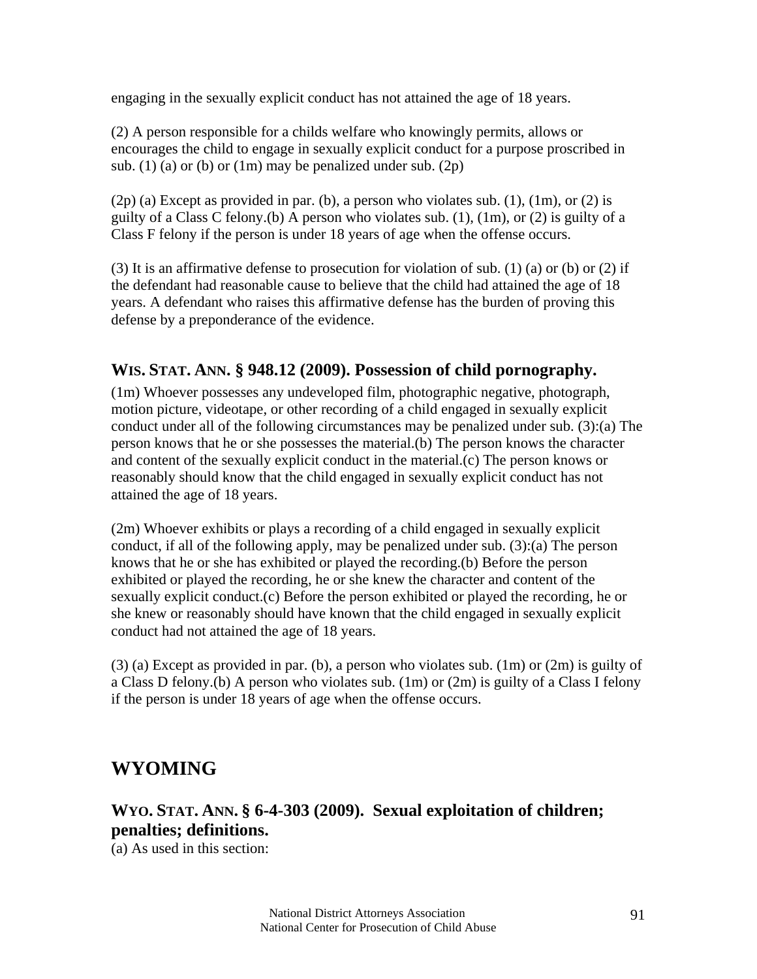engaging in the sexually explicit conduct has not attained the age of 18 years.

(2) A person responsible for a childs welfare who knowingly permits, allows or encourages the child to engage in sexually explicit conduct for a purpose proscribed in sub. (1) (a) or (b) or (1m) may be penalized under sub. (2p)

 $(2p)$  (a) Except as provided in par. (b), a person who violates sub. (1), (1m), or (2) is guilty of a Class C felony.(b) A person who violates sub. (1), (1m), or (2) is guilty of a Class F felony if the person is under 18 years of age when the offense occurs.

(3) It is an affirmative defense to prosecution for violation of sub. (1) (a) or (b) or (2) if the defendant had reasonable cause to believe that the child had attained the age of 18 years. A defendant who raises this affirmative defense has the burden of proving this defense by a preponderance of the evidence.

### **WIS. STAT. ANN. § 948.12 (2009). Possession of child pornography.**

(1m) Whoever possesses any undeveloped film, photographic negative, photograph, motion picture, videotape, or other recording of a child engaged in sexually explicit conduct under all of the following circumstances may be penalized under sub. (3):(a) The person knows that he or she possesses the material.(b) The person knows the character and content of the sexually explicit conduct in the material.(c) The person knows or reasonably should know that the child engaged in sexually explicit conduct has not attained the age of 18 years.

(2m) Whoever exhibits or plays a recording of a child engaged in sexually explicit conduct, if all of the following apply, may be penalized under sub. (3):(a) The person knows that he or she has exhibited or played the recording.(b) Before the person exhibited or played the recording, he or she knew the character and content of the sexually explicit conduct.(c) Before the person exhibited or played the recording, he or she knew or reasonably should have known that the child engaged in sexually explicit conduct had not attained the age of 18 years.

(3) (a) Except as provided in par. (b), a person who violates sub. (1m) or (2m) is guilty of a Class D felony.(b) A person who violates sub. (1m) or (2m) is guilty of a Class I felony if the person is under 18 years of age when the offense occurs.

## **WYOMING**

### **WYO. STAT. ANN. § 6-4-303 (2009). Sexual exploitation of children; penalties; definitions.**

(a) As used in this section: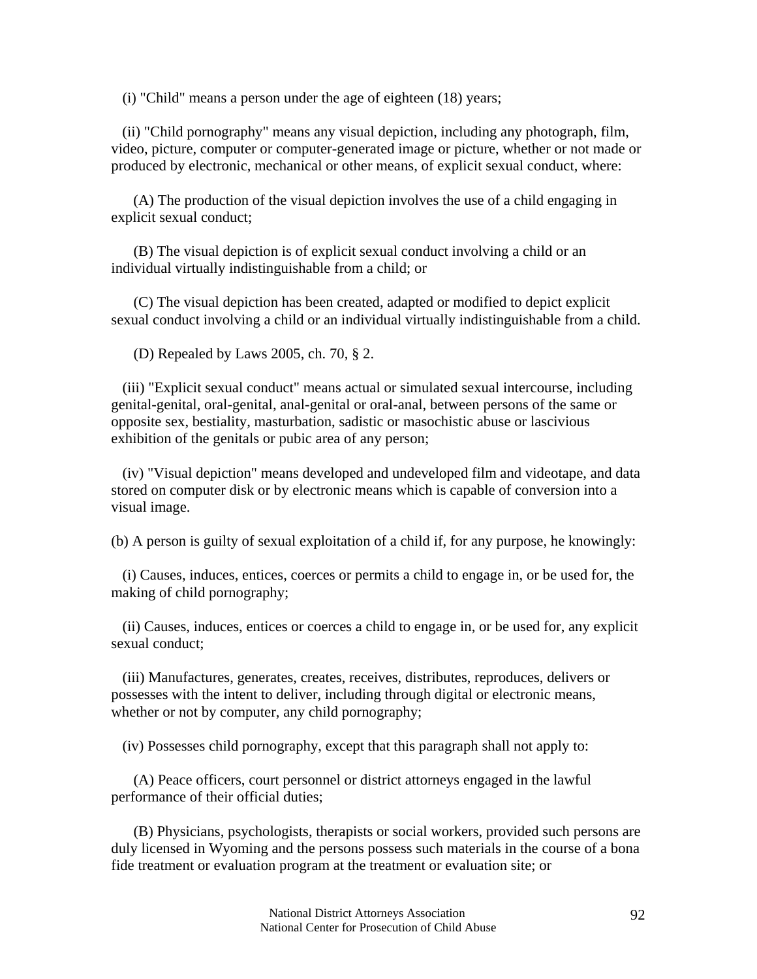(i) "Child" means a person under the age of eighteen (18) years;

 (ii) "Child pornography" means any visual depiction, including any photograph, film, video, picture, computer or computer-generated image or picture, whether or not made or produced by electronic, mechanical or other means, of explicit sexual conduct, where:

 (A) The production of the visual depiction involves the use of a child engaging in explicit sexual conduct;

 (B) The visual depiction is of explicit sexual conduct involving a child or an individual virtually indistinguishable from a child; or

 (C) The visual depiction has been created, adapted or modified to depict explicit sexual conduct involving a child or an individual virtually indistinguishable from a child.

(D) Repealed by Laws 2005, ch. 70, § 2.

 (iii) "Explicit sexual conduct" means actual or simulated sexual intercourse, including genital-genital, oral-genital, anal-genital or oral-anal, between persons of the same or opposite sex, bestiality, masturbation, sadistic or masochistic abuse or lascivious exhibition of the genitals or pubic area of any person;

 (iv) "Visual depiction" means developed and undeveloped film and videotape, and data stored on computer disk or by electronic means which is capable of conversion into a visual image.

(b) A person is guilty of sexual exploitation of a child if, for any purpose, he knowingly:

 (i) Causes, induces, entices, coerces or permits a child to engage in, or be used for, the making of child pornography;

 (ii) Causes, induces, entices or coerces a child to engage in, or be used for, any explicit sexual conduct;

 (iii) Manufactures, generates, creates, receives, distributes, reproduces, delivers or possesses with the intent to deliver, including through digital or electronic means, whether or not by computer, any child pornography;

(iv) Possesses child pornography, except that this paragraph shall not apply to:

 (A) Peace officers, court personnel or district attorneys engaged in the lawful performance of their official duties;

 (B) Physicians, psychologists, therapists or social workers, provided such persons are duly licensed in Wyoming and the persons possess such materials in the course of a bona fide treatment or evaluation program at the treatment or evaluation site; or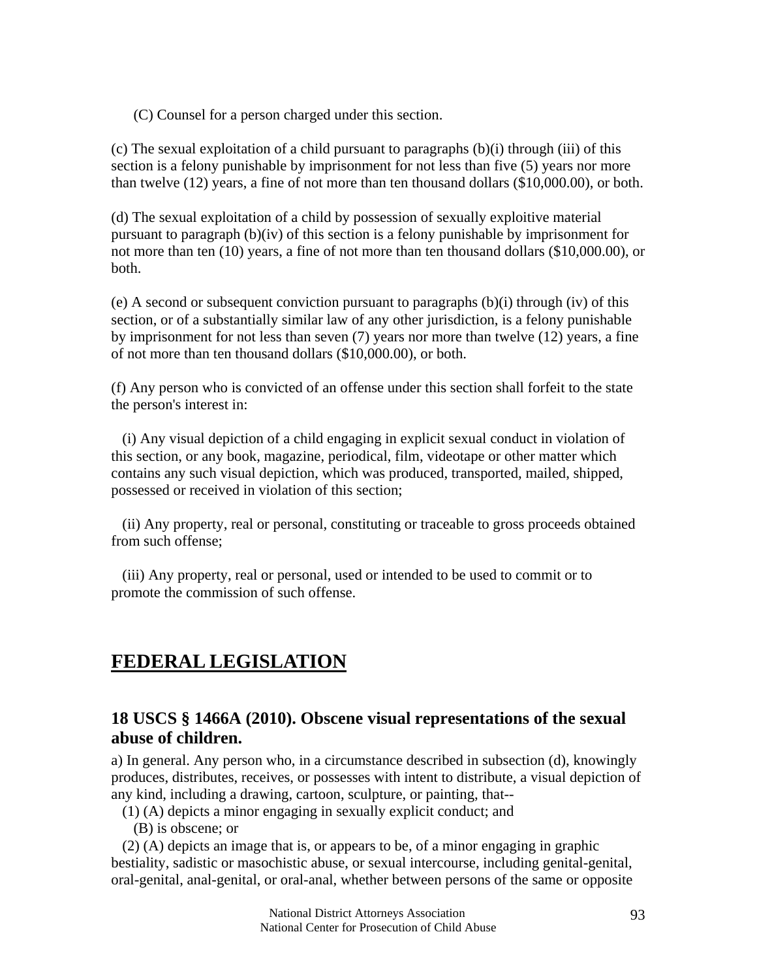(C) Counsel for a person charged under this section.

(c) The sexual exploitation of a child pursuant to paragraphs (b)(i) through (iii) of this section is a felony punishable by imprisonment for not less than five (5) years nor more than twelve (12) years, a fine of not more than ten thousand dollars (\$10,000.00), or both.

(d) The sexual exploitation of a child by possession of sexually exploitive material pursuant to paragraph  $(b)(iv)$  of this section is a felony punishable by imprisonment for not more than ten (10) years, a fine of not more than ten thousand dollars (\$10,000.00), or both.

(e) A second or subsequent conviction pursuant to paragraphs (b)(i) through (iv) of this section, or of a substantially similar law of any other jurisdiction, is a felony punishable by imprisonment for not less than seven (7) years nor more than twelve (12) years, a fine of not more than ten thousand dollars (\$10,000.00), or both.

(f) Any person who is convicted of an offense under this section shall forfeit to the state the person's interest in:

 (i) Any visual depiction of a child engaging in explicit sexual conduct in violation of this section, or any book, magazine, periodical, film, videotape or other matter which contains any such visual depiction, which was produced, transported, mailed, shipped, possessed or received in violation of this section;

 (ii) Any property, real or personal, constituting or traceable to gross proceeds obtained from such offense;

 (iii) Any property, real or personal, used or intended to be used to commit or to promote the commission of such offense.

### **FEDERAL LEGISLATION**

#### **18 USCS § 1466A (2010). Obscene visual representations of the sexual abuse of children.**

a) In general. Any person who, in a circumstance described in subsection (d), knowingly produces, distributes, receives, or possesses with intent to distribute, a visual depiction of any kind, including a drawing, cartoon, sculpture, or painting, that--

- (1) (A) depicts a minor engaging in sexually explicit conduct; and
	- (B) is obscene; or

 (2) (A) depicts an image that is, or appears to be, of a minor engaging in graphic bestiality, sadistic or masochistic abuse, or sexual intercourse, including genital-genital, oral-genital, anal-genital, or oral-anal, whether between persons of the same or opposite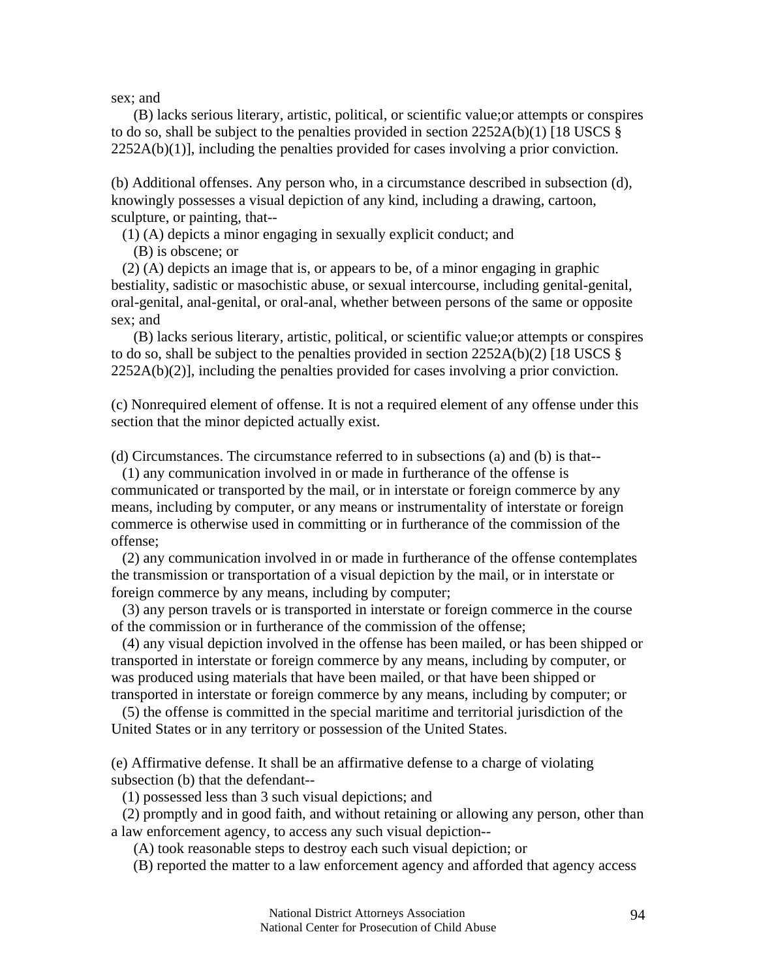sex; and

 (B) lacks serious literary, artistic, political, or scientific value;or attempts or conspires to do so, shall be subject to the penalties provided in section  $2252A(b)(1)$  [18 USCS § 2252A(b)(1)], including the penalties provided for cases involving a prior conviction.

(b) Additional offenses. Any person who, in a circumstance described in subsection (d), knowingly possesses a visual depiction of any kind, including a drawing, cartoon, sculpture, or painting, that--

(1) (A) depicts a minor engaging in sexually explicit conduct; and

(B) is obscene; or

 (2) (A) depicts an image that is, or appears to be, of a minor engaging in graphic bestiality, sadistic or masochistic abuse, or sexual intercourse, including genital-genital, oral-genital, anal-genital, or oral-anal, whether between persons of the same or opposite sex; and

 (B) lacks serious literary, artistic, political, or scientific value;or attempts or conspires to do so, shall be subject to the penalties provided in section  $2252A(b)(2)$  [18 USCS §  $2252A(b)(2)$ , including the penalties provided for cases involving a prior conviction.

(c) Nonrequired element of offense. It is not a required element of any offense under this section that the minor depicted actually exist.

(d) Circumstances. The circumstance referred to in subsections (a) and (b) is that--

 (1) any communication involved in or made in furtherance of the offense is communicated or transported by the mail, or in interstate or foreign commerce by any means, including by computer, or any means or instrumentality of interstate or foreign commerce is otherwise used in committing or in furtherance of the commission of the offense;

 (2) any communication involved in or made in furtherance of the offense contemplates the transmission or transportation of a visual depiction by the mail, or in interstate or foreign commerce by any means, including by computer;

 (3) any person travels or is transported in interstate or foreign commerce in the course of the commission or in furtherance of the commission of the offense;

 (4) any visual depiction involved in the offense has been mailed, or has been shipped or transported in interstate or foreign commerce by any means, including by computer, or was produced using materials that have been mailed, or that have been shipped or transported in interstate or foreign commerce by any means, including by computer; or

 (5) the offense is committed in the special maritime and territorial jurisdiction of the United States or in any territory or possession of the United States.

(e) Affirmative defense. It shall be an affirmative defense to a charge of violating subsection (b) that the defendant--

(1) possessed less than 3 such visual depictions; and

 (2) promptly and in good faith, and without retaining or allowing any person, other than a law enforcement agency, to access any such visual depiction--

(A) took reasonable steps to destroy each such visual depiction; or

(B) reported the matter to a law enforcement agency and afforded that agency access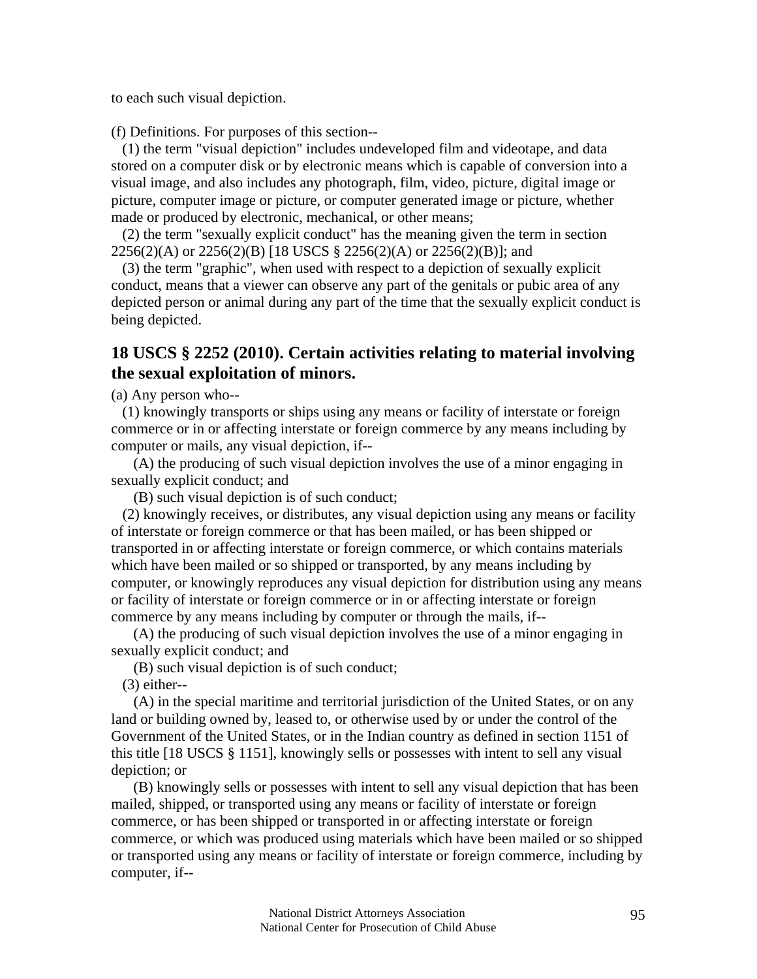to each such visual depiction.

(f) Definitions. For purposes of this section--

 (1) the term "visual depiction" includes undeveloped film and videotape, and data stored on a computer disk or by electronic means which is capable of conversion into a visual image, and also includes any photograph, film, video, picture, digital image or picture, computer image or picture, or computer generated image or picture, whether made or produced by electronic, mechanical, or other means;

 (2) the term "sexually explicit conduct" has the meaning given the term in section 2256(2)(A) or 2256(2)(B) [18 USCS § 2256(2)(A) or 2256(2)(B)]; and

 (3) the term "graphic", when used with respect to a depiction of sexually explicit conduct, means that a viewer can observe any part of the genitals or pubic area of any depicted person or animal during any part of the time that the sexually explicit conduct is being depicted.

#### **18 USCS § 2252 (2010). Certain activities relating to material involving the sexual exploitation of minors.**

(a) Any person who--

 (1) knowingly transports or ships using any means or facility of interstate or foreign commerce or in or affecting interstate or foreign commerce by any means including by computer or mails, any visual depiction, if--

 (A) the producing of such visual depiction involves the use of a minor engaging in sexually explicit conduct; and

(B) such visual depiction is of such conduct;

 (2) knowingly receives, or distributes, any visual depiction using any means or facility of interstate or foreign commerce or that has been mailed, or has been shipped or transported in or affecting interstate or foreign commerce, or which contains materials which have been mailed or so shipped or transported, by any means including by computer, or knowingly reproduces any visual depiction for distribution using any means or facility of interstate or foreign commerce or in or affecting interstate or foreign commerce by any means including by computer or through the mails, if--

 (A) the producing of such visual depiction involves the use of a minor engaging in sexually explicit conduct; and

(B) such visual depiction is of such conduct;

(3) either--

 (A) in the special maritime and territorial jurisdiction of the United States, or on any land or building owned by, leased to, or otherwise used by or under the control of the Government of the United States, or in the Indian country as defined in section 1151 of this title [18 USCS § 1151], knowingly sells or possesses with intent to sell any visual depiction; or

 (B) knowingly sells or possesses with intent to sell any visual depiction that has been mailed, shipped, or transported using any means or facility of interstate or foreign commerce, or has been shipped or transported in or affecting interstate or foreign commerce, or which was produced using materials which have been mailed or so shipped or transported using any means or facility of interstate or foreign commerce, including by computer, if--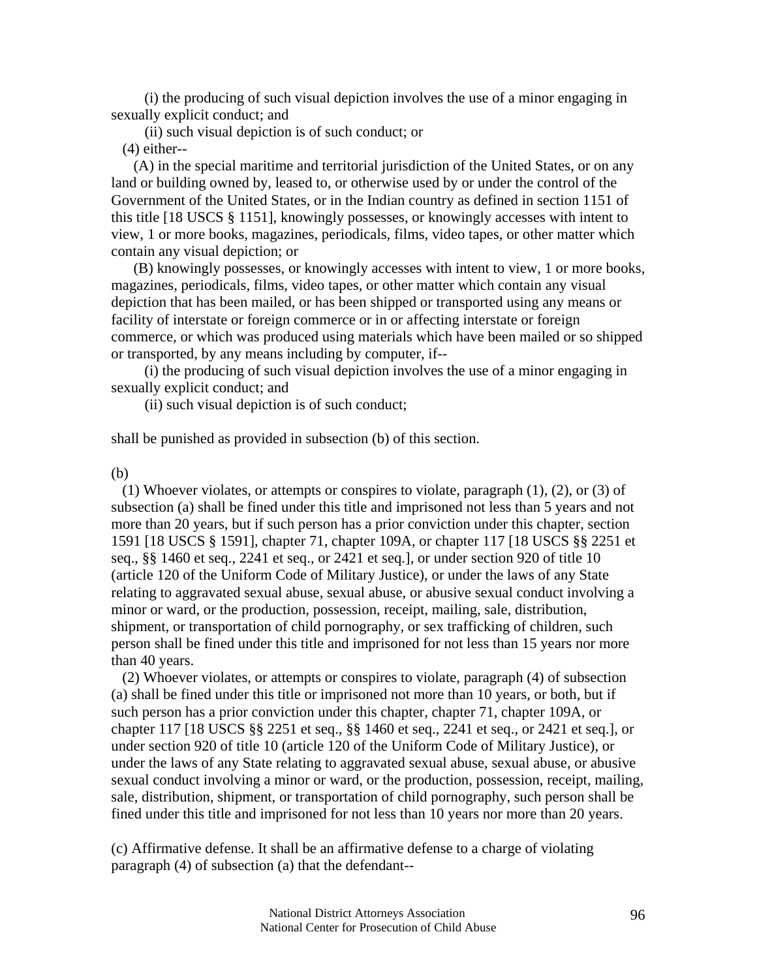(i) the producing of such visual depiction involves the use of a minor engaging in sexually explicit conduct; and

 (ii) such visual depiction is of such conduct; or (4) either--

 (A) in the special maritime and territorial jurisdiction of the United States, or on any land or building owned by, leased to, or otherwise used by or under the control of the Government of the United States, or in the Indian country as defined in section 1151 of this title [18 USCS § 1151], knowingly possesses, or knowingly accesses with intent to view, 1 or more books, magazines, periodicals, films, video tapes, or other matter which contain any visual depiction; or

 (B) knowingly possesses, or knowingly accesses with intent to view, 1 or more books, magazines, periodicals, films, video tapes, or other matter which contain any visual depiction that has been mailed, or has been shipped or transported using any means or facility of interstate or foreign commerce or in or affecting interstate or foreign commerce, or which was produced using materials which have been mailed or so shipped or transported, by any means including by computer, if--

 (i) the producing of such visual depiction involves the use of a minor engaging in sexually explicit conduct; and

(ii) such visual depiction is of such conduct;

shall be punished as provided in subsection (b) of this section.

#### (b)

 (1) Whoever violates, or attempts or conspires to violate, paragraph (1), (2), or (3) of subsection (a) shall be fined under this title and imprisoned not less than 5 years and not more than 20 years, but if such person has a prior conviction under this chapter, section 1591 [18 USCS § 1591], chapter 71, chapter 109A, or chapter 117 [18 USCS §§ 2251 et seq., §§ 1460 et seq., 2241 et seq., or 2421 et seq.], or under section 920 of title 10 (article 120 of the Uniform Code of Military Justice), or under the laws of any State relating to aggravated sexual abuse, sexual abuse, or abusive sexual conduct involving a minor or ward, or the production, possession, receipt, mailing, sale, distribution, shipment, or transportation of child pornography, or sex trafficking of children, such person shall be fined under this title and imprisoned for not less than 15 years nor more than 40 years.

 (2) Whoever violates, or attempts or conspires to violate, paragraph (4) of subsection (a) shall be fined under this title or imprisoned not more than 10 years, or both, but if such person has a prior conviction under this chapter, chapter 71, chapter 109A, or chapter 117 [18 USCS §§ 2251 et seq., §§ 1460 et seq., 2241 et seq., or 2421 et seq.], or under section 920 of title 10 (article 120 of the Uniform Code of Military Justice), or under the laws of any State relating to aggravated sexual abuse, sexual abuse, or abusive sexual conduct involving a minor or ward, or the production, possession, receipt, mailing, sale, distribution, shipment, or transportation of child pornography, such person shall be fined under this title and imprisoned for not less than 10 years nor more than 20 years.

(c) Affirmative defense. It shall be an affirmative defense to a charge of violating paragraph (4) of subsection (a) that the defendant--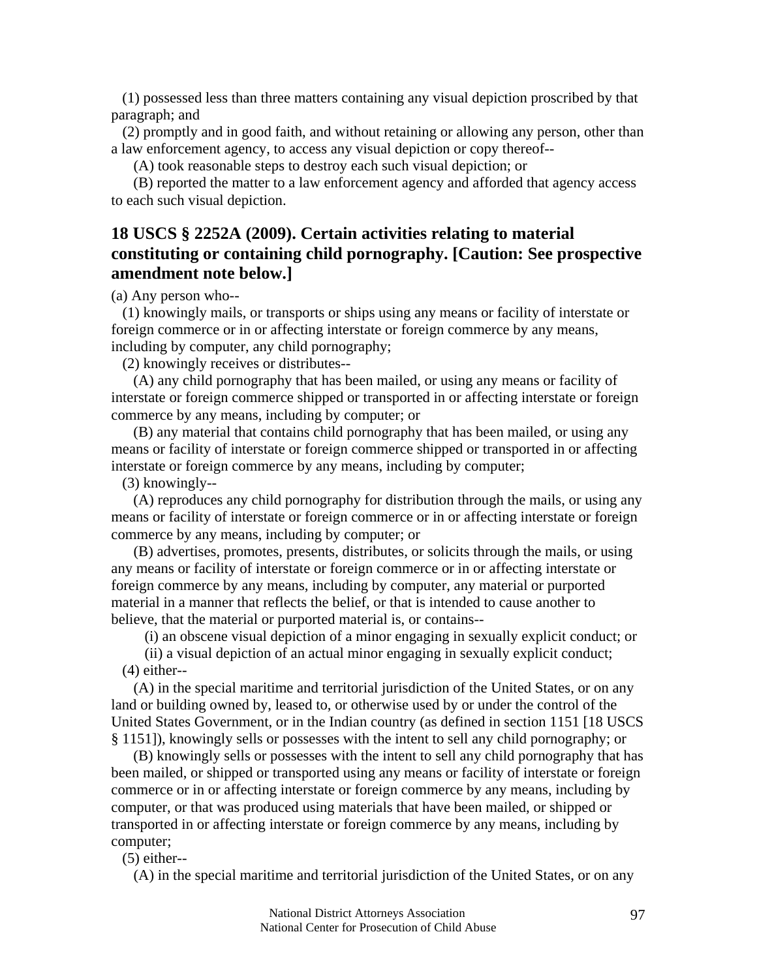(1) possessed less than three matters containing any visual depiction proscribed by that paragraph; and

 (2) promptly and in good faith, and without retaining or allowing any person, other than a law enforcement agency, to access any visual depiction or copy thereof--

(A) took reasonable steps to destroy each such visual depiction; or

 (B) reported the matter to a law enforcement agency and afforded that agency access to each such visual depiction.

### **18 USCS § 2252A (2009). Certain activities relating to material constituting or containing child pornography. [Caution: See prospective amendment note below.]**

(a) Any person who--

 (1) knowingly mails, or transports or ships using any means or facility of interstate or foreign commerce or in or affecting interstate or foreign commerce by any means, including by computer, any child pornography;

(2) knowingly receives or distributes--

 (A) any child pornography that has been mailed, or using any means or facility of interstate or foreign commerce shipped or transported in or affecting interstate or foreign commerce by any means, including by computer; or

 (B) any material that contains child pornography that has been mailed, or using any means or facility of interstate or foreign commerce shipped or transported in or affecting interstate or foreign commerce by any means, including by computer;

(3) knowingly--

 (A) reproduces any child pornography for distribution through the mails, or using any means or facility of interstate or foreign commerce or in or affecting interstate or foreign commerce by any means, including by computer; or

 (B) advertises, promotes, presents, distributes, or solicits through the mails, or using any means or facility of interstate or foreign commerce or in or affecting interstate or foreign commerce by any means, including by computer, any material or purported material in a manner that reflects the belief, or that is intended to cause another to believe, that the material or purported material is, or contains--

(i) an obscene visual depiction of a minor engaging in sexually explicit conduct; or

 (ii) a visual depiction of an actual minor engaging in sexually explicit conduct; (4) either--

 (A) in the special maritime and territorial jurisdiction of the United States, or on any land or building owned by, leased to, or otherwise used by or under the control of the United States Government, or in the Indian country (as defined in section 1151 [18 USCS § 1151]), knowingly sells or possesses with the intent to sell any child pornography; or

 (B) knowingly sells or possesses with the intent to sell any child pornography that has been mailed, or shipped or transported using any means or facility of interstate or foreign commerce or in or affecting interstate or foreign commerce by any means, including by computer, or that was produced using materials that have been mailed, or shipped or transported in or affecting interstate or foreign commerce by any means, including by computer;

 $(5)$  either--

(A) in the special maritime and territorial jurisdiction of the United States, or on any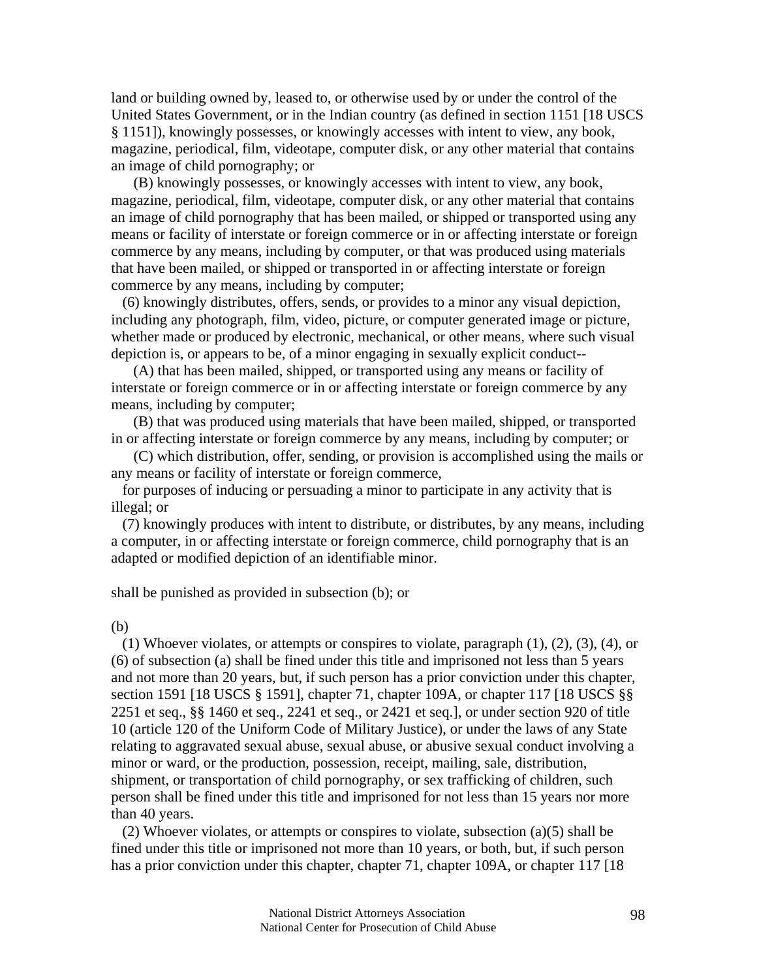land or building owned by, leased to, or otherwise used by or under the control of the United States Government, or in the Indian country (as defined in section 1151 [18 USCS § 1151]), knowingly possesses, or knowingly accesses with intent to view, any book, magazine, periodical, film, videotape, computer disk, or any other material that contains an image of child pornography; or

 (B) knowingly possesses, or knowingly accesses with intent to view, any book, magazine, periodical, film, videotape, computer disk, or any other material that contains an image of child pornography that has been mailed, or shipped or transported using any means or facility of interstate or foreign commerce or in or affecting interstate or foreign commerce by any means, including by computer, or that was produced using materials that have been mailed, or shipped or transported in or affecting interstate or foreign commerce by any means, including by computer;

 (6) knowingly distributes, offers, sends, or provides to a minor any visual depiction, including any photograph, film, video, picture, or computer generated image or picture, whether made or produced by electronic, mechanical, or other means, where such visual depiction is, or appears to be, of a minor engaging in sexually explicit conduct--

 (A) that has been mailed, shipped, or transported using any means or facility of interstate or foreign commerce or in or affecting interstate or foreign commerce by any means, including by computer;

 (B) that was produced using materials that have been mailed, shipped, or transported in or affecting interstate or foreign commerce by any means, including by computer; or

 (C) which distribution, offer, sending, or provision is accomplished using the mails or any means or facility of interstate or foreign commerce,

 for purposes of inducing or persuading a minor to participate in any activity that is illegal; or

 (7) knowingly produces with intent to distribute, or distributes, by any means, including a computer, in or affecting interstate or foreign commerce, child pornography that is an adapted or modified depiction of an identifiable minor.

shall be punished as provided in subsection (b); or

#### (b)

 (1) Whoever violates, or attempts or conspires to violate, paragraph (1), (2), (3), (4), or (6) of subsection (a) shall be fined under this title and imprisoned not less than 5 years and not more than 20 years, but, if such person has a prior conviction under this chapter, section 1591 [18 USCS § 1591], chapter 71, chapter 109A, or chapter 117 [18 USCS §§ 2251 et seq., §§ 1460 et seq., 2241 et seq., or 2421 et seq.], or under section 920 of title 10 (article 120 of the Uniform Code of Military Justice), or under the laws of any State relating to aggravated sexual abuse, sexual abuse, or abusive sexual conduct involving a minor or ward, or the production, possession, receipt, mailing, sale, distribution, shipment, or transportation of child pornography, or sex trafficking of children, such person shall be fined under this title and imprisoned for not less than 15 years nor more than 40 years.

 (2) Whoever violates, or attempts or conspires to violate, subsection (a)(5) shall be fined under this title or imprisoned not more than 10 years, or both, but, if such person has a prior conviction under this chapter, chapter 71, chapter 109A, or chapter 117 [18]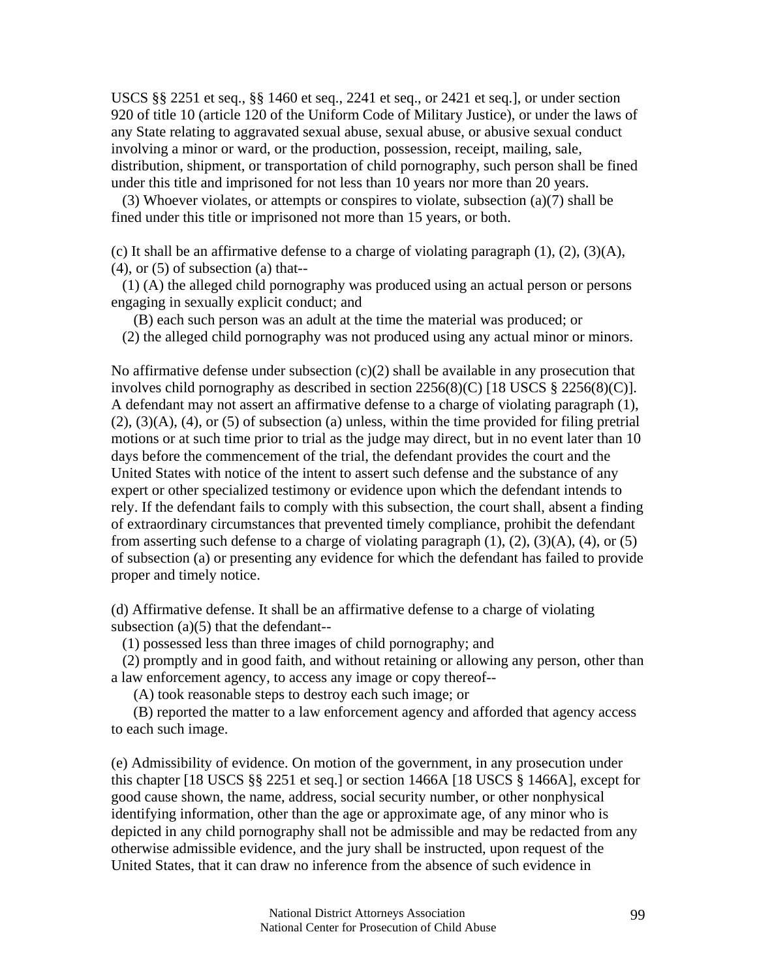USCS §§ 2251 et seq., §§ 1460 et seq., 2241 et seq., or 2421 et seq.], or under section 920 of title 10 (article 120 of the Uniform Code of Military Justice), or under the laws of any State relating to aggravated sexual abuse, sexual abuse, or abusive sexual conduct involving a minor or ward, or the production, possession, receipt, mailing, sale, distribution, shipment, or transportation of child pornography, such person shall be fined under this title and imprisoned for not less than 10 years nor more than 20 years.

 (3) Whoever violates, or attempts or conspires to violate, subsection (a)(7) shall be fined under this title or imprisoned not more than 15 years, or both.

(c) It shall be an affirmative defense to a charge of violating paragraph  $(1)$ ,  $(2)$ ,  $(3)(A)$ ,  $(4)$ , or  $(5)$  of subsection  $(a)$  that--

 (1) (A) the alleged child pornography was produced using an actual person or persons engaging in sexually explicit conduct; and

(B) each such person was an adult at the time the material was produced; or

(2) the alleged child pornography was not produced using any actual minor or minors.

No affirmative defense under subsection  $(c)(2)$  shall be available in any prosecution that involves child pornography as described in section  $2256(8)(C)$  [18 USCS § 2256(8)(C)]. A defendant may not assert an affirmative defense to a charge of violating paragraph (1),  $(2)$ ,  $(3)(A)$ ,  $(4)$ , or  $(5)$  of subsection  $(a)$  unless, within the time provided for filing pretrial motions or at such time prior to trial as the judge may direct, but in no event later than 10 days before the commencement of the trial, the defendant provides the court and the United States with notice of the intent to assert such defense and the substance of any expert or other specialized testimony or evidence upon which the defendant intends to rely. If the defendant fails to comply with this subsection, the court shall, absent a finding of extraordinary circumstances that prevented timely compliance, prohibit the defendant from asserting such defense to a charge of violating paragraph  $(1)$ ,  $(2)$ ,  $(3)(A)$ ,  $(4)$ , or  $(5)$ of subsection (a) or presenting any evidence for which the defendant has failed to provide proper and timely notice.

(d) Affirmative defense. It shall be an affirmative defense to a charge of violating subsection  $(a)(5)$  that the defendant--

(1) possessed less than three images of child pornography; and

 (2) promptly and in good faith, and without retaining or allowing any person, other than a law enforcement agency, to access any image or copy thereof--

(A) took reasonable steps to destroy each such image; or

 (B) reported the matter to a law enforcement agency and afforded that agency access to each such image.

(e) Admissibility of evidence. On motion of the government, in any prosecution under this chapter [18 USCS §§ 2251 et seq.] or section 1466A [18 USCS § 1466A], except for good cause shown, the name, address, social security number, or other nonphysical identifying information, other than the age or approximate age, of any minor who is depicted in any child pornography shall not be admissible and may be redacted from any otherwise admissible evidence, and the jury shall be instructed, upon request of the United States, that it can draw no inference from the absence of such evidence in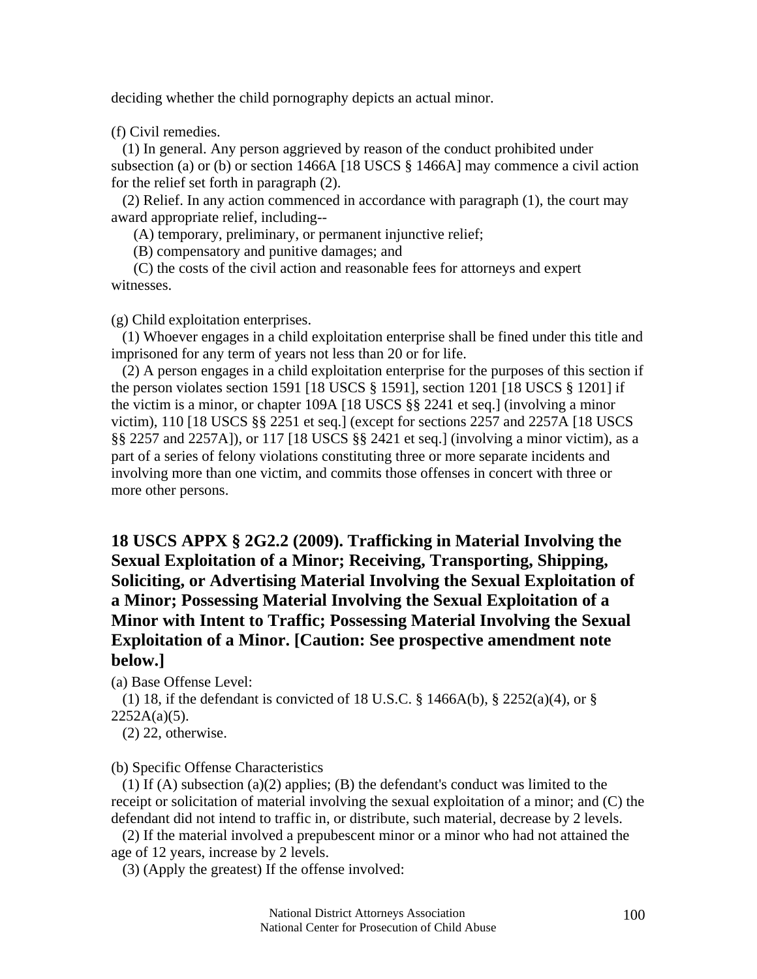deciding whether the child pornography depicts an actual minor.

(f) Civil remedies.

 (1) In general. Any person aggrieved by reason of the conduct prohibited under subsection (a) or (b) or section 1466A [18 USCS § 1466A] may commence a civil action for the relief set forth in paragraph (2).

 (2) Relief. In any action commenced in accordance with paragraph (1), the court may award appropriate relief, including--

(A) temporary, preliminary, or permanent injunctive relief;

(B) compensatory and punitive damages; and

 (C) the costs of the civil action and reasonable fees for attorneys and expert witnesses.

(g) Child exploitation enterprises.

 (1) Whoever engages in a child exploitation enterprise shall be fined under this title and imprisoned for any term of years not less than 20 or for life.

 (2) A person engages in a child exploitation enterprise for the purposes of this section if the person violates section 1591 [18 USCS § 1591], section 1201 [18 USCS § 1201] if the victim is a minor, or chapter 109A [18 USCS §§ 2241 et seq.] (involving a minor victim), 110 [18 USCS §§ 2251 et seq.] (except for sections 2257 and 2257A [18 USCS §§ 2257 and 2257A]), or 117 [18 USCS §§ 2421 et seq.] (involving a minor victim), as a part of a series of felony violations constituting three or more separate incidents and involving more than one victim, and commits those offenses in concert with three or more other persons.

### **18 USCS APPX § 2G2.2 (2009). Trafficking in Material Involving the Sexual Exploitation of a Minor; Receiving, Transporting, Shipping, Soliciting, or Advertising Material Involving the Sexual Exploitation of a Minor; Possessing Material Involving the Sexual Exploitation of a Minor with Intent to Traffic; Possessing Material Involving the Sexual Exploitation of a Minor. [Caution: See prospective amendment note below.]**

(a) Base Offense Level:

 (1) 18, if the defendant is convicted of 18 U.S.C. § 1466A(b), § 2252(a)(4), or §  $2252A(a)(5)$ .

(2) 22, otherwise.

#### (b) Specific Offense Characteristics

(1) If (A) subsection (a)(2) applies; (B) the defendant's conduct was limited to the receipt or solicitation of material involving the sexual exploitation of a minor; and (C) the defendant did not intend to traffic in, or distribute, such material, decrease by 2 levels.

 (2) If the material involved a prepubescent minor or a minor who had not attained the age of 12 years, increase by 2 levels.

(3) (Apply the greatest) If the offense involved: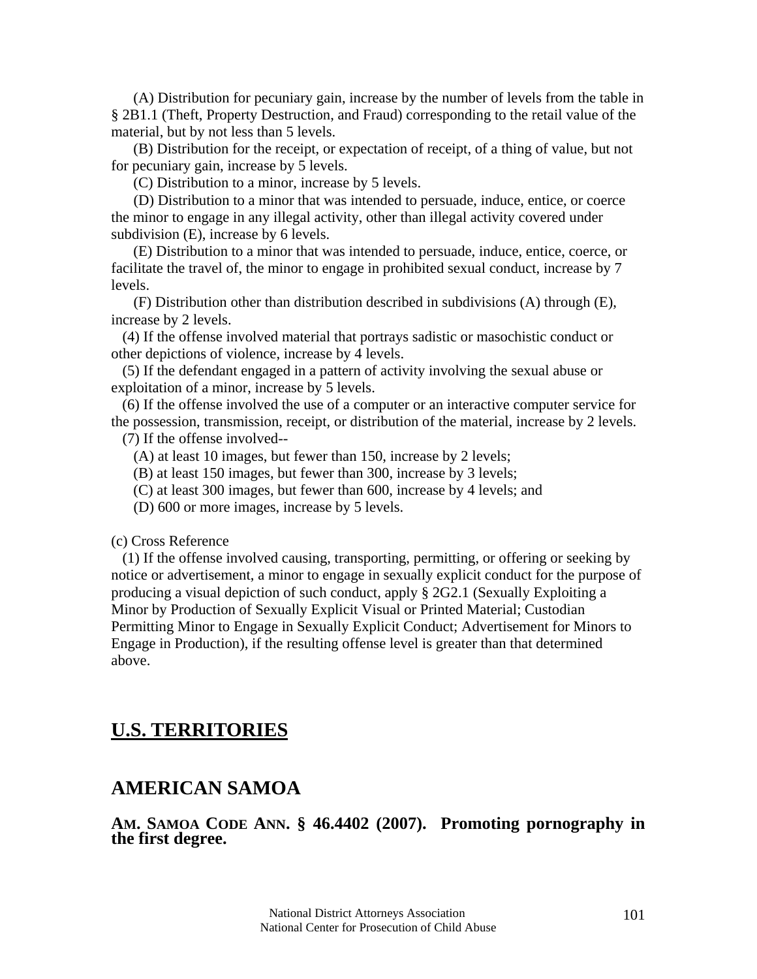(A) Distribution for pecuniary gain, increase by the number of levels from the table in § 2B1.1 (Theft, Property Destruction, and Fraud) corresponding to the retail value of the material, but by not less than 5 levels.

 (B) Distribution for the receipt, or expectation of receipt, of a thing of value, but not for pecuniary gain, increase by 5 levels.

(C) Distribution to a minor, increase by 5 levels.

 (D) Distribution to a minor that was intended to persuade, induce, entice, or coerce the minor to engage in any illegal activity, other than illegal activity covered under subdivision (E), increase by 6 levels.

 (E) Distribution to a minor that was intended to persuade, induce, entice, coerce, or facilitate the travel of, the minor to engage in prohibited sexual conduct, increase by 7 levels.

 (F) Distribution other than distribution described in subdivisions (A) through (E), increase by 2 levels.

 (4) If the offense involved material that portrays sadistic or masochistic conduct or other depictions of violence, increase by 4 levels.

 (5) If the defendant engaged in a pattern of activity involving the sexual abuse or exploitation of a minor, increase by 5 levels.

 (6) If the offense involved the use of a computer or an interactive computer service for the possession, transmission, receipt, or distribution of the material, increase by 2 levels.

(7) If the offense involved--

(A) at least 10 images, but fewer than 150, increase by 2 levels;

(B) at least 150 images, but fewer than 300, increase by 3 levels;

(C) at least 300 images, but fewer than 600, increase by 4 levels; and

(D) 600 or more images, increase by 5 levels.

(c) Cross Reference

 (1) If the offense involved causing, transporting, permitting, or offering or seeking by notice or advertisement, a minor to engage in sexually explicit conduct for the purpose of producing a visual depiction of such conduct, apply § 2G2.1 (Sexually Exploiting a Minor by Production of Sexually Explicit Visual or Printed Material; Custodian Permitting Minor to Engage in Sexually Explicit Conduct; Advertisement for Minors to Engage in Production), if the resulting offense level is greater than that determined above.

#### **U.S. TERRITORIES**

#### **AMERICAN SAMOA**

**AM. SAMOA CODE ANN. § 46.4402 (2007). Promoting pornography in the first degree.**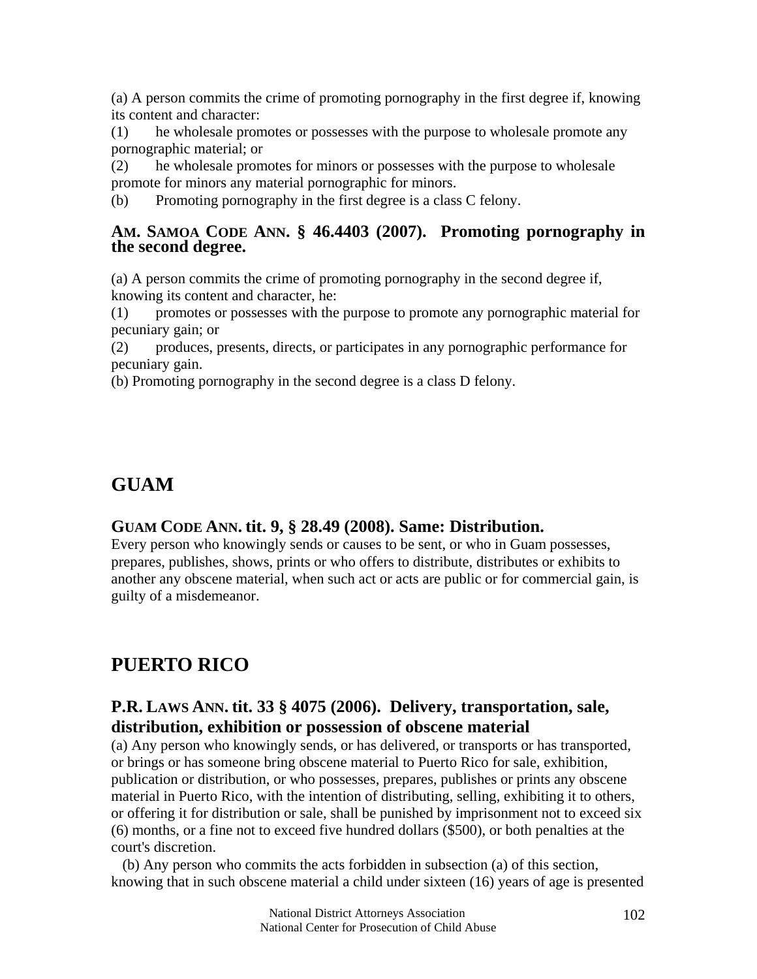(a) A person commits the crime of promoting pornography in the first degree if, knowing its content and character:

(1) he wholesale promotes or possesses with the purpose to wholesale promote any pornographic material; or

(2) he wholesale promotes for minors or possesses with the purpose to wholesale promote for minors any material pornographic for minors.

(b) Promoting pornography in the first degree is a class C felony.

# **AM. SAMOA CODE ANN. § 46.4403 (2007). Promoting pornography in the second degree.**

(a) A person commits the crime of promoting pornography in the second degree if, knowing its content and character, he:

(1) promotes or possesses with the purpose to promote any pornographic material for pecuniary gain; or

(2) produces, presents, directs, or participates in any pornographic performance for pecuniary gain.

(b) Promoting pornography in the second degree is a class D felony.

# **GUAM**

#### **GUAM CODE ANN. tit. 9, § 28.49 (2008). Same: Distribution.**

Every person who knowingly sends or causes to be sent, or who in Guam possesses, prepares, publishes, shows, prints or who offers to distribute, distributes or exhibits to another any obscene material, when such act or acts are public or for commercial gain, is guilty of a misdemeanor.

# **PUERTO RICO**

#### **P.R. LAWS ANN. tit. 33 § 4075 (2006). Delivery, transportation, sale, distribution, exhibition or possession of obscene material**

(a) Any person who knowingly sends, or has delivered, or transports or has transported, or brings or has someone bring obscene material to Puerto Rico for sale, exhibition, publication or distribution, or who possesses, prepares, publishes or prints any obscene material in Puerto Rico, with the intention of distributing, selling, exhibiting it to others, or offering it for distribution or sale, shall be punished by imprisonment not to exceed six (6) months, or a fine not to exceed five hundred dollars (\$500), or both penalties at the court's discretion.

 (b) Any person who commits the acts forbidden in subsection (a) of this section, knowing that in such obscene material a child under sixteen (16) years of age is presented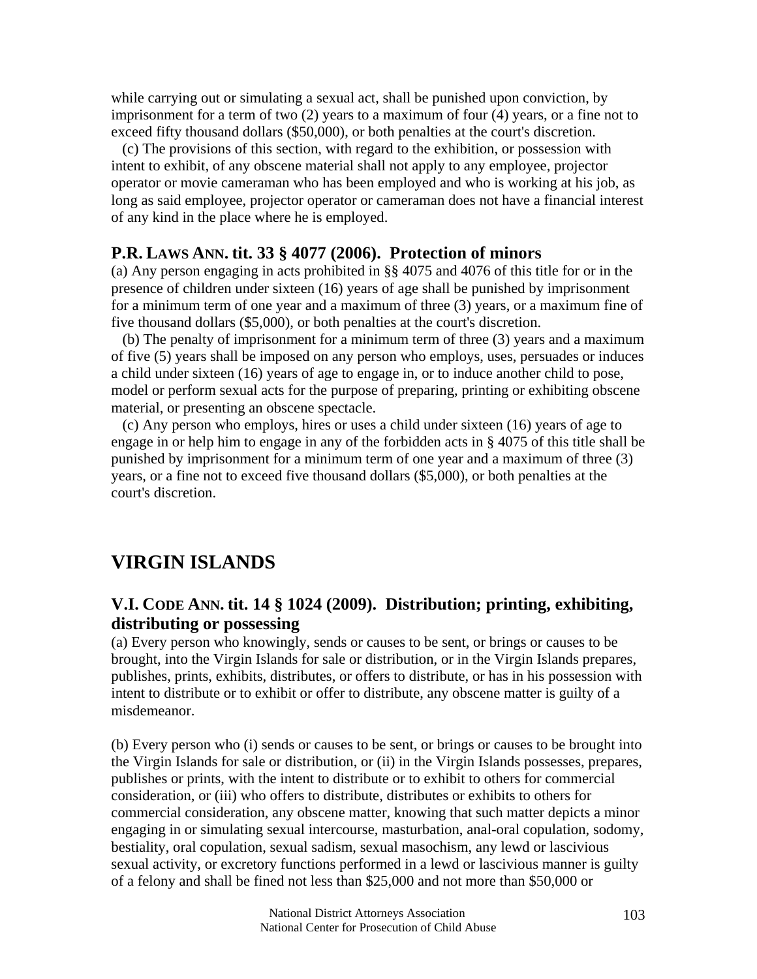while carrying out or simulating a sexual act, shall be punished upon conviction, by imprisonment for a term of two (2) years to a maximum of four (4) years, or a fine not to exceed fifty thousand dollars (\$50,000), or both penalties at the court's discretion.

 (c) The provisions of this section, with regard to the exhibition, or possession with intent to exhibit, of any obscene material shall not apply to any employee, projector operator or movie cameraman who has been employed and who is working at his job, as long as said employee, projector operator or cameraman does not have a financial interest of any kind in the place where he is employed.

#### **P.R. LAWS ANN. tit. 33 § 4077 (2006). Protection of minors**

(a) Any person engaging in acts prohibited in §§ 4075 and 4076 of this title for or in the presence of children under sixteen (16) years of age shall be punished by imprisonment for a minimum term of one year and a maximum of three (3) years, or a maximum fine of five thousand dollars (\$5,000), or both penalties at the court's discretion.

 (b) The penalty of imprisonment for a minimum term of three (3) years and a maximum of five (5) years shall be imposed on any person who employs, uses, persuades or induces a child under sixteen (16) years of age to engage in, or to induce another child to pose, model or perform sexual acts for the purpose of preparing, printing or exhibiting obscene material, or presenting an obscene spectacle.

 (c) Any person who employs, hires or uses a child under sixteen (16) years of age to engage in or help him to engage in any of the forbidden acts in § 4075 of this title shall be punished by imprisonment for a minimum term of one year and a maximum of three (3) years, or a fine not to exceed five thousand dollars (\$5,000), or both penalties at the court's discretion.

### **VIRGIN ISLANDS**

#### **V.I. CODE ANN. tit. 14 § 1024 (2009). Distribution; printing, exhibiting, distributing or possessing**

(a) Every person who knowingly, sends or causes to be sent, or brings or causes to be brought, into the Virgin Islands for sale or distribution, or in the Virgin Islands prepares, publishes, prints, exhibits, distributes, or offers to distribute, or has in his possession with intent to distribute or to exhibit or offer to distribute, any obscene matter is guilty of a misdemeanor.

(b) Every person who (i) sends or causes to be sent, or brings or causes to be brought into the Virgin Islands for sale or distribution, or (ii) in the Virgin Islands possesses, prepares, publishes or prints, with the intent to distribute or to exhibit to others for commercial consideration, or (iii) who offers to distribute, distributes or exhibits to others for commercial consideration, any obscene matter, knowing that such matter depicts a minor engaging in or simulating sexual intercourse, masturbation, anal-oral copulation, sodomy, bestiality, oral copulation, sexual sadism, sexual masochism, any lewd or lascivious sexual activity, or excretory functions performed in a lewd or lascivious manner is guilty of a felony and shall be fined not less than \$25,000 and not more than \$50,000 or